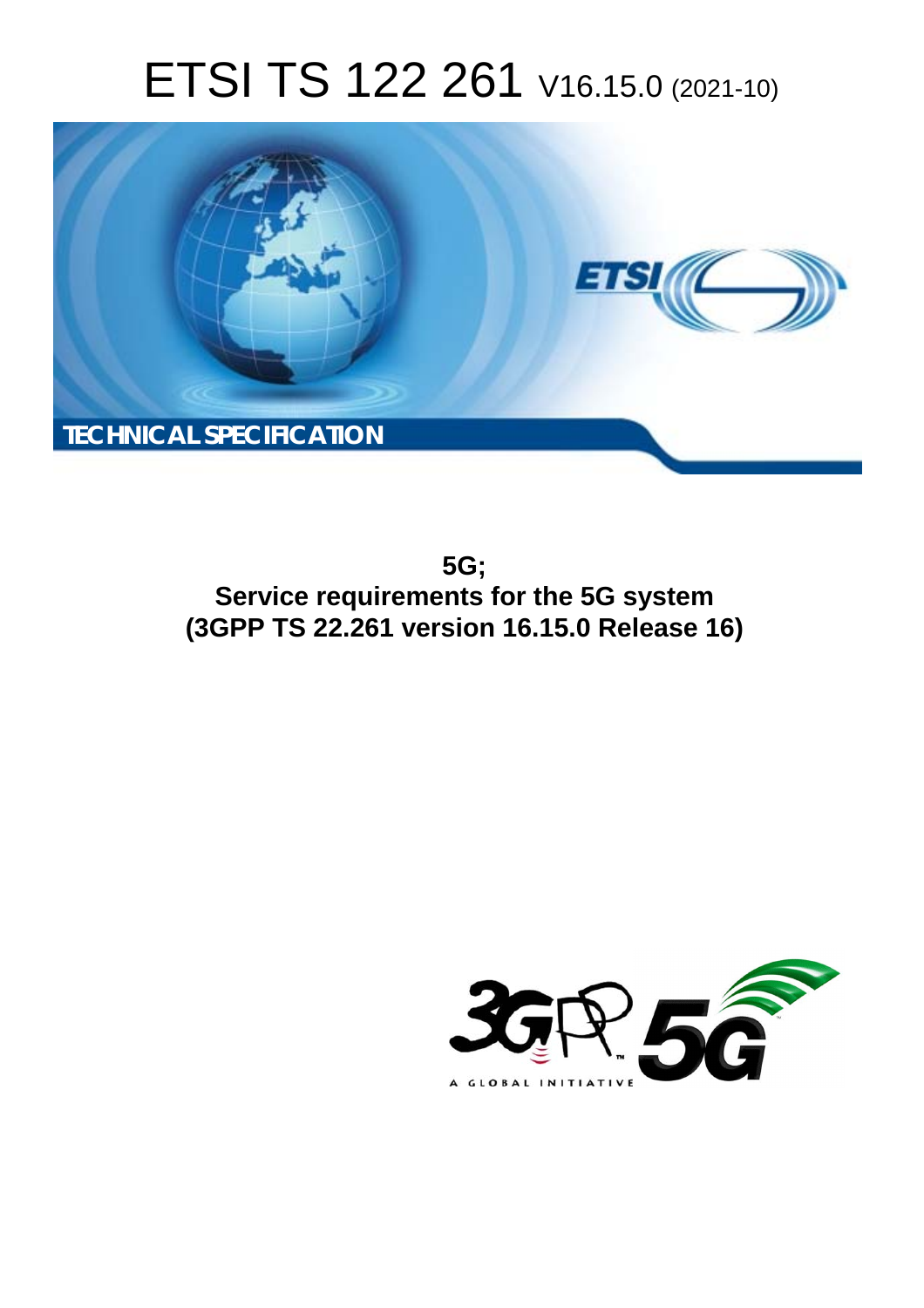# ETSI TS 122 261 V16.15.0 (2021-10)



**5G; Service requirements for the 5G system (3GPP TS 22.261 version 16.15.0 Release 16)** 

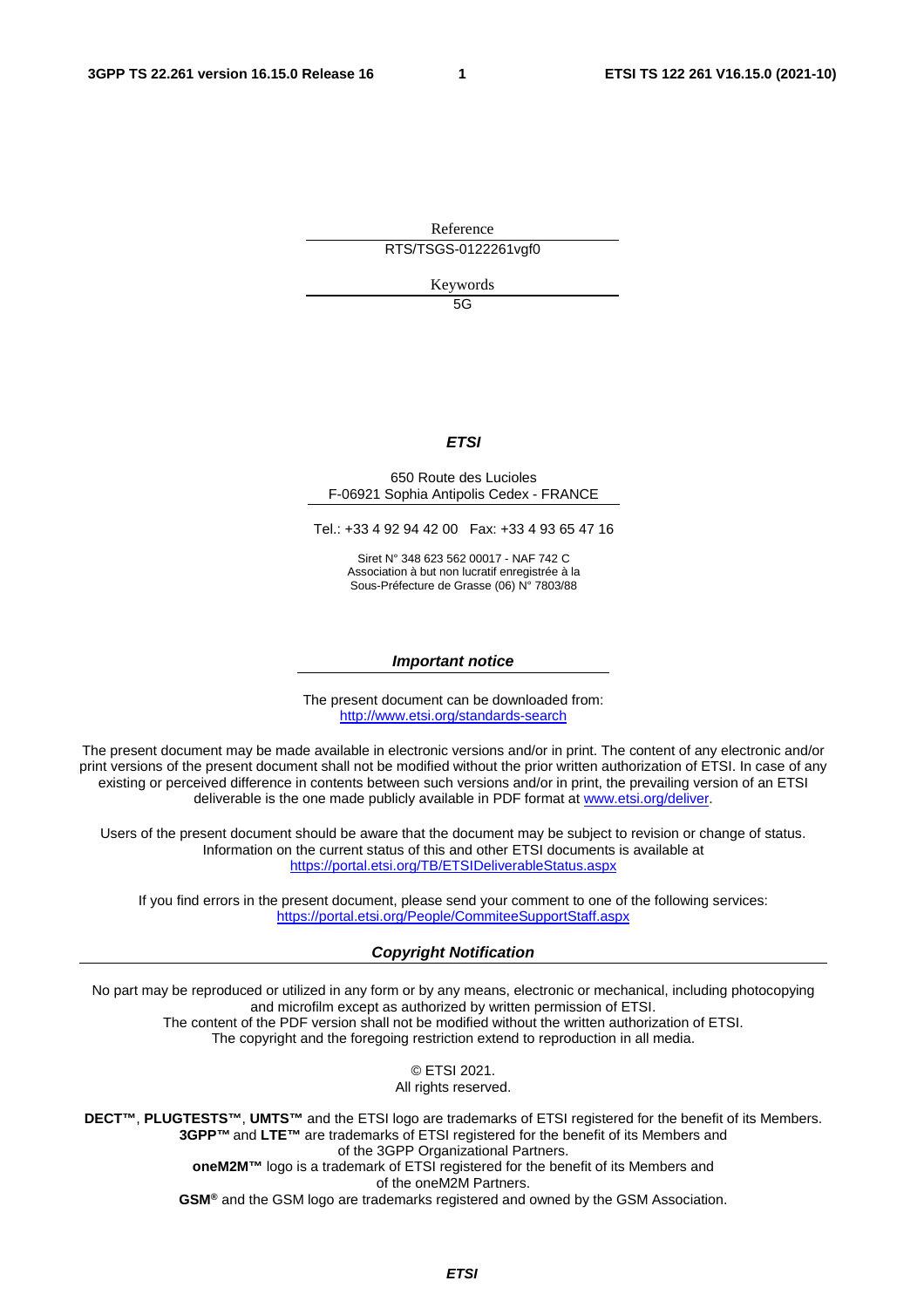Reference

RTS/TSGS-0122261vgf0

Keywords

5G

#### *ETSI*

#### 650 Route des Lucioles F-06921 Sophia Antipolis Cedex - FRANCE

Tel.: +33 4 92 94 42 00 Fax: +33 4 93 65 47 16

Siret N° 348 623 562 00017 - NAF 742 C Association à but non lucratif enregistrée à la Sous-Préfecture de Grasse (06) N° 7803/88

#### *Important notice*

The present document can be downloaded from: <http://www.etsi.org/standards-search>

The present document may be made available in electronic versions and/or in print. The content of any electronic and/or print versions of the present document shall not be modified without the prior written authorization of ETSI. In case of any existing or perceived difference in contents between such versions and/or in print, the prevailing version of an ETSI deliverable is the one made publicly available in PDF format at [www.etsi.org/deliver](http://www.etsi.org/deliver).

Users of the present document should be aware that the document may be subject to revision or change of status. Information on the current status of this and other ETSI documents is available at <https://portal.etsi.org/TB/ETSIDeliverableStatus.aspx>

If you find errors in the present document, please send your comment to one of the following services: <https://portal.etsi.org/People/CommiteeSupportStaff.aspx>

#### *Copyright Notification*

No part may be reproduced or utilized in any form or by any means, electronic or mechanical, including photocopying and microfilm except as authorized by written permission of ETSI. The content of the PDF version shall not be modified without the written authorization of ETSI. The copyright and the foregoing restriction extend to reproduction in all media.

> © ETSI 2021. All rights reserved.

**DECT™**, **PLUGTESTS™**, **UMTS™** and the ETSI logo are trademarks of ETSI registered for the benefit of its Members. **3GPP™** and **LTE™** are trademarks of ETSI registered for the benefit of its Members and of the 3GPP Organizational Partners. **oneM2M™** logo is a trademark of ETSI registered for the benefit of its Members and of the oneM2M Partners. **GSM®** and the GSM logo are trademarks registered and owned by the GSM Association.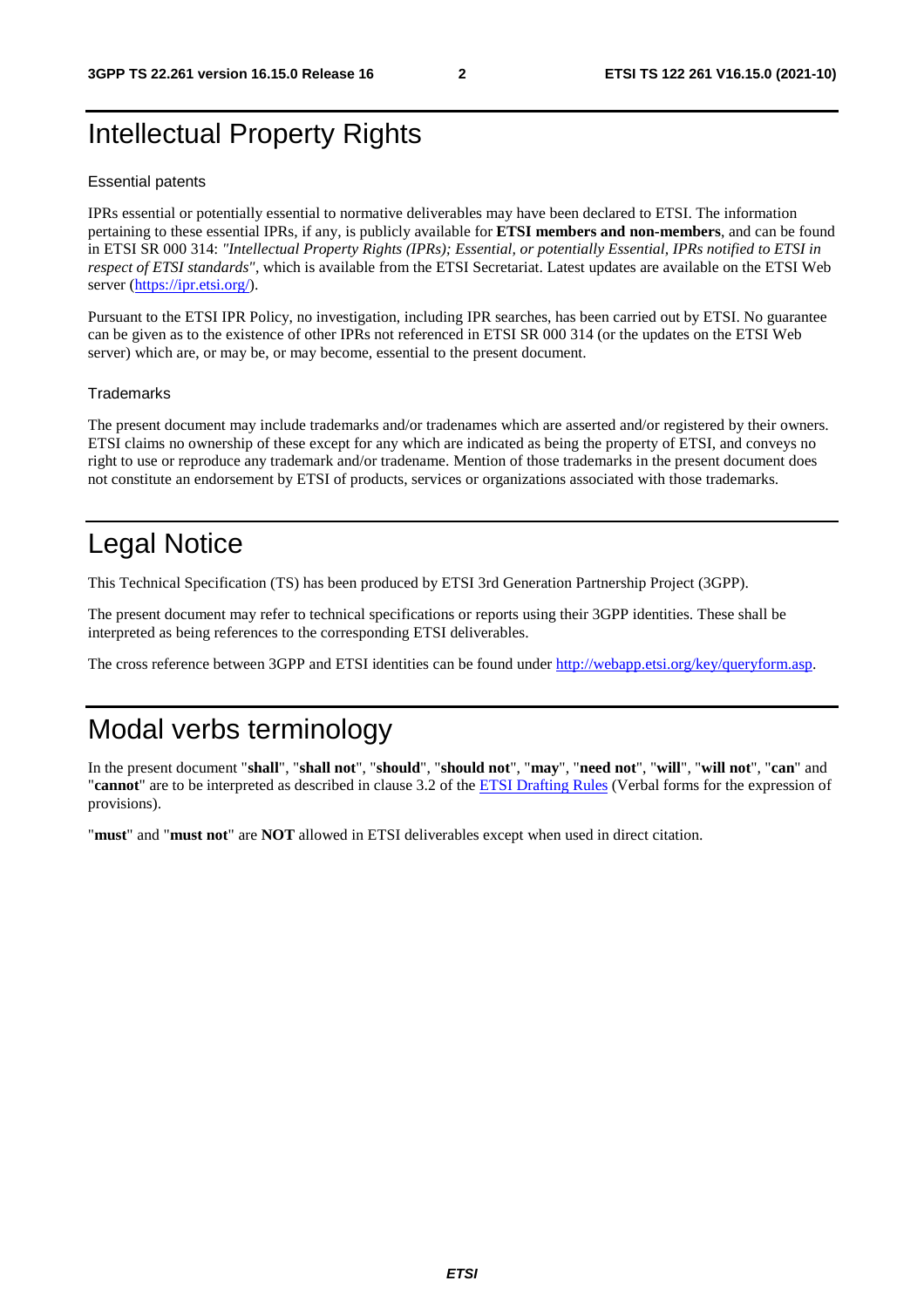## Intellectual Property Rights

#### Essential patents

IPRs essential or potentially essential to normative deliverables may have been declared to ETSI. The information pertaining to these essential IPRs, if any, is publicly available for **ETSI members and non-members**, and can be found in ETSI SR 000 314: *"Intellectual Property Rights (IPRs); Essential, or potentially Essential, IPRs notified to ETSI in respect of ETSI standards"*, which is available from the ETSI Secretariat. Latest updates are available on the ETSI Web server [\(https://ipr.etsi.org/](https://ipr.etsi.org/)).

Pursuant to the ETSI IPR Policy, no investigation, including IPR searches, has been carried out by ETSI. No guarantee can be given as to the existence of other IPRs not referenced in ETSI SR 000 314 (or the updates on the ETSI Web server) which are, or may be, or may become, essential to the present document.

#### **Trademarks**

The present document may include trademarks and/or tradenames which are asserted and/or registered by their owners. ETSI claims no ownership of these except for any which are indicated as being the property of ETSI, and conveys no right to use or reproduce any trademark and/or tradename. Mention of those trademarks in the present document does not constitute an endorsement by ETSI of products, services or organizations associated with those trademarks.

## Legal Notice

This Technical Specification (TS) has been produced by ETSI 3rd Generation Partnership Project (3GPP).

The present document may refer to technical specifications or reports using their 3GPP identities. These shall be interpreted as being references to the corresponding ETSI deliverables.

The cross reference between 3GPP and ETSI identities can be found under<http://webapp.etsi.org/key/queryform.asp>.

## Modal verbs terminology

In the present document "**shall**", "**shall not**", "**should**", "**should not**", "**may**", "**need not**", "**will**", "**will not**", "**can**" and "**cannot**" are to be interpreted as described in clause 3.2 of the [ETSI Drafting Rules](https://portal.etsi.org/Services/editHelp!/Howtostart/ETSIDraftingRules.aspx) (Verbal forms for the expression of provisions).

"**must**" and "**must not**" are **NOT** allowed in ETSI deliverables except when used in direct citation.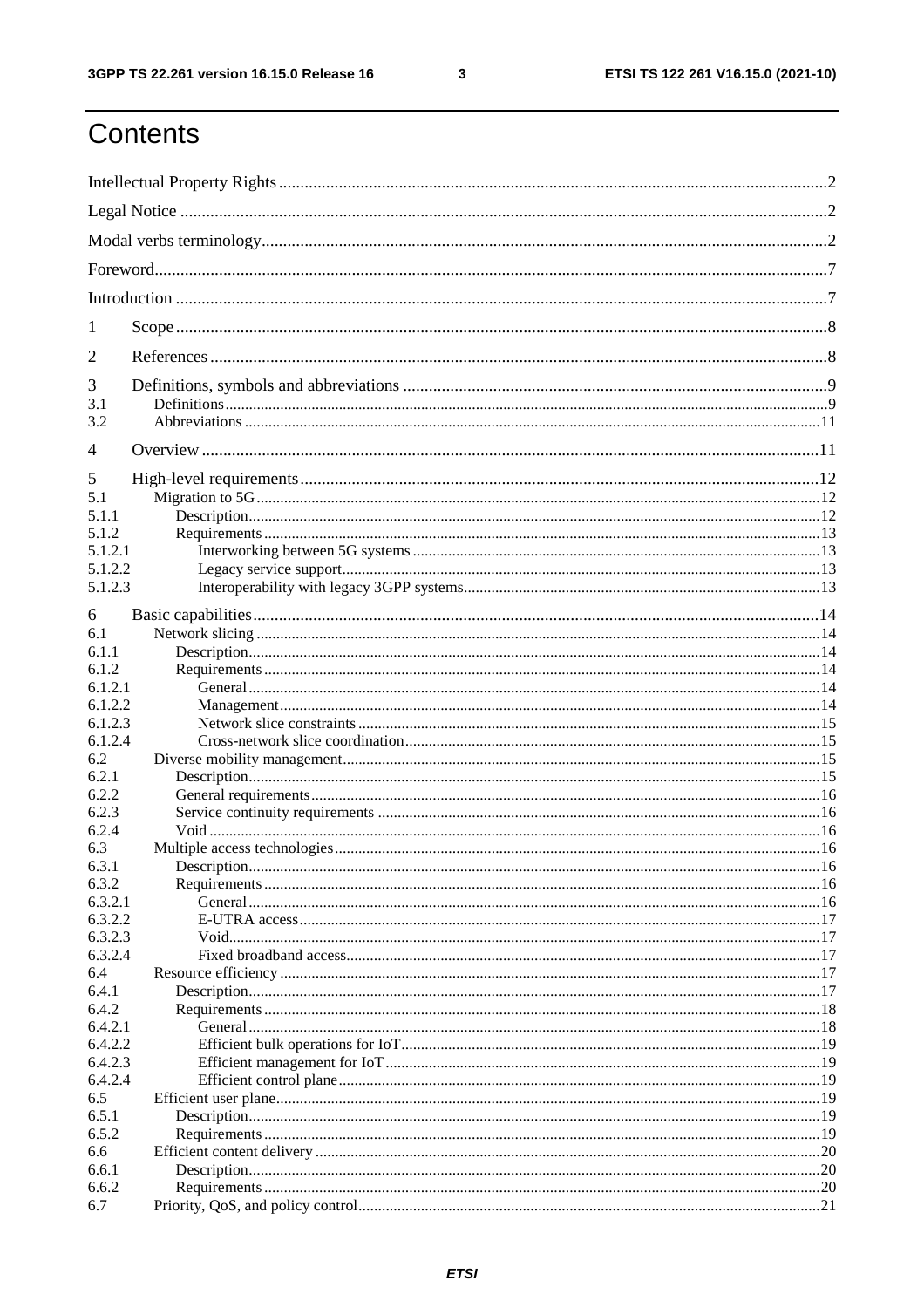$\mathbf{3}$ 

## Contents

| 1          |  |  |  |
|------------|--|--|--|
| 2          |  |  |  |
| 3          |  |  |  |
| 3.1<br>3.2 |  |  |  |
| 4          |  |  |  |
| 5          |  |  |  |
| 5.1        |  |  |  |
| 5.1.1      |  |  |  |
| 5.1.2      |  |  |  |
| 5.1.2.1    |  |  |  |
| 5.1.2.2    |  |  |  |
| 5.1.2.3    |  |  |  |
| 6          |  |  |  |
| 6.1        |  |  |  |
| 6.1.1      |  |  |  |
| 6.1.2      |  |  |  |
| 6.1.2.1    |  |  |  |
| 6.1.2.2    |  |  |  |
| 6.1.2.3    |  |  |  |
| 6.1.2.4    |  |  |  |
| 6.2        |  |  |  |
| 6.2.1      |  |  |  |
| 6.2.2      |  |  |  |
| 6.2.3      |  |  |  |
| 6.2.4      |  |  |  |
| 6.3        |  |  |  |
| 6.3.1      |  |  |  |
| 6.3.2      |  |  |  |
| 6.3.2.1    |  |  |  |
| 6.3.2.2    |  |  |  |
| 6.3.2.3    |  |  |  |
| 6.3.2.4    |  |  |  |
| 6.4        |  |  |  |
| 6.4.1      |  |  |  |
| 6.4.2      |  |  |  |
| 6.4.2.1    |  |  |  |
| 6.4.2.2    |  |  |  |
| 6.4.2.3    |  |  |  |
| 6.4.2.4    |  |  |  |
| 6.5        |  |  |  |
| 6.5.1      |  |  |  |
| 6.5.2      |  |  |  |
| 6.6        |  |  |  |
| 6.6.1      |  |  |  |
| 6.6.2      |  |  |  |
| 6.7        |  |  |  |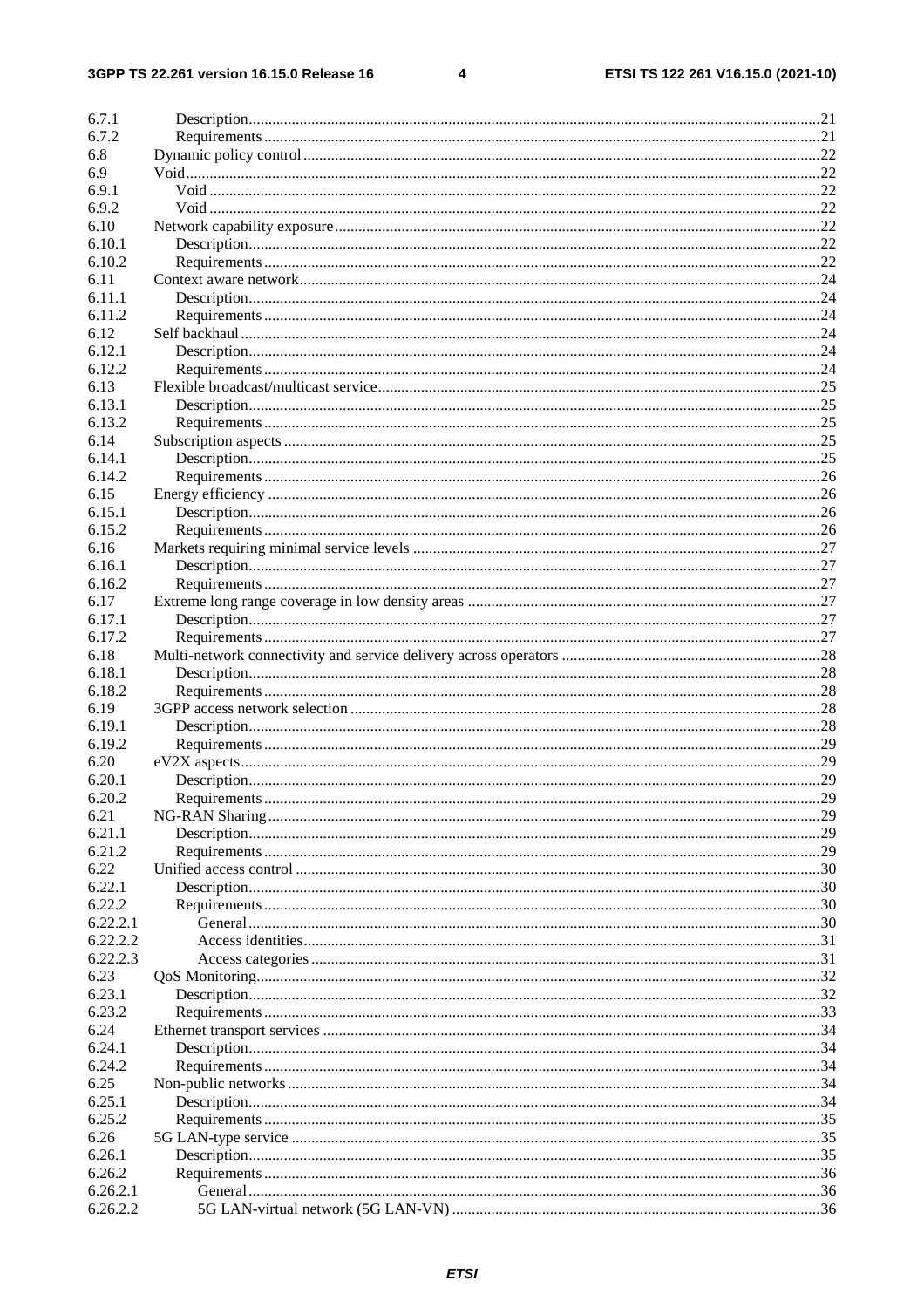#### $\overline{\mathbf{4}}$

| 6.7.1          |     |
|----------------|-----|
| 6.7.2          |     |
| 6.8            |     |
| 6.9            |     |
| 6.9.1          |     |
| 6.9.2          |     |
| 6.10           |     |
| 6.10.1         |     |
| 6.10.2         |     |
| 6.11           |     |
| 6.11.1         |     |
| 6.11.2         |     |
| 6.12           |     |
| 6.12.1         |     |
| 6.12.2         |     |
|                |     |
| 6.13           |     |
| 6.13.1         |     |
| 6.13.2         |     |
| 6.14           |     |
| 6.14.1         |     |
| 6.14.2         |     |
| 6.15           |     |
| 6.15.1         |     |
| 6.15.2         |     |
| 6.16           |     |
| 6.16.1         |     |
| 6.16.2         |     |
| 6.17           |     |
| 6.17.1         |     |
| 6.17.2         |     |
| 6.18           |     |
| 6.18.1         |     |
| 6.18.2         |     |
| 6.19           |     |
| 6.19.1         |     |
| 6.19.2         |     |
| 6.20           |     |
| 6.20.1         |     |
| 6.20.2         | .29 |
| 6.21           |     |
| 6.21.1         |     |
| 6.21.2         |     |
| 6.22           |     |
| 6.22.1         |     |
| 6.22.2         |     |
| 6.22.2.1       |     |
| 6.22.2.2       |     |
| 6.22.2.3       |     |
|                |     |
| 6.23<br>6.23.1 |     |
|                |     |
| 6.23.2         |     |
| 6.24           |     |
| 6.24.1         |     |
| 6.24.2         |     |
| 6.25           |     |
| 6.25.1         |     |
| 6.25.2         |     |
| 6.26           |     |
| 6.26.1         |     |
| 6.26.2         |     |
| 6.26.2.1       |     |
| 6.26.2.2       |     |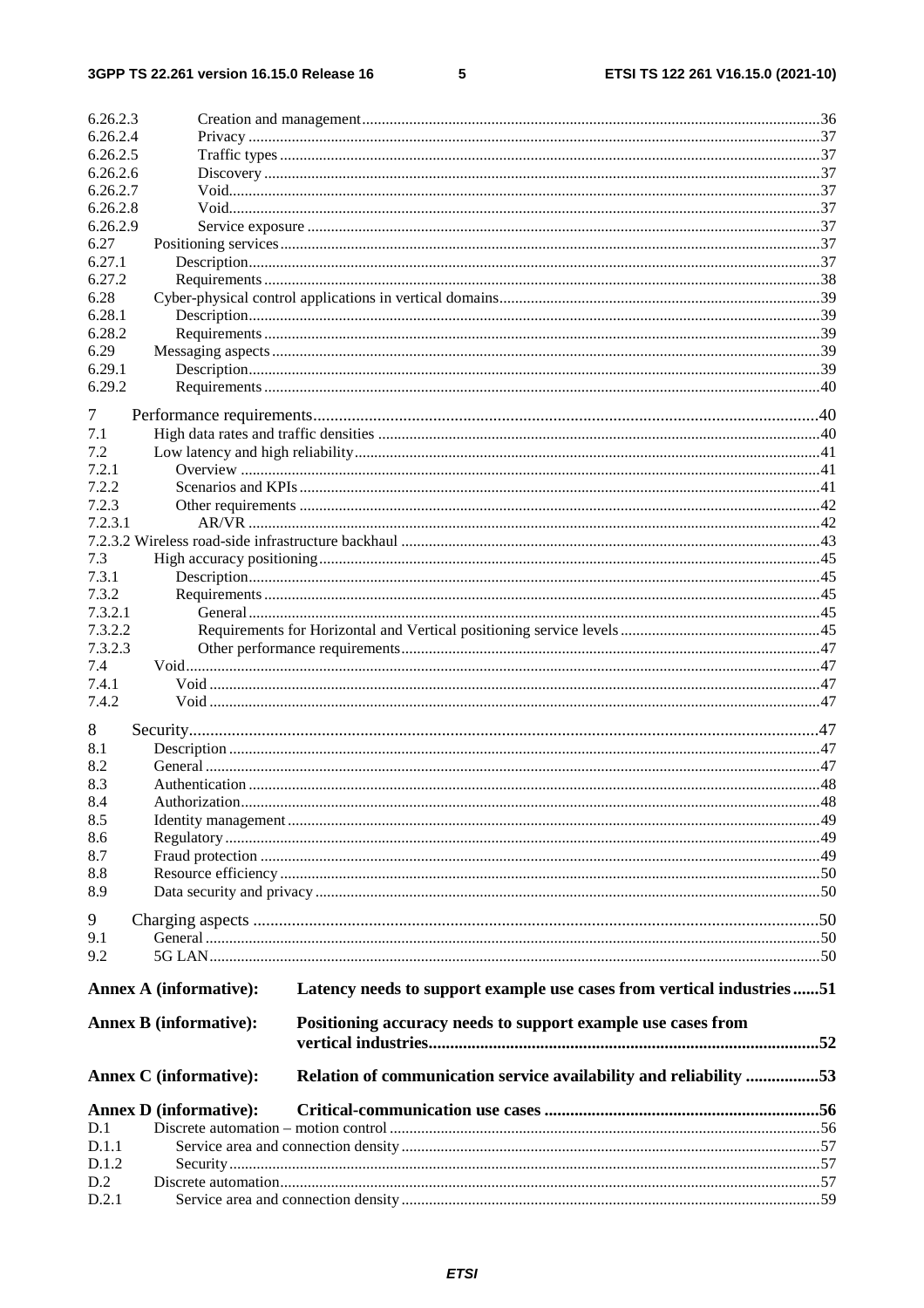$\overline{\phantom{0}}$ 

| 6.26.2.3         |                               |                                                                       |  |
|------------------|-------------------------------|-----------------------------------------------------------------------|--|
| 6.26.2.4         |                               |                                                                       |  |
| 6.26.2.5         |                               |                                                                       |  |
| 6.26.2.6         |                               |                                                                       |  |
| 6.26.2.7         |                               |                                                                       |  |
| 6.26.2.8         |                               |                                                                       |  |
| 6.26.2.9         |                               |                                                                       |  |
| 6.27             |                               |                                                                       |  |
| 6.27.1           |                               |                                                                       |  |
| 6.27.2           |                               |                                                                       |  |
| 6.28             |                               |                                                                       |  |
| 6.28.1<br>6.28.2 |                               |                                                                       |  |
| 6.29             |                               |                                                                       |  |
| 6.29.1           |                               |                                                                       |  |
| 6.29.2           |                               |                                                                       |  |
|                  |                               |                                                                       |  |
| 7                |                               |                                                                       |  |
| 7.1              |                               |                                                                       |  |
| 7.2              |                               |                                                                       |  |
| 7.2.1            |                               |                                                                       |  |
| 7.2.2            |                               |                                                                       |  |
| 7.2.3            |                               |                                                                       |  |
| 7.2.3.1          |                               |                                                                       |  |
| 7.3              |                               |                                                                       |  |
| 7.3.1            |                               |                                                                       |  |
| 7.3.2            |                               |                                                                       |  |
| 7.3.2.1          |                               |                                                                       |  |
| 7.3.2.2          |                               |                                                                       |  |
| 7.3.2.3          |                               |                                                                       |  |
| 7.4              |                               |                                                                       |  |
| 7.4.1            |                               |                                                                       |  |
| 7.4.2            |                               |                                                                       |  |
| 8                |                               |                                                                       |  |
| 8.1              |                               |                                                                       |  |
| 8.2              |                               |                                                                       |  |
| 8.3              |                               |                                                                       |  |
| 8.4              |                               |                                                                       |  |
| 8.5              |                               |                                                                       |  |
| 8.6              |                               |                                                                       |  |
| 8.7              |                               |                                                                       |  |
| 8.8              |                               |                                                                       |  |
| 8.9              |                               |                                                                       |  |
| 9                |                               |                                                                       |  |
| 9.1              |                               |                                                                       |  |
| 9.2              |                               |                                                                       |  |
|                  |                               |                                                                       |  |
|                  | <b>Annex A (informative):</b> | Latency needs to support example use cases from vertical industries51 |  |
|                  |                               |                                                                       |  |
|                  | <b>Annex B</b> (informative): | Positioning accuracy needs to support example use cases from          |  |
|                  |                               |                                                                       |  |
|                  |                               |                                                                       |  |
|                  | <b>Annex C</b> (informative): | Relation of communication service availability and reliability 53     |  |
|                  | <b>Annex D</b> (informative): |                                                                       |  |
| D.1              |                               |                                                                       |  |
| D.1.1            |                               |                                                                       |  |
| D.1.2            |                               |                                                                       |  |
| D.2              |                               |                                                                       |  |
| D.2.1            |                               |                                                                       |  |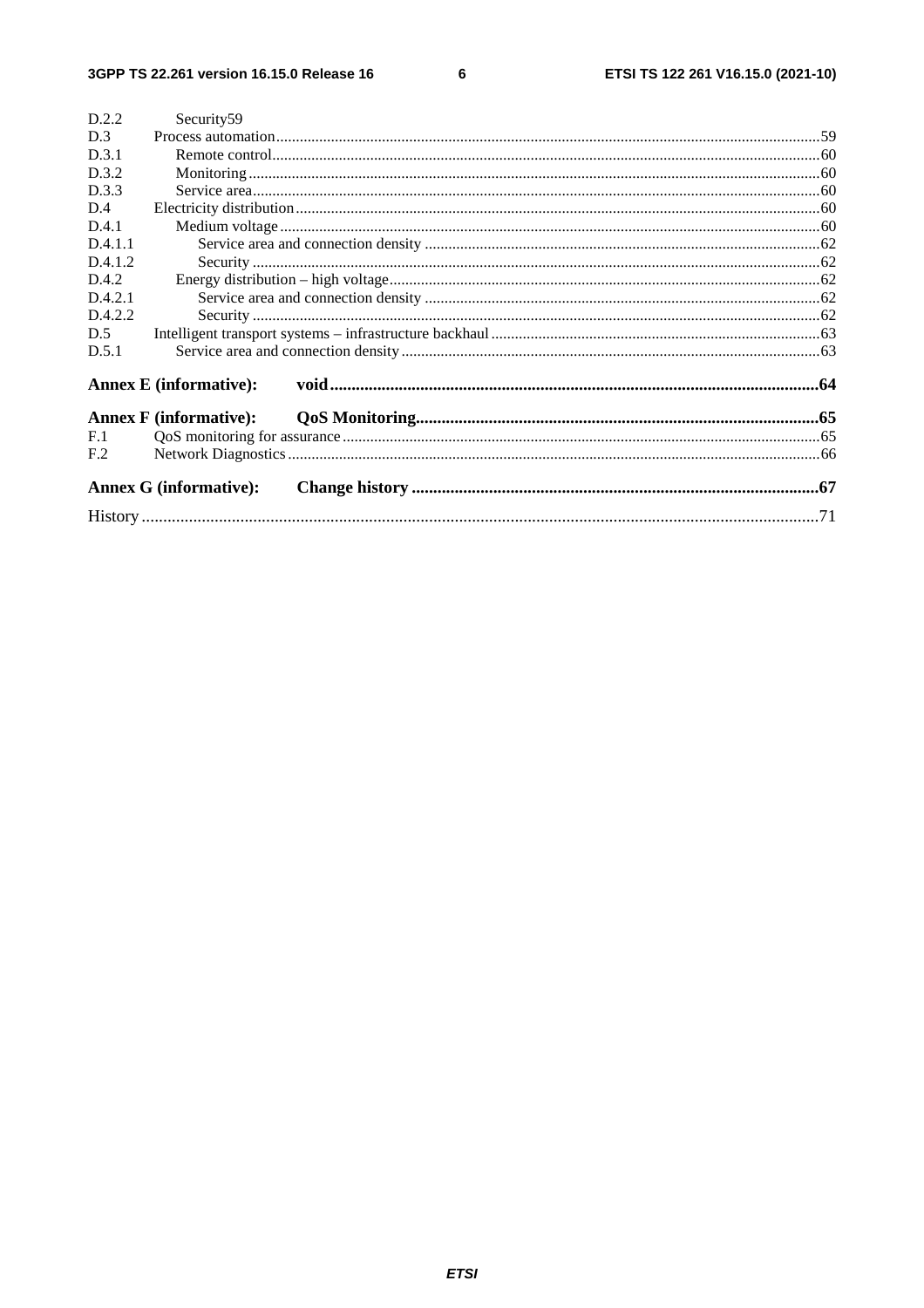$6\overline{6}$ 

| D.2.2           | Security <sub>59</sub>        |  |
|-----------------|-------------------------------|--|
| D.3             |                               |  |
| D.3.1           |                               |  |
| D.3.2           |                               |  |
| D.3.3           |                               |  |
| D.4             |                               |  |
| D.4.1           |                               |  |
| D.4.1.1         |                               |  |
| D.4.1.2         |                               |  |
| D.4.2           |                               |  |
| D.4.2.1         |                               |  |
| D.4.2.2         |                               |  |
| D.5             |                               |  |
| D.5.1           |                               |  |
|                 | <b>Annex E</b> (informative): |  |
|                 | <b>Annex F</b> (informative): |  |
| F.1             |                               |  |
| F <sub>.2</sub> |                               |  |
|                 | <b>Annex G (informative):</b> |  |
|                 |                               |  |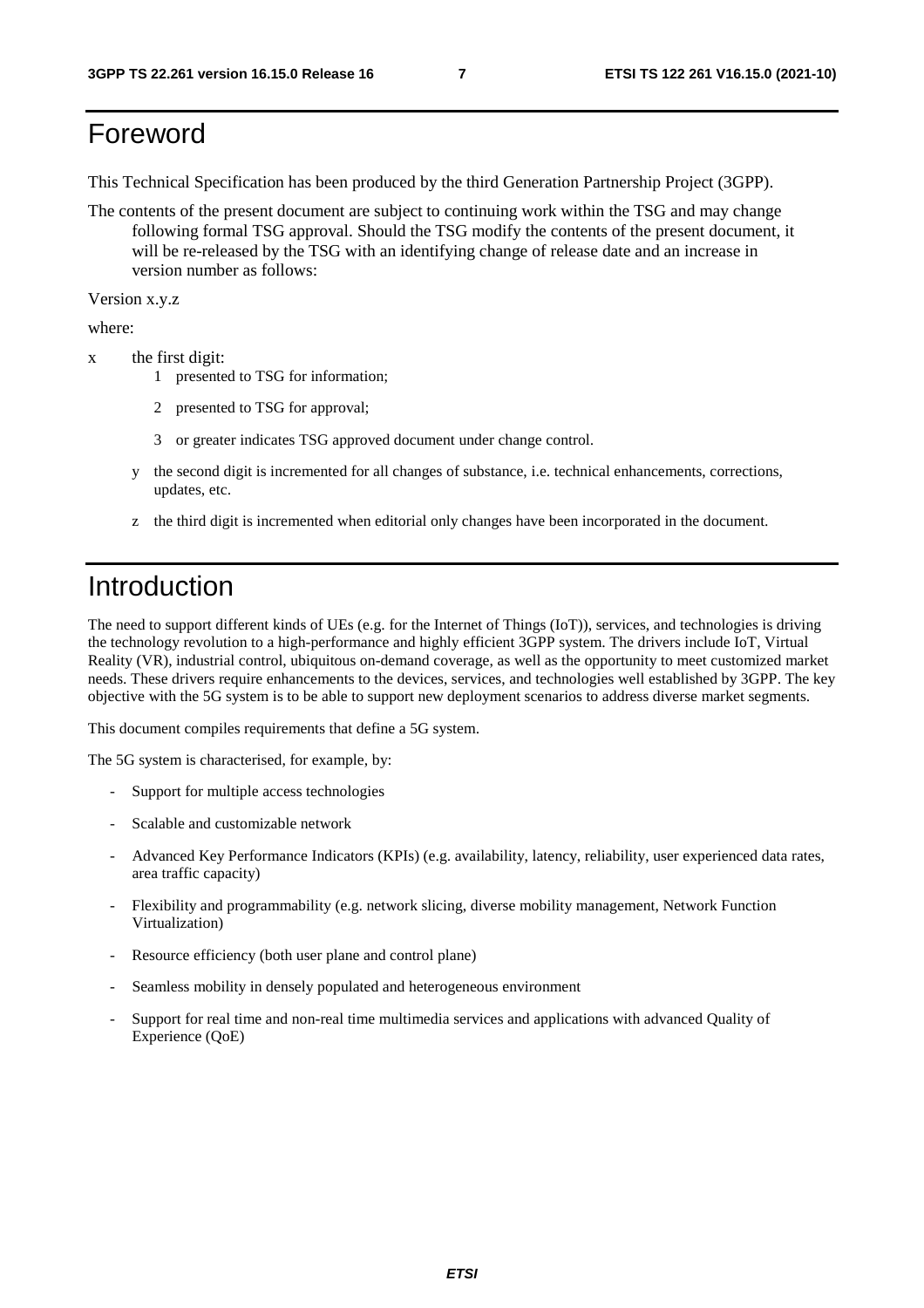## Foreword

This Technical Specification has been produced by the third Generation Partnership Project (3GPP).

The contents of the present document are subject to continuing work within the TSG and may change following formal TSG approval. Should the TSG modify the contents of the present document, it will be re-released by the TSG with an identifying change of release date and an increase in version number as follows:

Version x.y.z

where:

- x the first digit:
	- 1 presented to TSG for information;
	- 2 presented to TSG for approval;
	- 3 or greater indicates TSG approved document under change control.
	- y the second digit is incremented for all changes of substance, i.e. technical enhancements, corrections, updates, etc.
	- z the third digit is incremented when editorial only changes have been incorporated in the document.

## Introduction

The need to support different kinds of UEs (e.g. for the Internet of Things (IoT)), services, and technologies is driving the technology revolution to a high-performance and highly efficient 3GPP system. The drivers include IoT, Virtual Reality (VR), industrial control, ubiquitous on-demand coverage, as well as the opportunity to meet customized market needs. These drivers require enhancements to the devices, services, and technologies well established by 3GPP. The key objective with the 5G system is to be able to support new deployment scenarios to address diverse market segments.

This document compiles requirements that define a 5G system.

The 5G system is characterised, for example, by:

- Support for multiple access technologies
- Scalable and customizable network
- Advanced Key Performance Indicators (KPIs) (e.g. availability, latency, reliability, user experienced data rates, area traffic capacity)
- Flexibility and programmability (e.g. network slicing, diverse mobility management, Network Function Virtualization)
- Resource efficiency (both user plane and control plane)
- Seamless mobility in densely populated and heterogeneous environment
- Support for real time and non-real time multimedia services and applications with advanced Quality of Experience (QoE)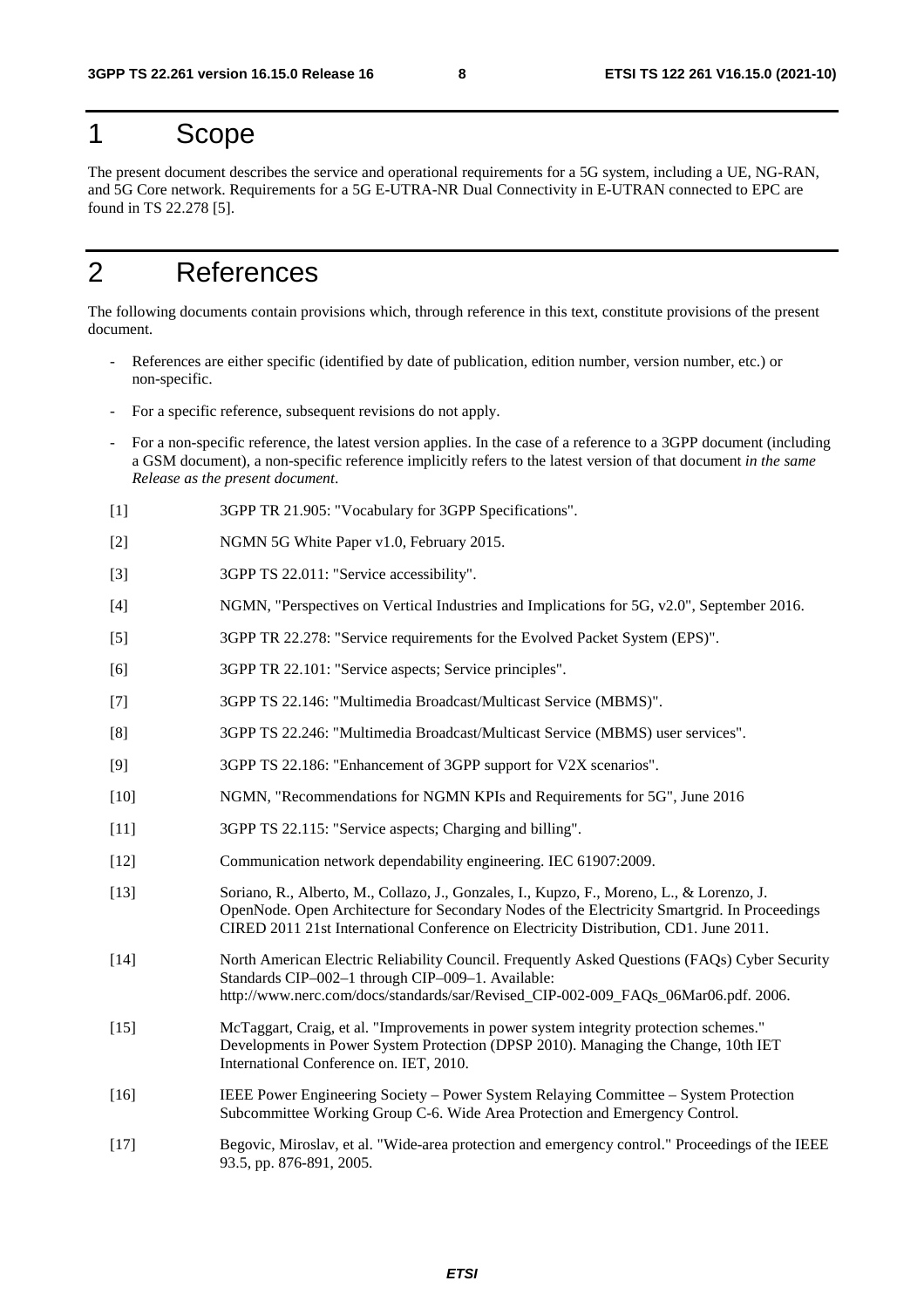## 1 Scope

The present document describes the service and operational requirements for a 5G system, including a UE, NG-RAN, and 5G Core network. Requirements for a 5G E-UTRA-NR Dual Connectivity in E-UTRAN connected to EPC are found in TS 22.278 [5].

## 2 References

The following documents contain provisions which, through reference in this text, constitute provisions of the present document.

- References are either specific (identified by date of publication, edition number, version number, etc.) or non-specific.
- For a specific reference, subsequent revisions do not apply.
- For a non-specific reference, the latest version applies. In the case of a reference to a 3GPP document (including a GSM document), a non-specific reference implicitly refers to the latest version of that document *in the same Release as the present document*.
- [1] 3GPP TR 21.905: "Vocabulary for 3GPP Specifications".
- [2] NGMN 5G White Paper v1.0, February 2015.
- [3] 3GPP TS 22.011: "Service accessibility".
- [4] NGMN, "Perspectives on Vertical Industries and Implications for 5G, v2.0", September 2016.
- [5] 3GPP TR 22.278: "Service requirements for the Evolved Packet System (EPS)".
- [6] 3GPP TR 22.101: "Service aspects; Service principles".
- [7] 3GPP TS 22.146: "Multimedia Broadcast/Multicast Service (MBMS)".
- [8] 3GPP TS 22.246: "Multimedia Broadcast/Multicast Service (MBMS) user services".
- [9] 3GPP TS 22.186: "Enhancement of 3GPP support for V2X scenarios".
- [10] NGMN, "Recommendations for NGMN KPIs and Requirements for 5G", June 2016
- [11] 3GPP TS 22.115: "Service aspects; Charging and billing".
- [12] Communication network dependability engineering. IEC 61907:2009.
- [13] Soriano, R., Alberto, M., Collazo, J., Gonzales, I., Kupzo, F., Moreno, L., & Lorenzo, J. OpenNode. Open Architecture for Secondary Nodes of the Electricity Smartgrid. In Proceedings CIRED 2011 21st International Conference on Electricity Distribution, CD1. June 2011.
- [14] North American Electric Reliability Council. Frequently Asked Questions (FAQs) Cyber Security Standards CIP–002–1 through CIP–009–1. Available: http://www.nerc.com/docs/standards/sar/Revised\_CIP-002-009\_FAOs\_06Mar06.pdf. 2006.
- [15] McTaggart, Craig, et al. "Improvements in power system integrity protection schemes." Developments in Power System Protection (DPSP 2010). Managing the Change, 10th IET International Conference on. IET, 2010.
- [16] IEEE Power Engineering Society Power System Relaying Committee System Protection Subcommittee Working Group C-6. Wide Area Protection and Emergency Control.
- [17] Begovic, Miroslav, et al. "Wide-area protection and emergency control." Proceedings of the IEEE 93.5, pp. 876-891, 2005.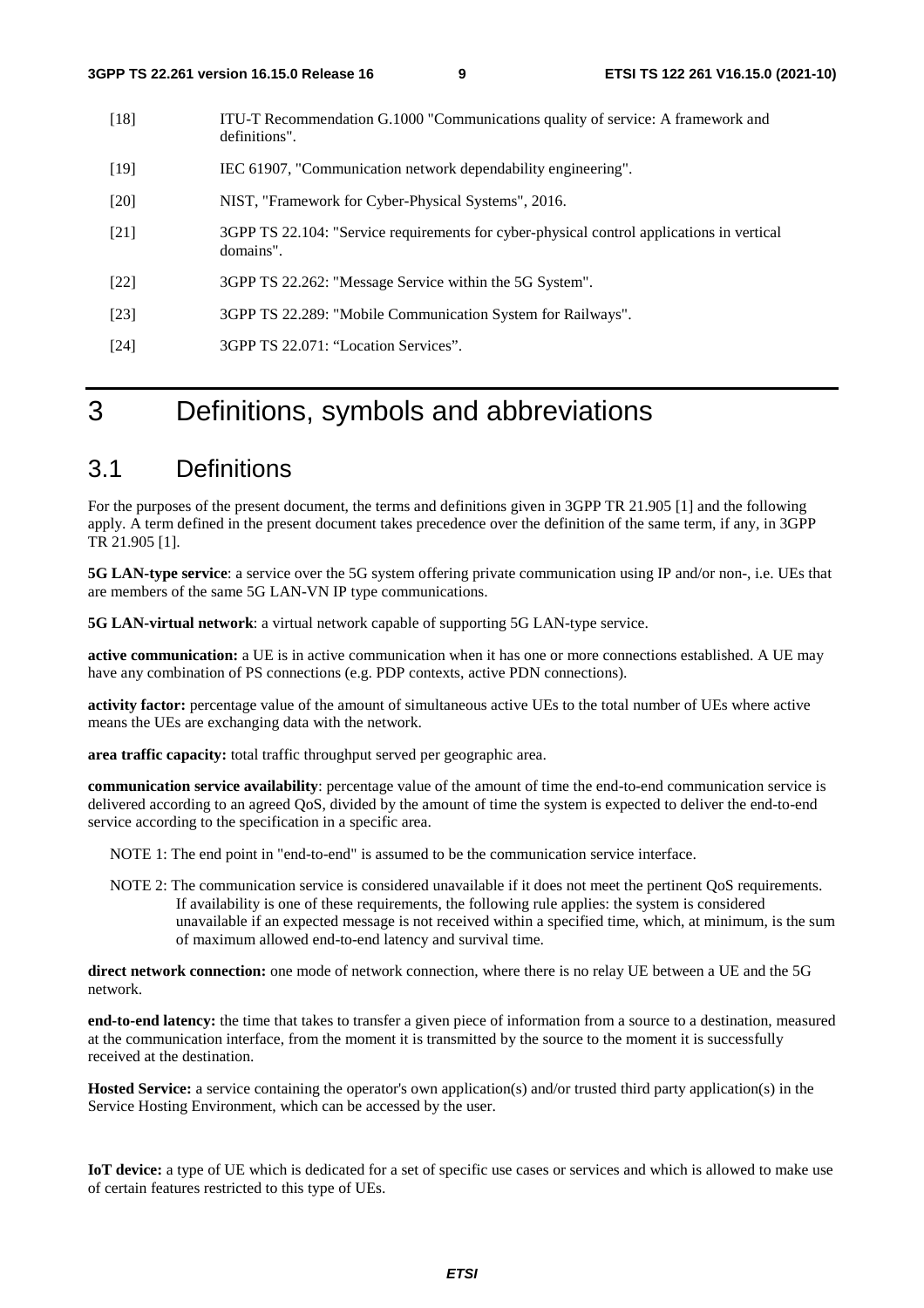- [18] ITU-T Recommendation G.1000 "Communications quality of service: A framework and definitions".
- [19] IEC 61907, "Communication network dependability engineering".
- [20] NIST, "Framework for Cyber-Physical Systems", 2016.
- [21] 3GPP TS 22.104: "Service requirements for cyber-physical control applications in vertical domains".
- [22] 3GPP TS 22.262: "Message Service within the 5G System".
- [23] 3GPP TS 22.289: "Mobile Communication System for Railways".
- [24] 3GPP TS 22.071: "Location Services".

## 3 Definitions, symbols and abbreviations

## 3.1 Definitions

For the purposes of the present document, the terms and definitions given in 3GPP TR 21.905 [1] and the following apply. A term defined in the present document takes precedence over the definition of the same term, if any, in 3GPP TR 21.905 [1].

**5G LAN-type service**: a service over the 5G system offering private communication using IP and/or non-, i.e. UEs that are members of the same 5G LAN-VN IP type communications.

**5G LAN-virtual network**: a virtual network capable of supporting 5G LAN-type service.

**active communication:** a UE is in active communication when it has one or more connections established. A UE may have any combination of PS connections (e.g. PDP contexts, active PDN connections).

**activity factor:** percentage value of the amount of simultaneous active UEs to the total number of UEs where active means the UEs are exchanging data with the network.

**area traffic capacity:** total traffic throughput served per geographic area.

**communication service availability**: percentage value of the amount of time the end-to-end communication service is delivered according to an agreed QoS, divided by the amount of time the system is expected to deliver the end-to-end service according to the specification in a specific area.

NOTE 1: The end point in "end-to-end" is assumed to be the communication service interface.

NOTE 2: The communication service is considered unavailable if it does not meet the pertinent QoS requirements. If availability is one of these requirements, the following rule applies: the system is considered unavailable if an expected message is not received within a specified time, which, at minimum, is the sum of maximum allowed end-to-end latency and survival time.

**direct network connection:** one mode of network connection, where there is no relay UE between a UE and the 5G network.

**end-to-end latency:** the time that takes to transfer a given piece of information from a source to a destination, measured at the communication interface, from the moment it is transmitted by the source to the moment it is successfully received at the destination.

**Hosted Service:** a service containing the operator's own application(s) and/or trusted third party application(s) in the Service Hosting Environment, which can be accessed by the user.

**IoT device:** a type of UE which is dedicated for a set of specific use cases or services and which is allowed to make use of certain features restricted to this type of UEs.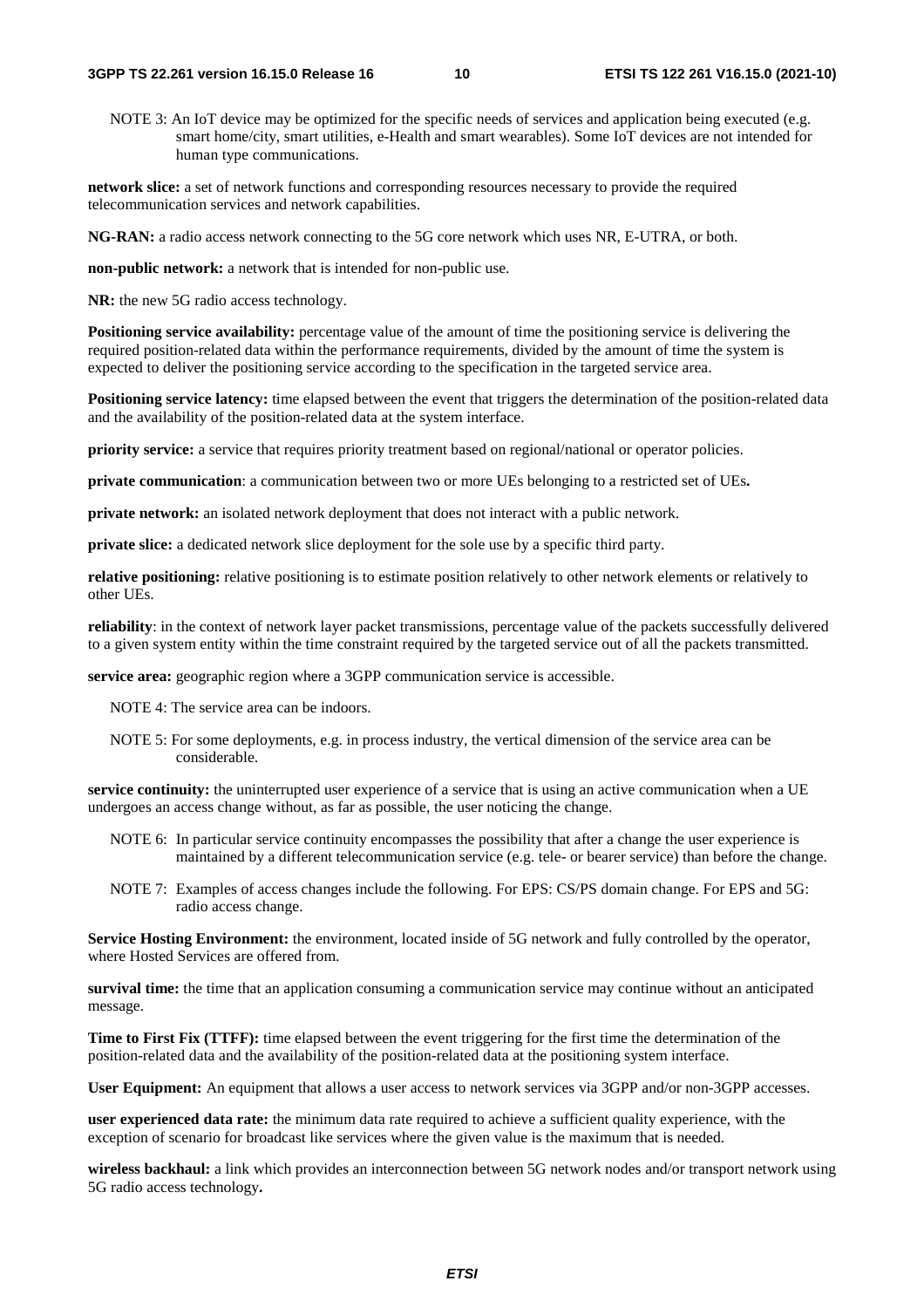NOTE 3: An IoT device may be optimized for the specific needs of services and application being executed (e.g. smart home/city, smart utilities, e-Health and smart wearables). Some IoT devices are not intended for human type communications.

**network slice:** a set of network functions and corresponding resources necessary to provide the required telecommunication services and network capabilities.

**NG-RAN:** a radio access network connecting to the 5G core network which uses NR, E-UTRA, or both.

**non-public network:** a network that is intended for non-public use.

**NR:** the new 5G radio access technology.

**Positioning service availability:** percentage value of the amount of time the positioning service is delivering the required position-related data within the performance requirements, divided by the amount of time the system is expected to deliver the positioning service according to the specification in the targeted service area.

**Positioning service latency:** time elapsed between the event that triggers the determination of the position-related data and the availability of the position-related data at the system interface.

**priority service:** a service that requires priority treatment based on regional/national or operator policies.

**private communication**: a communication between two or more UEs belonging to a restricted set of UEs**.** 

**private network:** an isolated network deployment that does not interact with a public network.

**private slice:** a dedicated network slice deployment for the sole use by a specific third party.

**relative positioning:** relative positioning is to estimate position relatively to other network elements or relatively to other UEs.

**reliability**: in the context of network layer packet transmissions, percentage value of the packets successfully delivered to a given system entity within the time constraint required by the targeted service out of all the packets transmitted.

**service area:** geographic region where a 3GPP communication service is accessible.

NOTE 4: The service area can be indoors.

NOTE 5: For some deployments, e.g. in process industry, the vertical dimension of the service area can be considerable.

**service continuity:** the uninterrupted user experience of a service that is using an active communication when a UE undergoes an access change without, as far as possible, the user noticing the change.

- NOTE 6: In particular service continuity encompasses the possibility that after a change the user experience is maintained by a different telecommunication service (e.g. tele- or bearer service) than before the change.
- NOTE 7: Examples of access changes include the following. For EPS: CS/PS domain change. For EPS and 5G: radio access change.

**Service Hosting Environment:** the environment, located inside of 5G network and fully controlled by the operator, where Hosted Services are offered from.

**survival time:** the time that an application consuming a communication service may continue without an anticipated message.

**Time to First Fix (TTFF):** time elapsed between the event triggering for the first time the determination of the position-related data and the availability of the position-related data at the positioning system interface.

**User Equipment:** An equipment that allows a user access to network services via 3GPP and/or non-3GPP accesses.

**user experienced data rate:** the minimum data rate required to achieve a sufficient quality experience, with the exception of scenario for broadcast like services where the given value is the maximum that is needed.

**wireless backhaul:** a link which provides an interconnection between 5G network nodes and/or transport network using 5G radio access technology**.**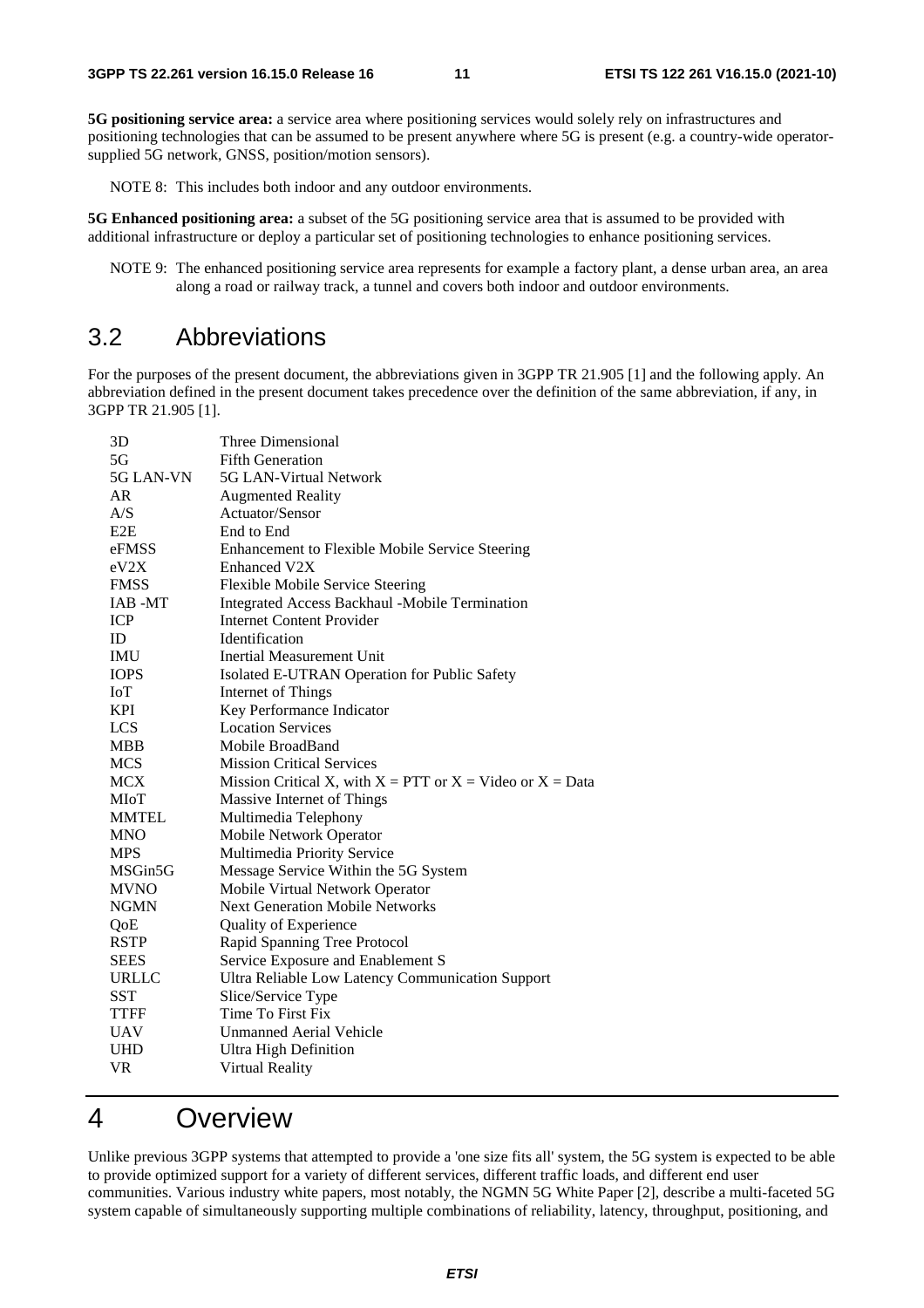**5G positioning service area:** a service area where positioning services would solely rely on infrastructures and positioning technologies that can be assumed to be present anywhere where 5G is present (e.g. a country-wide operatorsupplied 5G network, GNSS, position/motion sensors).

NOTE 8: This includes both indoor and any outdoor environments.

**5G Enhanced positioning area:** a subset of the 5G positioning service area that is assumed to be provided with additional infrastructure or deploy a particular set of positioning technologies to enhance positioning services.

NOTE 9: The enhanced positioning service area represents for example a factory plant, a dense urban area, an area along a road or railway track, a tunnel and covers both indoor and outdoor environments.

### 3.2 Abbreviations

For the purposes of the present document, the abbreviations given in 3GPP TR 21.905 [1] and the following apply. An abbreviation defined in the present document takes precedence over the definition of the same abbreviation, if any, in 3GPP TR 21.905 [1].

| 3D               | Three Dimensional                                               |
|------------------|-----------------------------------------------------------------|
| 5G               | <b>Fifth Generation</b>                                         |
| 5G LAN-VN        | 5G LAN-Virtual Network                                          |
| AR               | <b>Augmented Reality</b>                                        |
| A/S              | Actuator/Sensor                                                 |
| E <sub>2</sub> E | End to End                                                      |
| eFMSS            | Enhancement to Flexible Mobile Service Steering                 |
| eV2X             | <b>Enhanced V2X</b>                                             |
| <b>FMSS</b>      | Flexible Mobile Service Steering                                |
| IAB -MT          | Integrated Access Backhaul -Mobile Termination                  |
| <b>ICP</b>       | <b>Internet Content Provider</b>                                |
| ID               | <b>Identification</b>                                           |
| <b>IMU</b>       | Inertial Measurement Unit                                       |
| <b>IOPS</b>      | Isolated E-UTRAN Operation for Public Safety                    |
| IoT              | Internet of Things                                              |
| <b>KPI</b>       | Key Performance Indicator                                       |
| <b>LCS</b>       | <b>Location Services</b>                                        |
| <b>MBB</b>       | Mobile BroadBand                                                |
| <b>MCS</b>       | <b>Mission Critical Services</b>                                |
| <b>MCX</b>       | Mission Critical X, with $X = PTT$ or $X = Video$ or $X = Data$ |
| MIoT             | Massive Internet of Things                                      |
| <b>MMTEL</b>     | Multimedia Telephony                                            |
| <b>MNO</b>       | Mobile Network Operator                                         |
| <b>MPS</b>       | Multimedia Priority Service                                     |
| MSGin5G          | Message Service Within the 5G System                            |
| <b>MVNO</b>      | Mobile Virtual Network Operator                                 |
| <b>NGMN</b>      | <b>Next Generation Mobile Networks</b>                          |
| QoE              | Quality of Experience                                           |
| <b>RSTP</b>      | Rapid Spanning Tree Protocol                                    |
| <b>SEES</b>      | Service Exposure and Enablement S                               |
| URLLC            | Ultra Reliable Low Latency Communication Support                |
| SST              | Slice/Service Type                                              |
| <b>TTFF</b>      | Time To First Fix                                               |
| <b>UAV</b>       | Unmanned Aerial Vehicle                                         |
| <b>UHD</b>       | <b>Ultra High Definition</b>                                    |
| <b>VR</b>        | Virtual Reality                                                 |

## 4 Overview

Unlike previous 3GPP systems that attempted to provide a 'one size fits all' system, the 5G system is expected to be able to provide optimized support for a variety of different services, different traffic loads, and different end user communities. Various industry white papers, most notably, the NGMN 5G White Paper [2], describe a multi-faceted 5G system capable of simultaneously supporting multiple combinations of reliability, latency, throughput, positioning, and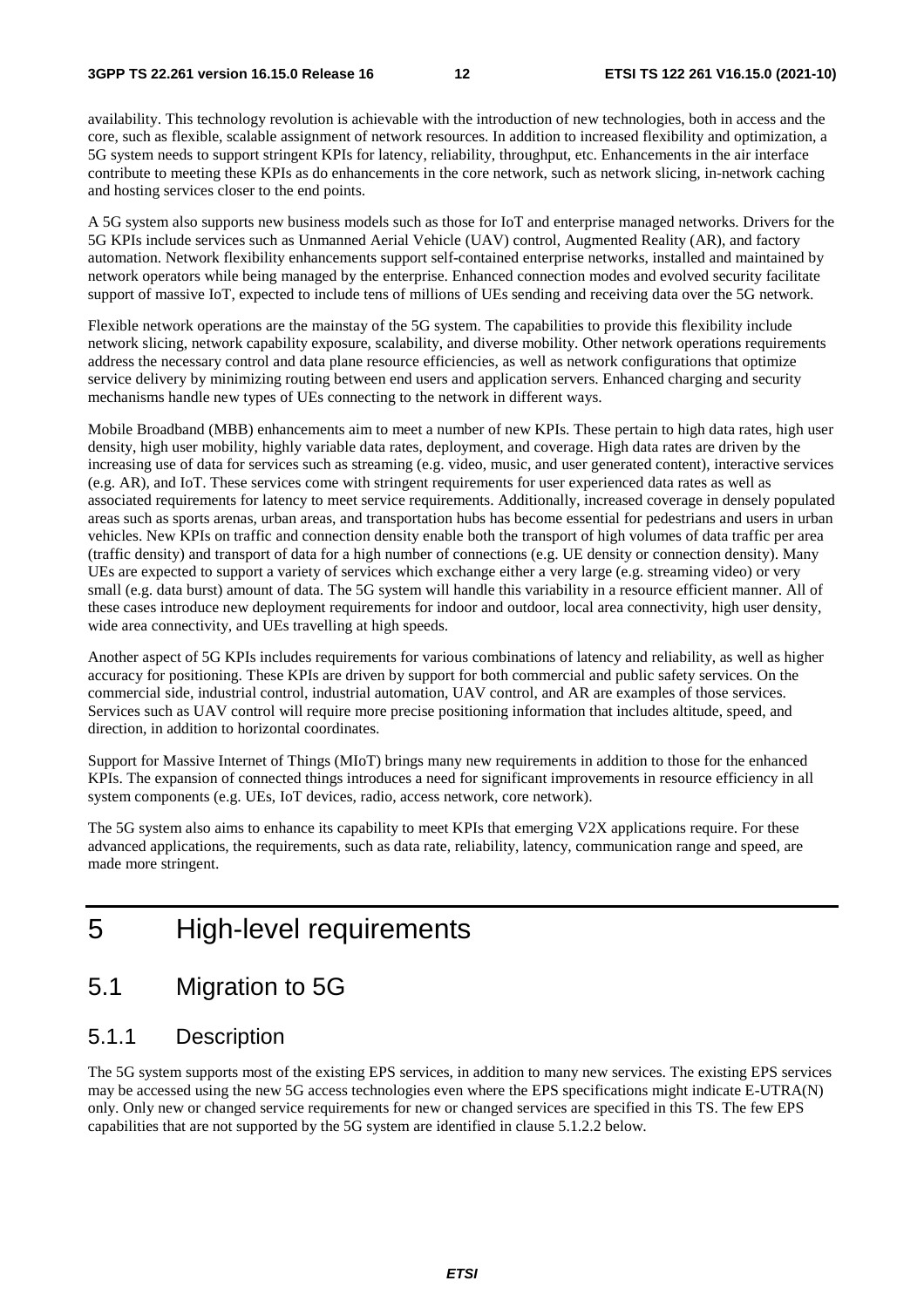availability. This technology revolution is achievable with the introduction of new technologies, both in access and the core, such as flexible, scalable assignment of network resources. In addition to increased flexibility and optimization, a 5G system needs to support stringent KPIs for latency, reliability, throughput, etc. Enhancements in the air interface contribute to meeting these KPIs as do enhancements in the core network, such as network slicing, in-network caching and hosting services closer to the end points.

A 5G system also supports new business models such as those for IoT and enterprise managed networks. Drivers for the 5G KPIs include services such as Unmanned Aerial Vehicle (UAV) control, Augmented Reality (AR), and factory automation. Network flexibility enhancements support self-contained enterprise networks, installed and maintained by network operators while being managed by the enterprise. Enhanced connection modes and evolved security facilitate support of massive IoT, expected to include tens of millions of UEs sending and receiving data over the 5G network.

Flexible network operations are the mainstay of the 5G system. The capabilities to provide this flexibility include network slicing, network capability exposure, scalability, and diverse mobility. Other network operations requirements address the necessary control and data plane resource efficiencies, as well as network configurations that optimize service delivery by minimizing routing between end users and application servers. Enhanced charging and security mechanisms handle new types of UEs connecting to the network in different ways.

Mobile Broadband (MBB) enhancements aim to meet a number of new KPIs. These pertain to high data rates, high user density, high user mobility, highly variable data rates, deployment, and coverage. High data rates are driven by the increasing use of data for services such as streaming (e.g. video, music, and user generated content), interactive services (e.g. AR), and IoT. These services come with stringent requirements for user experienced data rates as well as associated requirements for latency to meet service requirements. Additionally, increased coverage in densely populated areas such as sports arenas, urban areas, and transportation hubs has become essential for pedestrians and users in urban vehicles. New KPIs on traffic and connection density enable both the transport of high volumes of data traffic per area (traffic density) and transport of data for a high number of connections (e.g. UE density or connection density). Many UEs are expected to support a variety of services which exchange either a very large (e.g. streaming video) or very small (e.g. data burst) amount of data. The 5G system will handle this variability in a resource efficient manner. All of these cases introduce new deployment requirements for indoor and outdoor, local area connectivity, high user density, wide area connectivity, and UEs travelling at high speeds.

Another aspect of 5G KPIs includes requirements for various combinations of latency and reliability, as well as higher accuracy for positioning. These KPIs are driven by support for both commercial and public safety services. On the commercial side, industrial control, industrial automation, UAV control, and AR are examples of those services. Services such as UAV control will require more precise positioning information that includes altitude, speed, and direction, in addition to horizontal coordinates.

Support for Massive Internet of Things (MIoT) brings many new requirements in addition to those for the enhanced KPIs. The expansion of connected things introduces a need for significant improvements in resource efficiency in all system components (e.g. UEs, IoT devices, radio, access network, core network).

The 5G system also aims to enhance its capability to meet KPIs that emerging V2X applications require. For these advanced applications, the requirements, such as data rate, reliability, latency, communication range and speed, are made more stringent.

## 5 High-level requirements

### 5.1 Migration to 5G

#### 5.1.1 Description

The 5G system supports most of the existing EPS services, in addition to many new services. The existing EPS services may be accessed using the new 5G access technologies even where the EPS specifications might indicate E-UTRA(N) only. Only new or changed service requirements for new or changed services are specified in this TS. The few EPS capabilities that are not supported by the 5G system are identified in clause 5.1.2.2 below.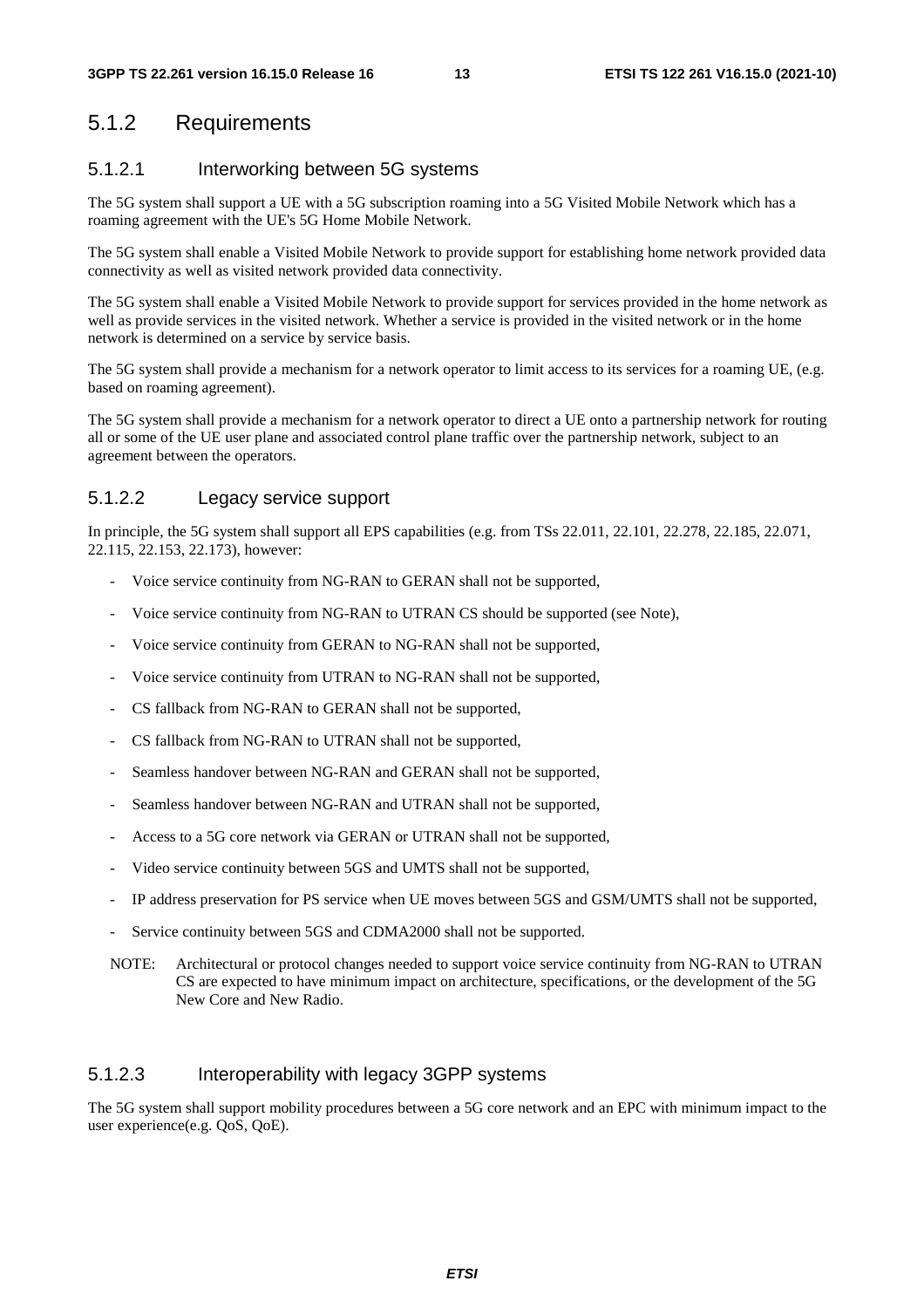#### 5.1.2 Requirements

#### 5.1.2.1 Interworking between 5G systems

The 5G system shall support a UE with a 5G subscription roaming into a 5G Visited Mobile Network which has a roaming agreement with the UE's 5G Home Mobile Network.

The 5G system shall enable a Visited Mobile Network to provide support for establishing home network provided data connectivity as well as visited network provided data connectivity.

The 5G system shall enable a Visited Mobile Network to provide support for services provided in the home network as well as provide services in the visited network. Whether a service is provided in the visited network or in the home network is determined on a service by service basis.

The 5G system shall provide a mechanism for a network operator to limit access to its services for a roaming UE, (e.g. based on roaming agreement).

The 5G system shall provide a mechanism for a network operator to direct a UE onto a partnership network for routing all or some of the UE user plane and associated control plane traffic over the partnership network, subject to an agreement between the operators.

#### 5.1.2.2 Legacy service support

In principle, the 5G system shall support all EPS capabilities (e.g. from TSs 22.011, 22.101, 22.278, 22.185, 22.071, 22.115, 22.153, 22.173), however:

- Voice service continuity from NG-RAN to GERAN shall not be supported,
- Voice service continuity from NG-RAN to UTRAN CS should be supported (see Note),
- Voice service continuity from GERAN to NG-RAN shall not be supported,
- Voice service continuity from UTRAN to NG-RAN shall not be supported,
- CS fallback from NG-RAN to GERAN shall not be supported,
- CS fallback from NG-RAN to UTRAN shall not be supported.
- Seamless handover between NG-RAN and GERAN shall not be supported,
- Seamless handover between NG-RAN and UTRAN shall not be supported,
- Access to a 5G core network via GERAN or UTRAN shall not be supported,
- Video service continuity between 5GS and UMTS shall not be supported,
- IP address preservation for PS service when UE moves between 5GS and GSM/UMTS shall not be supported,
- Service continuity between 5GS and CDMA2000 shall not be supported.
- NOTE: Architectural or protocol changes needed to support voice service continuity from NG-RAN to UTRAN CS are expected to have minimum impact on architecture, specifications, or the development of the 5G New Core and New Radio.

#### 5.1.2.3 Interoperability with legacy 3GPP systems

The 5G system shall support mobility procedures between a 5G core network and an EPC with minimum impact to the user experience(e.g. QoS, QoE).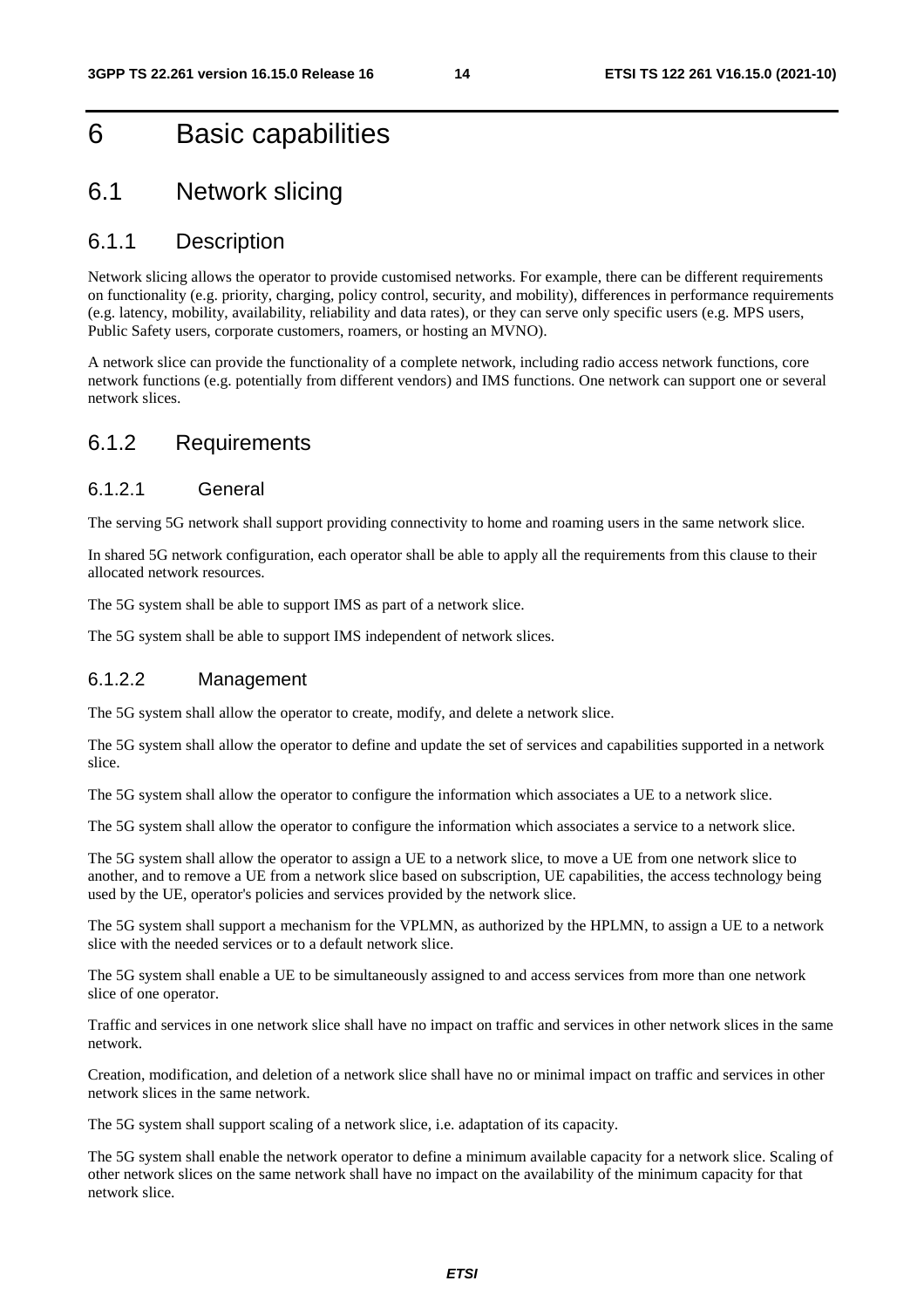## 6 Basic capabilities

### 6.1 Network slicing

#### 6.1.1 Description

Network slicing allows the operator to provide customised networks. For example, there can be different requirements on functionality (e.g. priority, charging, policy control, security, and mobility), differences in performance requirements (e.g. latency, mobility, availability, reliability and data rates), or they can serve only specific users (e.g. MPS users, Public Safety users, corporate customers, roamers, or hosting an MVNO).

A network slice can provide the functionality of a complete network, including radio access network functions, core network functions (e.g. potentially from different vendors) and IMS functions. One network can support one or several network slices.

#### 6.1.2 Requirements

#### 6.1.2.1 General

The serving 5G network shall support providing connectivity to home and roaming users in the same network slice.

In shared 5G network configuration, each operator shall be able to apply all the requirements from this clause to their allocated network resources.

The 5G system shall be able to support IMS as part of a network slice.

The 5G system shall be able to support IMS independent of network slices.

#### 6.1.2.2 Management

The 5G system shall allow the operator to create, modify, and delete a network slice.

The 5G system shall allow the operator to define and update the set of services and capabilities supported in a network slice.

The 5G system shall allow the operator to configure the information which associates a UE to a network slice.

The 5G system shall allow the operator to configure the information which associates a service to a network slice.

The 5G system shall allow the operator to assign a UE to a network slice, to move a UE from one network slice to another, and to remove a UE from a network slice based on subscription, UE capabilities, the access technology being used by the UE, operator's policies and services provided by the network slice.

The 5G system shall support a mechanism for the VPLMN, as authorized by the HPLMN, to assign a UE to a network slice with the needed services or to a default network slice.

The 5G system shall enable a UE to be simultaneously assigned to and access services from more than one network slice of one operator.

Traffic and services in one network slice shall have no impact on traffic and services in other network slices in the same network.

Creation, modification, and deletion of a network slice shall have no or minimal impact on traffic and services in other network slices in the same network.

The 5G system shall support scaling of a network slice, i.e. adaptation of its capacity.

The 5G system shall enable the network operator to define a minimum available capacity for a network slice. Scaling of other network slices on the same network shall have no impact on the availability of the minimum capacity for that network slice.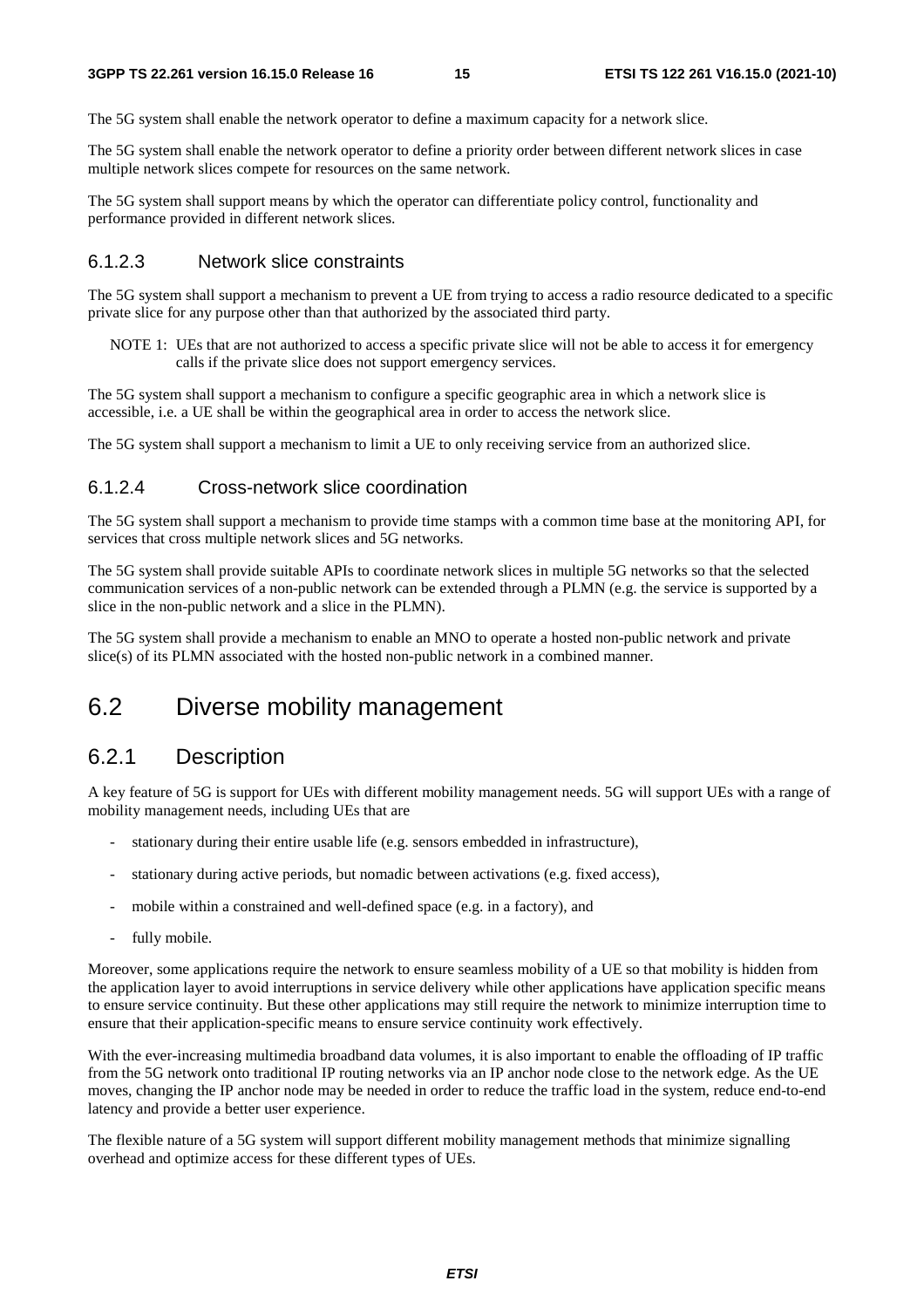The 5G system shall enable the network operator to define a maximum capacity for a network slice.

The 5G system shall enable the network operator to define a priority order between different network slices in case multiple network slices compete for resources on the same network.

The 5G system shall support means by which the operator can differentiate policy control, functionality and performance provided in different network slices.

#### 6.1.2.3 Network slice constraints

The 5G system shall support a mechanism to prevent a UE from trying to access a radio resource dedicated to a specific private slice for any purpose other than that authorized by the associated third party.

NOTE 1: UEs that are not authorized to access a specific private slice will not be able to access it for emergency calls if the private slice does not support emergency services.

The 5G system shall support a mechanism to configure a specific geographic area in which a network slice is accessible, i.e. a UE shall be within the geographical area in order to access the network slice.

The 5G system shall support a mechanism to limit a UE to only receiving service from an authorized slice.

#### 6.1.2.4 Cross-network slice coordination

The 5G system shall support a mechanism to provide time stamps with a common time base at the monitoring API, for services that cross multiple network slices and 5G networks.

The 5G system shall provide suitable APIs to coordinate network slices in multiple 5G networks so that the selected communication services of a non-public network can be extended through a PLMN (e.g. the service is supported by a slice in the non-public network and a slice in the PLMN).

The 5G system shall provide a mechanism to enable an MNO to operate a hosted non-public network and private slice(s) of its PLMN associated with the hosted non-public network in a combined manner.

### 6.2 Diverse mobility management

#### 6.2.1 Description

A key feature of 5G is support for UEs with different mobility management needs. 5G will support UEs with a range of mobility management needs, including UEs that are

- stationary during their entire usable life (e.g. sensors embedded in infrastructure),
- stationary during active periods, but nomadic between activations (e.g. fixed access),
- mobile within a constrained and well-defined space (e.g. in a factory), and
- fully mobile.

Moreover, some applications require the network to ensure seamless mobility of a UE so that mobility is hidden from the application layer to avoid interruptions in service delivery while other applications have application specific means to ensure service continuity. But these other applications may still require the network to minimize interruption time to ensure that their application-specific means to ensure service continuity work effectively.

With the ever-increasing multimedia broadband data volumes, it is also important to enable the offloading of IP traffic from the 5G network onto traditional IP routing networks via an IP anchor node close to the network edge. As the UE moves, changing the IP anchor node may be needed in order to reduce the traffic load in the system, reduce end-to-end latency and provide a better user experience.

The flexible nature of a 5G system will support different mobility management methods that minimize signalling overhead and optimize access for these different types of UEs.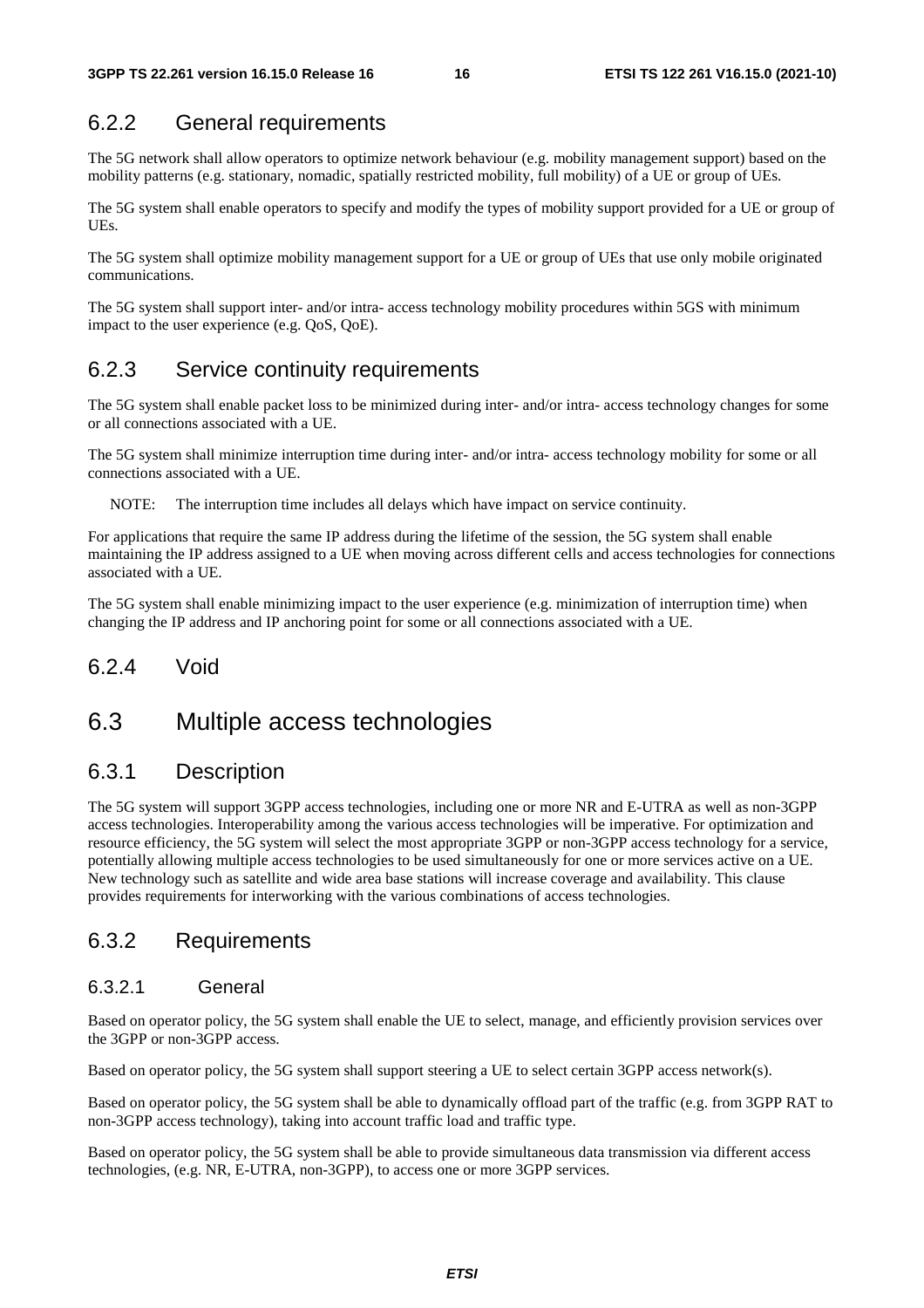#### 6.2.2 General requirements

The 5G network shall allow operators to optimize network behaviour (e.g. mobility management support) based on the mobility patterns (e.g. stationary, nomadic, spatially restricted mobility, full mobility) of a UE or group of UEs.

The 5G system shall enable operators to specify and modify the types of mobility support provided for a UE or group of UEs.

The 5G system shall optimize mobility management support for a UE or group of UEs that use only mobile originated communications.

The 5G system shall support inter- and/or intra- access technology mobility procedures within 5GS with minimum impact to the user experience (e.g. QoS, QoE).

#### 6.2.3 Service continuity requirements

The 5G system shall enable packet loss to be minimized during inter- and/or intra- access technology changes for some or all connections associated with a UE.

The 5G system shall minimize interruption time during inter- and/or intra- access technology mobility for some or all connections associated with a UE.

NOTE: The interruption time includes all delays which have impact on service continuity.

For applications that require the same IP address during the lifetime of the session, the 5G system shall enable maintaining the IP address assigned to a UE when moving across different cells and access technologies for connections associated with a UE.

The 5G system shall enable minimizing impact to the user experience (e.g. minimization of interruption time) when changing the IP address and IP anchoring point for some or all connections associated with a UE.

#### 6.2.4 Void

### 6.3 Multiple access technologies

#### 6.3.1 Description

The 5G system will support 3GPP access technologies, including one or more NR and E-UTRA as well as non-3GPP access technologies. Interoperability among the various access technologies will be imperative. For optimization and resource efficiency, the 5G system will select the most appropriate 3GPP or non-3GPP access technology for a service, potentially allowing multiple access technologies to be used simultaneously for one or more services active on a UE. New technology such as satellite and wide area base stations will increase coverage and availability. This clause provides requirements for interworking with the various combinations of access technologies.

#### 6.3.2 Requirements

#### 6.3.2.1 General

Based on operator policy, the 5G system shall enable the UE to select, manage, and efficiently provision services over the 3GPP or non-3GPP access.

Based on operator policy, the 5G system shall support steering a UE to select certain 3GPP access network(s).

Based on operator policy, the 5G system shall be able to dynamically offload part of the traffic (e.g. from 3GPP RAT to non-3GPP access technology), taking into account traffic load and traffic type.

Based on operator policy, the 5G system shall be able to provide simultaneous data transmission via different access technologies, (e.g. NR, E-UTRA, non-3GPP), to access one or more 3GPP services.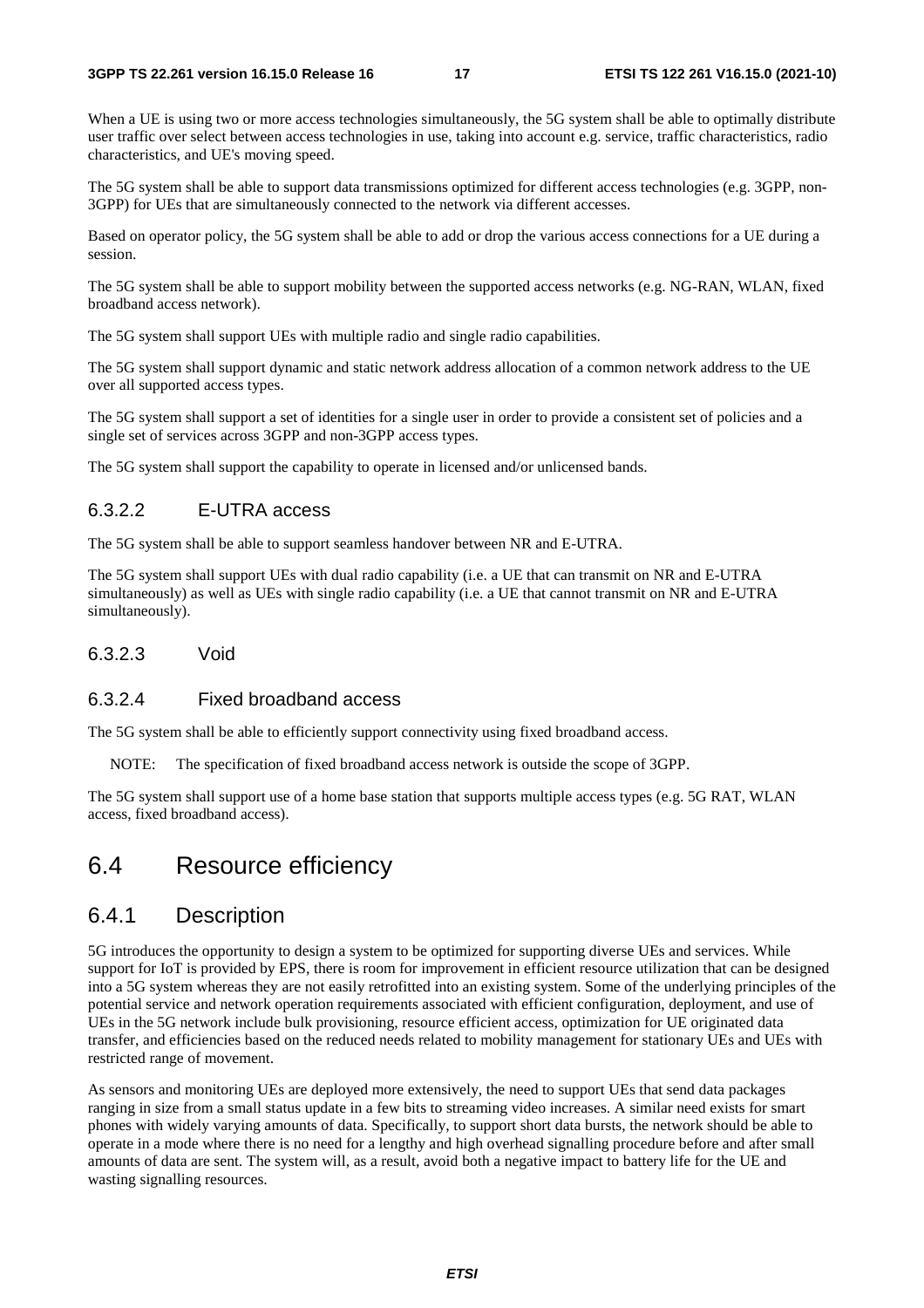When a UE is using two or more access technologies simultaneously, the 5G system shall be able to optimally distribute user traffic over select between access technologies in use, taking into account e.g. service, traffic characteristics, radio characteristics, and UE's moving speed.

The 5G system shall be able to support data transmissions optimized for different access technologies (e.g. 3GPP, non-3GPP) for UEs that are simultaneously connected to the network via different accesses.

Based on operator policy, the 5G system shall be able to add or drop the various access connections for a UE during a session.

The 5G system shall be able to support mobility between the supported access networks (e.g. NG-RAN, WLAN, fixed broadband access network).

The 5G system shall support UEs with multiple radio and single radio capabilities.

The 5G system shall support dynamic and static network address allocation of a common network address to the UE over all supported access types.

The 5G system shall support a set of identities for a single user in order to provide a consistent set of policies and a single set of services across 3GPP and non-3GPP access types.

The 5G system shall support the capability to operate in licensed and/or unlicensed bands.

#### 6.3.2.2 E-UTRA access

The 5G system shall be able to support seamless handover between NR and E-UTRA.

The 5G system shall support UEs with dual radio capability (i.e. a UE that can transmit on NR and E-UTRA simultaneously) as well as UEs with single radio capability (i.e. a UE that cannot transmit on NR and E-UTRA simultaneously).

#### 6.3.2.3 Void

#### 6.3.2.4 Fixed broadband access

The 5G system shall be able to efficiently support connectivity using fixed broadband access.

NOTE: The specification of fixed broadband access network is outside the scope of 3GPP.

The 5G system shall support use of a home base station that supports multiple access types (e.g. 5G RAT, WLAN access, fixed broadband access).

## 6.4 Resource efficiency

#### 6.4.1 Description

5G introduces the opportunity to design a system to be optimized for supporting diverse UEs and services. While support for IoT is provided by EPS, there is room for improvement in efficient resource utilization that can be designed into a 5G system whereas they are not easily retrofitted into an existing system. Some of the underlying principles of the potential service and network operation requirements associated with efficient configuration, deployment, and use of UEs in the 5G network include bulk provisioning, resource efficient access, optimization for UE originated data transfer, and efficiencies based on the reduced needs related to mobility management for stationary UEs and UEs with restricted range of movement.

As sensors and monitoring UEs are deployed more extensively, the need to support UEs that send data packages ranging in size from a small status update in a few bits to streaming video increases. A similar need exists for smart phones with widely varying amounts of data. Specifically, to support short data bursts, the network should be able to operate in a mode where there is no need for a lengthy and high overhead signalling procedure before and after small amounts of data are sent. The system will, as a result, avoid both a negative impact to battery life for the UE and wasting signalling resources.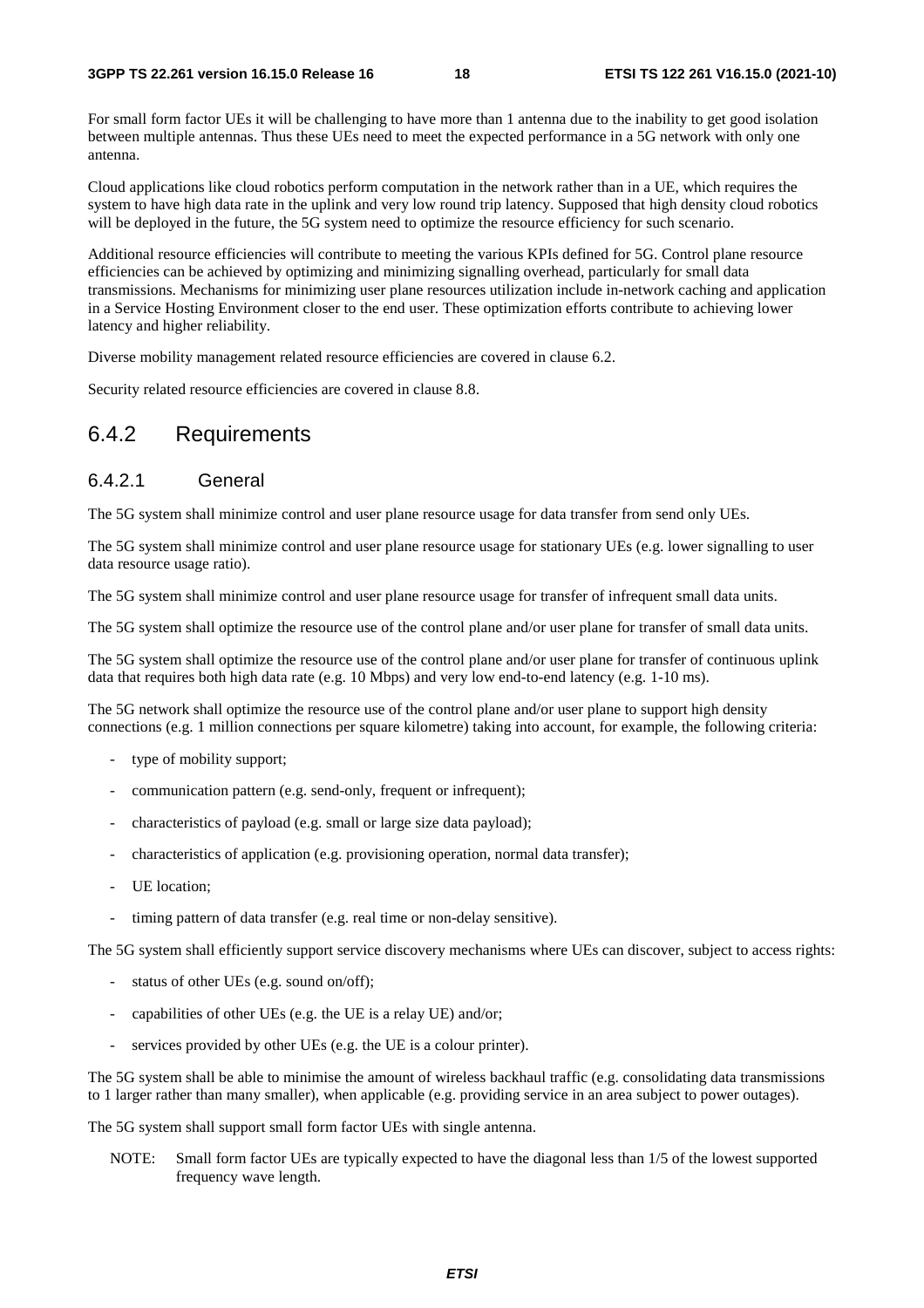For small form factor UEs it will be challenging to have more than 1 antenna due to the inability to get good isolation between multiple antennas. Thus these UEs need to meet the expected performance in a 5G network with only one antenna.

Cloud applications like cloud robotics perform computation in the network rather than in a UE, which requires the system to have high data rate in the uplink and very low round trip latency. Supposed that high density cloud robotics will be deployed in the future, the 5G system need to optimize the resource efficiency for such scenario.

Additional resource efficiencies will contribute to meeting the various KPIs defined for 5G. Control plane resource efficiencies can be achieved by optimizing and minimizing signalling overhead, particularly for small data transmissions. Mechanisms for minimizing user plane resources utilization include in-network caching and application in a Service Hosting Environment closer to the end user. These optimization efforts contribute to achieving lower latency and higher reliability.

Diverse mobility management related resource efficiencies are covered in clause 6.2.

Security related resource efficiencies are covered in clause 8.8.

#### 6.4.2 Requirements

#### 6.4.2.1 General

The 5G system shall minimize control and user plane resource usage for data transfer from send only UEs.

The 5G system shall minimize control and user plane resource usage for stationary UEs (e.g. lower signalling to user data resource usage ratio).

The 5G system shall minimize control and user plane resource usage for transfer of infrequent small data units.

The 5G system shall optimize the resource use of the control plane and/or user plane for transfer of small data units.

The 5G system shall optimize the resource use of the control plane and/or user plane for transfer of continuous uplink data that requires both high data rate (e.g. 10 Mbps) and very low end-to-end latency (e.g. 1-10 ms).

The 5G network shall optimize the resource use of the control plane and/or user plane to support high density connections (e.g. 1 million connections per square kilometre) taking into account, for example, the following criteria:

- type of mobility support;
- communication pattern (e.g. send-only, frequent or infrequent);
- characteristics of payload (e.g. small or large size data payload);
- characteristics of application (e.g. provisioning operation, normal data transfer);
- UE location:
- timing pattern of data transfer (e.g. real time or non-delay sensitive).

The 5G system shall efficiently support service discovery mechanisms where UEs can discover, subject to access rights:

- status of other UEs (e.g. sound on/off);
- capabilities of other UEs (e.g. the UE is a relay UE) and/or;
- services provided by other UEs (e.g. the UE is a colour printer).

The 5G system shall be able to minimise the amount of wireless backhaul traffic (e.g. consolidating data transmissions to 1 larger rather than many smaller), when applicable (e.g. providing service in an area subject to power outages).

The 5G system shall support small form factor UEs with single antenna.

NOTE: Small form factor UEs are typically expected to have the diagonal less than 1/5 of the lowest supported frequency wave length.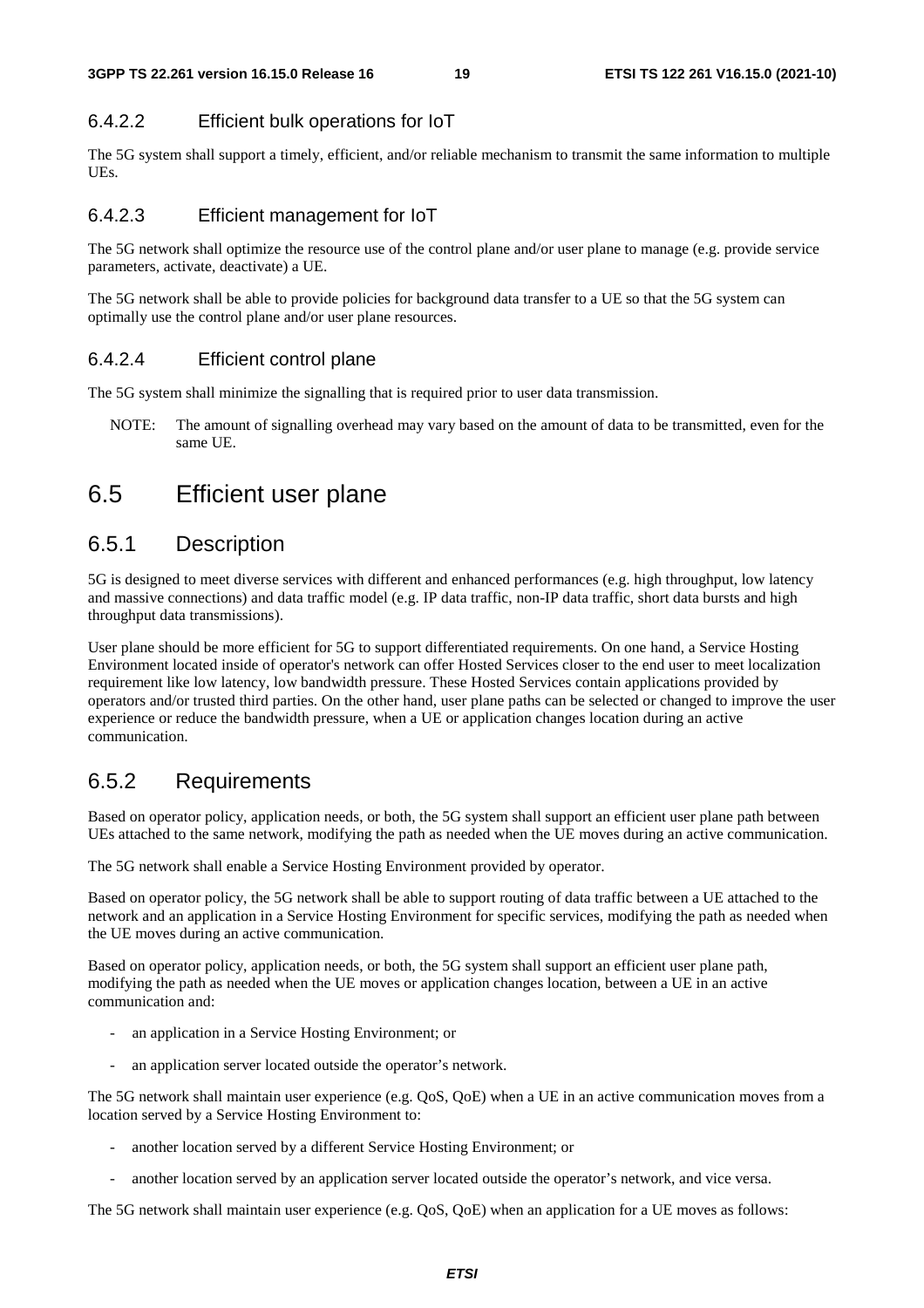#### 6.4.2.2 Efficient bulk operations for IoT

The 5G system shall support a timely, efficient, and/or reliable mechanism to transmit the same information to multiple UEs.

#### 6.4.2.3 Efficient management for IoT

The 5G network shall optimize the resource use of the control plane and/or user plane to manage (e.g. provide service parameters, activate, deactivate) a UE.

The 5G network shall be able to provide policies for background data transfer to a UE so that the 5G system can optimally use the control plane and/or user plane resources.

#### 6.4.2.4 Efficient control plane

The 5G system shall minimize the signalling that is required prior to user data transmission.

NOTE: The amount of signalling overhead may vary based on the amount of data to be transmitted, even for the same UE.

### 6.5 Efficient user plane

#### 6.5.1 Description

5G is designed to meet diverse services with different and enhanced performances (e.g. high throughput, low latency and massive connections) and data traffic model (e.g. IP data traffic, non-IP data traffic, short data bursts and high throughput data transmissions).

User plane should be more efficient for 5G to support differentiated requirements. On one hand, a Service Hosting Environment located inside of operator's network can offer Hosted Services closer to the end user to meet localization requirement like low latency, low bandwidth pressure. These Hosted Services contain applications provided by operators and/or trusted third parties. On the other hand, user plane paths can be selected or changed to improve the user experience or reduce the bandwidth pressure, when a UE or application changes location during an active communication.

### 6.5.2 Requirements

Based on operator policy, application needs, or both, the 5G system shall support an efficient user plane path between UEs attached to the same network, modifying the path as needed when the UE moves during an active communication.

The 5G network shall enable a Service Hosting Environment provided by operator.

Based on operator policy, the 5G network shall be able to support routing of data traffic between a UE attached to the network and an application in a Service Hosting Environment for specific services, modifying the path as needed when the UE moves during an active communication.

Based on operator policy, application needs, or both, the 5G system shall support an efficient user plane path, modifying the path as needed when the UE moves or application changes location, between a UE in an active communication and:

- an application in a Service Hosting Environment; or
- an application server located outside the operator's network.

The 5G network shall maintain user experience (e.g. QoS, QoE) when a UE in an active communication moves from a location served by a Service Hosting Environment to:

- another location served by a different Service Hosting Environment; or
- another location served by an application server located outside the operator's network, and vice versa.

The 5G network shall maintain user experience (e.g. QoS, QoE) when an application for a UE moves as follows: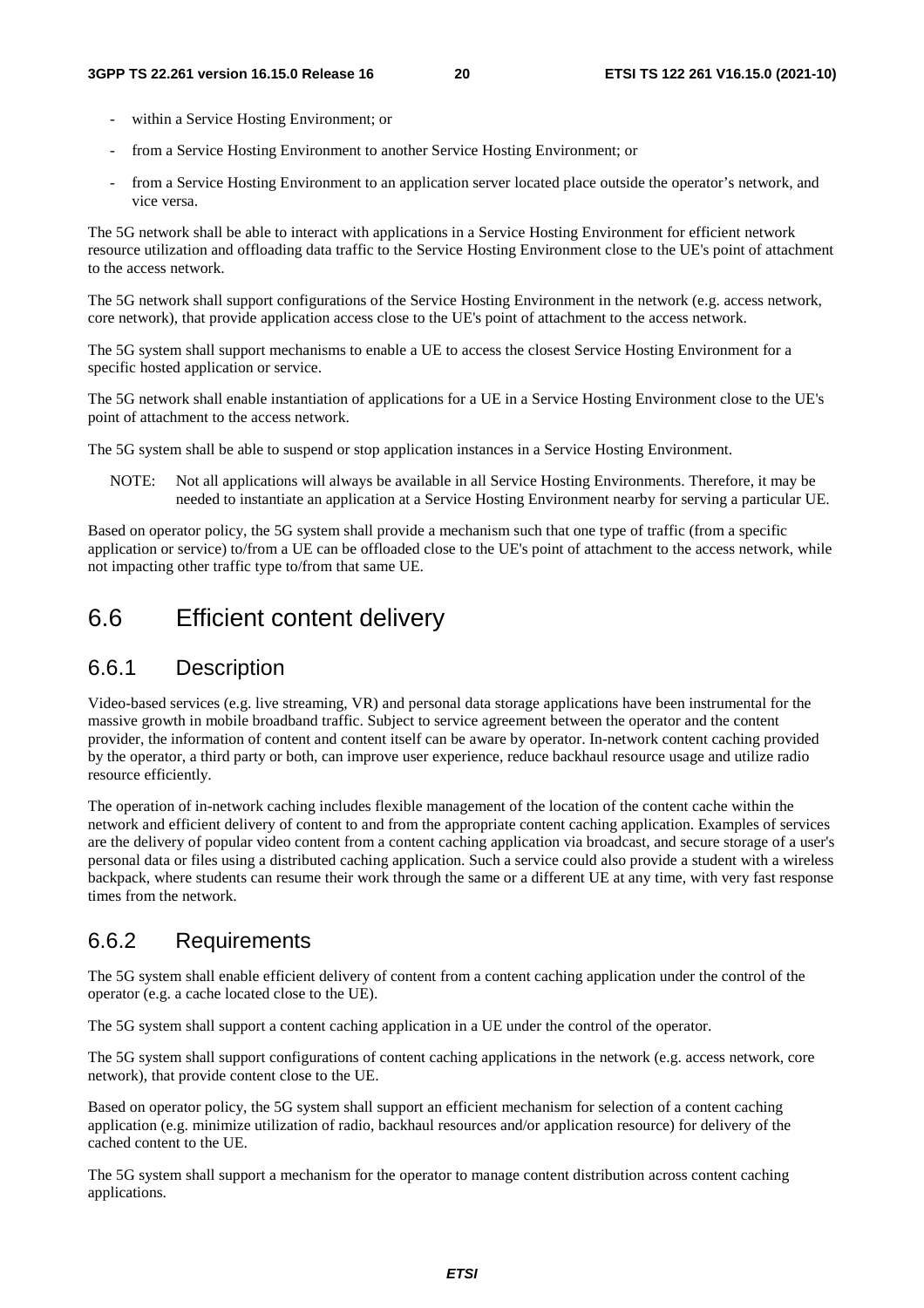- within a Service Hosting Environment; or
- from a Service Hosting Environment to another Service Hosting Environment; or
- from a Service Hosting Environment to an application server located place outside the operator's network, and vice versa.

The 5G network shall be able to interact with applications in a Service Hosting Environment for efficient network resource utilization and offloading data traffic to the Service Hosting Environment close to the UE's point of attachment to the access network.

The 5G network shall support configurations of the Service Hosting Environment in the network (e.g. access network, core network), that provide application access close to the UE's point of attachment to the access network.

The 5G system shall support mechanisms to enable a UE to access the closest Service Hosting Environment for a specific hosted application or service.

The 5G network shall enable instantiation of applications for a UE in a Service Hosting Environment close to the UE's point of attachment to the access network.

The 5G system shall be able to suspend or stop application instances in a Service Hosting Environment.

NOTE: Not all applications will always be available in all Service Hosting Environments. Therefore, it may be needed to instantiate an application at a Service Hosting Environment nearby for serving a particular UE.

Based on operator policy, the 5G system shall provide a mechanism such that one type of traffic (from a specific application or service) to/from a UE can be offloaded close to the UE's point of attachment to the access network, while not impacting other traffic type to/from that same UE.

## 6.6 Efficient content delivery

### 6.6.1 Description

Video-based services (e.g. live streaming, VR) and personal data storage applications have been instrumental for the massive growth in mobile broadband traffic. Subject to service agreement between the operator and the content provider, the information of content and content itself can be aware by operator. In-network content caching provided by the operator, a third party or both, can improve user experience, reduce backhaul resource usage and utilize radio resource efficiently.

The operation of in-network caching includes flexible management of the location of the content cache within the network and efficient delivery of content to and from the appropriate content caching application. Examples of services are the delivery of popular video content from a content caching application via broadcast, and secure storage of a user's personal data or files using a distributed caching application. Such a service could also provide a student with a wireless backpack, where students can resume their work through the same or a different UE at any time, with very fast response times from the network.

### 6.6.2 Requirements

The 5G system shall enable efficient delivery of content from a content caching application under the control of the operator (e.g. a cache located close to the UE).

The 5G system shall support a content caching application in a UE under the control of the operator.

The 5G system shall support configurations of content caching applications in the network (e.g. access network, core network), that provide content close to the UE.

Based on operator policy, the 5G system shall support an efficient mechanism for selection of a content caching application (e.g. minimize utilization of radio, backhaul resources and/or application resource) for delivery of the cached content to the UE.

The 5G system shall support a mechanism for the operator to manage content distribution across content caching applications.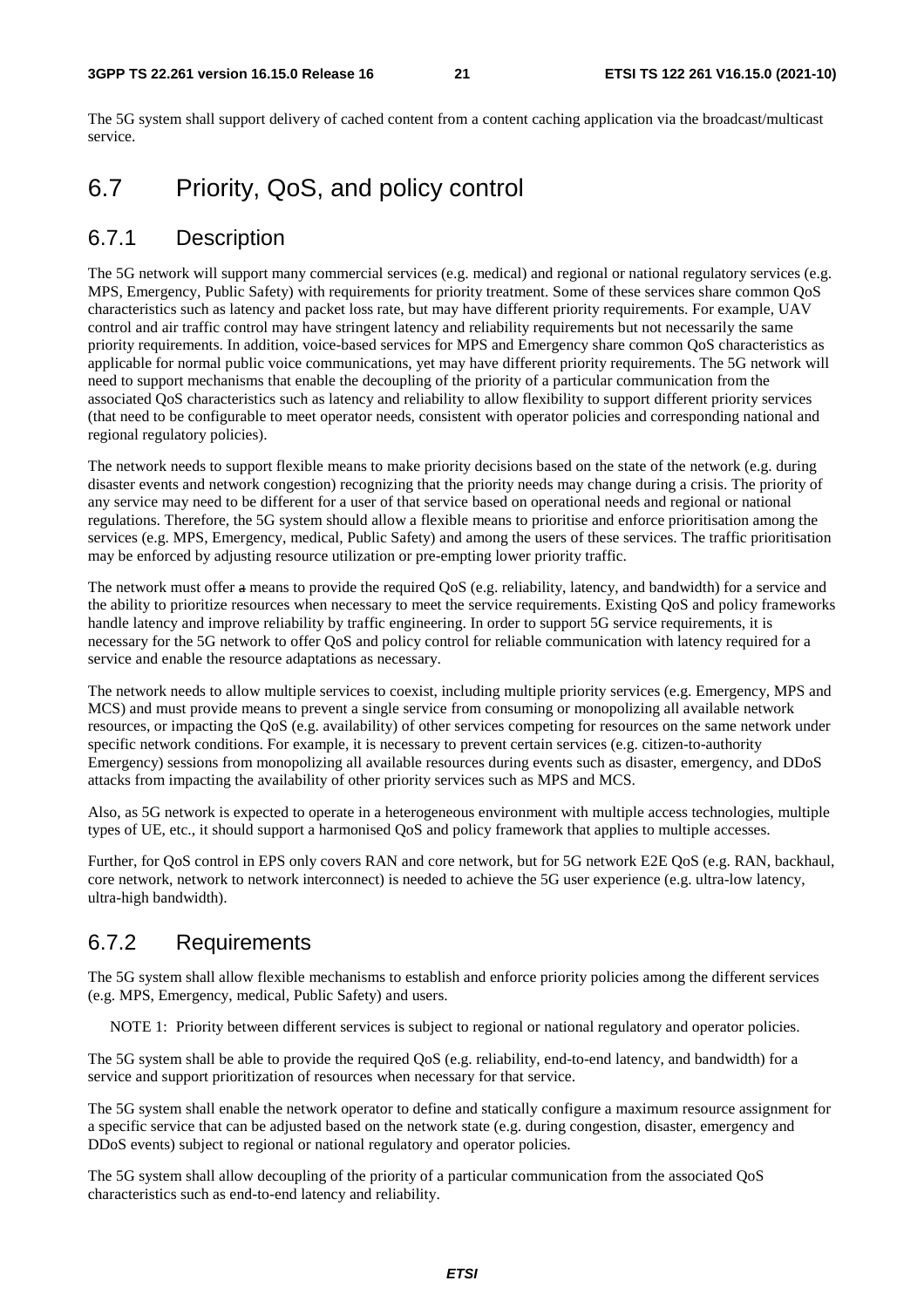The 5G system shall support delivery of cached content from a content caching application via the broadcast/multicast service.

## 6.7 Priority, QoS, and policy control

#### 6.7.1 Description

The 5G network will support many commercial services (e.g. medical) and regional or national regulatory services (e.g. MPS, Emergency, Public Safety) with requirements for priority treatment. Some of these services share common QoS characteristics such as latency and packet loss rate, but may have different priority requirements. For example, UAV control and air traffic control may have stringent latency and reliability requirements but not necessarily the same priority requirements. In addition, voice-based services for MPS and Emergency share common QoS characteristics as applicable for normal public voice communications, yet may have different priority requirements. The 5G network will need to support mechanisms that enable the decoupling of the priority of a particular communication from the associated QoS characteristics such as latency and reliability to allow flexibility to support different priority services (that need to be configurable to meet operator needs, consistent with operator policies and corresponding national and regional regulatory policies).

The network needs to support flexible means to make priority decisions based on the state of the network (e.g. during disaster events and network congestion) recognizing that the priority needs may change during a crisis. The priority of any service may need to be different for a user of that service based on operational needs and regional or national regulations. Therefore, the 5G system should allow a flexible means to prioritise and enforce prioritisation among the services (e.g. MPS, Emergency, medical, Public Safety) and among the users of these services. The traffic prioritisation may be enforced by adjusting resource utilization or pre-empting lower priority traffic.

The network must offer a means to provide the required QoS (e.g. reliability, latency, and bandwidth) for a service and the ability to prioritize resources when necessary to meet the service requirements. Existing QoS and policy frameworks handle latency and improve reliability by traffic engineering. In order to support 5G service requirements, it is necessary for the 5G network to offer QoS and policy control for reliable communication with latency required for a service and enable the resource adaptations as necessary.

The network needs to allow multiple services to coexist, including multiple priority services (e.g. Emergency, MPS and MCS) and must provide means to prevent a single service from consuming or monopolizing all available network resources, or impacting the QoS (e.g. availability) of other services competing for resources on the same network under specific network conditions. For example, it is necessary to prevent certain services (e.g. citizen-to-authority Emergency) sessions from monopolizing all available resources during events such as disaster, emergency, and DDoS attacks from impacting the availability of other priority services such as MPS and MCS.

Also, as 5G network is expected to operate in a heterogeneous environment with multiple access technologies, multiple types of UE, etc., it should support a harmonised QoS and policy framework that applies to multiple accesses.

Further, for QoS control in EPS only covers RAN and core network, but for 5G network E2E QoS (e.g. RAN, backhaul, core network, network to network interconnect) is needed to achieve the 5G user experience (e.g. ultra-low latency, ultra-high bandwidth).

#### 6.7.2 Requirements

The 5G system shall allow flexible mechanisms to establish and enforce priority policies among the different services (e.g. MPS, Emergency, medical, Public Safety) and users.

NOTE 1: Priority between different services is subject to regional or national regulatory and operator policies.

The 5G system shall be able to provide the required QoS (e.g. reliability, end-to-end latency, and bandwidth) for a service and support prioritization of resources when necessary for that service.

The 5G system shall enable the network operator to define and statically configure a maximum resource assignment for a specific service that can be adjusted based on the network state (e.g. during congestion, disaster, emergency and DDoS events) subject to regional or national regulatory and operator policies.

The 5G system shall allow decoupling of the priority of a particular communication from the associated QoS characteristics such as end-to-end latency and reliability.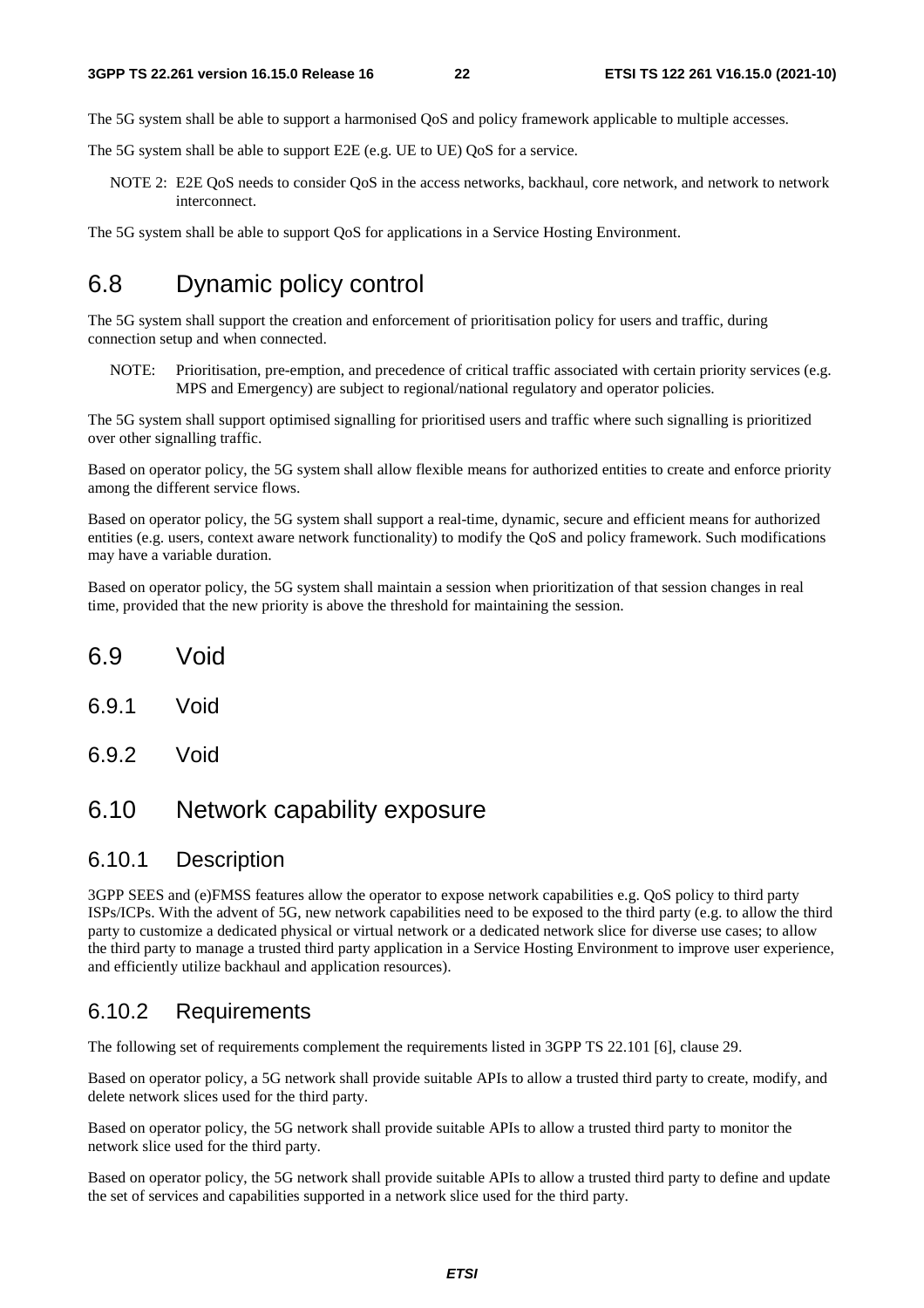The 5G system shall be able to support a harmonised QoS and policy framework applicable to multiple accesses.

The 5G system shall be able to support E2E (e.g. UE to UE) QoS for a service.

NOTE 2: E2E QoS needs to consider QoS in the access networks, backhaul, core network, and network to network interconnect.

The 5G system shall be able to support QoS for applications in a Service Hosting Environment.

### 6.8 Dynamic policy control

The 5G system shall support the creation and enforcement of prioritisation policy for users and traffic, during connection setup and when connected.

NOTE: Prioritisation, pre-emption, and precedence of critical traffic associated with certain priority services (e.g. MPS and Emergency) are subject to regional/national regulatory and operator policies.

The 5G system shall support optimised signalling for prioritised users and traffic where such signalling is prioritized over other signalling traffic.

Based on operator policy, the 5G system shall allow flexible means for authorized entities to create and enforce priority among the different service flows.

Based on operator policy, the 5G system shall support a real-time, dynamic, secure and efficient means for authorized entities (e.g. users, context aware network functionality) to modify the QoS and policy framework. Such modifications may have a variable duration.

Based on operator policy, the 5G system shall maintain a session when prioritization of that session changes in real time, provided that the new priority is above the threshold for maintaining the session.

- 6.9 Void
- 6.9.1 Void
- 6.9.2 Void

### 6.10 Network capability exposure

#### 6.10.1 Description

3GPP SEES and (e)FMSS features allow the operator to expose network capabilities e.g. QoS policy to third party ISPs/ICPs. With the advent of 5G, new network capabilities need to be exposed to the third party (e.g. to allow the third party to customize a dedicated physical or virtual network or a dedicated network slice for diverse use cases; to allow the third party to manage a trusted third party application in a Service Hosting Environment to improve user experience, and efficiently utilize backhaul and application resources).

#### 6.10.2 Requirements

The following set of requirements complement the requirements listed in 3GPP TS 22.101 [6], clause 29.

Based on operator policy, a 5G network shall provide suitable APIs to allow a trusted third party to create, modify, and delete network slices used for the third party.

Based on operator policy, the 5G network shall provide suitable APIs to allow a trusted third party to monitor the network slice used for the third party.

Based on operator policy, the 5G network shall provide suitable APIs to allow a trusted third party to define and update the set of services and capabilities supported in a network slice used for the third party.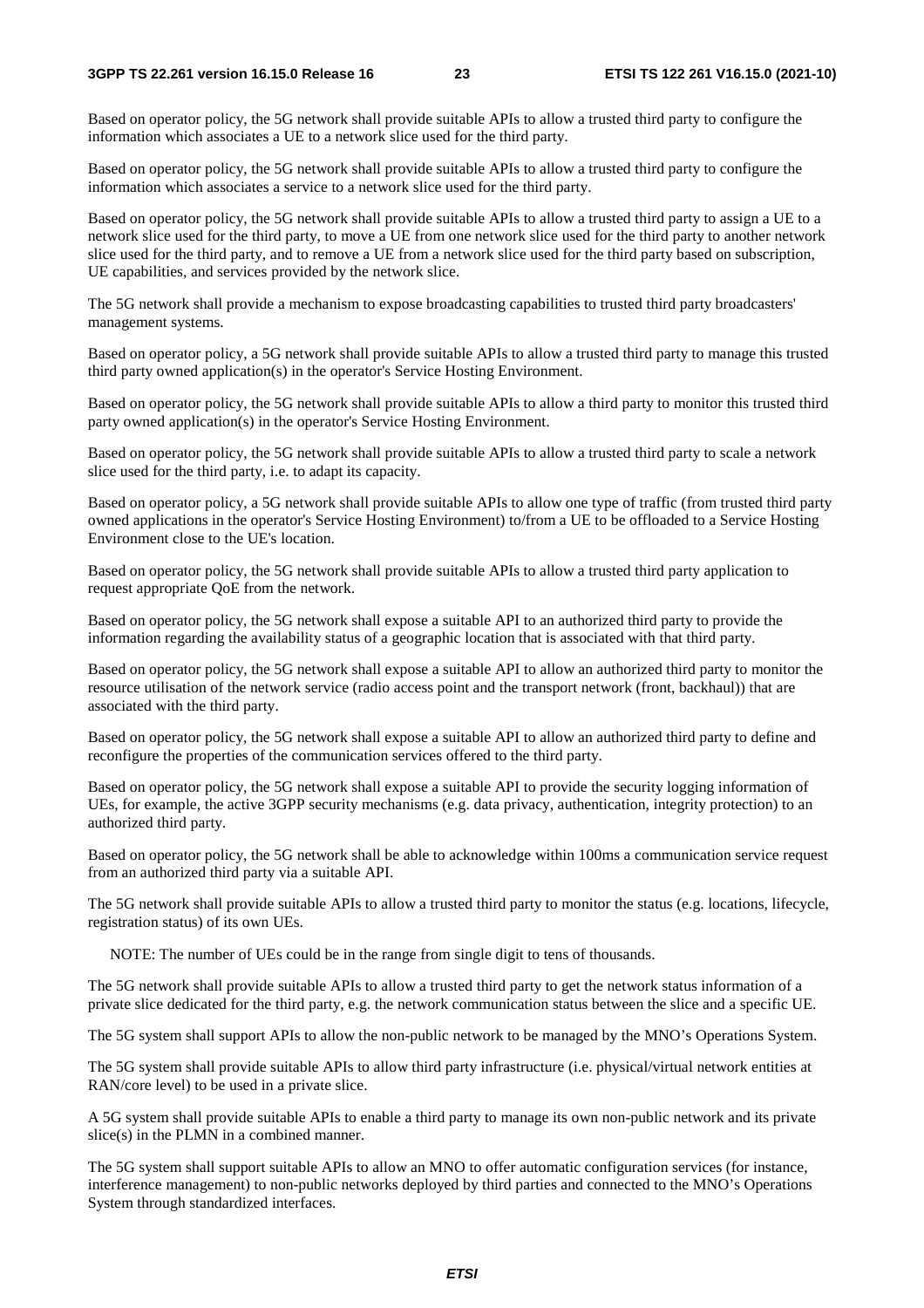Based on operator policy, the 5G network shall provide suitable APIs to allow a trusted third party to configure the information which associates a UE to a network slice used for the third party.

Based on operator policy, the 5G network shall provide suitable APIs to allow a trusted third party to configure the information which associates a service to a network slice used for the third party.

Based on operator policy, the 5G network shall provide suitable APIs to allow a trusted third party to assign a UE to a network slice used for the third party, to move a UE from one network slice used for the third party to another network slice used for the third party, and to remove a UE from a network slice used for the third party based on subscription, UE capabilities, and services provided by the network slice.

The 5G network shall provide a mechanism to expose broadcasting capabilities to trusted third party broadcasters' management systems.

Based on operator policy, a 5G network shall provide suitable APIs to allow a trusted third party to manage this trusted third party owned application(s) in the operator's Service Hosting Environment.

Based on operator policy, the 5G network shall provide suitable APIs to allow a third party to monitor this trusted third party owned application(s) in the operator's Service Hosting Environment.

Based on operator policy, the 5G network shall provide suitable APIs to allow a trusted third party to scale a network slice used for the third party, i.e. to adapt its capacity.

Based on operator policy, a 5G network shall provide suitable APIs to allow one type of traffic (from trusted third party owned applications in the operator's Service Hosting Environment) to/from a UE to be offloaded to a Service Hosting Environment close to the UE's location.

Based on operator policy, the 5G network shall provide suitable APIs to allow a trusted third party application to request appropriate QoE from the network.

Based on operator policy, the 5G network shall expose a suitable API to an authorized third party to provide the information regarding the availability status of a geographic location that is associated with that third party.

Based on operator policy, the 5G network shall expose a suitable API to allow an authorized third party to monitor the resource utilisation of the network service (radio access point and the transport network (front, backhaul)) that are associated with the third party.

Based on operator policy, the 5G network shall expose a suitable API to allow an authorized third party to define and reconfigure the properties of the communication services offered to the third party.

Based on operator policy, the 5G network shall expose a suitable API to provide the security logging information of UEs, for example, the active 3GPP security mechanisms (e.g. data privacy, authentication, integrity protection) to an authorized third party.

Based on operator policy, the 5G network shall be able to acknowledge within 100ms a communication service request from an authorized third party via a suitable API.

The 5G network shall provide suitable APIs to allow a trusted third party to monitor the status (e.g. locations, lifecycle, registration status) of its own UEs.

NOTE: The number of UEs could be in the range from single digit to tens of thousands.

The 5G network shall provide suitable APIs to allow a trusted third party to get the network status information of a private slice dedicated for the third party, e.g. the network communication status between the slice and a specific UE.

The 5G system shall support APIs to allow the non-public network to be managed by the MNO's Operations System.

The 5G system shall provide suitable APIs to allow third party infrastructure (i.e. physical/virtual network entities at RAN/core level) to be used in a private slice.

A 5G system shall provide suitable APIs to enable a third party to manage its own non-public network and its private slice(s) in the PLMN in a combined manner.

The 5G system shall support suitable APIs to allow an MNO to offer automatic configuration services (for instance, interference management) to non-public networks deployed by third parties and connected to the MNO's Operations System through standardized interfaces.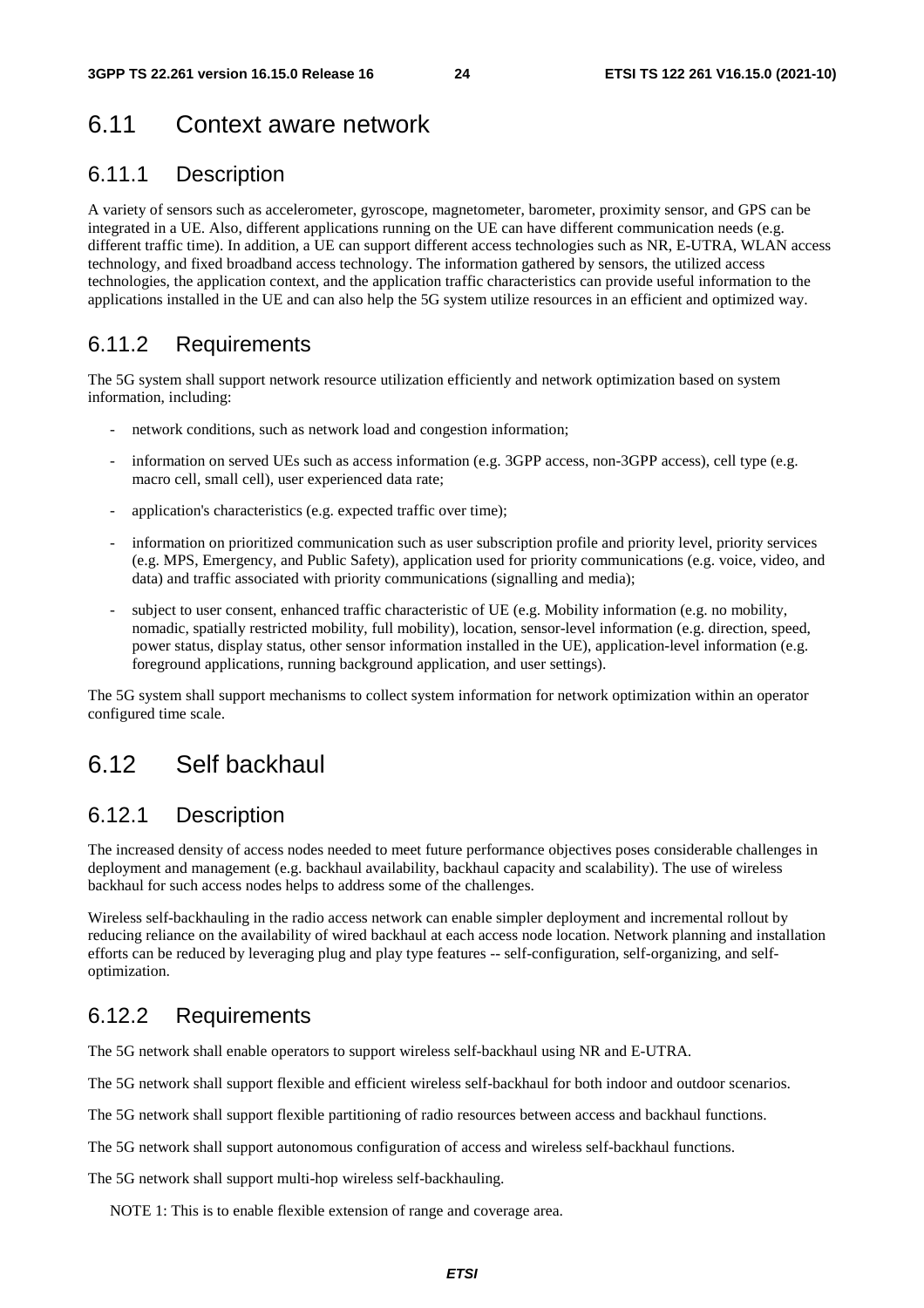## 6.11 Context aware network

#### 6.11.1 Description

A variety of sensors such as accelerometer, gyroscope, magnetometer, barometer, proximity sensor, and GPS can be integrated in a UE. Also, different applications running on the UE can have different communication needs (e.g. different traffic time). In addition, a UE can support different access technologies such as NR, E-UTRA, WLAN access technology, and fixed broadband access technology. The information gathered by sensors, the utilized access technologies, the application context, and the application traffic characteristics can provide useful information to the applications installed in the UE and can also help the 5G system utilize resources in an efficient and optimized way.

#### 6.11.2 Requirements

The 5G system shall support network resource utilization efficiently and network optimization based on system information, including:

- network conditions, such as network load and congestion information;
- information on served UEs such as access information (e.g. 3GPP access, non-3GPP access), cell type (e.g. macro cell, small cell), user experienced data rate;
- application's characteristics (e.g. expected traffic over time);
- information on prioritized communication such as user subscription profile and priority level, priority services (e.g. MPS, Emergency, and Public Safety), application used for priority communications (e.g. voice, video, and data) and traffic associated with priority communications (signalling and media);
- subject to user consent, enhanced traffic characteristic of UE (e.g. Mobility information (e.g. no mobility, nomadic, spatially restricted mobility, full mobility), location, sensor-level information (e.g. direction, speed, power status, display status, other sensor information installed in the UE), application-level information (e.g. foreground applications, running background application, and user settings).

The 5G system shall support mechanisms to collect system information for network optimization within an operator configured time scale.

### 6.12 Self backhaul

#### 6.12.1 Description

The increased density of access nodes needed to meet future performance objectives poses considerable challenges in deployment and management (e.g. backhaul availability, backhaul capacity and scalability). The use of wireless backhaul for such access nodes helps to address some of the challenges.

Wireless self-backhauling in the radio access network can enable simpler deployment and incremental rollout by reducing reliance on the availability of wired backhaul at each access node location. Network planning and installation efforts can be reduced by leveraging plug and play type features -- self-configuration, self-organizing, and selfoptimization.

#### 6.12.2 Requirements

The 5G network shall enable operators to support wireless self-backhaul using NR and E-UTRA.

The 5G network shall support flexible and efficient wireless self-backhaul for both indoor and outdoor scenarios.

The 5G network shall support flexible partitioning of radio resources between access and backhaul functions.

The 5G network shall support autonomous configuration of access and wireless self-backhaul functions.

The 5G network shall support multi-hop wireless self-backhauling.

NOTE 1: This is to enable flexible extension of range and coverage area.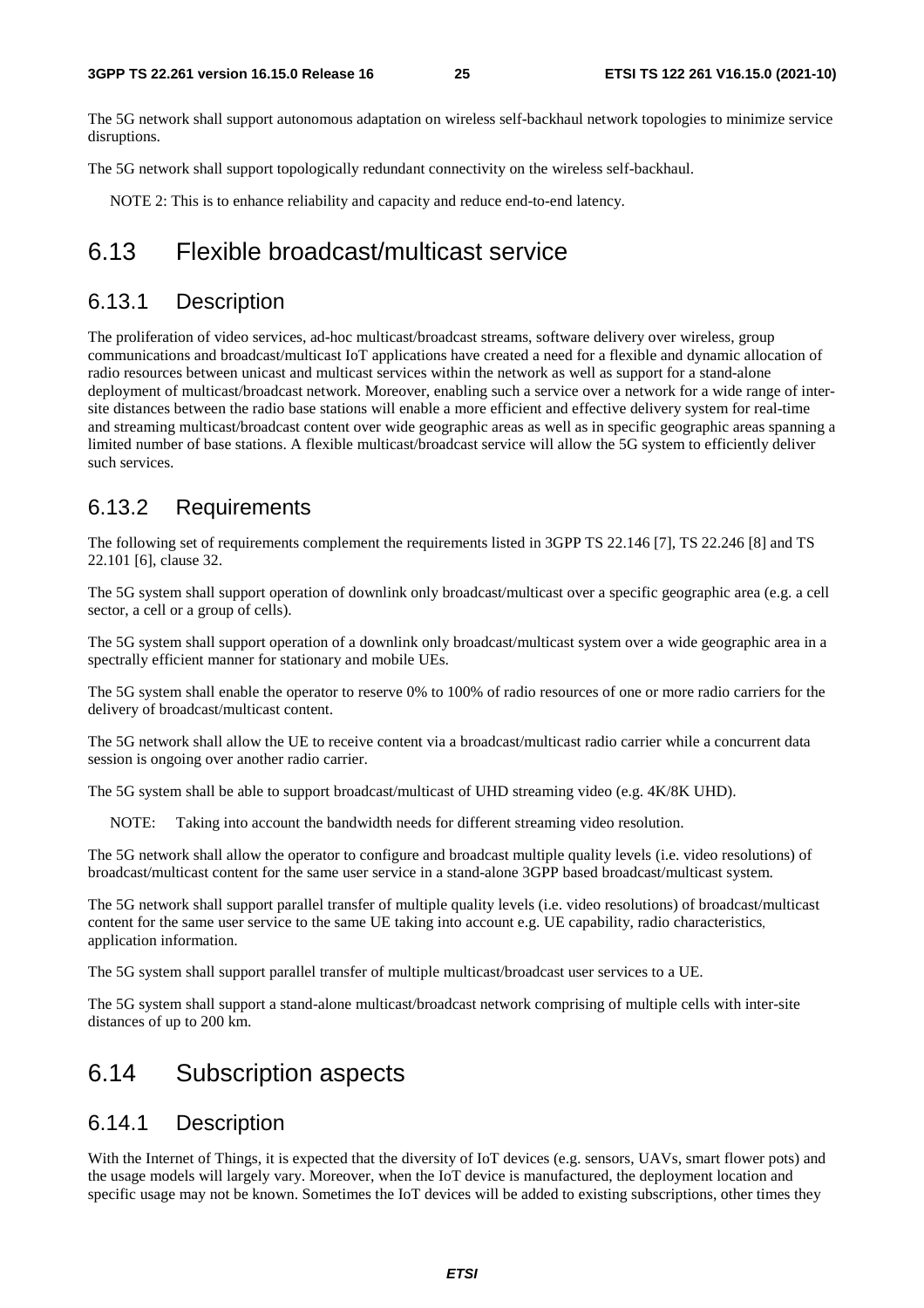The 5G network shall support autonomous adaptation on wireless self-backhaul network topologies to minimize service disruptions.

The 5G network shall support topologically redundant connectivity on the wireless self-backhaul.

NOTE 2: This is to enhance reliability and capacity and reduce end-to-end latency.

### 6.13 Flexible broadcast/multicast service

#### 6.13.1 Description

The proliferation of video services, ad-hoc multicast/broadcast streams, software delivery over wireless, group communications and broadcast/multicast IoT applications have created a need for a flexible and dynamic allocation of radio resources between unicast and multicast services within the network as well as support for a stand-alone deployment of multicast/broadcast network. Moreover, enabling such a service over a network for a wide range of intersite distances between the radio base stations will enable a more efficient and effective delivery system for real-time and streaming multicast/broadcast content over wide geographic areas as well as in specific geographic areas spanning a limited number of base stations. A flexible multicast/broadcast service will allow the 5G system to efficiently deliver such services.

#### 6.13.2 Requirements

The following set of requirements complement the requirements listed in 3GPP TS 22.146 [7], TS 22.246 [8] and TS 22.101 [6], clause 32.

The 5G system shall support operation of downlink only broadcast/multicast over a specific geographic area (e.g. a cell sector, a cell or a group of cells).

The 5G system shall support operation of a downlink only broadcast/multicast system over a wide geographic area in a spectrally efficient manner for stationary and mobile UEs.

The 5G system shall enable the operator to reserve 0% to 100% of radio resources of one or more radio carriers for the delivery of broadcast/multicast content.

The 5G network shall allow the UE to receive content via a broadcast/multicast radio carrier while a concurrent data session is ongoing over another radio carrier.

The 5G system shall be able to support broadcast/multicast of UHD streaming video (e.g. 4K/8K UHD).

NOTE: Taking into account the bandwidth needs for different streaming video resolution.

The 5G network shall allow the operator to configure and broadcast multiple quality levels (i.e. video resolutions) of broadcast/multicast content for the same user service in a stand-alone 3GPP based broadcast/multicast system.

The 5G network shall support parallel transfer of multiple quality levels (i.e. video resolutions) of broadcast/multicast content for the same user service to the same UE taking into account e.g. UE capability, radio characteristics, application information.

The 5G system shall support parallel transfer of multiple multicast/broadcast user services to a UE.

The 5G system shall support a stand-alone multicast/broadcast network comprising of multiple cells with inter-site distances of up to 200 km.

### 6.14 Subscription aspects

#### 6.14.1 Description

With the Internet of Things, it is expected that the diversity of IoT devices (e.g. sensors, UAVs, smart flower pots) and the usage models will largely vary. Moreover, when the IoT device is manufactured, the deployment location and specific usage may not be known. Sometimes the IoT devices will be added to existing subscriptions, other times they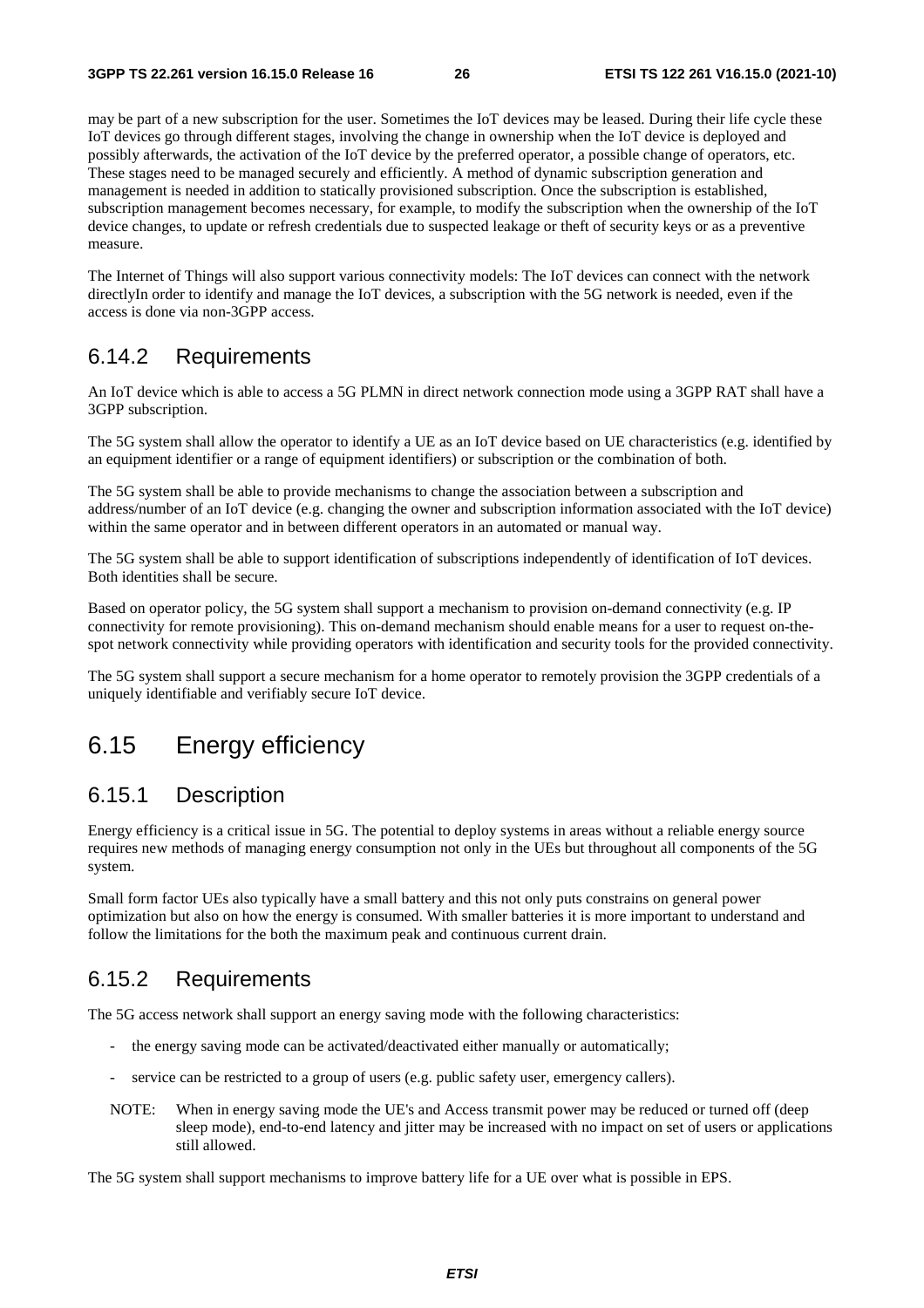may be part of a new subscription for the user. Sometimes the IoT devices may be leased. During their life cycle these IoT devices go through different stages, involving the change in ownership when the IoT device is deployed and possibly afterwards, the activation of the IoT device by the preferred operator, a possible change of operators, etc. These stages need to be managed securely and efficiently. A method of dynamic subscription generation and management is needed in addition to statically provisioned subscription. Once the subscription is established, subscription management becomes necessary, for example, to modify the subscription when the ownership of the IoT device changes, to update or refresh credentials due to suspected leakage or theft of security keys or as a preventive measure.

The Internet of Things will also support various connectivity models: The IoT devices can connect with the network directlyIn order to identify and manage the IoT devices, a subscription with the 5G network is needed, even if the access is done via non-3GPP access.

#### 6.14.2 Requirements

An IoT device which is able to access a 5G PLMN in direct network connection mode using a 3GPP RAT shall have a 3GPP subscription.

The 5G system shall allow the operator to identify a UE as an IoT device based on UE characteristics (e.g. identified by an equipment identifier or a range of equipment identifiers) or subscription or the combination of both.

The 5G system shall be able to provide mechanisms to change the association between a subscription and address/number of an IoT device (e.g. changing the owner and subscription information associated with the IoT device) within the same operator and in between different operators in an automated or manual way.

The 5G system shall be able to support identification of subscriptions independently of identification of IoT devices. Both identities shall be secure.

Based on operator policy, the 5G system shall support a mechanism to provision on-demand connectivity (e.g. IP connectivity for remote provisioning). This on-demand mechanism should enable means for a user to request on-thespot network connectivity while providing operators with identification and security tools for the provided connectivity.

The 5G system shall support a secure mechanism for a home operator to remotely provision the 3GPP credentials of a uniquely identifiable and verifiably secure IoT device.

### 6.15 Energy efficiency

#### 6.15.1 Description

Energy efficiency is a critical issue in 5G. The potential to deploy systems in areas without a reliable energy source requires new methods of managing energy consumption not only in the UEs but throughout all components of the 5G system.

Small form factor UEs also typically have a small battery and this not only puts constrains on general power optimization but also on how the energy is consumed. With smaller batteries it is more important to understand and follow the limitations for the both the maximum peak and continuous current drain.

#### 6.15.2 Requirements

The 5G access network shall support an energy saving mode with the following characteristics:

- the energy saving mode can be activated/deactivated either manually or automatically;
- service can be restricted to a group of users (e.g. public safety user, emergency callers).
- NOTE: When in energy saving mode the UE's and Access transmit power may be reduced or turned off (deep sleep mode), end-to-end latency and jitter may be increased with no impact on set of users or applications still allowed.

The 5G system shall support mechanisms to improve battery life for a UE over what is possible in EPS.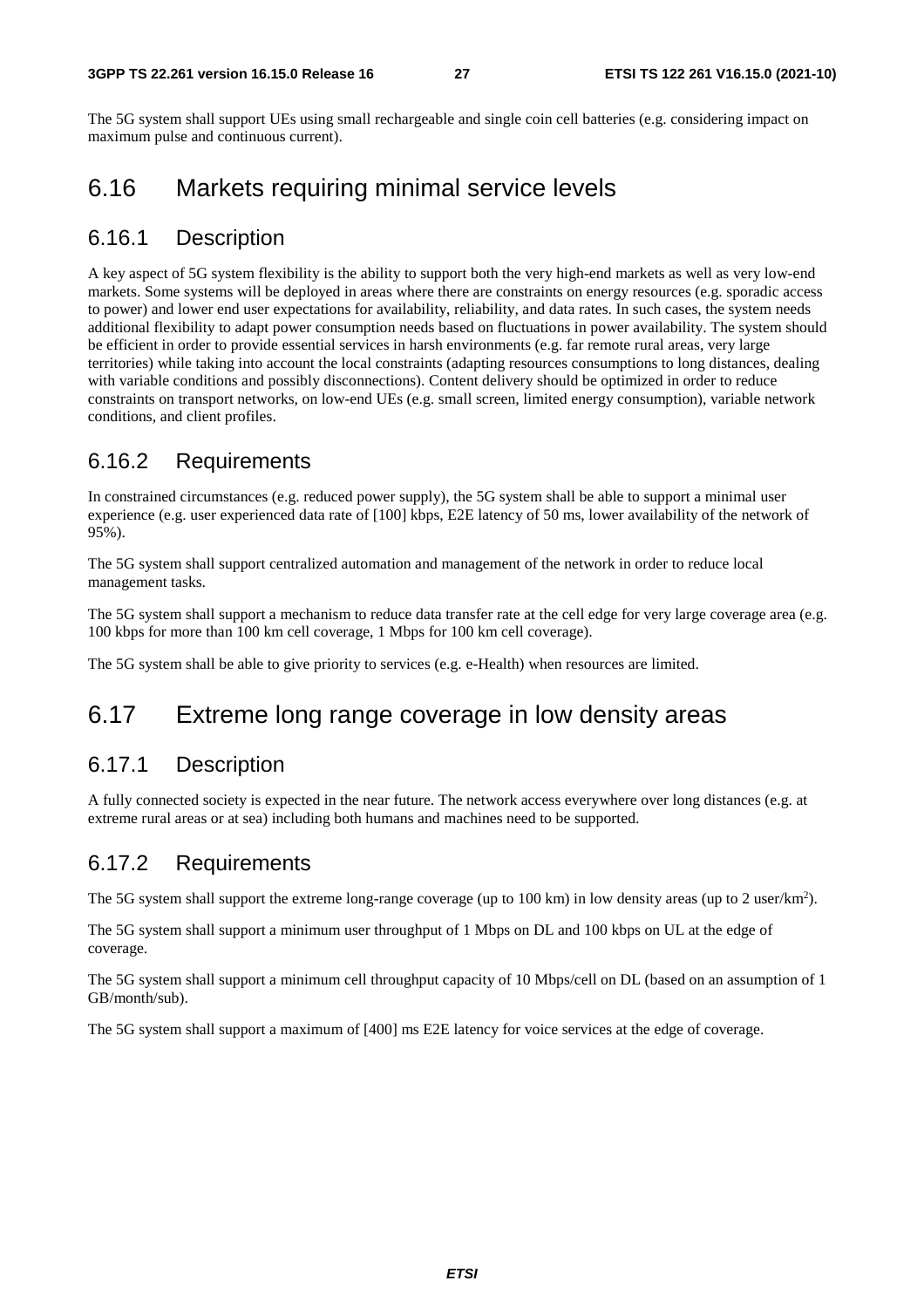The 5G system shall support UEs using small rechargeable and single coin cell batteries (e.g. considering impact on maximum pulse and continuous current).

## 6.16 Markets requiring minimal service levels

#### 6.16.1 Description

A key aspect of 5G system flexibility is the ability to support both the very high-end markets as well as very low-end markets. Some systems will be deployed in areas where there are constraints on energy resources (e.g. sporadic access to power) and lower end user expectations for availability, reliability, and data rates. In such cases, the system needs additional flexibility to adapt power consumption needs based on fluctuations in power availability. The system should be efficient in order to provide essential services in harsh environments (e.g. far remote rural areas, very large territories) while taking into account the local constraints (adapting resources consumptions to long distances, dealing with variable conditions and possibly disconnections). Content delivery should be optimized in order to reduce constraints on transport networks, on low-end UEs (e.g. small screen, limited energy consumption), variable network conditions, and client profiles.

### 6.16.2 Requirements

In constrained circumstances (e.g. reduced power supply), the 5G system shall be able to support a minimal user experience (e.g. user experienced data rate of [100] kbps, E2E latency of 50 ms, lower availability of the network of 95%).

The 5G system shall support centralized automation and management of the network in order to reduce local management tasks.

The 5G system shall support a mechanism to reduce data transfer rate at the cell edge for very large coverage area (e.g. 100 kbps for more than 100 km cell coverage, 1 Mbps for 100 km cell coverage).

The 5G system shall be able to give priority to services (e.g. e-Health) when resources are limited.

## 6.17 Extreme long range coverage in low density areas

#### 6.17.1 Description

A fully connected society is expected in the near future. The network access everywhere over long distances (e.g. at extreme rural areas or at sea) including both humans and machines need to be supported.

### 6.17.2 Requirements

The 5G system shall support the extreme long-range coverage (up to 100 km) in low density areas (up to 2 user/km<sup>2</sup>).

The 5G system shall support a minimum user throughput of 1 Mbps on DL and 100 kbps on UL at the edge of coverage.

The 5G system shall support a minimum cell throughput capacity of 10 Mbps/cell on DL (based on an assumption of 1 GB/month/sub).

The 5G system shall support a maximum of [400] ms E2E latency for voice services at the edge of coverage.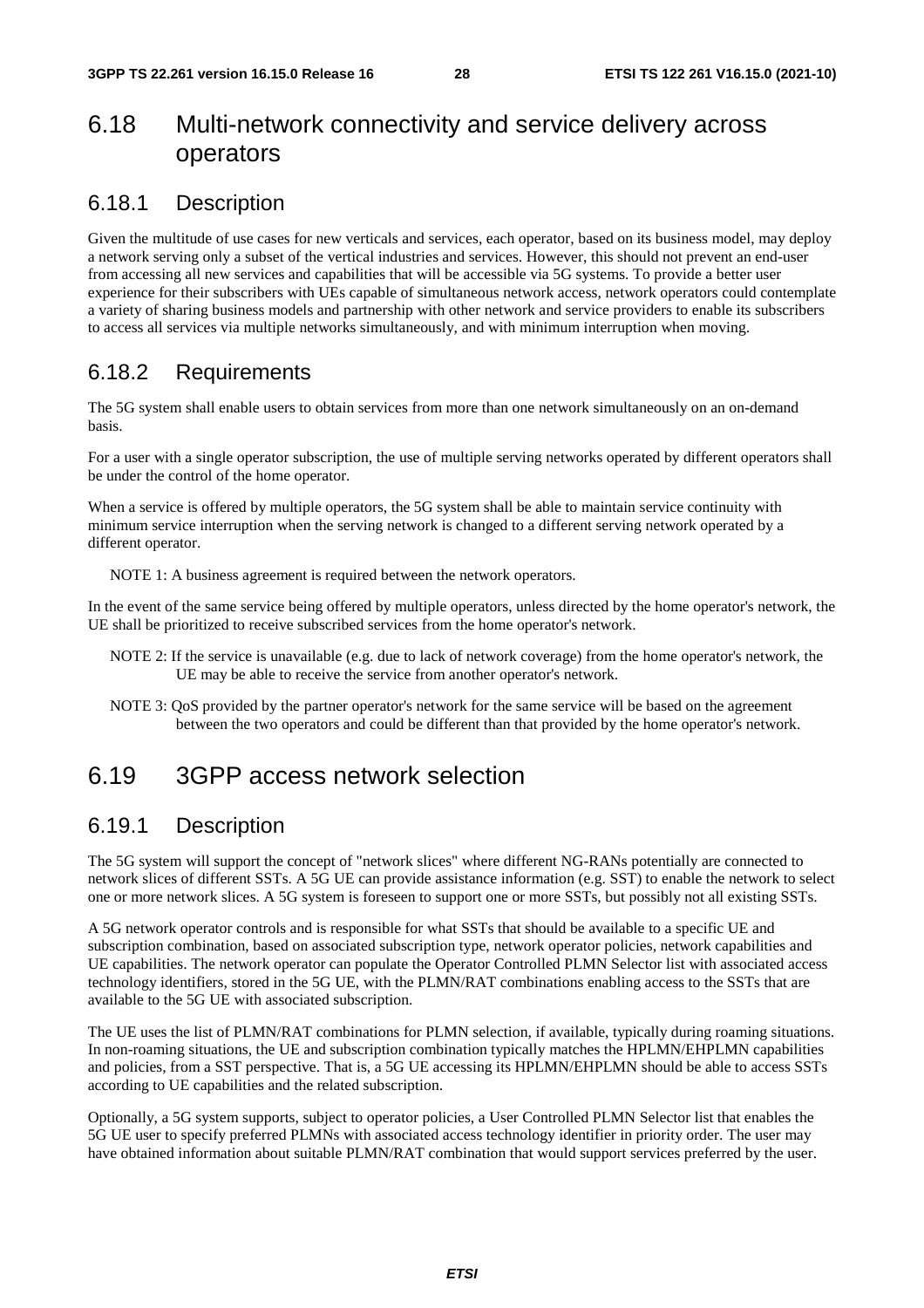## 6.18 Multi-network connectivity and service delivery across operators

#### 6.18.1 Description

Given the multitude of use cases for new verticals and services, each operator, based on its business model, may deploy a network serving only a subset of the vertical industries and services. However, this should not prevent an end-user from accessing all new services and capabilities that will be accessible via 5G systems. To provide a better user experience for their subscribers with UEs capable of simultaneous network access, network operators could contemplate a variety of sharing business models and partnership with other network and service providers to enable its subscribers to access all services via multiple networks simultaneously, and with minimum interruption when moving.

#### 6.18.2 Requirements

The 5G system shall enable users to obtain services from more than one network simultaneously on an on-demand basis.

For a user with a single operator subscription, the use of multiple serving networks operated by different operators shall be under the control of the home operator.

When a service is offered by multiple operators, the 5G system shall be able to maintain service continuity with minimum service interruption when the serving network is changed to a different serving network operated by a different operator.

NOTE 1: A business agreement is required between the network operators.

In the event of the same service being offered by multiple operators, unless directed by the home operator's network, the UE shall be prioritized to receive subscribed services from the home operator's network.

- NOTE 2: If the service is unavailable (e.g. due to lack of network coverage) from the home operator's network, the UE may be able to receive the service from another operator's network.
- NOTE 3: QoS provided by the partner operator's network for the same service will be based on the agreement between the two operators and could be different than that provided by the home operator's network.

### 6.19 3GPP access network selection

#### 6.19.1 Description

The 5G system will support the concept of "network slices" where different NG-RANs potentially are connected to network slices of different SSTs. A 5G UE can provide assistance information (e.g. SST) to enable the network to select one or more network slices. A 5G system is foreseen to support one or more SSTs, but possibly not all existing SSTs.

A 5G network operator controls and is responsible for what SSTs that should be available to a specific UE and subscription combination, based on associated subscription type, network operator policies, network capabilities and UE capabilities. The network operator can populate the Operator Controlled PLMN Selector list with associated access technology identifiers, stored in the 5G UE, with the PLMN/RAT combinations enabling access to the SSTs that are available to the 5G UE with associated subscription.

The UE uses the list of PLMN/RAT combinations for PLMN selection, if available, typically during roaming situations. In non-roaming situations, the UE and subscription combination typically matches the HPLMN/EHPLMN capabilities and policies, from a SST perspective. That is, a 5G UE accessing its HPLMN/EHPLMN should be able to access SSTs according to UE capabilities and the related subscription.

Optionally, a 5G system supports, subject to operator policies, a User Controlled PLMN Selector list that enables the 5G UE user to specify preferred PLMNs with associated access technology identifier in priority order. The user may have obtained information about suitable PLMN/RAT combination that would support services preferred by the user.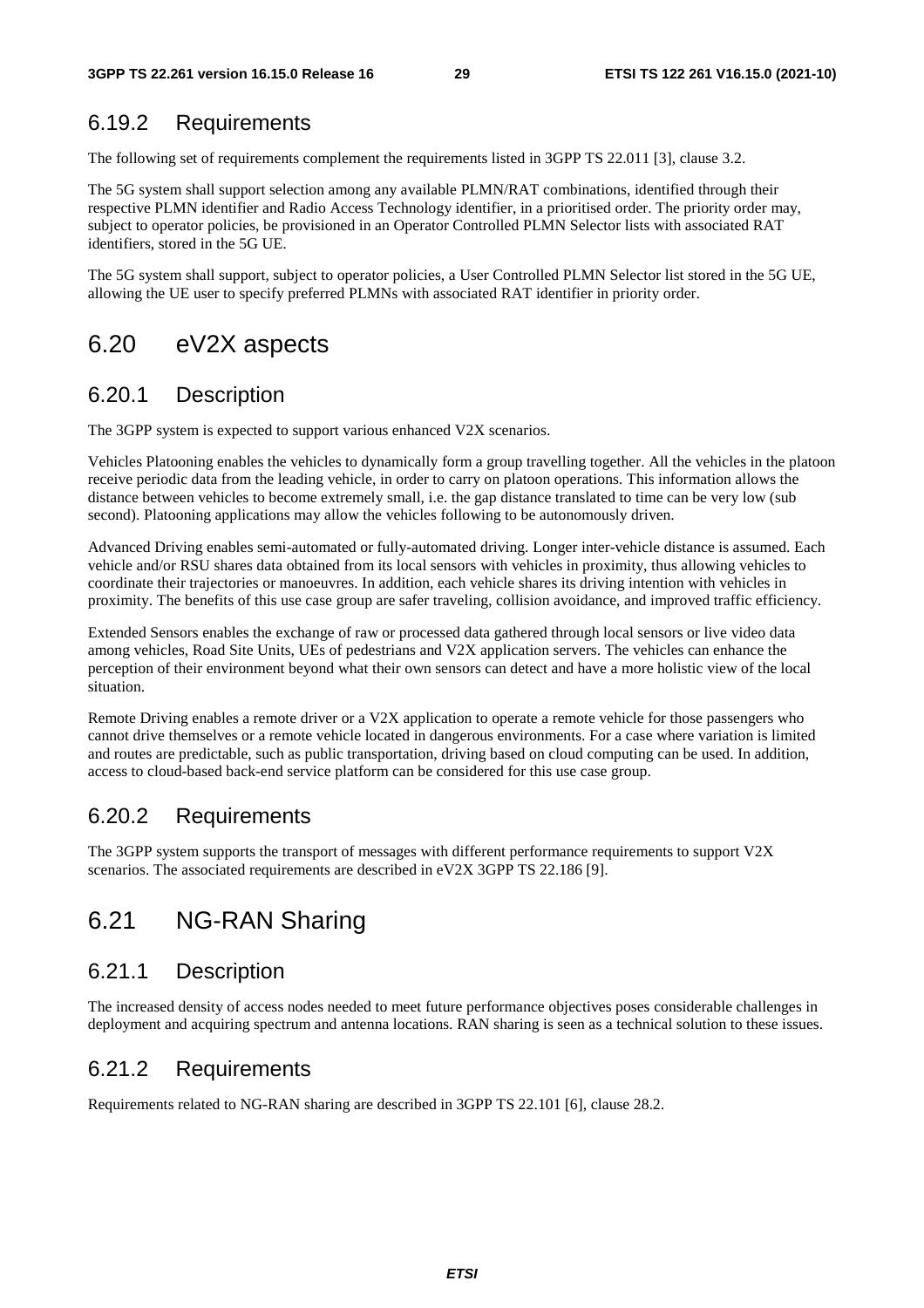#### 6.19.2 Requirements

The following set of requirements complement the requirements listed in 3GPP TS 22.011 [3], clause 3.2.

The 5G system shall support selection among any available PLMN/RAT combinations, identified through their respective PLMN identifier and Radio Access Technology identifier, in a prioritised order. The priority order may, subject to operator policies, be provisioned in an Operator Controlled PLMN Selector lists with associated RAT identifiers, stored in the 5G UE.

The 5G system shall support, subject to operator policies, a User Controlled PLMN Selector list stored in the 5G UE, allowing the UE user to specify preferred PLMNs with associated RAT identifier in priority order.

### 6.20 eV2X aspects

#### 6.20.1 Description

The 3GPP system is expected to support various enhanced V2X scenarios.

Vehicles Platooning enables the vehicles to dynamically form a group travelling together. All the vehicles in the platoon receive periodic data from the leading vehicle, in order to carry on platoon operations. This information allows the distance between vehicles to become extremely small, i.e. the gap distance translated to time can be very low (sub second). Platooning applications may allow the vehicles following to be autonomously driven.

Advanced Driving enables semi-automated or fully-automated driving. Longer inter-vehicle distance is assumed. Each vehicle and/or RSU shares data obtained from its local sensors with vehicles in proximity, thus allowing vehicles to coordinate their trajectories or manoeuvres. In addition, each vehicle shares its driving intention with vehicles in proximity. The benefits of this use case group are safer traveling, collision avoidance, and improved traffic efficiency.

Extended Sensors enables the exchange of raw or processed data gathered through local sensors or live video data among vehicles, Road Site Units, UEs of pedestrians and V2X application servers. The vehicles can enhance the perception of their environment beyond what their own sensors can detect and have a more holistic view of the local situation.

Remote Driving enables a remote driver or a V2X application to operate a remote vehicle for those passengers who cannot drive themselves or a remote vehicle located in dangerous environments. For a case where variation is limited and routes are predictable, such as public transportation, driving based on cloud computing can be used. In addition, access to cloud-based back-end service platform can be considered for this use case group.

#### 6.20.2 Requirements

The 3GPP system supports the transport of messages with different performance requirements to support V2X scenarios. The associated requirements are described in eV2X 3GPP TS 22.186 [9].

## 6.21 NG-RAN Sharing

#### 6.21.1 Description

The increased density of access nodes needed to meet future performance objectives poses considerable challenges in deployment and acquiring spectrum and antenna locations. RAN sharing is seen as a technical solution to these issues.

#### 6.21.2 Requirements

Requirements related to NG-RAN sharing are described in 3GPP TS 22.101 [6], clause 28.2.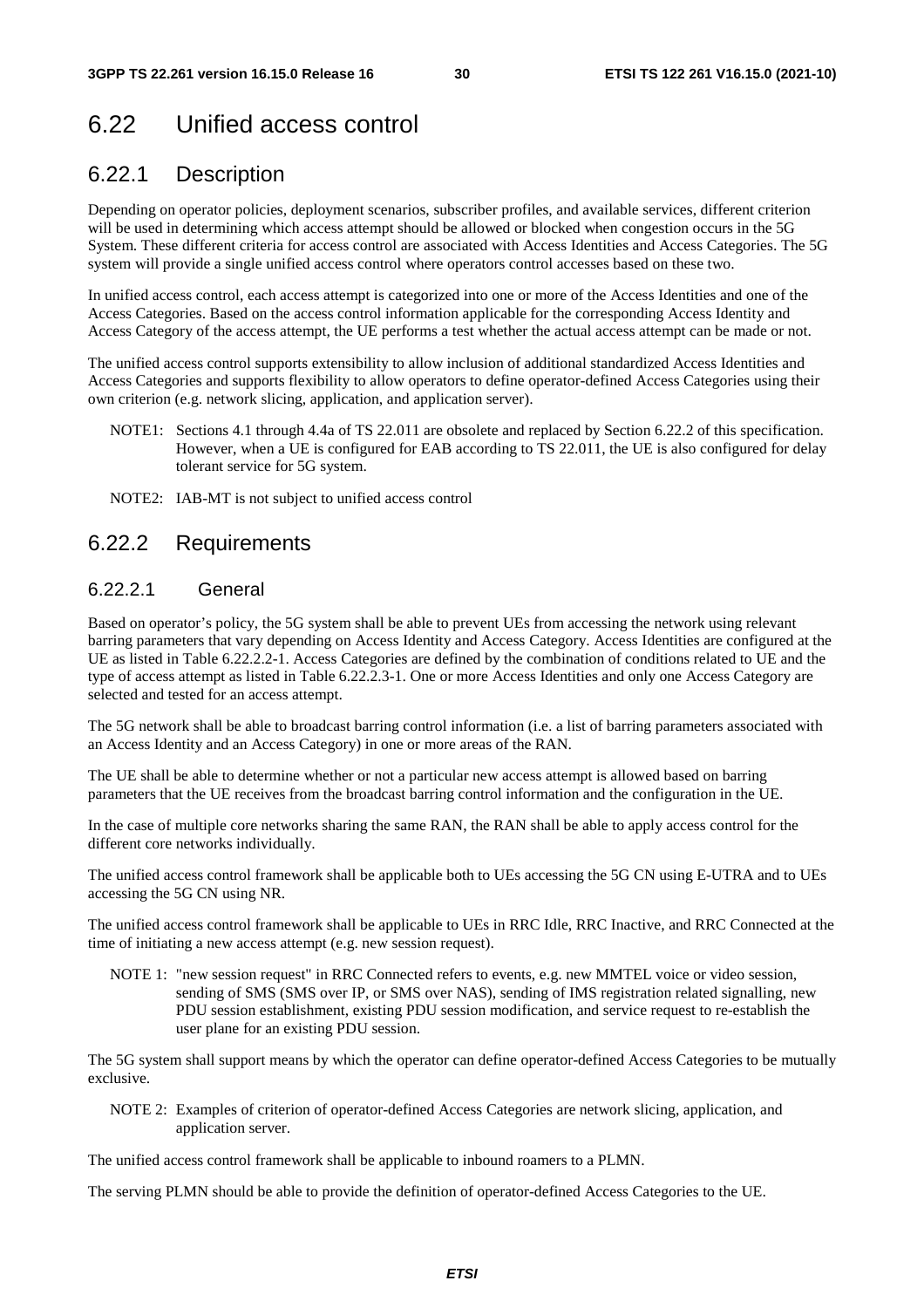## 6.22 Unified access control

#### 6.22.1 Description

Depending on operator policies, deployment scenarios, subscriber profiles, and available services, different criterion will be used in determining which access attempt should be allowed or blocked when congestion occurs in the 5G System. These different criteria for access control are associated with Access Identities and Access Categories. The 5G system will provide a single unified access control where operators control accesses based on these two.

In unified access control, each access attempt is categorized into one or more of the Access Identities and one of the Access Categories. Based on the access control information applicable for the corresponding Access Identity and Access Category of the access attempt, the UE performs a test whether the actual access attempt can be made or not.

The unified access control supports extensibility to allow inclusion of additional standardized Access Identities and Access Categories and supports flexibility to allow operators to define operator-defined Access Categories using their own criterion (e.g. network slicing, application, and application server).

- NOTE1: Sections 4.1 through 4.4a of TS 22.011 are obsolete and replaced by Section 6.22.2 of this specification. However, when a UE is configured for EAB according to TS 22.011, the UE is also configured for delay tolerant service for 5G system.
- NOTE2: IAB-MT is not subject to unified access control

#### 6.22.2 Requirements

#### 6.22.2.1 General

Based on operator's policy, the 5G system shall be able to prevent UEs from accessing the network using relevant barring parameters that vary depending on Access Identity and Access Category. Access Identities are configured at the UE as listed in Table 6.22.2.2-1. Access Categories are defined by the combination of conditions related to UE and the type of access attempt as listed in Table 6.22.2.3-1. One or more Access Identities and only one Access Category are selected and tested for an access attempt.

The 5G network shall be able to broadcast barring control information (i.e. a list of barring parameters associated with an Access Identity and an Access Category) in one or more areas of the RAN.

The UE shall be able to determine whether or not a particular new access attempt is allowed based on barring parameters that the UE receives from the broadcast barring control information and the configuration in the UE.

In the case of multiple core networks sharing the same RAN, the RAN shall be able to apply access control for the different core networks individually.

The unified access control framework shall be applicable both to UEs accessing the 5G CN using E-UTRA and to UEs accessing the 5G CN using NR.

The unified access control framework shall be applicable to UEs in RRC Idle, RRC Inactive, and RRC Connected at the time of initiating a new access attempt (e.g. new session request).

NOTE 1: "new session request" in RRC Connected refers to events, e.g. new MMTEL voice or video session, sending of SMS (SMS over IP, or SMS over NAS), sending of IMS registration related signalling, new PDU session establishment, existing PDU session modification, and service request to re-establish the user plane for an existing PDU session.

The 5G system shall support means by which the operator can define operator-defined Access Categories to be mutually exclusive.

NOTE 2: Examples of criterion of operator-defined Access Categories are network slicing, application, and application server.

The unified access control framework shall be applicable to inbound roamers to a PLMN.

The serving PLMN should be able to provide the definition of operator-defined Access Categories to the UE.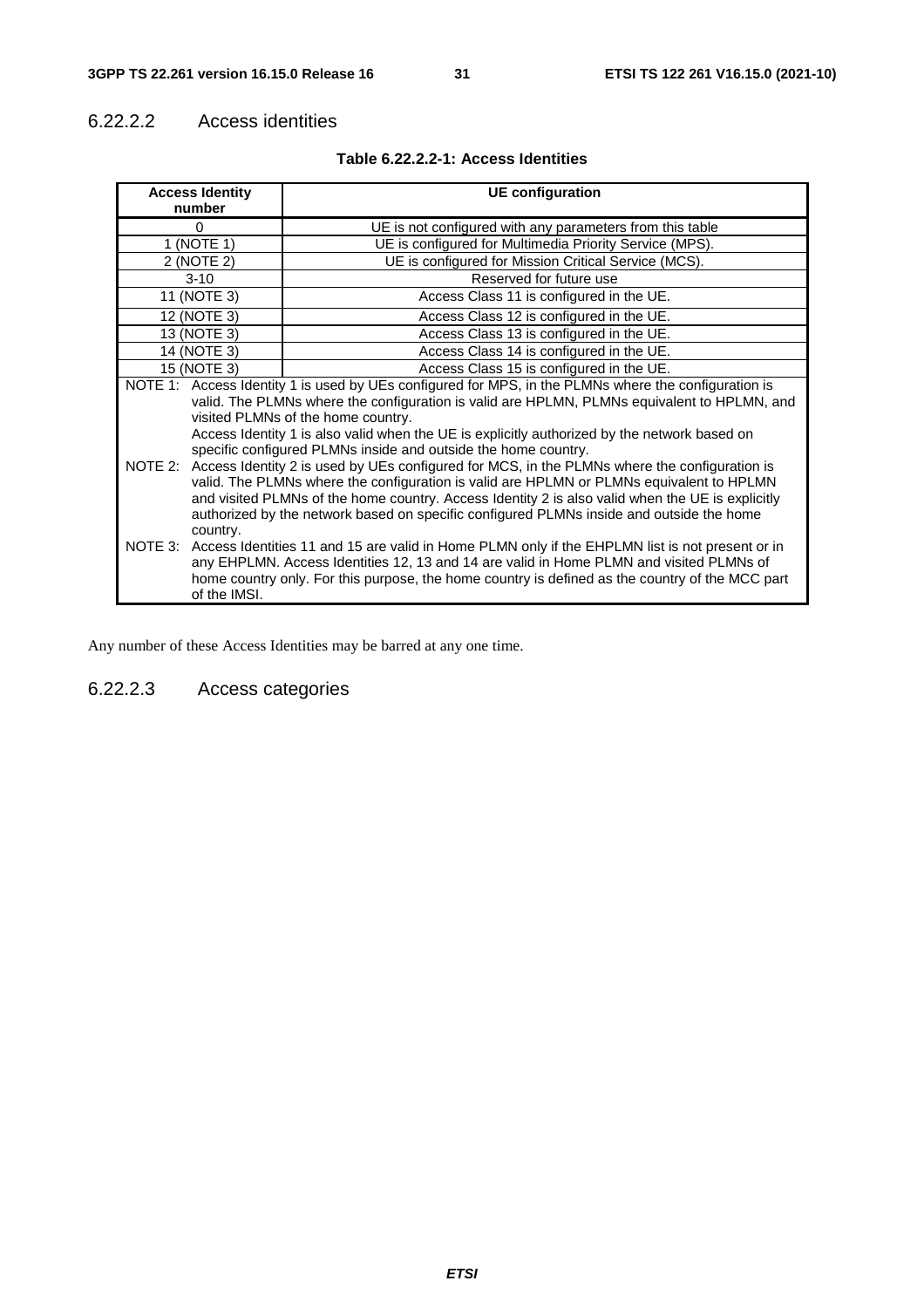#### 6.22.2.2 Access identities

| <b>Access Identity</b>                                                                                                                                                                                                                                                                                                                                                                                                                                                                                                                                                                                                                                                                                                                                                                                                      | <b>UE</b> configuration                                  |  |
|-----------------------------------------------------------------------------------------------------------------------------------------------------------------------------------------------------------------------------------------------------------------------------------------------------------------------------------------------------------------------------------------------------------------------------------------------------------------------------------------------------------------------------------------------------------------------------------------------------------------------------------------------------------------------------------------------------------------------------------------------------------------------------------------------------------------------------|----------------------------------------------------------|--|
| number                                                                                                                                                                                                                                                                                                                                                                                                                                                                                                                                                                                                                                                                                                                                                                                                                      |                                                          |  |
| 0                                                                                                                                                                                                                                                                                                                                                                                                                                                                                                                                                                                                                                                                                                                                                                                                                           | UE is not configured with any parameters from this table |  |
| 1 (NOTE 1)                                                                                                                                                                                                                                                                                                                                                                                                                                                                                                                                                                                                                                                                                                                                                                                                                  | UE is configured for Multimedia Priority Service (MPS).  |  |
| 2 (NOTE 2)                                                                                                                                                                                                                                                                                                                                                                                                                                                                                                                                                                                                                                                                                                                                                                                                                  | UE is configured for Mission Critical Service (MCS).     |  |
| $3 - 10$                                                                                                                                                                                                                                                                                                                                                                                                                                                                                                                                                                                                                                                                                                                                                                                                                    | Reserved for future use                                  |  |
| 11 (NOTE 3)                                                                                                                                                                                                                                                                                                                                                                                                                                                                                                                                                                                                                                                                                                                                                                                                                 | Access Class 11 is configured in the UE.                 |  |
| 12 (NOTE 3)                                                                                                                                                                                                                                                                                                                                                                                                                                                                                                                                                                                                                                                                                                                                                                                                                 | Access Class 12 is configured in the UE.                 |  |
| 13 (NOTE 3)                                                                                                                                                                                                                                                                                                                                                                                                                                                                                                                                                                                                                                                                                                                                                                                                                 | Access Class 13 is configured in the UE.                 |  |
| 14 (NOTE 3)                                                                                                                                                                                                                                                                                                                                                                                                                                                                                                                                                                                                                                                                                                                                                                                                                 | Access Class 14 is configured in the UE.                 |  |
| 15 (NOTE 3)                                                                                                                                                                                                                                                                                                                                                                                                                                                                                                                                                                                                                                                                                                                                                                                                                 | Access Class 15 is configured in the UE.                 |  |
| NOTE 1: Access Identity 1 is used by UEs configured for MPS, in the PLMNs where the configuration is<br>valid. The PLMNs where the configuration is valid are HPLMN, PLMNs equivalent to HPLMN, and<br>visited PLMNs of the home country.<br>Access Identity 1 is also valid when the UE is explicitly authorized by the network based on<br>specific configured PLMNs inside and outside the home country.<br>NOTE 2: Access Identity 2 is used by UEs configured for MCS, in the PLMNs where the configuration is<br>valid. The PLMNs where the configuration is valid are HPLMN or PLMNs equivalent to HPLMN<br>and visited PLMNs of the home country. Access Identity 2 is also valid when the UE is explicitly<br>authorized by the network based on specific configured PLMNs inside and outside the home<br>country. |                                                          |  |
| NOTE 3: Access Identities 11 and 15 are valid in Home PLMN only if the EHPLMN list is not present or in<br>any EHPLMN. Access Identities 12, 13 and 14 are valid in Home PLMN and visited PLMNs of<br>home country only. For this purpose, the home country is defined as the country of the MCC part<br>of the IMSI.                                                                                                                                                                                                                                                                                                                                                                                                                                                                                                       |                                                          |  |

#### **Table 6.22.2.2-1: Access Identities**

Any number of these Access Identities may be barred at any one time.

#### 6.22.2.3 Access categories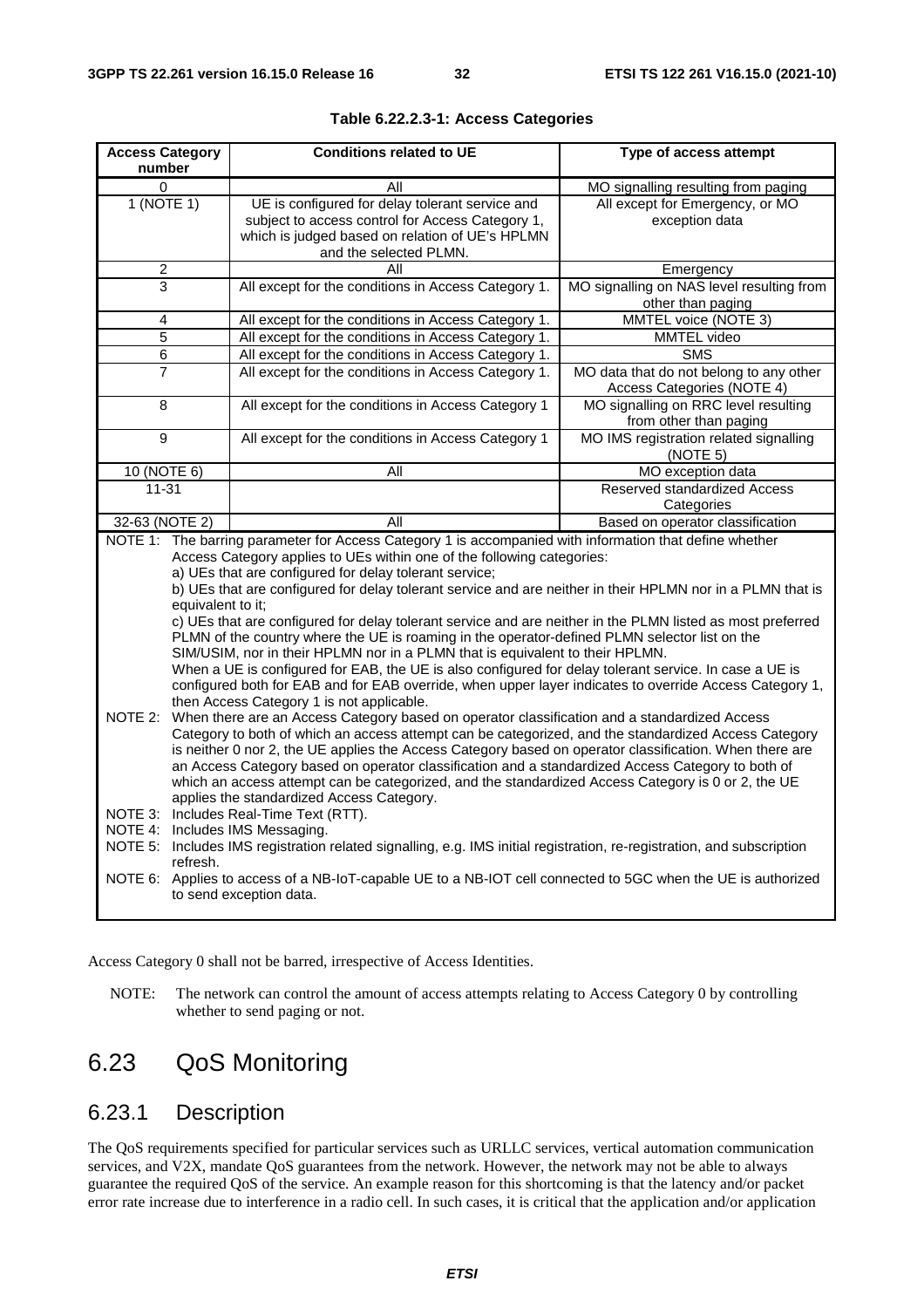| <b>Access Category</b><br>number                                                                                                                                                                                                                                                                                                                                                                                                                                                                                                                                                                                                                                                                                                                                                                                                                                                                                                                                                                                                                                                                                                                                                                                                                                                                                                                                                                                                                                                                                                                                                                                                   | <b>Conditions related to UE</b>                                                                                                                                                  | Type of access attempt                                                |  |
|------------------------------------------------------------------------------------------------------------------------------------------------------------------------------------------------------------------------------------------------------------------------------------------------------------------------------------------------------------------------------------------------------------------------------------------------------------------------------------------------------------------------------------------------------------------------------------------------------------------------------------------------------------------------------------------------------------------------------------------------------------------------------------------------------------------------------------------------------------------------------------------------------------------------------------------------------------------------------------------------------------------------------------------------------------------------------------------------------------------------------------------------------------------------------------------------------------------------------------------------------------------------------------------------------------------------------------------------------------------------------------------------------------------------------------------------------------------------------------------------------------------------------------------------------------------------------------------------------------------------------------|----------------------------------------------------------------------------------------------------------------------------------------------------------------------------------|-----------------------------------------------------------------------|--|
| $\Omega$                                                                                                                                                                                                                                                                                                                                                                                                                                                                                                                                                                                                                                                                                                                                                                                                                                                                                                                                                                                                                                                                                                                                                                                                                                                                                                                                                                                                                                                                                                                                                                                                                           | All                                                                                                                                                                              | MO signalling resulting from paging                                   |  |
| 1(NOTE 1)                                                                                                                                                                                                                                                                                                                                                                                                                                                                                                                                                                                                                                                                                                                                                                                                                                                                                                                                                                                                                                                                                                                                                                                                                                                                                                                                                                                                                                                                                                                                                                                                                          | UE is configured for delay tolerant service and<br>subject to access control for Access Category 1,<br>which is judged based on relation of UE's HPLMN<br>and the selected PLMN. | All except for Emergency, or MO<br>exception data                     |  |
| $\overline{2}$                                                                                                                                                                                                                                                                                                                                                                                                                                                                                                                                                                                                                                                                                                                                                                                                                                                                                                                                                                                                                                                                                                                                                                                                                                                                                                                                                                                                                                                                                                                                                                                                                     | All                                                                                                                                                                              | Emergency                                                             |  |
| 3                                                                                                                                                                                                                                                                                                                                                                                                                                                                                                                                                                                                                                                                                                                                                                                                                                                                                                                                                                                                                                                                                                                                                                                                                                                                                                                                                                                                                                                                                                                                                                                                                                  | All except for the conditions in Access Category 1.                                                                                                                              | MO signalling on NAS level resulting from<br>other than paging        |  |
| 4                                                                                                                                                                                                                                                                                                                                                                                                                                                                                                                                                                                                                                                                                                                                                                                                                                                                                                                                                                                                                                                                                                                                                                                                                                                                                                                                                                                                                                                                                                                                                                                                                                  | All except for the conditions in Access Category 1.                                                                                                                              | MMTEL voice (NOTE 3)                                                  |  |
| 5                                                                                                                                                                                                                                                                                                                                                                                                                                                                                                                                                                                                                                                                                                                                                                                                                                                                                                                                                                                                                                                                                                                                                                                                                                                                                                                                                                                                                                                                                                                                                                                                                                  | All except for the conditions in Access Category 1.                                                                                                                              | MMTEL video                                                           |  |
| 6                                                                                                                                                                                                                                                                                                                                                                                                                                                                                                                                                                                                                                                                                                                                                                                                                                                                                                                                                                                                                                                                                                                                                                                                                                                                                                                                                                                                                                                                                                                                                                                                                                  | All except for the conditions in Access Category 1.                                                                                                                              | $S\overline{\text{MS}}$                                               |  |
| 7                                                                                                                                                                                                                                                                                                                                                                                                                                                                                                                                                                                                                                                                                                                                                                                                                                                                                                                                                                                                                                                                                                                                                                                                                                                                                                                                                                                                                                                                                                                                                                                                                                  | All except for the conditions in Access Category 1.                                                                                                                              | MO data that do not belong to any other<br>Access Categories (NOTE 4) |  |
| 8                                                                                                                                                                                                                                                                                                                                                                                                                                                                                                                                                                                                                                                                                                                                                                                                                                                                                                                                                                                                                                                                                                                                                                                                                                                                                                                                                                                                                                                                                                                                                                                                                                  | All except for the conditions in Access Category 1                                                                                                                               | MO signalling on RRC level resulting<br>from other than paging        |  |
| $\overline{9}$                                                                                                                                                                                                                                                                                                                                                                                                                                                                                                                                                                                                                                                                                                                                                                                                                                                                                                                                                                                                                                                                                                                                                                                                                                                                                                                                                                                                                                                                                                                                                                                                                     | All except for the conditions in Access Category 1                                                                                                                               | MO IMS registration related signalling<br>(NOTE 5)                    |  |
| $10$ (NOTE 6)                                                                                                                                                                                                                                                                                                                                                                                                                                                                                                                                                                                                                                                                                                                                                                                                                                                                                                                                                                                                                                                                                                                                                                                                                                                                                                                                                                                                                                                                                                                                                                                                                      | All                                                                                                                                                                              | MO exception data                                                     |  |
| $11 - 31$                                                                                                                                                                                                                                                                                                                                                                                                                                                                                                                                                                                                                                                                                                                                                                                                                                                                                                                                                                                                                                                                                                                                                                                                                                                                                                                                                                                                                                                                                                                                                                                                                          |                                                                                                                                                                                  | <b>Reserved standardized Access</b><br>Categories                     |  |
| 32-63 (NOTE 2)                                                                                                                                                                                                                                                                                                                                                                                                                                                                                                                                                                                                                                                                                                                                                                                                                                                                                                                                                                                                                                                                                                                                                                                                                                                                                                                                                                                                                                                                                                                                                                                                                     | All                                                                                                                                                                              | Based on operator classification                                      |  |
| Access Category applies to UEs within one of the following categories:<br>a) UEs that are configured for delay tolerant service;<br>b) UEs that are configured for delay tolerant service and are neither in their HPLMN nor in a PLMN that is<br>equivalent to it;<br>c) UEs that are configured for delay tolerant service and are neither in the PLMN listed as most preferred<br>PLMN of the country where the UE is roaming in the operator-defined PLMN selector list on the<br>SIM/USIM, nor in their HPLMN nor in a PLMN that is equivalent to their HPLMN.<br>When a UE is configured for EAB, the UE is also configured for delay tolerant service. In case a UE is<br>configured both for EAB and for EAB override, when upper layer indicates to override Access Category 1,<br>then Access Category 1 is not applicable.<br>When there are an Access Category based on operator classification and a standardized Access<br>NOTE 2:<br>Category to both of which an access attempt can be categorized, and the standardized Access Category<br>is neither 0 nor 2, the UE applies the Access Category based on operator classification. When there are<br>an Access Category based on operator classification and a standardized Access Category to both of<br>which an access attempt can be categorized, and the standardized Access Category is 0 or 2, the UE<br>applies the standardized Access Category.<br>NOTE 3: Includes Real-Time Text (RTT).<br>NOTE 4: Includes IMS Messaging.<br>NOTE 5: Includes IMS registration related signalling, e.g. IMS initial registration, re-registration, and subscription |                                                                                                                                                                                  |                                                                       |  |
| refresh.<br>NOTE 6: Applies to access of a NB-IoT-capable UE to a NB-IOT cell connected to 5GC when the UE is authorized<br>to send exception data.                                                                                                                                                                                                                                                                                                                                                                                                                                                                                                                                                                                                                                                                                                                                                                                                                                                                                                                                                                                                                                                                                                                                                                                                                                                                                                                                                                                                                                                                                |                                                                                                                                                                                  |                                                                       |  |

|  |  |  | Table 6.22.2.3-1: Access Categories |
|--|--|--|-------------------------------------|
|--|--|--|-------------------------------------|

Access Category 0 shall not be barred, irrespective of Access Identities.

NOTE: The network can control the amount of access attempts relating to Access Category 0 by controlling whether to send paging or not.

## 6.23 QoS Monitoring

### 6.23.1 Description

The QoS requirements specified for particular services such as URLLC services, vertical automation communication services, and V2X, mandate QoS guarantees from the network. However, the network may not be able to always guarantee the required QoS of the service. An example reason for this shortcoming is that the latency and/or packet error rate increase due to interference in a radio cell. In such cases, it is critical that the application and/or application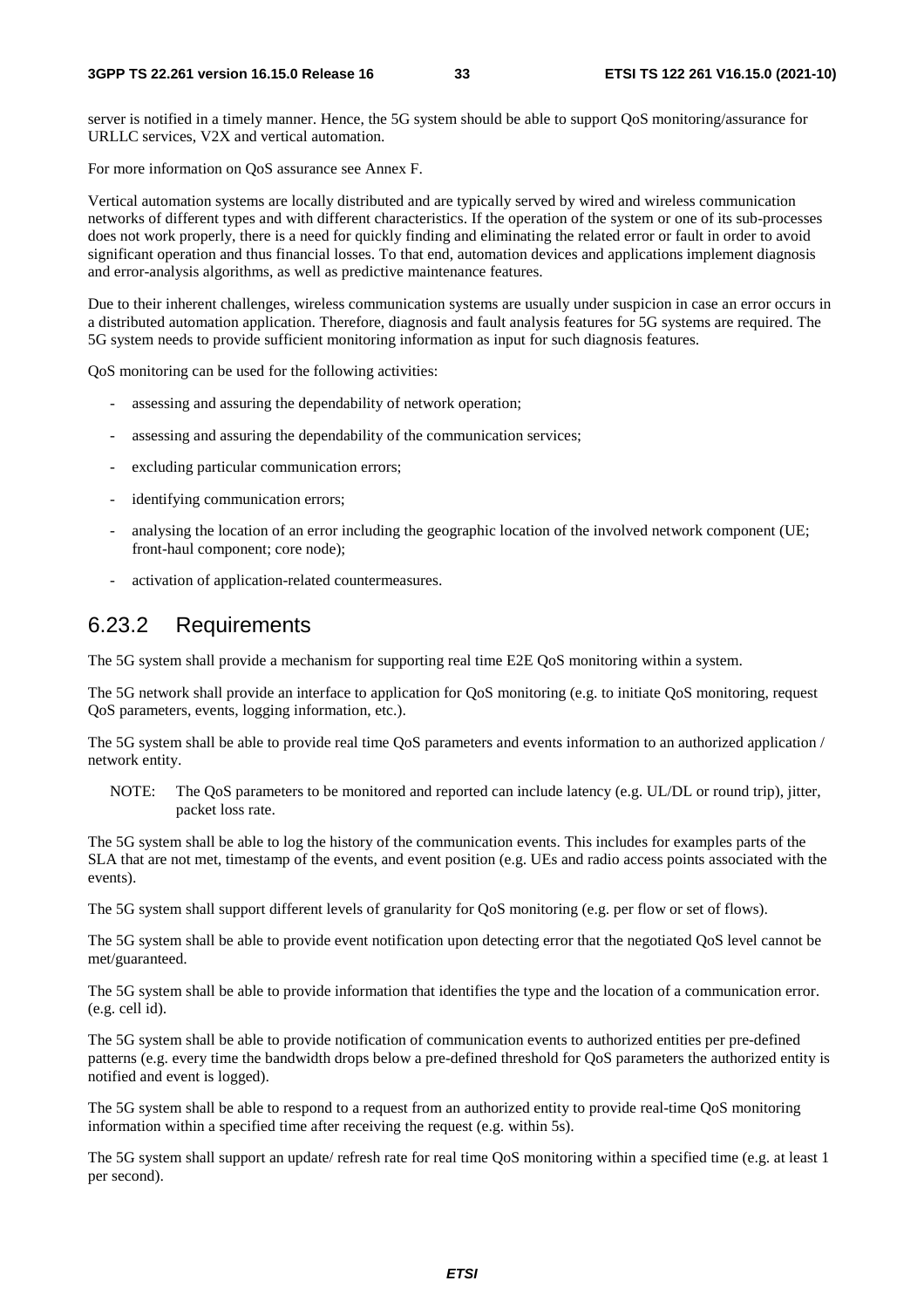server is notified in a timely manner. Hence, the 5G system should be able to support QoS monitoring/assurance for URLLC services, V2X and vertical automation.

For more information on QoS assurance see Annex F.

Vertical automation systems are locally distributed and are typically served by wired and wireless communication networks of different types and with different characteristics. If the operation of the system or one of its sub-processes does not work properly, there is a need for quickly finding and eliminating the related error or fault in order to avoid significant operation and thus financial losses. To that end, automation devices and applications implement diagnosis and error-analysis algorithms, as well as predictive maintenance features.

Due to their inherent challenges, wireless communication systems are usually under suspicion in case an error occurs in a distributed automation application. Therefore, diagnosis and fault analysis features for 5G systems are required. The 5G system needs to provide sufficient monitoring information as input for such diagnosis features.

QoS monitoring can be used for the following activities:

- assessing and assuring the dependability of network operation;
- assessing and assuring the dependability of the communication services;
- excluding particular communication errors;
- identifying communication errors;
- analysing the location of an error including the geographic location of the involved network component (UE; front-haul component; core node);
- activation of application-related countermeasures.

#### 6.23.2 Requirements

The 5G system shall provide a mechanism for supporting real time E2E QoS monitoring within a system.

The 5G network shall provide an interface to application for QoS monitoring (e.g. to initiate QoS monitoring, request QoS parameters, events, logging information, etc.).

The 5G system shall be able to provide real time QoS parameters and events information to an authorized application / network entity.

NOTE: The QoS parameters to be monitored and reported can include latency (e.g. UL/DL or round trip), jitter, packet loss rate.

The 5G system shall be able to log the history of the communication events. This includes for examples parts of the SLA that are not met, timestamp of the events, and event position (e.g. UEs and radio access points associated with the events).

The 5G system shall support different levels of granularity for QoS monitoring (e.g. per flow or set of flows).

The 5G system shall be able to provide event notification upon detecting error that the negotiated QoS level cannot be met/guaranteed.

The 5G system shall be able to provide information that identifies the type and the location of a communication error. (e.g. cell id).

The 5G system shall be able to provide notification of communication events to authorized entities per pre-defined patterns (e.g. every time the bandwidth drops below a pre-defined threshold for QoS parameters the authorized entity is notified and event is logged).

The 5G system shall be able to respond to a request from an authorized entity to provide real-time QoS monitoring information within a specified time after receiving the request (e.g. within 5s).

The 5G system shall support an update/ refresh rate for real time QoS monitoring within a specified time (e.g. at least 1 per second).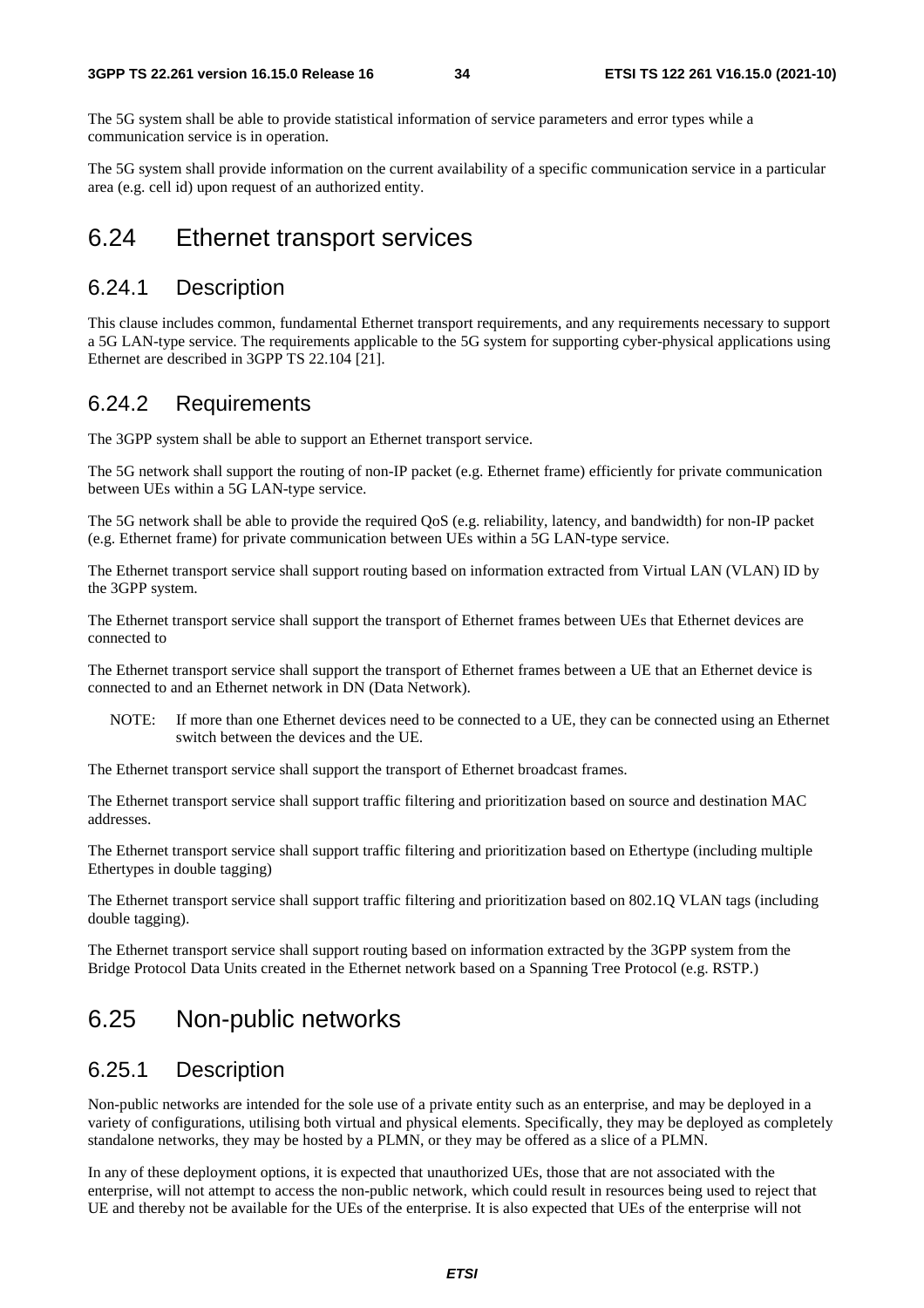The 5G system shall be able to provide statistical information of service parameters and error types while a communication service is in operation.

The 5G system shall provide information on the current availability of a specific communication service in a particular area (e.g. cell id) upon request of an authorized entity.

### 6.24 Ethernet transport services

#### 6.24.1 Description

This clause includes common, fundamental Ethernet transport requirements, and any requirements necessary to support a 5G LAN-type service. The requirements applicable to the 5G system for supporting cyber-physical applications using Ethernet are described in 3GPP TS 22.104 [21].

#### 6.24.2 Requirements

The 3GPP system shall be able to support an Ethernet transport service.

The 5G network shall support the routing of non-IP packet (e.g. Ethernet frame) efficiently for private communication between UEs within a 5G LAN-type service.

The 5G network shall be able to provide the required QoS (e.g. reliability, latency, and bandwidth) for non-IP packet (e.g. Ethernet frame) for private communication between UEs within a 5G LAN-type service.

The Ethernet transport service shall support routing based on information extracted from Virtual LAN (VLAN) ID by the 3GPP system.

The Ethernet transport service shall support the transport of Ethernet frames between UEs that Ethernet devices are connected to

The Ethernet transport service shall support the transport of Ethernet frames between a UE that an Ethernet device is connected to and an Ethernet network in DN (Data Network).

NOTE: If more than one Ethernet devices need to be connected to a UE, they can be connected using an Ethernet switch between the devices and the UE.

The Ethernet transport service shall support the transport of Ethernet broadcast frames.

The Ethernet transport service shall support traffic filtering and prioritization based on source and destination MAC addresses.

The Ethernet transport service shall support traffic filtering and prioritization based on Ethertype (including multiple Ethertypes in double tagging)

The Ethernet transport service shall support traffic filtering and prioritization based on 802.1Q VLAN tags (including double tagging).

The Ethernet transport service shall support routing based on information extracted by the 3GPP system from the Bridge Protocol Data Units created in the Ethernet network based on a Spanning Tree Protocol (e.g. RSTP.)

## 6.25 Non-public networks

#### 6.25.1 Description

Non-public networks are intended for the sole use of a private entity such as an enterprise, and may be deployed in a variety of configurations, utilising both virtual and physical elements. Specifically, they may be deployed as completely standalone networks, they may be hosted by a PLMN, or they may be offered as a slice of a PLMN.

In any of these deployment options, it is expected that unauthorized UEs, those that are not associated with the enterprise, will not attempt to access the non-public network, which could result in resources being used to reject that UE and thereby not be available for the UEs of the enterprise. It is also expected that UEs of the enterprise will not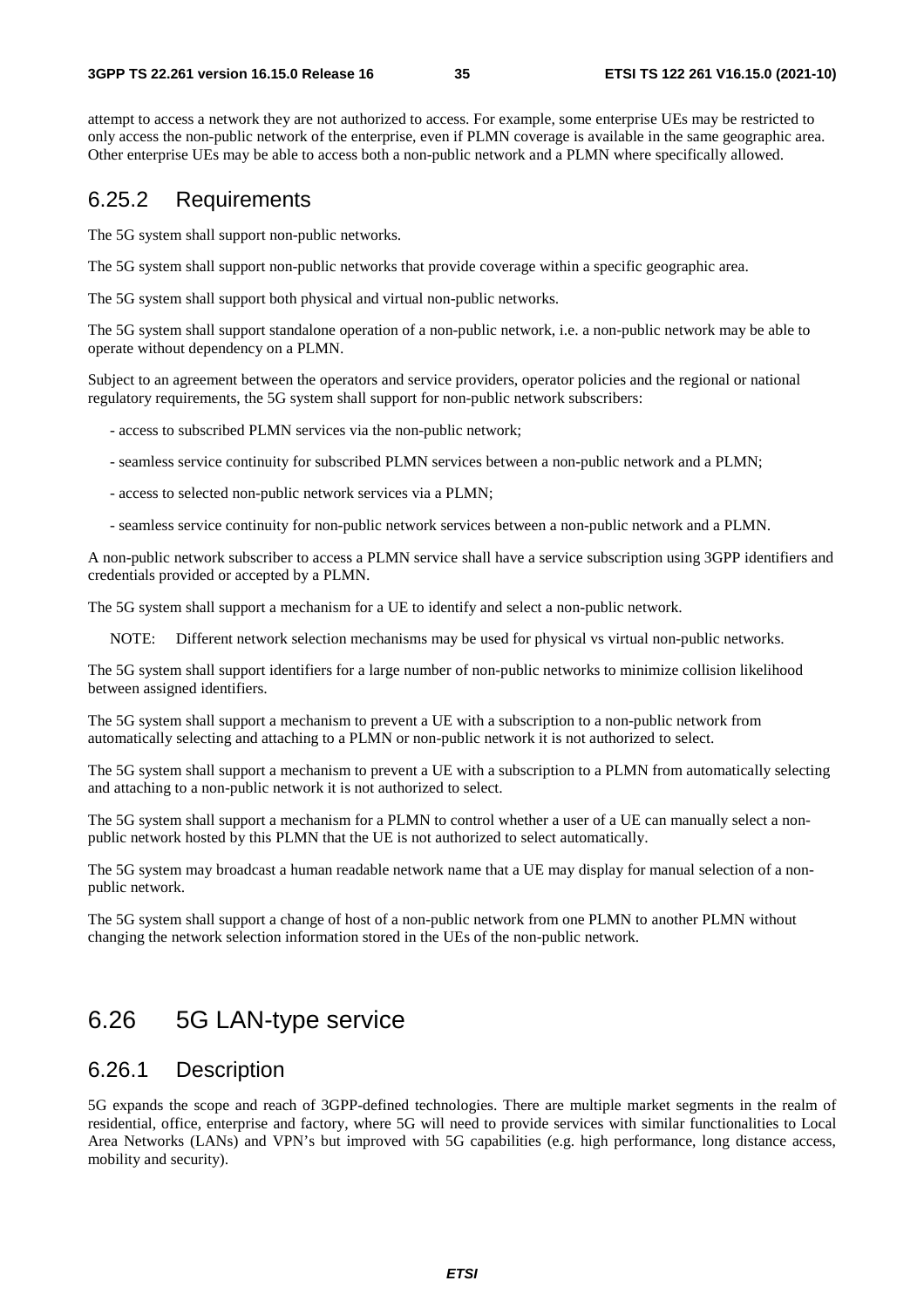attempt to access a network they are not authorized to access. For example, some enterprise UEs may be restricted to only access the non-public network of the enterprise, even if PLMN coverage is available in the same geographic area. Other enterprise UEs may be able to access both a non-public network and a PLMN where specifically allowed.

#### 6.25.2 Requirements

The 5G system shall support non-public networks.

The 5G system shall support non-public networks that provide coverage within a specific geographic area.

The 5G system shall support both physical and virtual non-public networks.

The 5G system shall support standalone operation of a non-public network, i.e. a non-public network may be able to operate without dependency on a PLMN.

Subject to an agreement between the operators and service providers, operator policies and the regional or national regulatory requirements, the 5G system shall support for non-public network subscribers:

- access to subscribed PLMN services via the non-public network;

- seamless service continuity for subscribed PLMN services between a non-public network and a PLMN;
- access to selected non-public network services via a PLMN;
- seamless service continuity for non-public network services between a non-public network and a PLMN.

A non-public network subscriber to access a PLMN service shall have a service subscription using 3GPP identifiers and credentials provided or accepted by a PLMN.

The 5G system shall support a mechanism for a UE to identify and select a non-public network.

NOTE: Different network selection mechanisms may be used for physical vs virtual non-public networks.

The 5G system shall support identifiers for a large number of non-public networks to minimize collision likelihood between assigned identifiers.

The 5G system shall support a mechanism to prevent a UE with a subscription to a non-public network from automatically selecting and attaching to a PLMN or non-public network it is not authorized to select.

The 5G system shall support a mechanism to prevent a UE with a subscription to a PLMN from automatically selecting and attaching to a non-public network it is not authorized to select.

The 5G system shall support a mechanism for a PLMN to control whether a user of a UE can manually select a nonpublic network hosted by this PLMN that the UE is not authorized to select automatically.

The 5G system may broadcast a human readable network name that a UE may display for manual selection of a nonpublic network.

The 5G system shall support a change of host of a non-public network from one PLMN to another PLMN without changing the network selection information stored in the UEs of the non-public network.

### 6.26 5G LAN-type service

#### 6.26.1 Description

5G expands the scope and reach of 3GPP-defined technologies. There are multiple market segments in the realm of residential, office, enterprise and factory, where 5G will need to provide services with similar functionalities to Local Area Networks (LANs) and VPN's but improved with 5G capabilities (e.g. high performance, long distance access, mobility and security).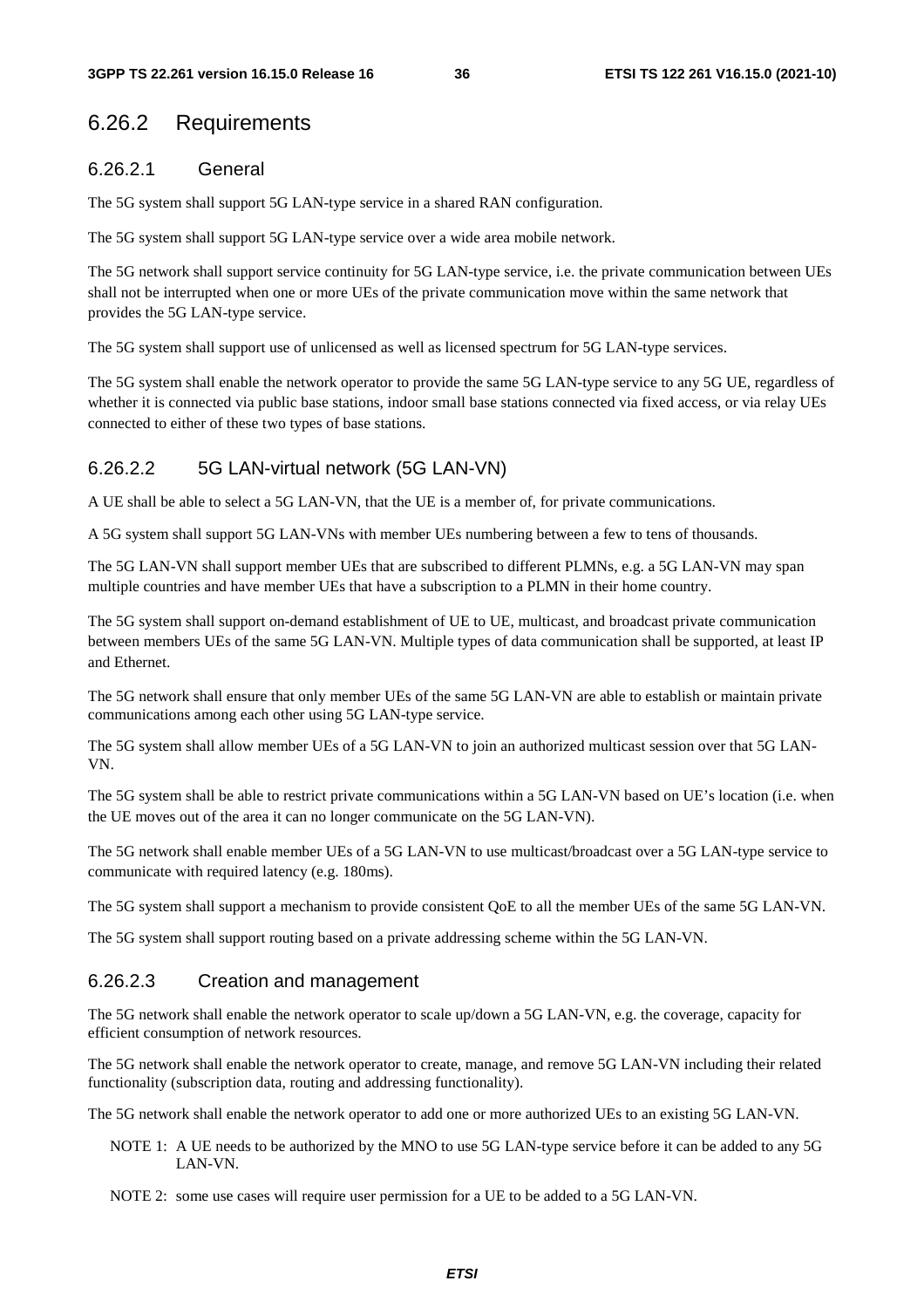### 6.26.2 Requirements

#### 6.26.2.1 General

The 5G system shall support 5G LAN-type service in a shared RAN configuration.

The 5G system shall support 5G LAN-type service over a wide area mobile network.

The 5G network shall support service continuity for 5G LAN-type service, i.e. the private communication between UEs shall not be interrupted when one or more UEs of the private communication move within the same network that provides the 5G LAN-type service.

The 5G system shall support use of unlicensed as well as licensed spectrum for 5G LAN-type services.

The 5G system shall enable the network operator to provide the same 5G LAN-type service to any 5G UE, regardless of whether it is connected via public base stations, indoor small base stations connected via fixed access, or via relay UEs connected to either of these two types of base stations.

### 6.26.2.2 5G LAN-virtual network (5G LAN-VN)

A UE shall be able to select a 5G LAN-VN, that the UE is a member of, for private communications.

A 5G system shall support 5G LAN-VNs with member UEs numbering between a few to tens of thousands.

The 5G LAN-VN shall support member UEs that are subscribed to different PLMNs, e.g. a 5G LAN-VN may span multiple countries and have member UEs that have a subscription to a PLMN in their home country.

The 5G system shall support on-demand establishment of UE to UE, multicast, and broadcast private communication between members UEs of the same 5G LAN-VN. Multiple types of data communication shall be supported, at least IP and Ethernet.

The 5G network shall ensure that only member UEs of the same 5G LAN-VN are able to establish or maintain private communications among each other using 5G LAN-type service.

The 5G system shall allow member UEs of a 5G LAN-VN to join an authorized multicast session over that 5G LAN-VN.

The 5G system shall be able to restrict private communications within a 5G LAN-VN based on UE's location (i.e. when the UE moves out of the area it can no longer communicate on the 5G LAN-VN).

The 5G network shall enable member UEs of a 5G LAN-VN to use multicast/broadcast over a 5G LAN-type service to communicate with required latency (e.g. 180ms).

The 5G system shall support a mechanism to provide consistent QoE to all the member UEs of the same 5G LAN-VN.

The 5G system shall support routing based on a private addressing scheme within the 5G LAN-VN.

### 6.26.2.3 Creation and management

The 5G network shall enable the network operator to scale up/down a 5G LAN-VN, e.g. the coverage, capacity for efficient consumption of network resources.

The 5G network shall enable the network operator to create, manage, and remove 5G LAN-VN including their related functionality (subscription data, routing and addressing functionality).

The 5G network shall enable the network operator to add one or more authorized UEs to an existing 5G LAN-VN.

NOTE 1: A UE needs to be authorized by the MNO to use 5G LAN-type service before it can be added to any 5G LAN-VN.

NOTE 2: some use cases will require user permission for a UE to be added to a 5G LAN-VN.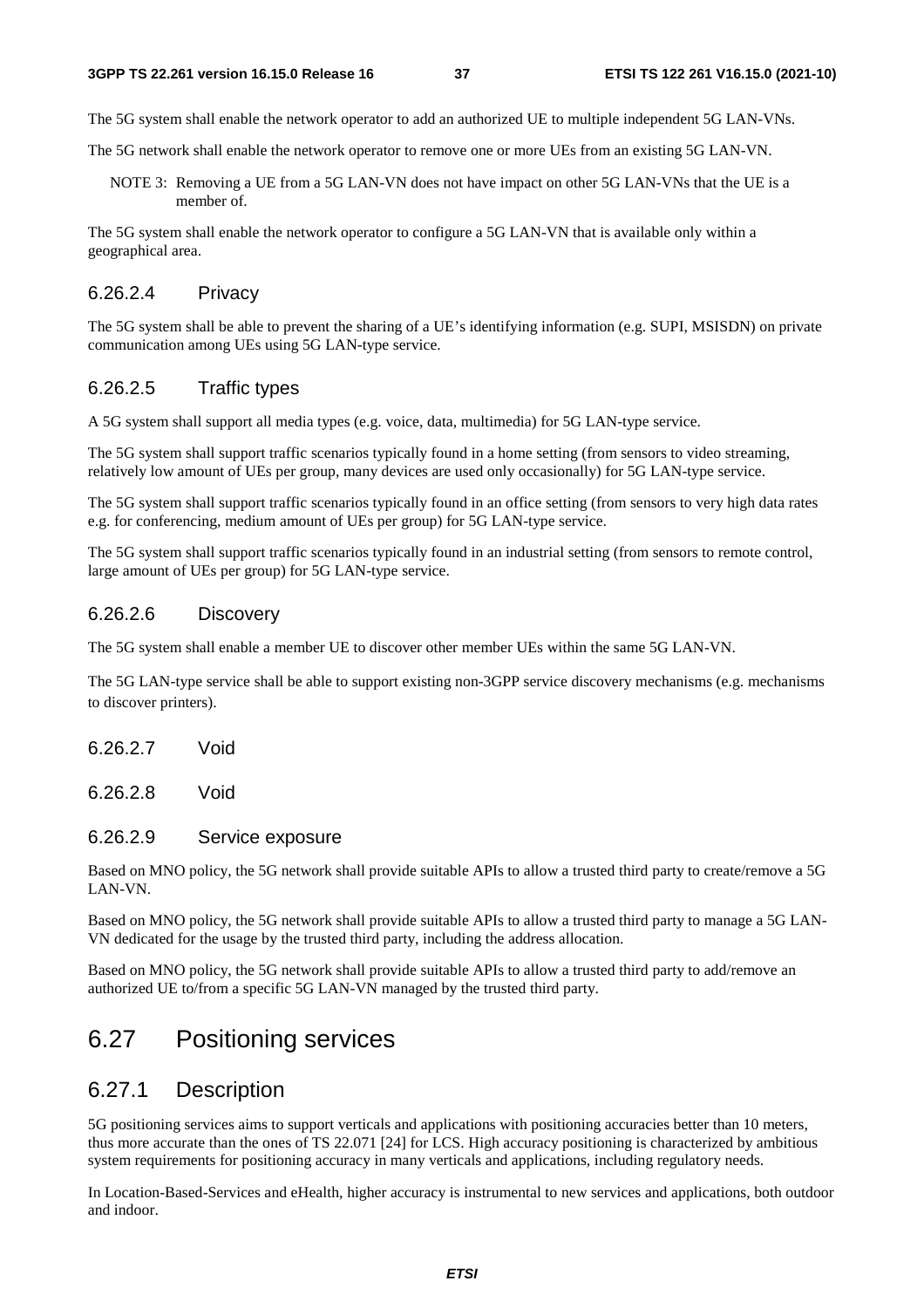The 5G system shall enable the network operator to add an authorized UE to multiple independent 5G LAN-VNs.

The 5G network shall enable the network operator to remove one or more UEs from an existing 5G LAN-VN.

NOTE 3: Removing a UE from a 5G LAN-VN does not have impact on other 5G LAN-VNs that the UE is a member of.

The 5G system shall enable the network operator to configure a 5G LAN-VN that is available only within a geographical area.

#### 6.26.2.4 Privacy

The 5G system shall be able to prevent the sharing of a UE's identifying information (e.g. SUPI, MSISDN) on private communication among UEs using 5G LAN-type service.

#### 6.26.2.5 Traffic types

A 5G system shall support all media types (e.g. voice, data, multimedia) for 5G LAN-type service.

The 5G system shall support traffic scenarios typically found in a home setting (from sensors to video streaming, relatively low amount of UEs per group, many devices are used only occasionally) for 5G LAN-type service.

The 5G system shall support traffic scenarios typically found in an office setting (from sensors to very high data rates e.g. for conferencing, medium amount of UEs per group) for 5G LAN-type service.

The 5G system shall support traffic scenarios typically found in an industrial setting (from sensors to remote control, large amount of UEs per group) for 5G LAN-type service.

#### 6.26.2.6 Discovery

The 5G system shall enable a member UE to discover other member UEs within the same 5G LAN-VN.

The 5G LAN-type service shall be able to support existing non-3GPP service discovery mechanisms (e.g. mechanisms to discover printers).

6.26.2.7 Void

6.26.2.8 Void

#### 6.26.2.9 Service exposure

Based on MNO policy, the 5G network shall provide suitable APIs to allow a trusted third party to create/remove a 5G LAN-VN.

Based on MNO policy, the 5G network shall provide suitable APIs to allow a trusted third party to manage a 5G LAN-VN dedicated for the usage by the trusted third party, including the address allocation.

Based on MNO policy, the 5G network shall provide suitable APIs to allow a trusted third party to add/remove an authorized UE to/from a specific 5G LAN-VN managed by the trusted third party.

# 6.27 Positioning services

### 6.27.1 Description

5G positioning services aims to support verticals and applications with positioning accuracies better than 10 meters, thus more accurate than the ones of TS 22.071 [24] for LCS. High accuracy positioning is characterized by ambitious system requirements for positioning accuracy in many verticals and applications, including regulatory needs.

In Location-Based-Services and eHealth, higher accuracy is instrumental to new services and applications, both outdoor and indoor.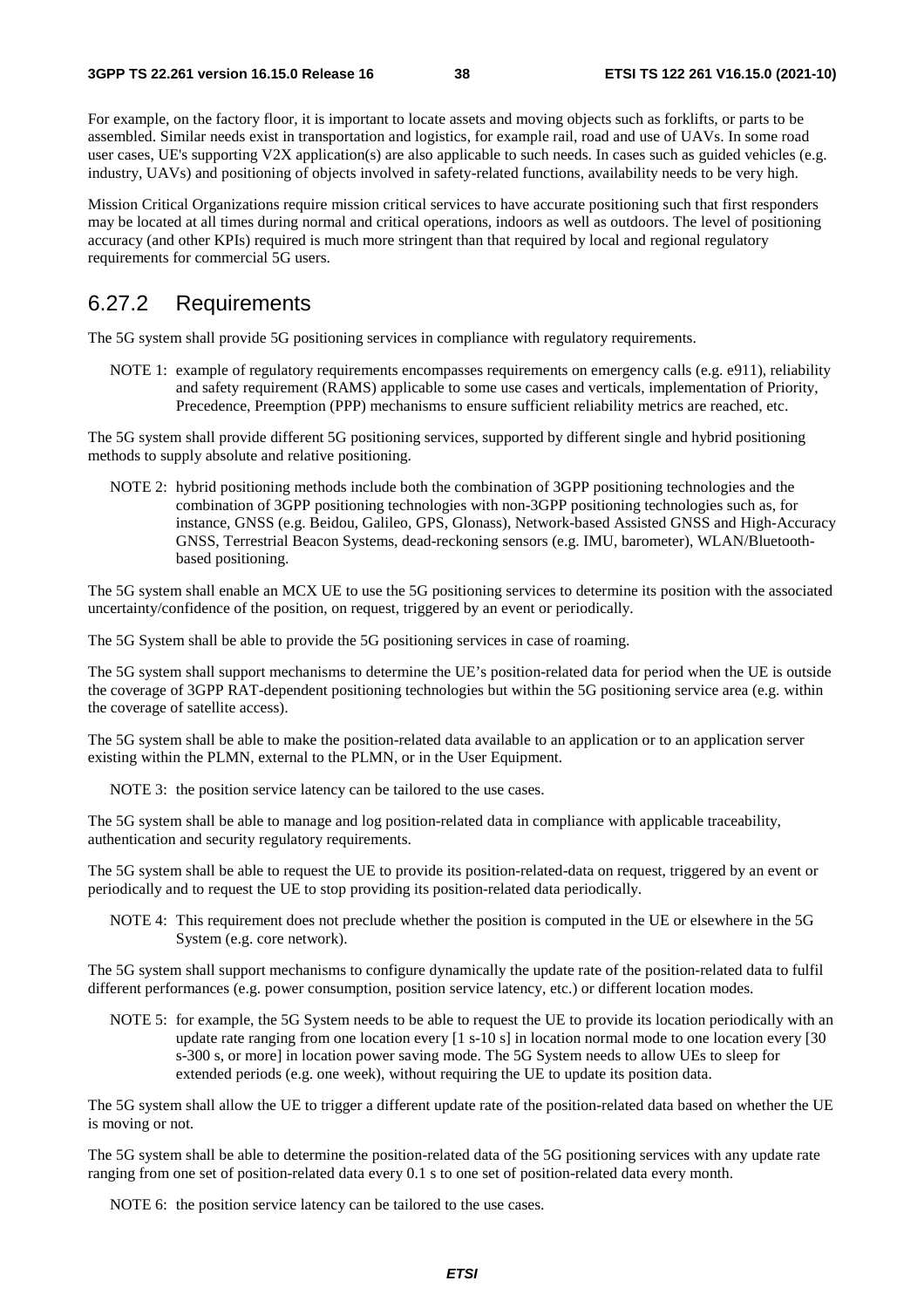For example, on the factory floor, it is important to locate assets and moving objects such as forklifts, or parts to be assembled. Similar needs exist in transportation and logistics, for example rail, road and use of UAVs. In some road user cases, UE's supporting V2X application(s) are also applicable to such needs. In cases such as guided vehicles (e.g. industry, UAVs) and positioning of objects involved in safety-related functions, availability needs to be very high.

Mission Critical Organizations require mission critical services to have accurate positioning such that first responders may be located at all times during normal and critical operations, indoors as well as outdoors. The level of positioning accuracy (and other KPIs) required is much more stringent than that required by local and regional regulatory requirements for commercial 5G users.

### 6.27.2 Requirements

The 5G system shall provide 5G positioning services in compliance with regulatory requirements.

NOTE 1: example of regulatory requirements encompasses requirements on emergency calls (e.g. e911), reliability and safety requirement (RAMS) applicable to some use cases and verticals, implementation of Priority, Precedence, Preemption (PPP) mechanisms to ensure sufficient reliability metrics are reached, etc.

The 5G system shall provide different 5G positioning services, supported by different single and hybrid positioning methods to supply absolute and relative positioning.

NOTE 2: hybrid positioning methods include both the combination of 3GPP positioning technologies and the combination of 3GPP positioning technologies with non-3GPP positioning technologies such as, for instance, GNSS (e.g. Beidou, Galileo, GPS, Glonass), Network-based Assisted GNSS and High-Accuracy GNSS, Terrestrial Beacon Systems, dead-reckoning sensors (e.g. IMU, barometer), WLAN/Bluetoothbased positioning.

The 5G system shall enable an MCX UE to use the 5G positioning services to determine its position with the associated uncertainty/confidence of the position, on request, triggered by an event or periodically.

The 5G System shall be able to provide the 5G positioning services in case of roaming.

The 5G system shall support mechanisms to determine the UE's position-related data for period when the UE is outside the coverage of 3GPP RAT-dependent positioning technologies but within the 5G positioning service area (e.g. within the coverage of satellite access).

The 5G system shall be able to make the position-related data available to an application or to an application server existing within the PLMN, external to the PLMN, or in the User Equipment.

NOTE 3: the position service latency can be tailored to the use cases.

The 5G system shall be able to manage and log position-related data in compliance with applicable traceability, authentication and security regulatory requirements.

The 5G system shall be able to request the UE to provide its position-related-data on request, triggered by an event or periodically and to request the UE to stop providing its position-related data periodically.

NOTE 4: This requirement does not preclude whether the position is computed in the UE or elsewhere in the 5G System (e.g. core network).

The 5G system shall support mechanisms to configure dynamically the update rate of the position-related data to fulfil different performances (e.g. power consumption, position service latency, etc.) or different location modes.

NOTE 5: for example, the 5G System needs to be able to request the UE to provide its location periodically with an update rate ranging from one location every [1 s-10 s] in location normal mode to one location every [30 s-300 s, or more] in location power saving mode. The 5G System needs to allow UEs to sleep for extended periods (e.g. one week), without requiring the UE to update its position data.

The 5G system shall allow the UE to trigger a different update rate of the position-related data based on whether the UE is moving or not.

The 5G system shall be able to determine the position-related data of the 5G positioning services with any update rate ranging from one set of position-related data every 0.1 s to one set of position-related data every month.

NOTE 6: the position service latency can be tailored to the use cases.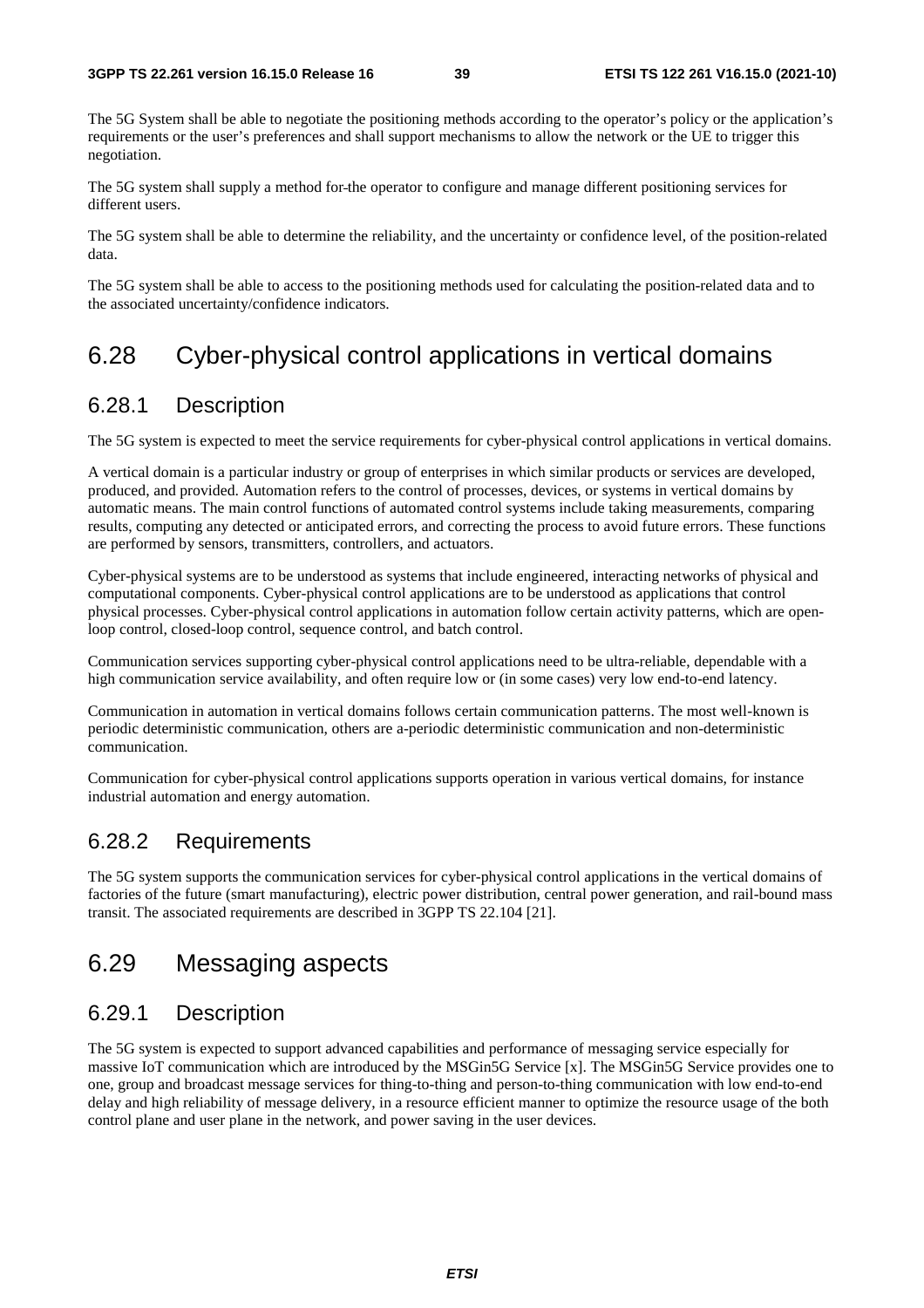The 5G System shall be able to negotiate the positioning methods according to the operator's policy or the application's requirements or the user's preferences and shall support mechanisms to allow the network or the UE to trigger this negotiation.

The 5G system shall supply a method for the operator to configure and manage different positioning services for different users.

The 5G system shall be able to determine the reliability, and the uncertainty or confidence level, of the position-related data.

The 5G system shall be able to access to the positioning methods used for calculating the position-related data and to the associated uncertainty/confidence indicators.

# 6.28 Cyber-physical control applications in vertical domains

### 6.28.1 Description

The 5G system is expected to meet the service requirements for cyber-physical control applications in vertical domains.

A vertical domain is a particular industry or group of enterprises in which similar products or services are developed, produced, and provided. Automation refers to the control of processes, devices, or systems in vertical domains by automatic means. The main control functions of automated control systems include taking measurements, comparing results, computing any detected or anticipated errors, and correcting the process to avoid future errors. These functions are performed by sensors, transmitters, controllers, and actuators.

Cyber-physical systems are to be understood as systems that include engineered, interacting networks of physical and computational components. Cyber-physical control applications are to be understood as applications that control physical processes. Cyber-physical control applications in automation follow certain activity patterns, which are openloop control, closed-loop control, sequence control, and batch control.

Communication services supporting cyber-physical control applications need to be ultra-reliable, dependable with a high communication service availability, and often require low or (in some cases) very low end-to-end latency.

Communication in automation in vertical domains follows certain communication patterns. The most well-known is periodic deterministic communication, others are a-periodic deterministic communication and non-deterministic communication.

Communication for cyber-physical control applications supports operation in various vertical domains, for instance industrial automation and energy automation.

### 6.28.2 Requirements

The 5G system supports the communication services for cyber-physical control applications in the vertical domains of factories of the future (smart manufacturing), electric power distribution, central power generation, and rail-bound mass transit. The associated requirements are described in 3GPP TS 22.104 [21].

# 6.29 Messaging aspects

### 6.29.1 Description

The 5G system is expected to support advanced capabilities and performance of messaging service especially for massive IoT communication which are introduced by the MSGin5G Service [x]. The MSGin5G Service provides one to one, group and broadcast message services for thing-to-thing and person-to-thing communication with low end-to-end delay and high reliability of message delivery, in a resource efficient manner to optimize the resource usage of the both control plane and user plane in the network, and power saving in the user devices.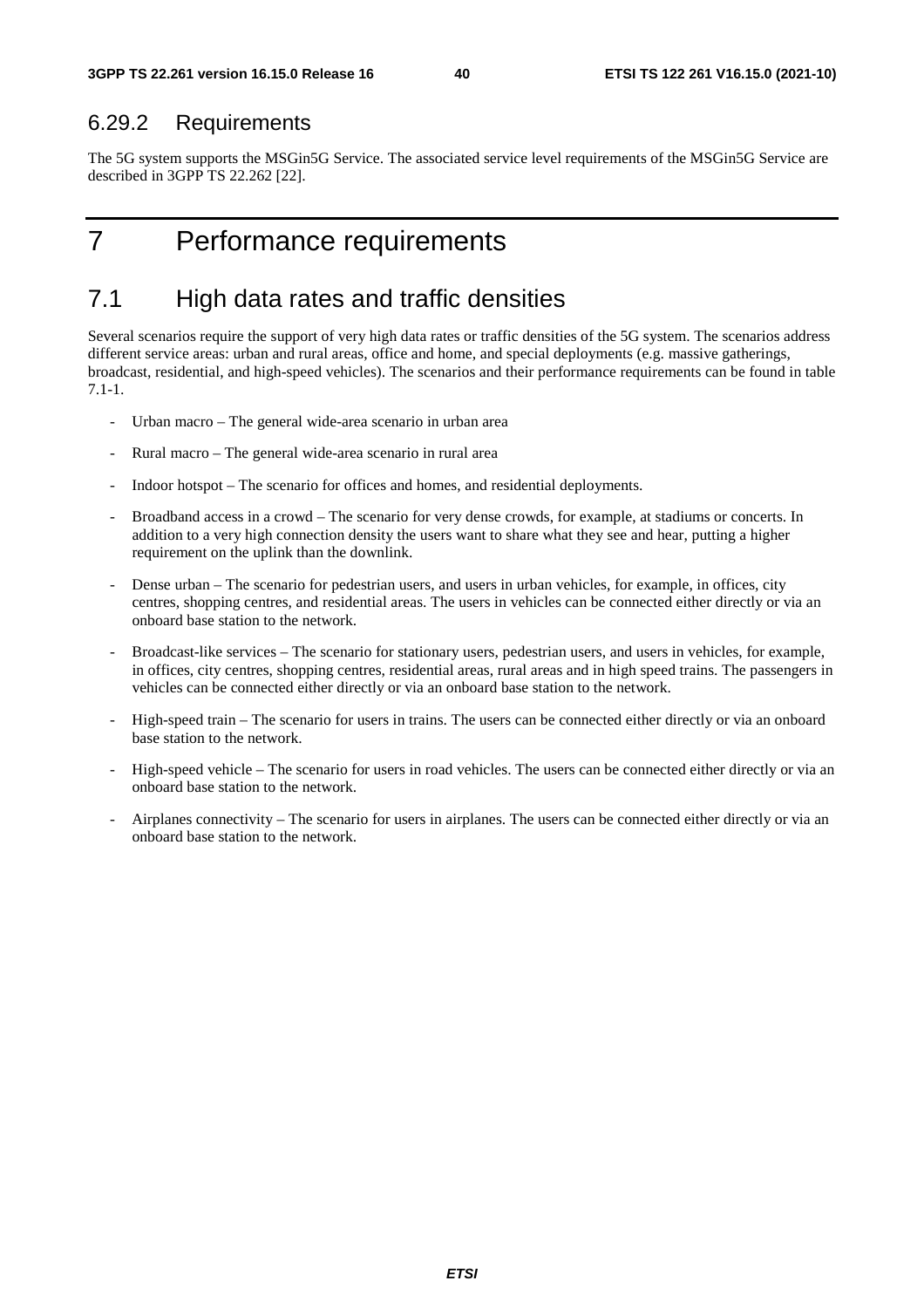### 6.29.2 Requirements

The 5G system supports the MSGin5G Service. The associated service level requirements of the MSGin5G Service are described in 3GPP TS 22.262 [22].

# 7 Performance requirements

# 7.1 High data rates and traffic densities

Several scenarios require the support of very high data rates or traffic densities of the 5G system. The scenarios address different service areas: urban and rural areas, office and home, and special deployments (e.g. massive gatherings, broadcast, residential, and high-speed vehicles). The scenarios and their performance requirements can be found in table 7.1-1.

- Urban macro The general wide-area scenario in urban area
- Rural macro The general wide-area scenario in rural area
- Indoor hotspot The scenario for offices and homes, and residential deployments.
- Broadband access in a crowd The scenario for very dense crowds, for example, at stadiums or concerts. In addition to a very high connection density the users want to share what they see and hear, putting a higher requirement on the uplink than the downlink.
- Dense urban The scenario for pedestrian users, and users in urban vehicles, for example, in offices, city centres, shopping centres, and residential areas. The users in vehicles can be connected either directly or via an onboard base station to the network.
- Broadcast-like services The scenario for stationary users, pedestrian users, and users in vehicles, for example, in offices, city centres, shopping centres, residential areas, rural areas and in high speed trains. The passengers in vehicles can be connected either directly or via an onboard base station to the network.
- High-speed train The scenario for users in trains. The users can be connected either directly or via an onboard base station to the network.
- High-speed vehicle The scenario for users in road vehicles. The users can be connected either directly or via an onboard base station to the network.
- Airplanes connectivity The scenario for users in airplanes. The users can be connected either directly or via an onboard base station to the network.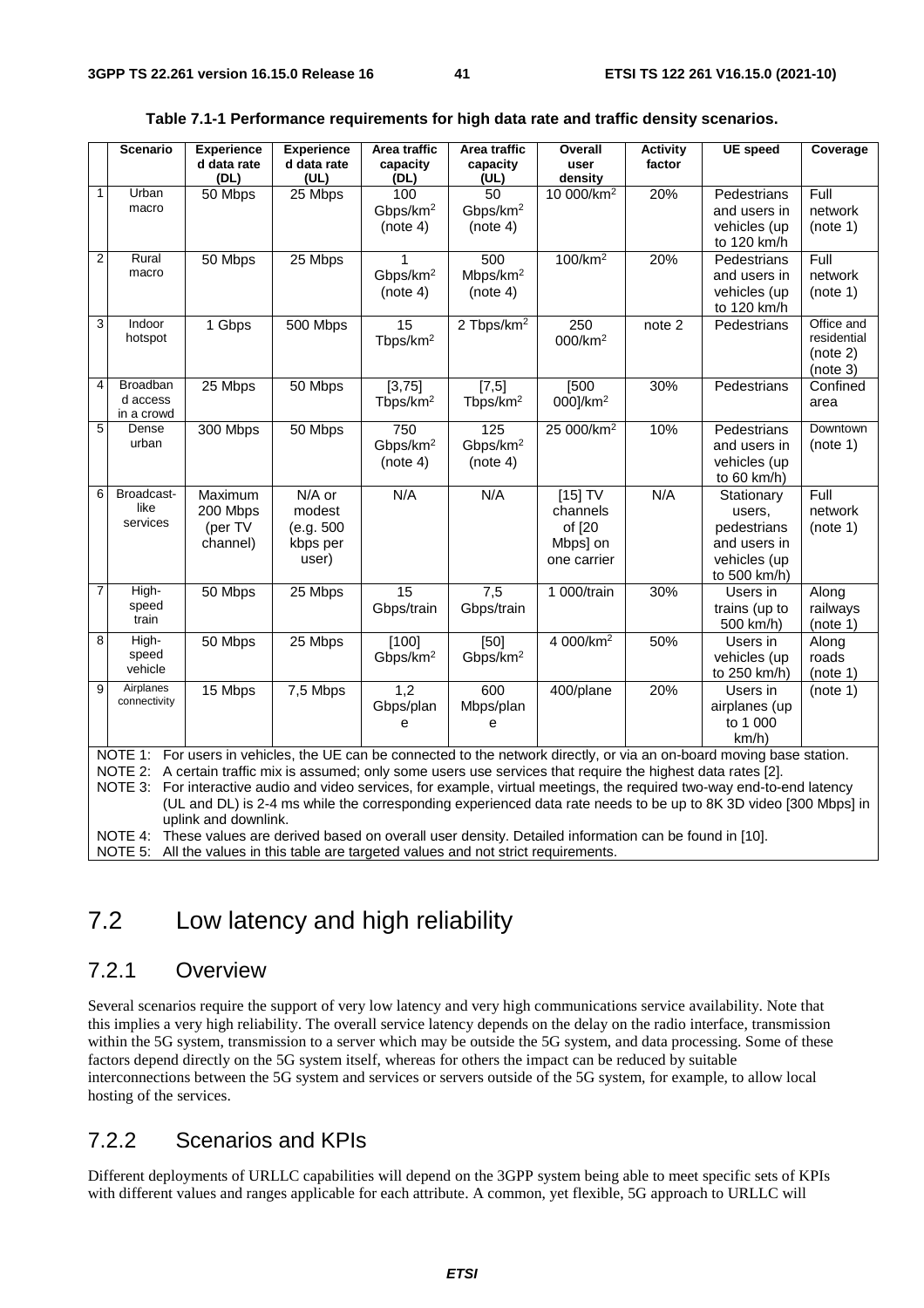|                         | <b>Scenario</b>   | <b>Experience</b><br>d data rate | <b>Experience</b><br>d data rate | Area traffic<br>capacity | Area traffic<br>capacity | Overall<br>user                                                                                                 | <b>Activity</b><br>factor | <b>UE</b> speed                                                                                                          | Coverage                  |
|-------------------------|-------------------|----------------------------------|----------------------------------|--------------------------|--------------------------|-----------------------------------------------------------------------------------------------------------------|---------------------------|--------------------------------------------------------------------------------------------------------------------------|---------------------------|
|                         |                   | (DL)                             | (UL)                             | (DL)                     | (UL)                     | density                                                                                                         |                           |                                                                                                                          |                           |
| $\mathbf{1}$            | Urban             | 50 Mbps                          | 25 Mbps                          | 100                      | 50                       | 10 000/km <sup>2</sup>                                                                                          | 20%                       | Pedestrians                                                                                                              | Full                      |
|                         | macro             |                                  |                                  | Gbps/km <sup>2</sup>     | Gbps/km <sup>2</sup>     |                                                                                                                 |                           | and users in                                                                                                             | network                   |
|                         |                   |                                  |                                  | (note 4)                 | (note 4)                 |                                                                                                                 |                           | vehicles (up                                                                                                             | (note 1)                  |
|                         |                   |                                  |                                  |                          |                          |                                                                                                                 |                           | to 120 km/h                                                                                                              |                           |
| $\overline{\mathbf{c}}$ | Rural             | 50 Mbps                          | 25 Mbps                          |                          | 500                      | 100/km <sup>2</sup>                                                                                             | 20%                       | Pedestrians                                                                                                              | Full                      |
|                         | macro             |                                  |                                  | Gbps/km <sup>2</sup>     | Mbps/km <sup>2</sup>     |                                                                                                                 |                           | and users in                                                                                                             | network                   |
|                         |                   |                                  |                                  | (note 4)                 | (note 4)                 |                                                                                                                 |                           | vehicles (up                                                                                                             | (note 1)                  |
|                         |                   |                                  |                                  |                          |                          |                                                                                                                 |                           | to 120 km/h                                                                                                              |                           |
| 3                       | Indoor<br>hotspot | 1 Gbps                           | 500 Mbps                         | 15                       | 2 Tbps/km <sup>2</sup>   | $\overline{250}$                                                                                                | note <sub>2</sub>         | Pedestrians                                                                                                              | Office and<br>residential |
|                         |                   |                                  |                                  | Tbps/km <sup>2</sup>     |                          | 000/km <sup>2</sup>                                                                                             |                           |                                                                                                                          | (note 2)                  |
|                         |                   |                                  |                                  |                          |                          |                                                                                                                 |                           |                                                                                                                          | (note 3)                  |
| 4                       | Broadban          | 25 Mbps                          | 50 Mbps                          | [3, 75]                  | $[7,5]$                  | [500]                                                                                                           | 30%                       | Pedestrians                                                                                                              | Confined                  |
|                         | d access          |                                  |                                  | Tbps/km <sup>2</sup>     | Tbps/km $2$              | 000]/km <sup>2</sup>                                                                                            |                           |                                                                                                                          | area                      |
|                         | in a crowd        |                                  |                                  |                          |                          |                                                                                                                 |                           |                                                                                                                          |                           |
| 5                       | Dense<br>urban    | 300 Mbps                         | 50 Mbps                          | 750                      | 125                      | 25 000/km <sup>2</sup>                                                                                          | 10%                       | Pedestrians                                                                                                              | Downtown                  |
|                         |                   |                                  |                                  | Gbps/km <sup>2</sup>     | Gbps/km <sup>2</sup>     |                                                                                                                 |                           | and users in                                                                                                             | (note 1)                  |
|                         |                   |                                  |                                  | (note 4)                 | (note 4)                 |                                                                                                                 |                           | vehicles (up                                                                                                             |                           |
| 6                       | Broadcast-        | Maximum                          | N/A or                           | N/A                      | N/A                      | $[15]$ TV                                                                                                       | N/A                       | to 60 km/h)<br>Stationary                                                                                                | Full                      |
|                         | like              | 200 Mbps                         | modest                           |                          |                          | channels                                                                                                        |                           |                                                                                                                          | network                   |
|                         | services          | (per TV                          | (e.g. 500)                       |                          |                          | of [20                                                                                                          |                           | users,                                                                                                                   | (note 1)                  |
|                         |                   | channel)                         | kbps per                         |                          |                          | Mbps] on                                                                                                        |                           | pedestrians<br>and users in                                                                                              |                           |
|                         |                   |                                  | user)                            |                          |                          | one carrier                                                                                                     |                           | vehicles (up                                                                                                             |                           |
|                         |                   |                                  |                                  |                          |                          |                                                                                                                 |                           | to 500 km/h)                                                                                                             |                           |
| $\overline{7}$          | High-             | 50 Mbps                          | 25 Mbps                          | $\overline{15}$          | 7,5                      | 1 000/train                                                                                                     | 30%                       | Users in                                                                                                                 | Along                     |
|                         | speed             |                                  |                                  | Gbps/train               | Gbps/train               |                                                                                                                 |                           | trains (up to                                                                                                            | railways                  |
|                         | train             |                                  |                                  |                          |                          |                                                                                                                 |                           | 500 km/h)                                                                                                                | (note 1)                  |
| 8                       | High-             | 50 Mbps                          | 25 Mbps                          | [100]                    | [50]                     | 4 000/km <sup>2</sup>                                                                                           | 50%                       | Users in                                                                                                                 | Along                     |
|                         | speed             |                                  |                                  | Gbps/km <sup>2</sup>     | Gbps/km <sup>2</sup>     |                                                                                                                 |                           | vehicles (up                                                                                                             | roads                     |
|                         | vehicle           |                                  |                                  |                          |                          |                                                                                                                 |                           | to 250 km/h)                                                                                                             | (note 1)                  |
| 9                       | Airplanes         | 15 Mbps                          | 7,5 Mbps                         | 1,2                      | 600                      | 400/plane                                                                                                       | 20%                       | Users in                                                                                                                 | (note 1)                  |
|                         | connectivity      |                                  |                                  | Gbps/plan                | Mbps/plan                |                                                                                                                 |                           | airplanes (up                                                                                                            |                           |
|                         |                   |                                  |                                  | е                        | е                        |                                                                                                                 |                           | to 1 000                                                                                                                 |                           |
|                         |                   |                                  |                                  |                          |                          |                                                                                                                 |                           | km/h)                                                                                                                    |                           |
|                         |                   |                                  |                                  |                          |                          |                                                                                                                 |                           | NOTE 1: For users in vehicles, the UE can be connected to the network directly, or via an on-board moving base station.  |                           |
|                         |                   |                                  |                                  |                          |                          | NOTE 2: A certain traffic mix is assumed; only some users use services that require the highest data rates [2]. |                           |                                                                                                                          |                           |
|                         |                   |                                  |                                  |                          |                          |                                                                                                                 |                           | NOTE 3: For interactive audio and video services, for example, virtual meetings, the required two-way end-to-end latency |                           |
|                         |                   |                                  |                                  |                          |                          |                                                                                                                 |                           | (UL and DL) is 2-4 ms while the corresponding experienced data rate needs to be up to 8K 3D video [300 Mbps] in          |                           |
|                         |                   | uplink and downlink.             |                                  |                          |                          |                                                                                                                 |                           |                                                                                                                          |                           |
|                         |                   |                                  |                                  |                          |                          | NOTE 4: These values are derived based on overall user density. Detailed information can be found in [10].      |                           |                                                                                                                          |                           |

NOTE 5: All the values in this table are targeted values and not strict requirements.

# 7.2 Low latency and high reliability

### 7.2.1 Overview

Several scenarios require the support of very low latency and very high communications service availability. Note that this implies a very high reliability. The overall service latency depends on the delay on the radio interface, transmission within the 5G system, transmission to a server which may be outside the 5G system, and data processing. Some of these factors depend directly on the 5G system itself, whereas for others the impact can be reduced by suitable interconnections between the 5G system and services or servers outside of the 5G system, for example, to allow local hosting of the services.

### 7.2.2 Scenarios and KPIs

Different deployments of URLLC capabilities will depend on the 3GPP system being able to meet specific sets of KPIs with different values and ranges applicable for each attribute. A common, yet flexible, 5G approach to URLLC will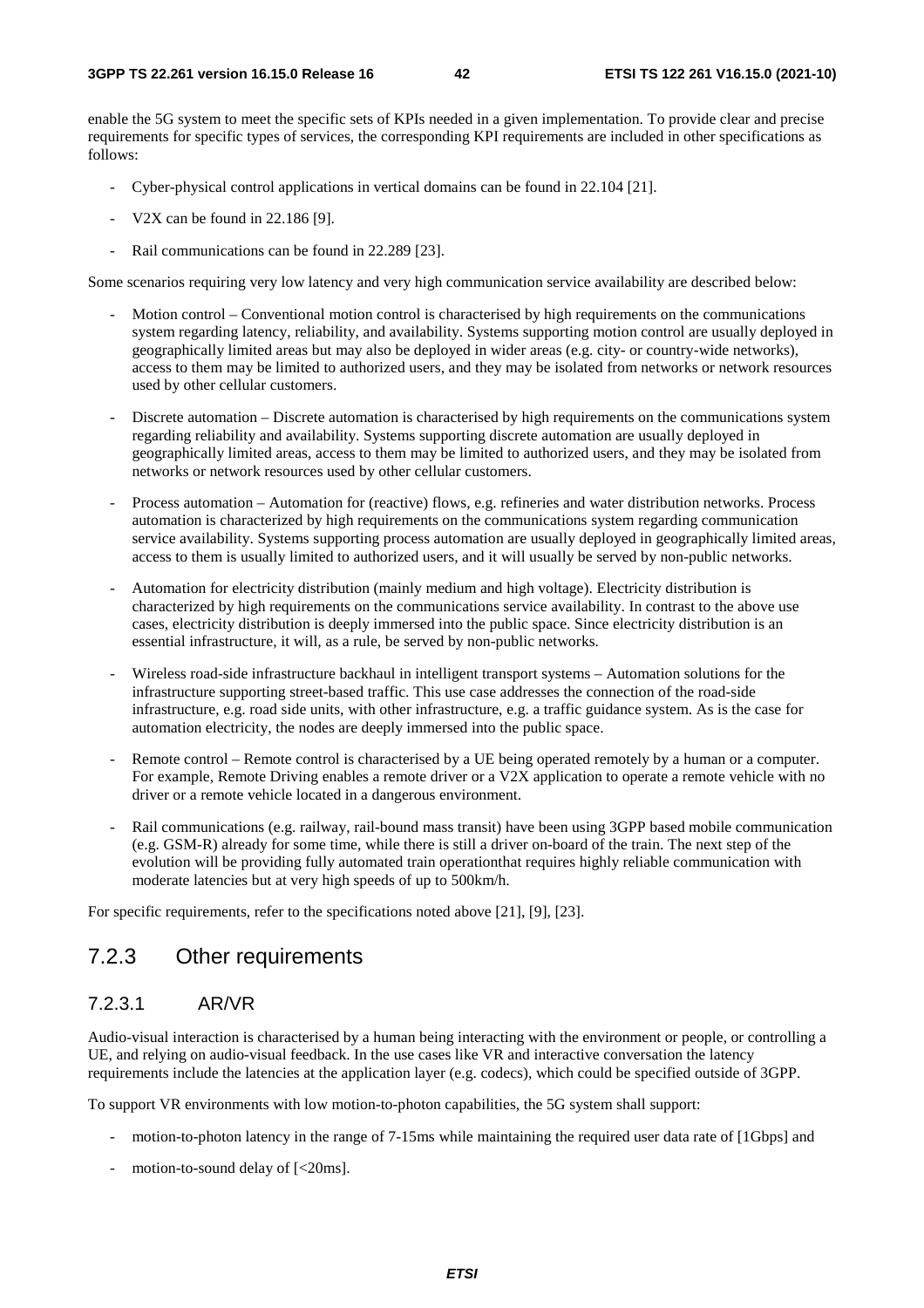enable the 5G system to meet the specific sets of KPIs needed in a given implementation. To provide clear and precise requirements for specific types of services, the corresponding KPI requirements are included in other specifications as follows:

- Cyber-physical control applications in vertical domains can be found in 22.104 [21].
- V2X can be found in 22.186 [9].
- Rail communications can be found in 22.289 [23].

Some scenarios requiring very low latency and very high communication service availability are described below:

- Motion control Conventional motion control is characterised by high requirements on the communications system regarding latency, reliability, and availability. Systems supporting motion control are usually deployed in geographically limited areas but may also be deployed in wider areas (e.g. city- or country-wide networks), access to them may be limited to authorized users, and they may be isolated from networks or network resources used by other cellular customers.
- Discrete automation Discrete automation is characterised by high requirements on the communications system regarding reliability and availability. Systems supporting discrete automation are usually deployed in geographically limited areas, access to them may be limited to authorized users, and they may be isolated from networks or network resources used by other cellular customers.
- Process automation Automation for (reactive) flows, e.g. refineries and water distribution networks. Process automation is characterized by high requirements on the communications system regarding communication service availability. Systems supporting process automation are usually deployed in geographically limited areas, access to them is usually limited to authorized users, and it will usually be served by non-public networks.
- Automation for electricity distribution (mainly medium and high voltage). Electricity distribution is characterized by high requirements on the communications service availability. In contrast to the above use cases, electricity distribution is deeply immersed into the public space. Since electricity distribution is an essential infrastructure, it will, as a rule, be served by non-public networks.
- Wireless road-side infrastructure backhaul in intelligent transport systems Automation solutions for the infrastructure supporting street-based traffic. This use case addresses the connection of the road-side infrastructure, e.g. road side units, with other infrastructure, e.g. a traffic guidance system. As is the case for automation electricity, the nodes are deeply immersed into the public space.
- Remote control Remote control is characterised by a UE being operated remotely by a human or a computer. For example, Remote Driving enables a remote driver or a V2X application to operate a remote vehicle with no driver or a remote vehicle located in a dangerous environment.
- Rail communications (e.g. railway, rail-bound mass transit) have been using 3GPP based mobile communication (e.g. GSM-R) already for some time, while there is still a driver on-board of the train. The next step of the evolution will be providing fully automated train operationthat requires highly reliable communication with moderate latencies but at very high speeds of up to 500km/h.

For specific requirements, refer to the specifications noted above [21], [9], [23].

### 7.2.3 Other requirements

### 7.2.3.1 AR/VR

Audio-visual interaction is characterised by a human being interacting with the environment or people, or controlling a UE, and relying on audio-visual feedback. In the use cases like VR and interactive conversation the latency requirements include the latencies at the application layer (e.g. codecs), which could be specified outside of 3GPP.

To support VR environments with low motion-to-photon capabilities, the 5G system shall support:

- motion-to-photon latency in the range of 7-15ms while maintaining the required user data rate of [1Gbps] and
- motion-to-sound delay of  $\left[ < 20 \text{ms} \right]$ .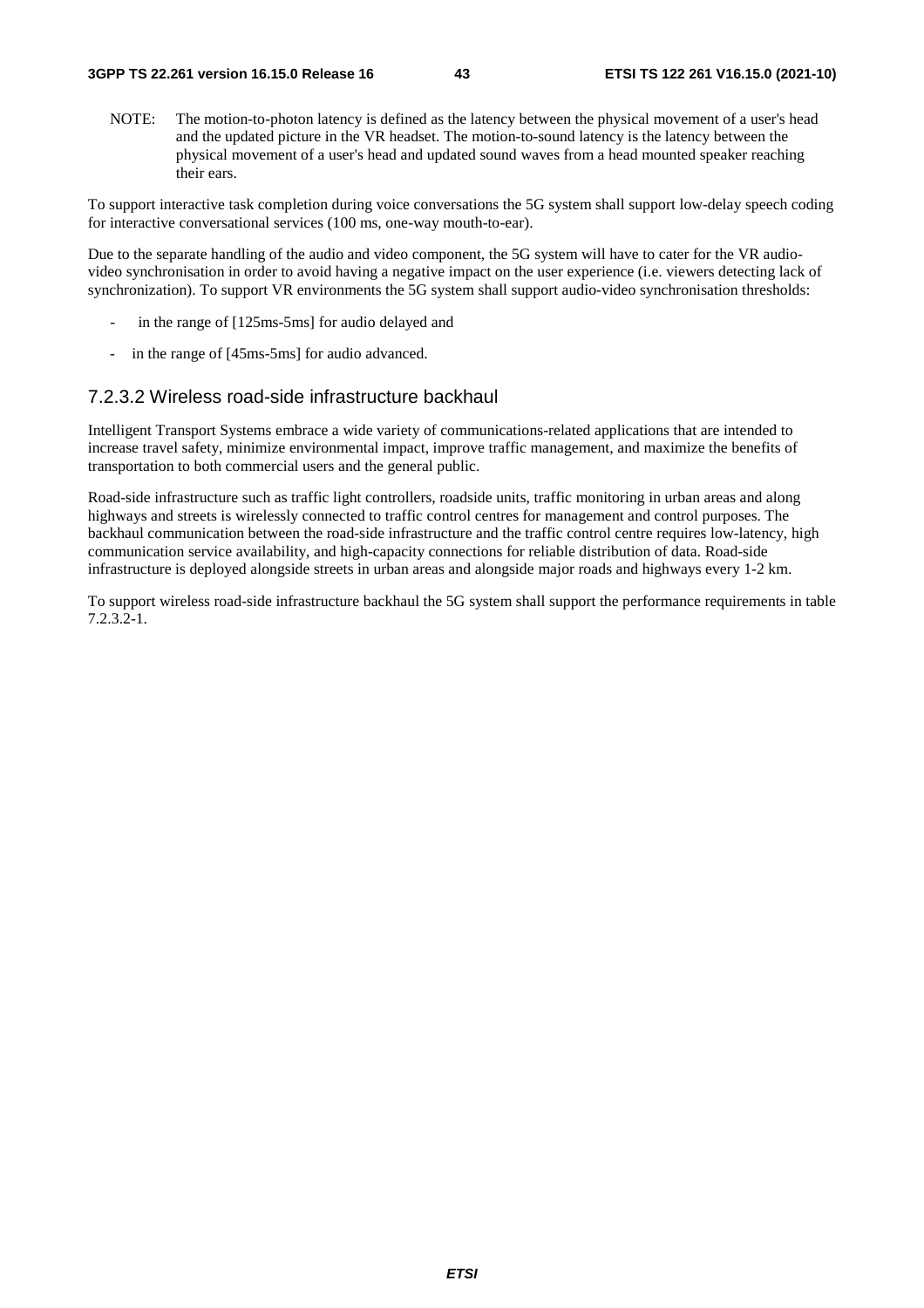NOTE: The motion-to-photon latency is defined as the latency between the physical movement of a user's head and the updated picture in the VR headset. The motion-to-sound latency is the latency between the physical movement of a user's head and updated sound waves from a head mounted speaker reaching their ears.

To support interactive task completion during voice conversations the 5G system shall support low-delay speech coding for interactive conversational services (100 ms, one-way mouth-to-ear).

Due to the separate handling of the audio and video component, the 5G system will have to cater for the VR audiovideo synchronisation in order to avoid having a negative impact on the user experience (i.e. viewers detecting lack of synchronization). To support VR environments the 5G system shall support audio-video synchronisation thresholds:

- in the range of [125ms-5ms] for audio delayed and
- in the range of [45ms-5ms] for audio advanced.

### 7.2.3.2 Wireless road-side infrastructure backhaul

Intelligent Transport Systems embrace a wide variety of communications-related applications that are intended to increase travel safety, minimize environmental impact, improve traffic management, and maximize the benefits of transportation to both commercial users and the general public.

Road-side infrastructure such as traffic light controllers, roadside units, traffic monitoring in urban areas and along highways and streets is wirelessly connected to traffic control centres for management and control purposes. The backhaul communication between the road-side infrastructure and the traffic control centre requires low-latency, high communication service availability, and high-capacity connections for reliable distribution of data. Road-side infrastructure is deployed alongside streets in urban areas and alongside major roads and highways every 1-2 km.

To support wireless road-side infrastructure backhaul the 5G system shall support the performance requirements in table 7.2.3.2-1.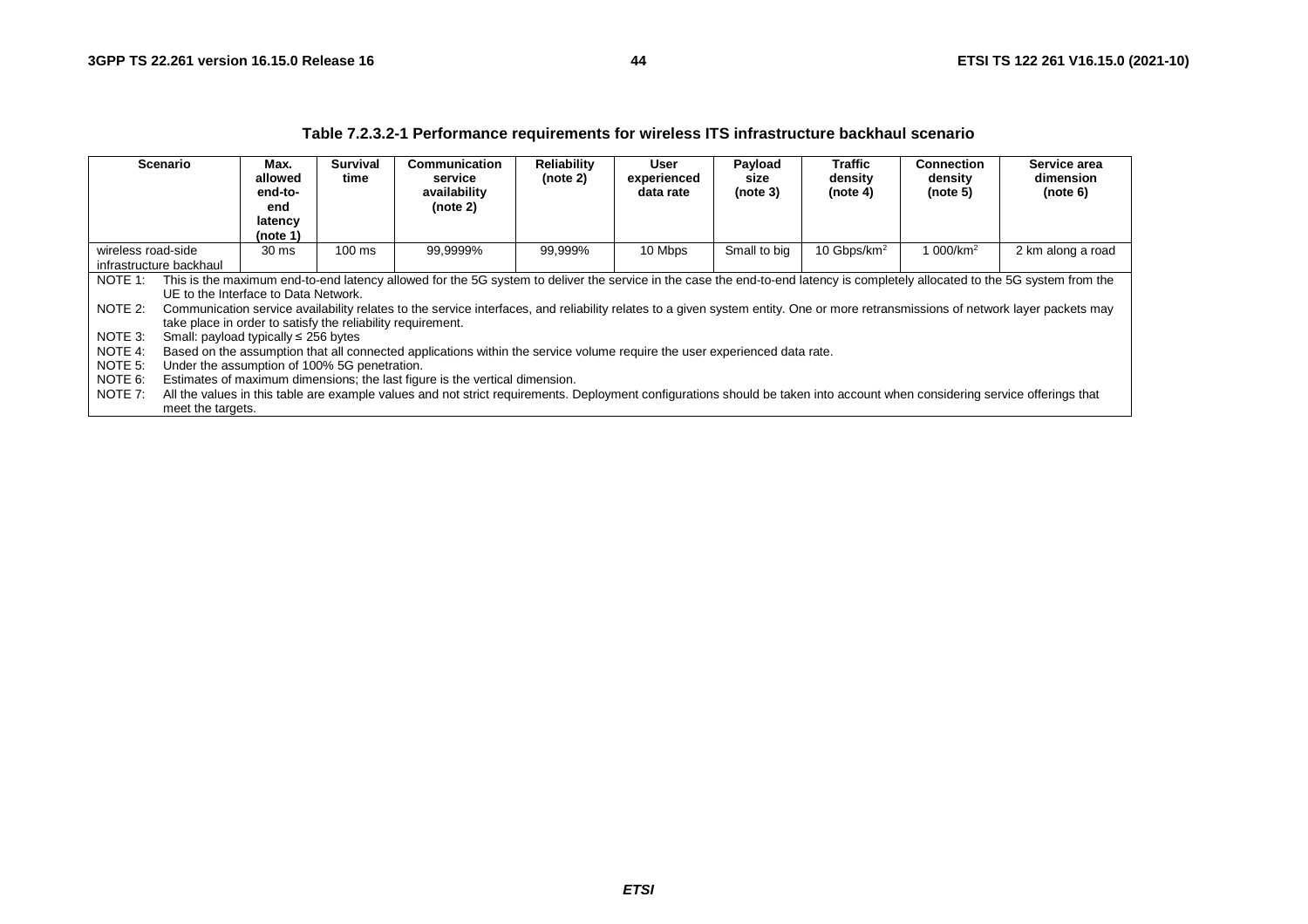|                                                                                           |                   |                                                             |                         | 1 apro 1.2.0.2 T T on ormanoc Togan chionto ToF Milology ITO Inhabit ablance babitman goonario                                                                                   |                         |                                  |                             |                                       |                                          |                                       |
|-------------------------------------------------------------------------------------------|-------------------|-------------------------------------------------------------|-------------------------|----------------------------------------------------------------------------------------------------------------------------------------------------------------------------------|-------------------------|----------------------------------|-----------------------------|---------------------------------------|------------------------------------------|---------------------------------------|
|                                                                                           | <b>Scenario</b>   | Max.<br>allowed<br>end-to-<br>end<br>latency<br>(note 1)    | <b>Survival</b><br>time | Communication<br>service<br>availability<br>(note 2)                                                                                                                             | Reliability<br>(note 2) | User<br>experienced<br>data rate | Payload<br>size<br>(note 3) | <b>Traffic</b><br>density<br>(note 4) | <b>Connection</b><br>density<br>(note 5) | Service area<br>dimension<br>(note 6) |
| 99,9999%<br>$100$ ms<br>99,999%<br>wireless road-side<br>30 ms<br>infrastructure backhaul |                   |                                                             |                         |                                                                                                                                                                                  |                         | 10 Mbps                          | Small to big                | 10 Gbps/km <sup>2</sup>               | 1 000/km <sup>2</sup>                    | 2 km along a road                     |
|                                                                                           |                   |                                                             |                         |                                                                                                                                                                                  |                         |                                  |                             |                                       |                                          |                                       |
| NOTE 1:                                                                                   |                   |                                                             |                         | This is the maximum end-to-end latency allowed for the 5G system to deliver the service in the case the end-to-end latency is completely allocated to the 5G system from the     |                         |                                  |                             |                                       |                                          |                                       |
|                                                                                           |                   | UE to the Interface to Data Network.                        |                         |                                                                                                                                                                                  |                         |                                  |                             |                                       |                                          |                                       |
| NOTE 2:                                                                                   |                   |                                                             |                         | Communication service availability relates to the service interfaces, and reliability relates to a given system entity. One or more retransmissions of network layer packets may |                         |                                  |                             |                                       |                                          |                                       |
|                                                                                           |                   | take place in order to satisfy the reliability requirement. |                         |                                                                                                                                                                                  |                         |                                  |                             |                                       |                                          |                                       |
| NOTE 3:                                                                                   |                   | Small: payload typically $\leq$ 256 bytes                   |                         |                                                                                                                                                                                  |                         |                                  |                             |                                       |                                          |                                       |
| NOTE 4:                                                                                   |                   |                                                             |                         | Based on the assumption that all connected applications within the service volume require the user experienced data rate.                                                        |                         |                                  |                             |                                       |                                          |                                       |
| NOTE 5:                                                                                   |                   | Under the assumption of 100% 5G penetration.                |                         |                                                                                                                                                                                  |                         |                                  |                             |                                       |                                          |                                       |
| NOTE 6:                                                                                   |                   |                                                             |                         | Estimates of maximum dimensions; the last figure is the vertical dimension.                                                                                                      |                         |                                  |                             |                                       |                                          |                                       |
| NOTE 7:                                                                                   |                   |                                                             |                         | All the values in this table are example values and not strict requirements. Deployment configurations should be taken into account when considering service offerings that      |                         |                                  |                             |                                       |                                          |                                       |
|                                                                                           | meet the targets. |                                                             |                         |                                                                                                                                                                                  |                         |                                  |                             |                                       |                                          |                                       |

#### **Table 7.2.3.2-1 Performance requirements for wireless ITS infrastructure backhaul scenario**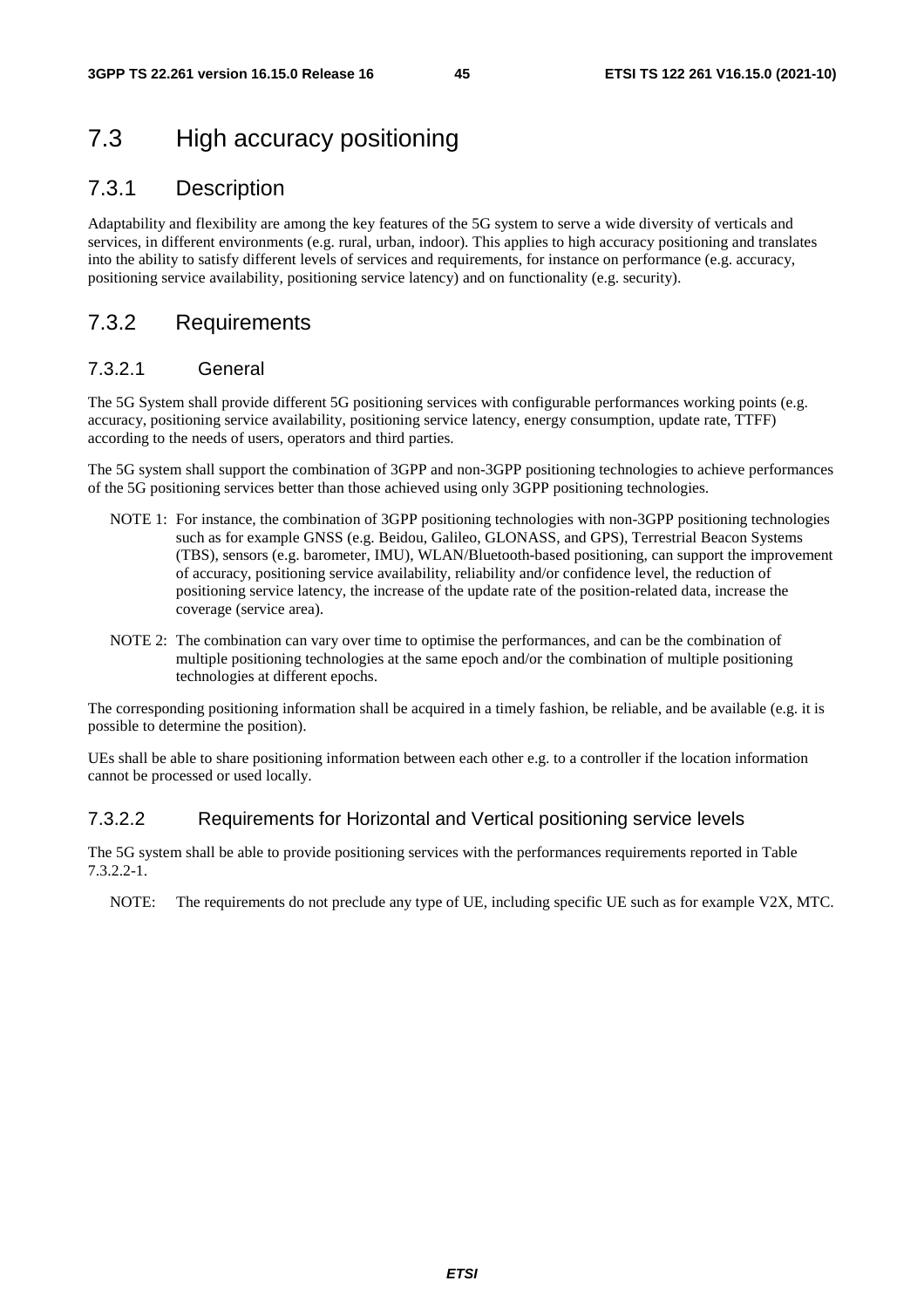# 7.3 High accuracy positioning

### 7.3.1 Description

Adaptability and flexibility are among the key features of the 5G system to serve a wide diversity of verticals and services, in different environments (e.g. rural, urban, indoor). This applies to high accuracy positioning and translates into the ability to satisfy different levels of services and requirements, for instance on performance (e.g. accuracy, positioning service availability, positioning service latency) and on functionality (e.g. security).

### 7.3.2 Requirements

### 7.3.2.1 General

The 5G System shall provide different 5G positioning services with configurable performances working points (e.g. accuracy, positioning service availability, positioning service latency, energy consumption, update rate, TTFF) according to the needs of users, operators and third parties.

The 5G system shall support the combination of 3GPP and non-3GPP positioning technologies to achieve performances of the 5G positioning services better than those achieved using only 3GPP positioning technologies.

- NOTE 1: For instance, the combination of 3GPP positioning technologies with non-3GPP positioning technologies such as for example GNSS (e.g. Beidou, Galileo, GLONASS, and GPS), Terrestrial Beacon Systems (TBS), sensors (e.g. barometer, IMU), WLAN/Bluetooth-based positioning, can support the improvement of accuracy, positioning service availability, reliability and/or confidence level, the reduction of positioning service latency, the increase of the update rate of the position-related data, increase the coverage (service area).
- NOTE 2: The combination can vary over time to optimise the performances, and can be the combination of multiple positioning technologies at the same epoch and/or the combination of multiple positioning technologies at different epochs.

The corresponding positioning information shall be acquired in a timely fashion, be reliable, and be available (e.g. it is possible to determine the position).

UEs shall be able to share positioning information between each other e.g. to a controller if the location information cannot be processed or used locally.

### 7.3.2.2 Requirements for Horizontal and Vertical positioning service levels

The 5G system shall be able to provide positioning services with the performances requirements reported in Table 7.3.2.2-1.

NOTE: The requirements do not preclude any type of UE, including specific UE such as for example V2X, MTC.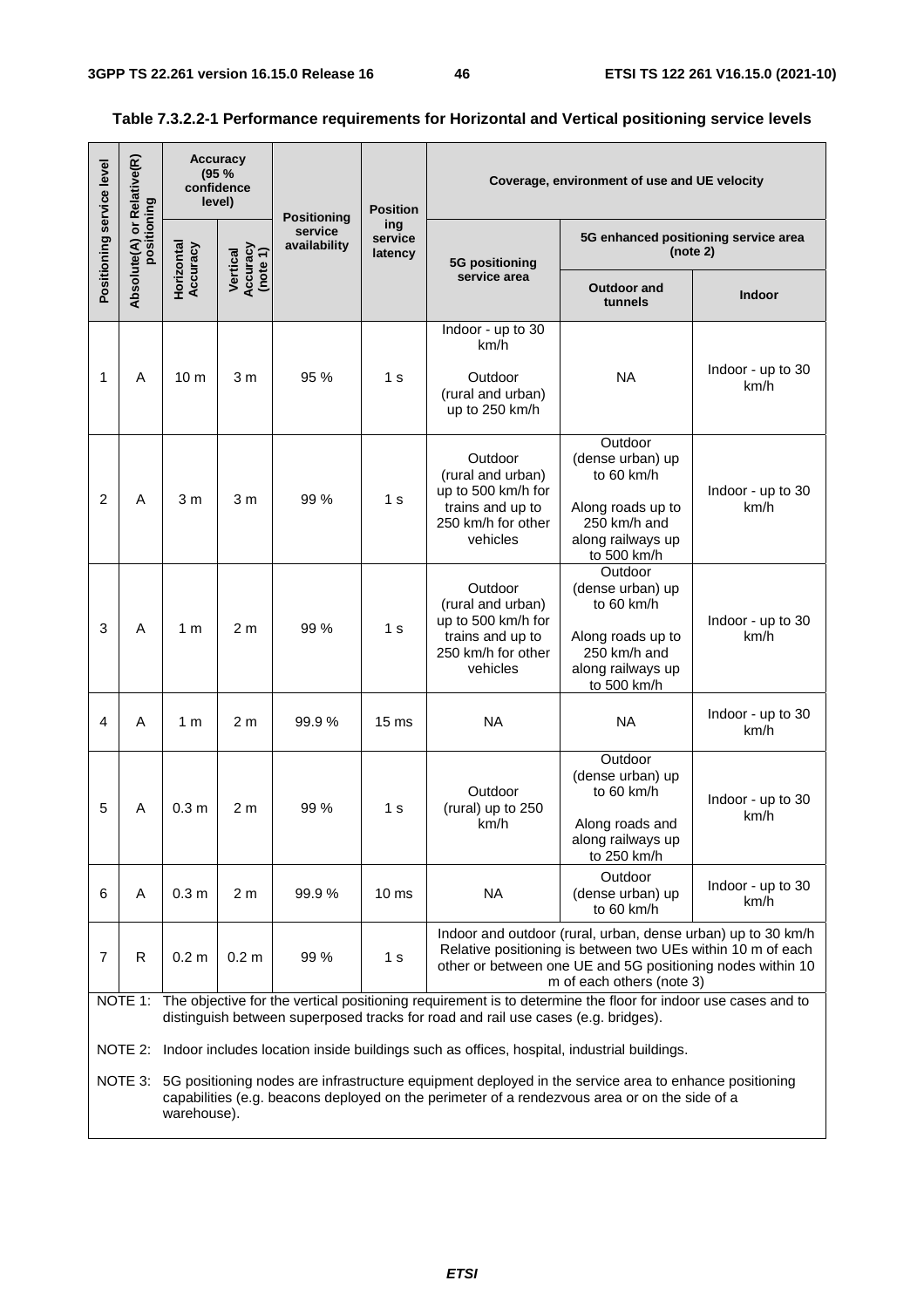| Positioning service level | Relative(R)                        | <b>Accuracy</b><br>(95%<br>confidence<br>level) |                                  | <b>Positioning</b>      | <b>Position</b>           | Coverage, environment of use and UE velocity                                                             |                                                                                                                                                                                                                        |                                                  |  |  |  |
|---------------------------|------------------------------------|-------------------------------------------------|----------------------------------|-------------------------|---------------------------|----------------------------------------------------------------------------------------------------------|------------------------------------------------------------------------------------------------------------------------------------------------------------------------------------------------------------------------|--------------------------------------------------|--|--|--|
|                           | Absolute(A) or Rela<br>positioning |                                                 |                                  | service<br>availability | ing<br>service<br>latency | 5G positioning                                                                                           |                                                                                                                                                                                                                        | 5G enhanced positioning service area<br>(note 2) |  |  |  |
|                           |                                    | Horizontal<br>Accuracy                          | Vertical<br>Accuracy<br>(note 1) |                         |                           | service area                                                                                             | <b>Outdoor and</b><br>tunnels                                                                                                                                                                                          | <b>Indoor</b>                                    |  |  |  |
| 1                         | A                                  | 10 <sub>m</sub>                                 | 3 <sub>m</sub>                   | 95 %                    | 1 s                       | Indoor - up to 30<br>km/h<br>Outdoor<br>(rural and urban)<br>up to 250 km/h                              | <b>NA</b>                                                                                                                                                                                                              | Indoor - up to 30<br>km/h                        |  |  |  |
| $\overline{c}$            | A                                  | 3 <sub>m</sub>                                  | 3 <sub>m</sub>                   | 99 %                    | 1 <sub>s</sub>            | Outdoor<br>(rural and urban)<br>up to 500 km/h for<br>trains and up to<br>250 km/h for other<br>vehicles | Outdoor<br>(dense urban) up<br>to 60 km/h<br>Along roads up to<br>250 km/h and<br>along railways up<br>to 500 km/h                                                                                                     | Indoor - up to 30<br>km/h                        |  |  |  |
| 3                         | A                                  | 1 m                                             | 2 <sub>m</sub>                   | 99 %                    | 1 <sub>s</sub>            | Outdoor<br>(rural and urban)<br>up to 500 km/h for<br>trains and up to<br>250 km/h for other<br>vehicles | Outdoor<br>(dense urban) up<br>to 60 km/h<br>Along roads up to<br>250 km/h and<br>along railways up<br>to 500 km/h                                                                                                     | Indoor - up to 30<br>km/h                        |  |  |  |
| 4                         | A                                  | 1 m                                             | 2 <sub>m</sub>                   | 99.9%                   | 15 <sub>ms</sub>          | <b>NA</b>                                                                                                | <b>NA</b>                                                                                                                                                                                                              | Indoor - up to 30<br>km/h                        |  |  |  |
| 5                         | A                                  | 0.3 <sub>m</sub>                                | 2 m                              | 99%                     | 1 s                       | Outdoor<br>(rural) up to 250<br>km/h                                                                     | Outdoor<br>(dense urban) up<br>to 60 km/h<br>Along roads and<br>along railways up<br>to 250 km/h                                                                                                                       | Indoor - up to 30<br>km/h                        |  |  |  |
| 6                         | A                                  | 0.3 <sub>m</sub>                                | 2 <sub>m</sub>                   | 99.9%                   | 10 <sub>ms</sub>          | <b>NA</b>                                                                                                | Outdoor<br>(dense urban) up<br>to 60 km/h                                                                                                                                                                              | Indoor - up to 30<br>km/h                        |  |  |  |
| $\overline{7}$            | R                                  | 0.2 <sub>m</sub>                                | 0.2 <sub>m</sub>                 | 99 %                    | 1 <sub>s</sub>            |                                                                                                          | Indoor and outdoor (rural, urban, dense urban) up to 30 km/h<br>Relative positioning is between two UEs within 10 m of each<br>other or between one UE and 5G positioning nodes within 10<br>m of each others (note 3) |                                                  |  |  |  |
|                           |                                    |                                                 |                                  |                         |                           | distinguish between superposed tracks for road and rail use cases (e.g. bridges).                        | NOTE 1: The objective for the vertical positioning requirement is to determine the floor for indoor use cases and to                                                                                                   |                                                  |  |  |  |
|                           | NOTE 3:                            |                                                 |                                  |                         |                           | NOTE 2: Indoor includes location inside buildings such as offices, hospital, industrial buildings.       | 5G positioning nodes are infrastructure equipment deployed in the service area to enhance positioning                                                                                                                  |                                                  |  |  |  |
|                           |                                    | warehouse).                                     |                                  |                         |                           |                                                                                                          | capabilities (e.g. beacons deployed on the perimeter of a rendezvous area or on the side of a                                                                                                                          |                                                  |  |  |  |

### **Table 7.3.2.2-1 Performance requirements for Horizontal and Vertical positioning service levels**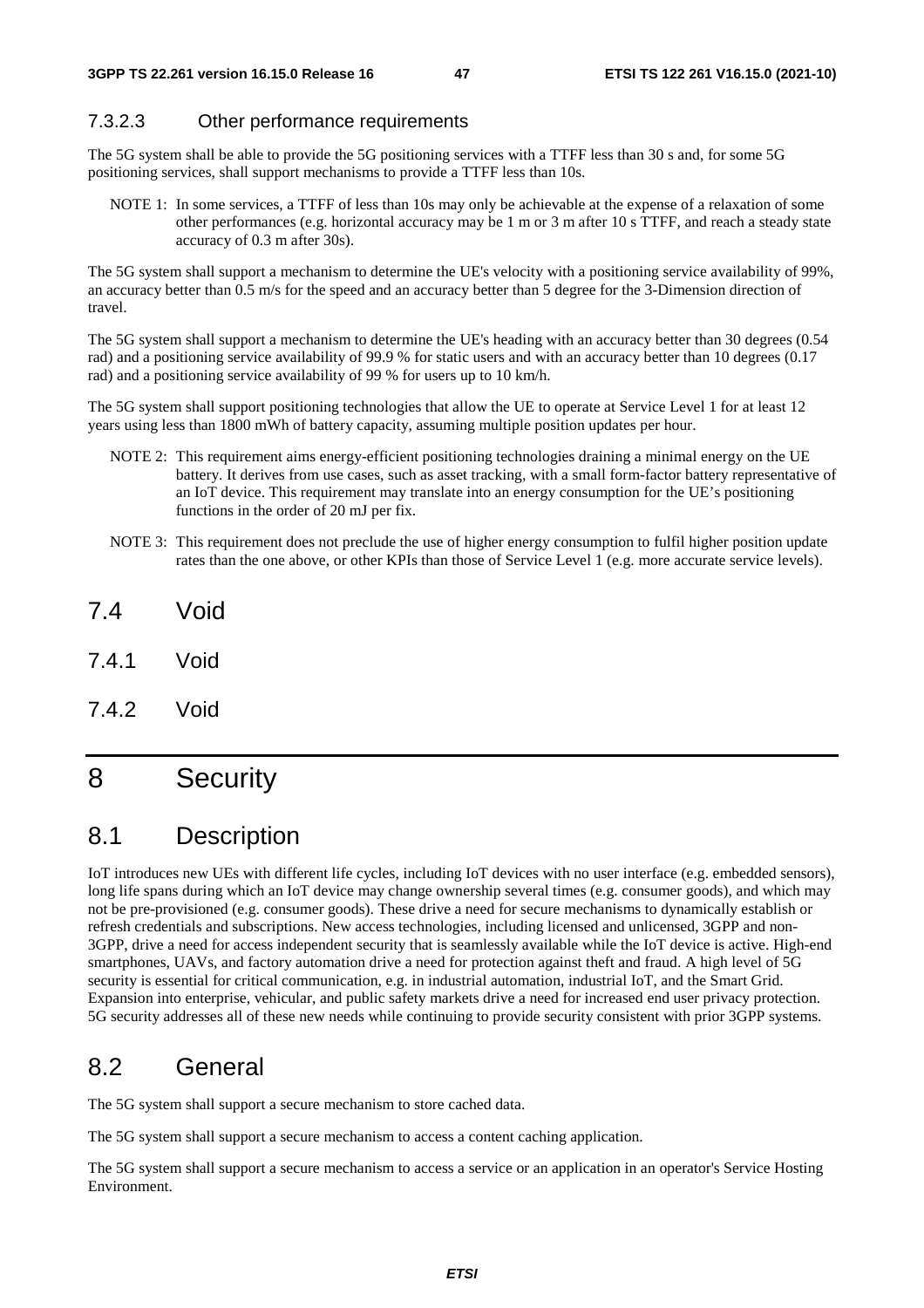### 7.3.2.3 Other performance requirements

The 5G system shall be able to provide the 5G positioning services with a TTFF less than 30 s and, for some 5G positioning services, shall support mechanisms to provide a TTFF less than 10s.

NOTE 1: In some services, a TTFF of less than 10s may only be achievable at the expense of a relaxation of some other performances (e.g. horizontal accuracy may be 1 m or 3 m after 10 s TTFF, and reach a steady state accuracy of 0.3 m after 30s).

The 5G system shall support a mechanism to determine the UE's velocity with a positioning service availability of 99%, an accuracy better than 0.5 m/s for the speed and an accuracy better than 5 degree for the 3-Dimension direction of travel.

The 5G system shall support a mechanism to determine the UE's heading with an accuracy better than 30 degrees (0.54 rad) and a positioning service availability of 99.9 % for static users and with an accuracy better than 10 degrees (0.17 rad) and a positioning service availability of 99 % for users up to 10 km/h.

The 5G system shall support positioning technologies that allow the UE to operate at Service Level 1 for at least 12 years using less than 1800 mWh of battery capacity, assuming multiple position updates per hour.

- NOTE 2: This requirement aims energy-efficient positioning technologies draining a minimal energy on the UE battery. It derives from use cases, such as asset tracking, with a small form-factor battery representative of an IoT device. This requirement may translate into an energy consumption for the UE's positioning functions in the order of 20 mJ per fix.
- NOTE 3: This requirement does not preclude the use of higher energy consumption to fulfil higher position update rates than the one above, or other KPIs than those of Service Level 1 (e.g. more accurate service levels).
- 7.4 Void
- 7.4.1 Void
- 7.4.2 Void

# 8 Security

# 8.1 Description

IoT introduces new UEs with different life cycles, including IoT devices with no user interface (e.g. embedded sensors), long life spans during which an IoT device may change ownership several times (e.g. consumer goods), and which may not be pre-provisioned (e.g. consumer goods). These drive a need for secure mechanisms to dynamically establish or refresh credentials and subscriptions. New access technologies, including licensed and unlicensed, 3GPP and non-3GPP, drive a need for access independent security that is seamlessly available while the IoT device is active. High-end smartphones, UAVs, and factory automation drive a need for protection against theft and fraud. A high level of 5G security is essential for critical communication, e.g. in industrial automation, industrial IoT, and the Smart Grid. Expansion into enterprise, vehicular, and public safety markets drive a need for increased end user privacy protection. 5G security addresses all of these new needs while continuing to provide security consistent with prior 3GPP systems.

# 8.2 General

The 5G system shall support a secure mechanism to store cached data.

The 5G system shall support a secure mechanism to access a content caching application.

The 5G system shall support a secure mechanism to access a service or an application in an operator's Service Hosting Environment.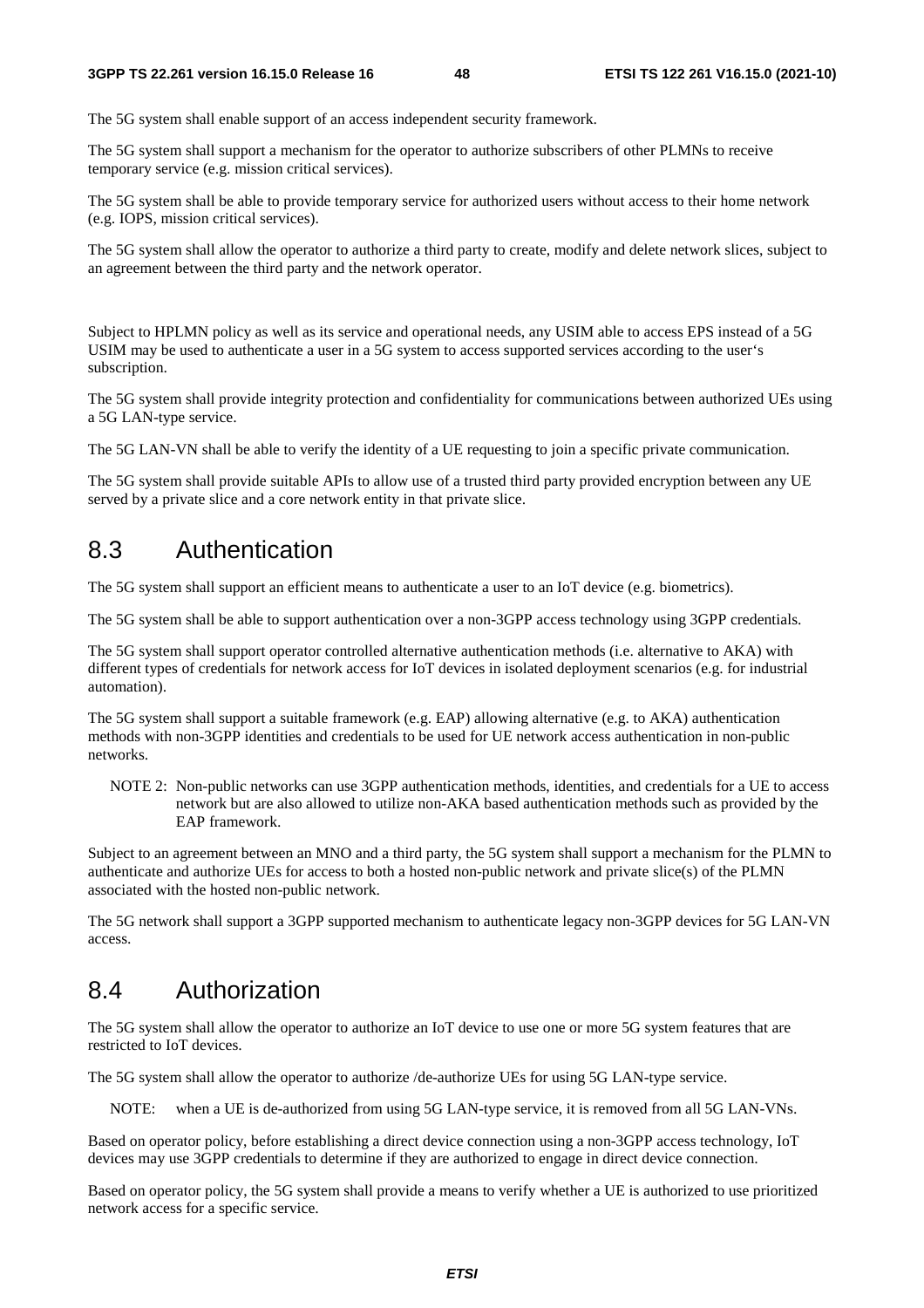The 5G system shall enable support of an access independent security framework.

The 5G system shall support a mechanism for the operator to authorize subscribers of other PLMNs to receive temporary service (e.g. mission critical services).

The 5G system shall be able to provide temporary service for authorized users without access to their home network (e.g. IOPS, mission critical services).

The 5G system shall allow the operator to authorize a third party to create, modify and delete network slices, subject to an agreement between the third party and the network operator.

Subject to HPLMN policy as well as its service and operational needs, any USIM able to access EPS instead of a 5G USIM may be used to authenticate a user in a 5G system to access supported services according to the user's subscription.

The 5G system shall provide integrity protection and confidentiality for communications between authorized UEs using a 5G LAN-type service.

The 5G LAN-VN shall be able to verify the identity of a UE requesting to join a specific private communication.

The 5G system shall provide suitable APIs to allow use of a trusted third party provided encryption between any UE served by a private slice and a core network entity in that private slice.

## 8.3 Authentication

The 5G system shall support an efficient means to authenticate a user to an IoT device (e.g. biometrics).

The 5G system shall be able to support authentication over a non-3GPP access technology using 3GPP credentials.

The 5G system shall support operator controlled alternative authentication methods (i.e. alternative to AKA) with different types of credentials for network access for IoT devices in isolated deployment scenarios (e.g. for industrial automation).

The 5G system shall support a suitable framework (e.g. EAP) allowing alternative (e.g. to AKA) authentication methods with non-3GPP identities and credentials to be used for UE network access authentication in non-public networks.

NOTE 2: Non-public networks can use 3GPP authentication methods, identities, and credentials for a UE to access network but are also allowed to utilize non-AKA based authentication methods such as provided by the EAP framework.

Subject to an agreement between an MNO and a third party, the 5G system shall support a mechanism for the PLMN to authenticate and authorize UEs for access to both a hosted non-public network and private slice(s) of the PLMN associated with the hosted non-public network.

The 5G network shall support a 3GPP supported mechanism to authenticate legacy non-3GPP devices for 5G LAN-VN access.

# 8.4 Authorization

The 5G system shall allow the operator to authorize an IoT device to use one or more 5G system features that are restricted to IoT devices.

The 5G system shall allow the operator to authorize /de-authorize UEs for using 5G LAN-type service.

NOTE: when a UE is de-authorized from using 5G LAN-type service, it is removed from all 5G LAN-VNs.

Based on operator policy, before establishing a direct device connection using a non-3GPP access technology, IoT devices may use 3GPP credentials to determine if they are authorized to engage in direct device connection.

Based on operator policy, the 5G system shall provide a means to verify whether a UE is authorized to use prioritized network access for a specific service.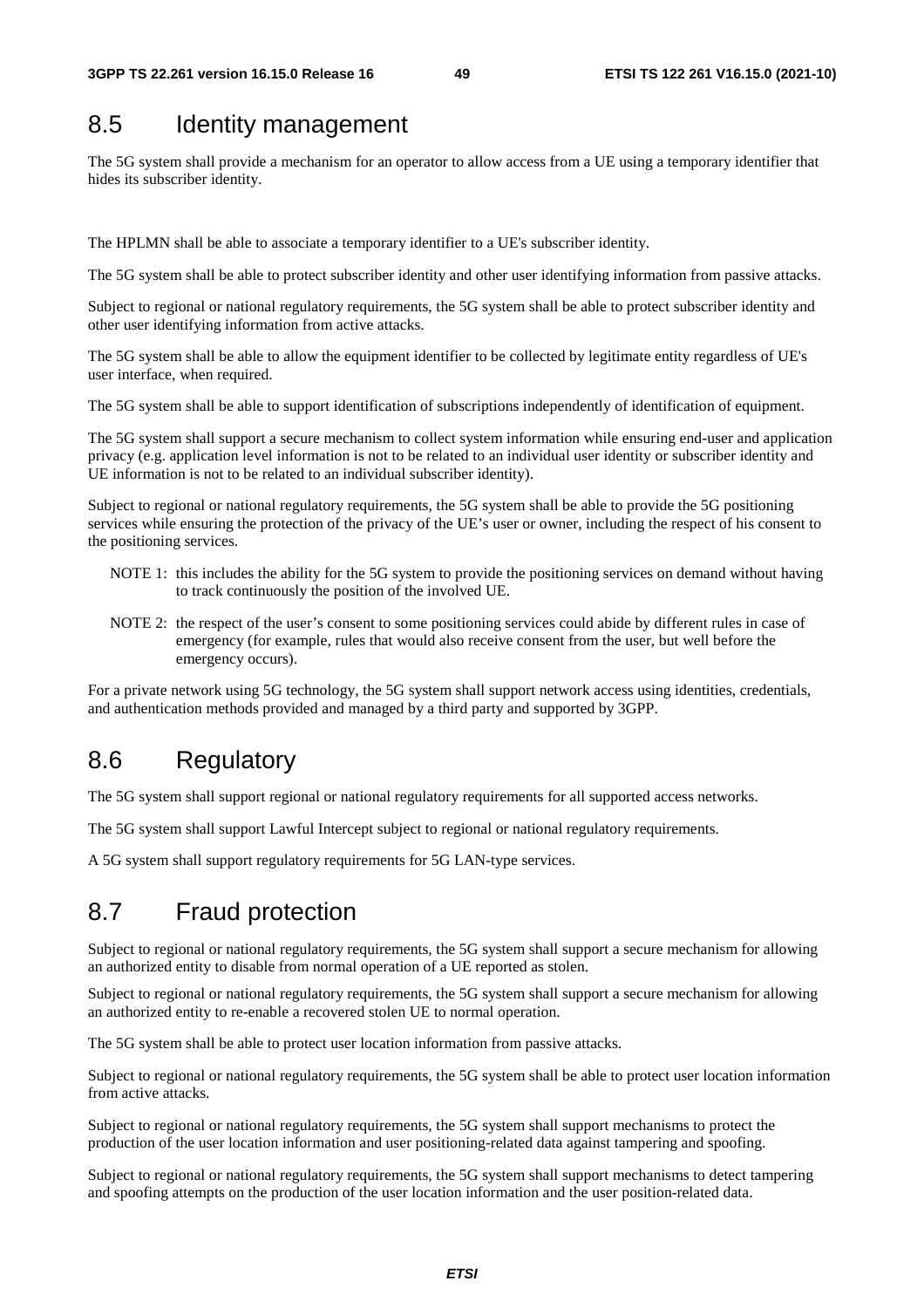# 8.5 Identity management

The 5G system shall provide a mechanism for an operator to allow access from a UE using a temporary identifier that hides its subscriber identity.

The HPLMN shall be able to associate a temporary identifier to a UE's subscriber identity.

The 5G system shall be able to protect subscriber identity and other user identifying information from passive attacks.

Subject to regional or national regulatory requirements, the 5G system shall be able to protect subscriber identity and other user identifying information from active attacks.

The 5G system shall be able to allow the equipment identifier to be collected by legitimate entity regardless of UE's user interface, when required.

The 5G system shall be able to support identification of subscriptions independently of identification of equipment.

The 5G system shall support a secure mechanism to collect system information while ensuring end-user and application privacy (e.g. application level information is not to be related to an individual user identity or subscriber identity and UE information is not to be related to an individual subscriber identity).

Subject to regional or national regulatory requirements, the 5G system shall be able to provide the 5G positioning services while ensuring the protection of the privacy of the UE's user or owner, including the respect of his consent to the positioning services.

- NOTE 1: this includes the ability for the 5G system to provide the positioning services on demand without having to track continuously the position of the involved UE.
- NOTE 2: the respect of the user's consent to some positioning services could abide by different rules in case of emergency (for example, rules that would also receive consent from the user, but well before the emergency occurs).

For a private network using 5G technology, the 5G system shall support network access using identities, credentials, and authentication methods provided and managed by a third party and supported by 3GPP.

# 8.6 Regulatory

The 5G system shall support regional or national regulatory requirements for all supported access networks.

The 5G system shall support Lawful Intercept subject to regional or national regulatory requirements.

A 5G system shall support regulatory requirements for 5G LAN-type services.

# 8.7 Fraud protection

Subject to regional or national regulatory requirements, the 5G system shall support a secure mechanism for allowing an authorized entity to disable from normal operation of a UE reported as stolen.

Subject to regional or national regulatory requirements, the 5G system shall support a secure mechanism for allowing an authorized entity to re-enable a recovered stolen UE to normal operation.

The 5G system shall be able to protect user location information from passive attacks.

Subject to regional or national regulatory requirements, the 5G system shall be able to protect user location information from active attacks.

Subject to regional or national regulatory requirements, the 5G system shall support mechanisms to protect the production of the user location information and user positioning-related data against tampering and spoofing.

Subject to regional or national regulatory requirements, the 5G system shall support mechanisms to detect tampering and spoofing attempts on the production of the user location information and the user position-related data.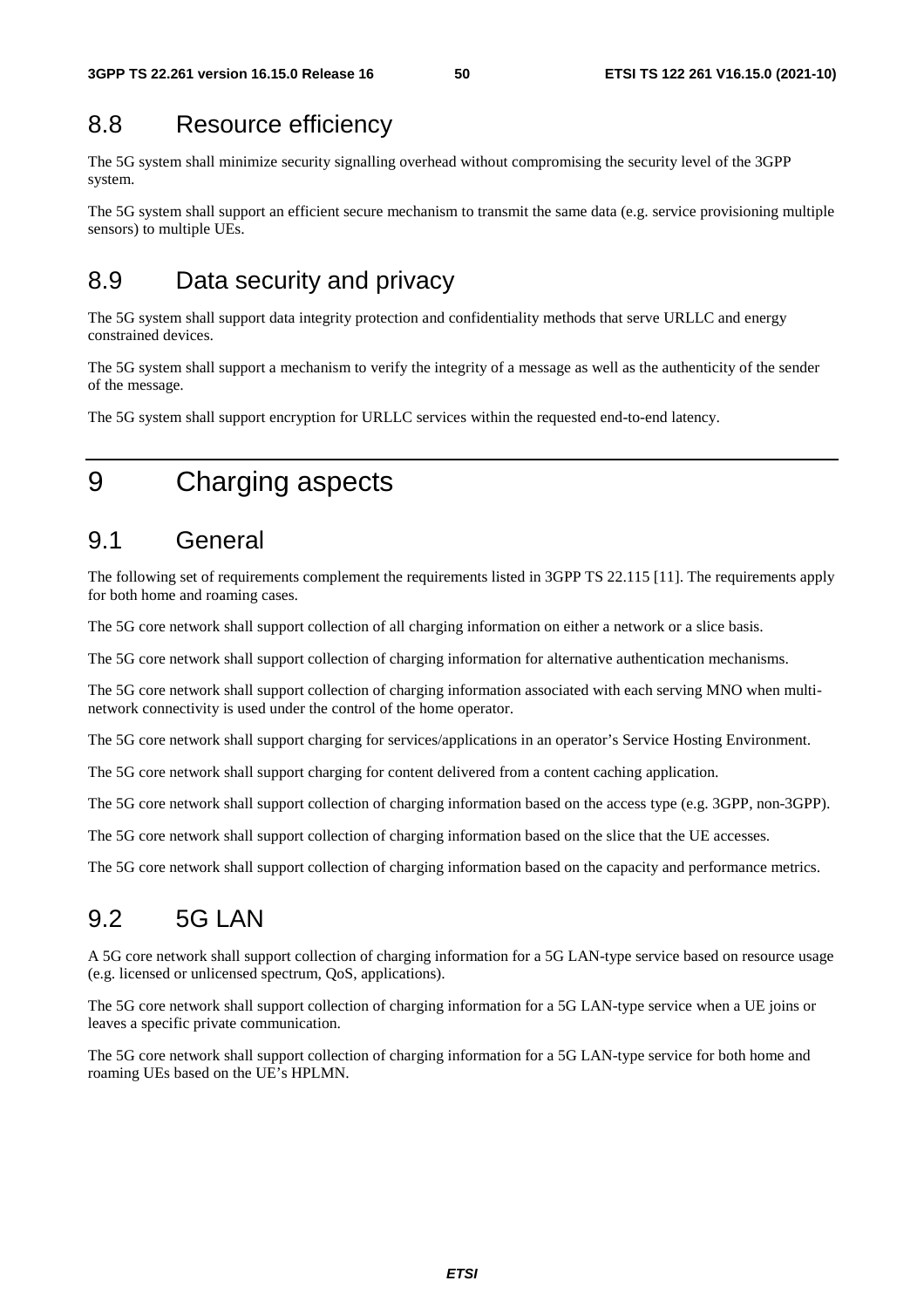# 8.8 Resource efficiency

The 5G system shall minimize security signalling overhead without compromising the security level of the 3GPP system.

The 5G system shall support an efficient secure mechanism to transmit the same data (e.g. service provisioning multiple sensors) to multiple UEs.

# 8.9 Data security and privacy

The 5G system shall support data integrity protection and confidentiality methods that serve URLLC and energy constrained devices.

The 5G system shall support a mechanism to verify the integrity of a message as well as the authenticity of the sender of the message.

The 5G system shall support encryption for URLLC services within the requested end-to-end latency.

# 9 Charging aspects

# 9.1 General

The following set of requirements complement the requirements listed in 3GPP TS 22.115 [11]. The requirements apply for both home and roaming cases.

The 5G core network shall support collection of all charging information on either a network or a slice basis.

The 5G core network shall support collection of charging information for alternative authentication mechanisms.

The 5G core network shall support collection of charging information associated with each serving MNO when multinetwork connectivity is used under the control of the home operator.

The 5G core network shall support charging for services/applications in an operator's Service Hosting Environment.

The 5G core network shall support charging for content delivered from a content caching application.

The 5G core network shall support collection of charging information based on the access type (e.g. 3GPP, non-3GPP).

The 5G core network shall support collection of charging information based on the slice that the UE accesses.

The 5G core network shall support collection of charging information based on the capacity and performance metrics.

# 9.2 5G LAN

A 5G core network shall support collection of charging information for a 5G LAN-type service based on resource usage (e.g. licensed or unlicensed spectrum, QoS, applications).

The 5G core network shall support collection of charging information for a 5G LAN-type service when a UE joins or leaves a specific private communication.

The 5G core network shall support collection of charging information for a 5G LAN-type service for both home and roaming UEs based on the UE's HPLMN.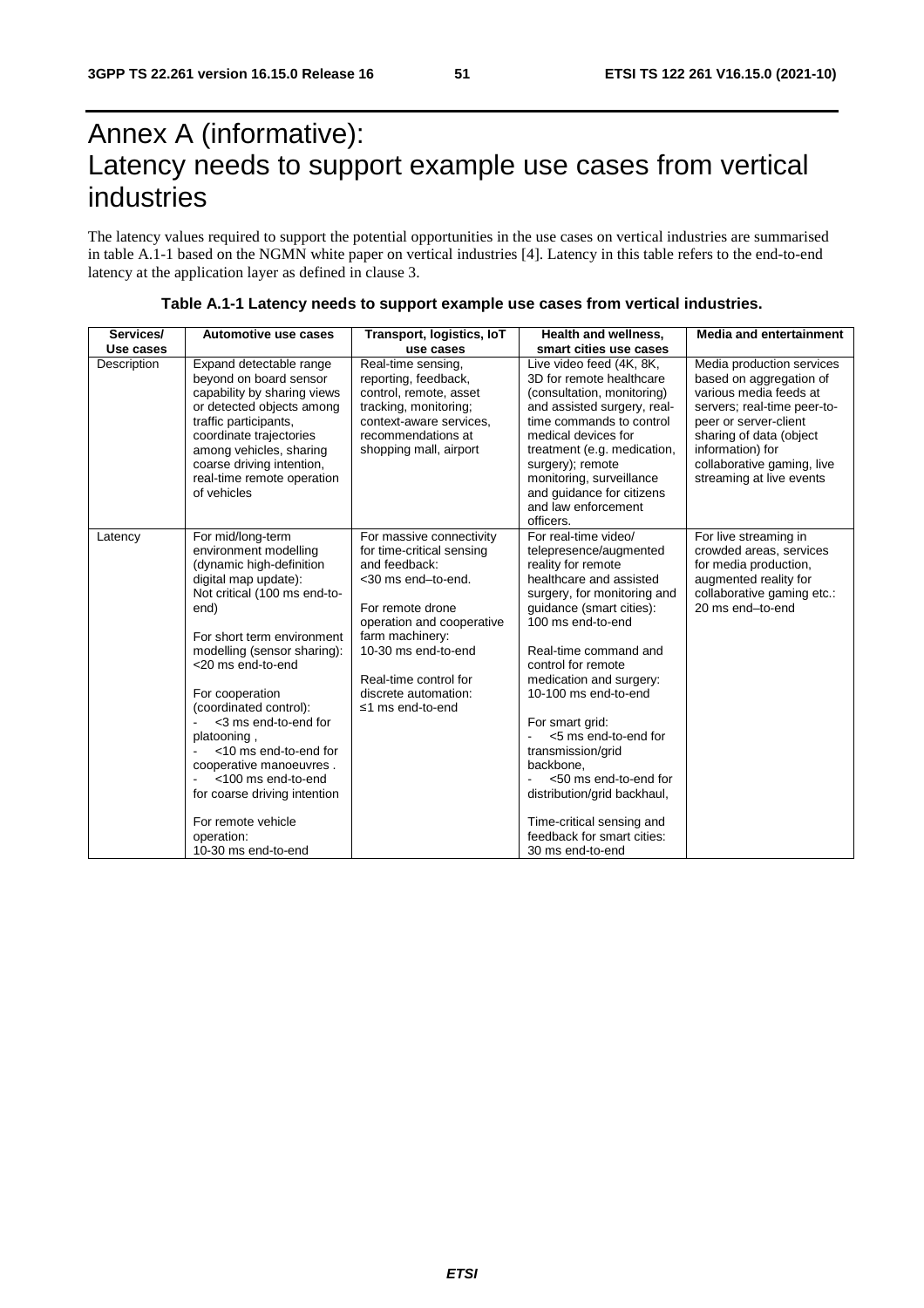# Annex A (informative): Latency needs to support example use cases from vertical industries

The latency values required to support the potential opportunities in the use cases on vertical industries are summarised in table A.1-1 based on the NGMN white paper on vertical industries [4]. Latency in this table refers to the end-to-end latency at the application layer as defined in clause 3.

| Services/   | Automotive use cases                                                                                                                                                                                                                                                                                                                                                                                                                                                              | Transport, logistics, IoT                                                                                                                                                                                                                                    | Health and wellness,                                                                                                                                                                                                                                                                                                                                                                                                                                                                                  | <b>Media and entertainment</b>                                                                                                                                                                                                                  |
|-------------|-----------------------------------------------------------------------------------------------------------------------------------------------------------------------------------------------------------------------------------------------------------------------------------------------------------------------------------------------------------------------------------------------------------------------------------------------------------------------------------|--------------------------------------------------------------------------------------------------------------------------------------------------------------------------------------------------------------------------------------------------------------|-------------------------------------------------------------------------------------------------------------------------------------------------------------------------------------------------------------------------------------------------------------------------------------------------------------------------------------------------------------------------------------------------------------------------------------------------------------------------------------------------------|-------------------------------------------------------------------------------------------------------------------------------------------------------------------------------------------------------------------------------------------------|
| Use cases   |                                                                                                                                                                                                                                                                                                                                                                                                                                                                                   | use cases                                                                                                                                                                                                                                                    | smart cities use cases                                                                                                                                                                                                                                                                                                                                                                                                                                                                                |                                                                                                                                                                                                                                                 |
| Description | Expand detectable range<br>beyond on board sensor<br>capability by sharing views<br>or detected objects among<br>traffic participants,<br>coordinate trajectories<br>among vehicles, sharing<br>coarse driving intention,<br>real-time remote operation<br>of vehicles                                                                                                                                                                                                            | Real-time sensing,<br>reporting, feedback,<br>control, remote, asset<br>tracking, monitoring;<br>context-aware services,<br>recommendations at<br>shopping mall, airport                                                                                     | Live video feed (4K, 8K,<br>3D for remote healthcare<br>(consultation, monitoring)<br>and assisted surgery, real-<br>time commands to control<br>medical devices for<br>treatment (e.g. medication,<br>surgery); remote<br>monitoring, surveillance<br>and guidance for citizens<br>and law enforcement<br>officers.                                                                                                                                                                                  | Media production services<br>based on aggregation of<br>various media feeds at<br>servers; real-time peer-to-<br>peer or server-client<br>sharing of data (object<br>information) for<br>collaborative gaming, live<br>streaming at live events |
| Latency     | For mid/long-term<br>environment modelling<br>(dynamic high-definition<br>digital map update):<br>Not critical (100 ms end-to-<br>end)<br>For short term environment<br>modelling (sensor sharing):<br><20 ms end-to-end<br>For cooperation<br>(coordinated control):<br><3 ms end-to-end for<br>platooning,<br><10 ms end-to-end for<br>cooperative manoeuvres.<br><100 ms end-to-end<br>for coarse driving intention<br>For remote vehicle<br>operation:<br>10-30 ms end-to-end | For massive connectivity<br>for time-critical sensing<br>and feedback:<br><30 ms end-to-end.<br>For remote drone<br>operation and cooperative<br>farm machinery:<br>10-30 ms end-to-end<br>Real-time control for<br>discrete automation:<br>≤1 ms end-to-end | For real-time video/<br>telepresence/augmented<br>reality for remote<br>healthcare and assisted<br>surgery, for monitoring and<br>guidance (smart cities):<br>100 ms end-to-end<br>Real-time command and<br>control for remote<br>medication and surgery:<br>10-100 ms end-to-end<br>For smart grid:<br><5 ms end-to-end for<br>transmission/grid<br>backbone.<br><50 ms end-to-end for<br>distribution/grid backhaul,<br>Time-critical sensing and<br>feedback for smart cities:<br>30 ms end-to-end | For live streaming in<br>crowded areas, services<br>for media production,<br>augmented reality for<br>collaborative gaming etc.:<br>20 ms end-to-end                                                                                            |

### **Table A.1-1 Latency needs to support example use cases from vertical industries.**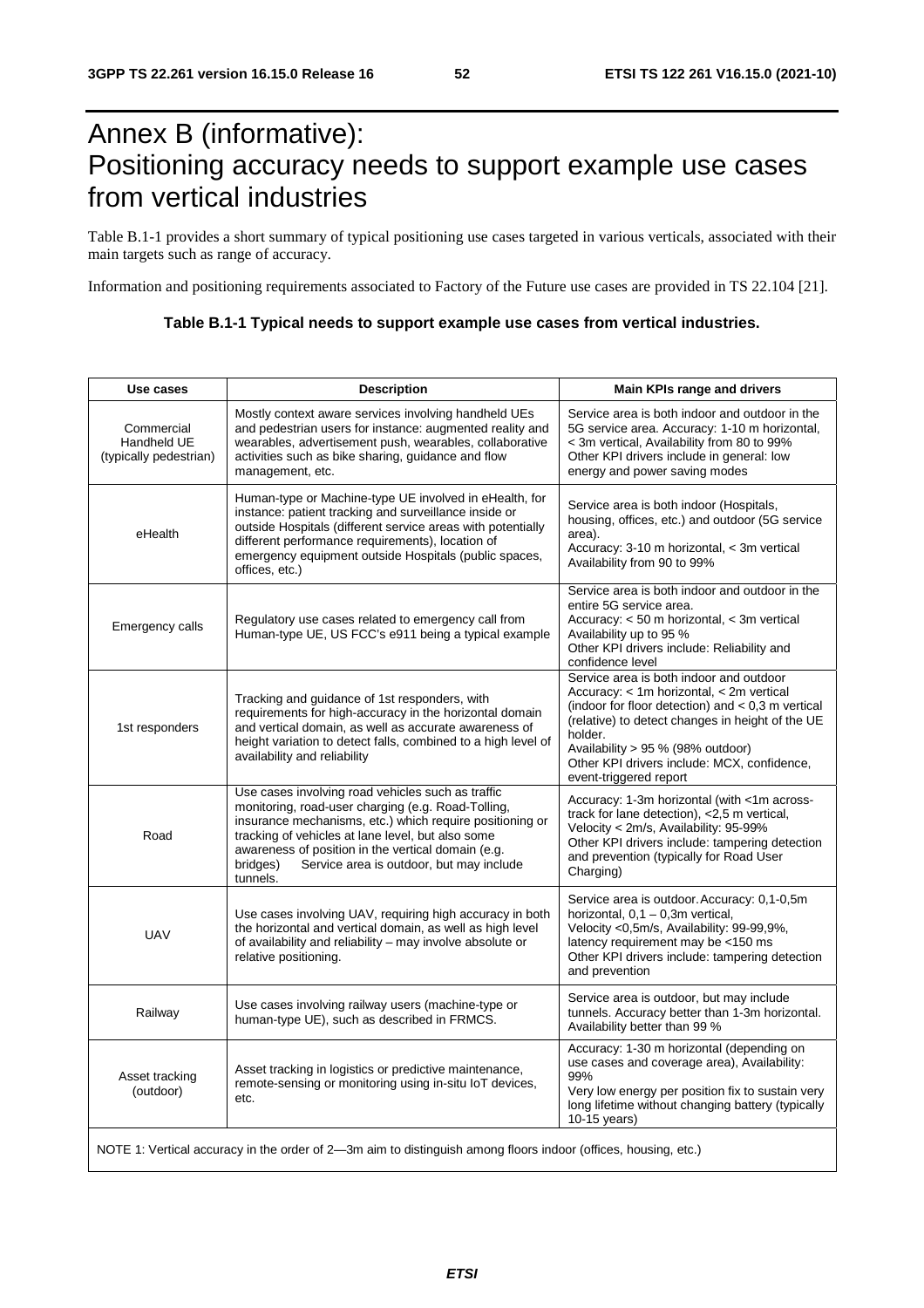# Annex B (informative): Positioning accuracy needs to support example use cases from vertical industries

Table B.1-1 provides a short summary of typical positioning use cases targeted in various verticals, associated with their main targets such as range of accuracy.

Information and positioning requirements associated to Factory of the Future use cases are provided in TS 22.104 [21].

| Table B.1-1 Typical needs to support example use cases from vertical industries. |
|----------------------------------------------------------------------------------|
|                                                                                  |

| Use cases                                           | <b>Description</b>                                                                                                                                                                                                                                                                                                                                 | Main KPIs range and drivers                                                                                                                                                                                                                                                                                             |
|-----------------------------------------------------|----------------------------------------------------------------------------------------------------------------------------------------------------------------------------------------------------------------------------------------------------------------------------------------------------------------------------------------------------|-------------------------------------------------------------------------------------------------------------------------------------------------------------------------------------------------------------------------------------------------------------------------------------------------------------------------|
| Commercial<br>Handheld UE<br>(typically pedestrian) | Mostly context aware services involving handheld UEs<br>and pedestrian users for instance: augmented reality and<br>wearables, advertisement push, wearables, collaborative<br>activities such as bike sharing, guidance and flow<br>management, etc.                                                                                              | Service area is both indoor and outdoor in the<br>5G service area. Accuracy: 1-10 m horizontal,<br>< 3m vertical, Availability from 80 to 99%<br>Other KPI drivers include in general: low<br>energy and power saving modes                                                                                             |
| eHealth                                             | Human-type or Machine-type UE involved in eHealth, for<br>instance: patient tracking and surveillance inside or<br>outside Hospitals (different service areas with potentially<br>different performance requirements), location of<br>emergency equipment outside Hospitals (public spaces,<br>offices, etc.)                                      | Service area is both indoor (Hospitals,<br>housing, offices, etc.) and outdoor (5G service<br>area).<br>Accuracy: 3-10 m horizontal, < 3m vertical<br>Availability from 90 to 99%                                                                                                                                       |
| Emergency calls                                     | Regulatory use cases related to emergency call from<br>Human-type UE, US FCC's e911 being a typical example                                                                                                                                                                                                                                        | Service area is both indoor and outdoor in the<br>entire 5G service area.<br>Accuracy: < 50 m horizontal, < 3m vertical<br>Availability up to 95 %<br>Other KPI drivers include: Reliability and<br>confidence level                                                                                                    |
| 1st responders                                      | Tracking and guidance of 1st responders, with<br>requirements for high-accuracy in the horizontal domain<br>and vertical domain, as well as accurate awareness of<br>height variation to detect falls, combined to a high level of<br>availability and reliability                                                                                 | Service area is both indoor and outdoor<br>Accuracy: < 1m horizontal, < 2m vertical<br>(indoor for floor detection) and $< 0.3$ m vertical<br>(relative) to detect changes in height of the UE<br>holder.<br>Availability > 95 % (98% outdoor)<br>Other KPI drivers include: MCX, confidence,<br>event-triggered report |
| Road                                                | Use cases involving road vehicles such as traffic<br>monitoring, road-user charging (e.g. Road-Tolling,<br>insurance mechanisms, etc.) which require positioning or<br>tracking of vehicles at lane level, but also some<br>awareness of position in the vertical domain (e.g.<br>Service area is outdoor, but may include<br>bridges)<br>tunnels. | Accuracy: 1-3m horizontal (with <1m across-<br>track for lane detection), <2,5 m vertical,<br>Velocity < 2m/s, Availability: 95-99%<br>Other KPI drivers include: tampering detection<br>and prevention (typically for Road User<br>Charging)                                                                           |
| <b>UAV</b>                                          | Use cases involving UAV, requiring high accuracy in both<br>the horizontal and vertical domain, as well as high level<br>of availability and reliability - may involve absolute or<br>relative positioning.                                                                                                                                        | Service area is outdoor. Accuracy: 0,1-0,5m<br>horizontal, $0,1 - 0,3m$ vertical,<br>Velocity <0,5m/s, Availability: 99-99,9%,<br>latency requirement may be <150 ms<br>Other KPI drivers include: tampering detection<br>and prevention                                                                                |
| Railway                                             | Use cases involving railway users (machine-type or<br>human-type UE), such as described in FRMCS.                                                                                                                                                                                                                                                  | Service area is outdoor, but may include<br>tunnels. Accuracy better than 1-3m horizontal.<br>Availability better than 99 %                                                                                                                                                                                             |
| Asset tracking<br>(outdoor)                         | Asset tracking in logistics or predictive maintenance,<br>remote-sensing or monitoring using in-situ IoT devices,<br>etc.                                                                                                                                                                                                                          | Accuracy: 1-30 m horizontal (depending on<br>use cases and coverage area), Availability:<br>99%<br>Very low energy per position fix to sustain very<br>long lifetime without changing battery (typically<br>10-15 years)                                                                                                |
|                                                     | NOTE 1: Vertical accuracy in the order of 2-3m aim to distinguish among floors indoor (offices, housing, etc.)                                                                                                                                                                                                                                     |                                                                                                                                                                                                                                                                                                                         |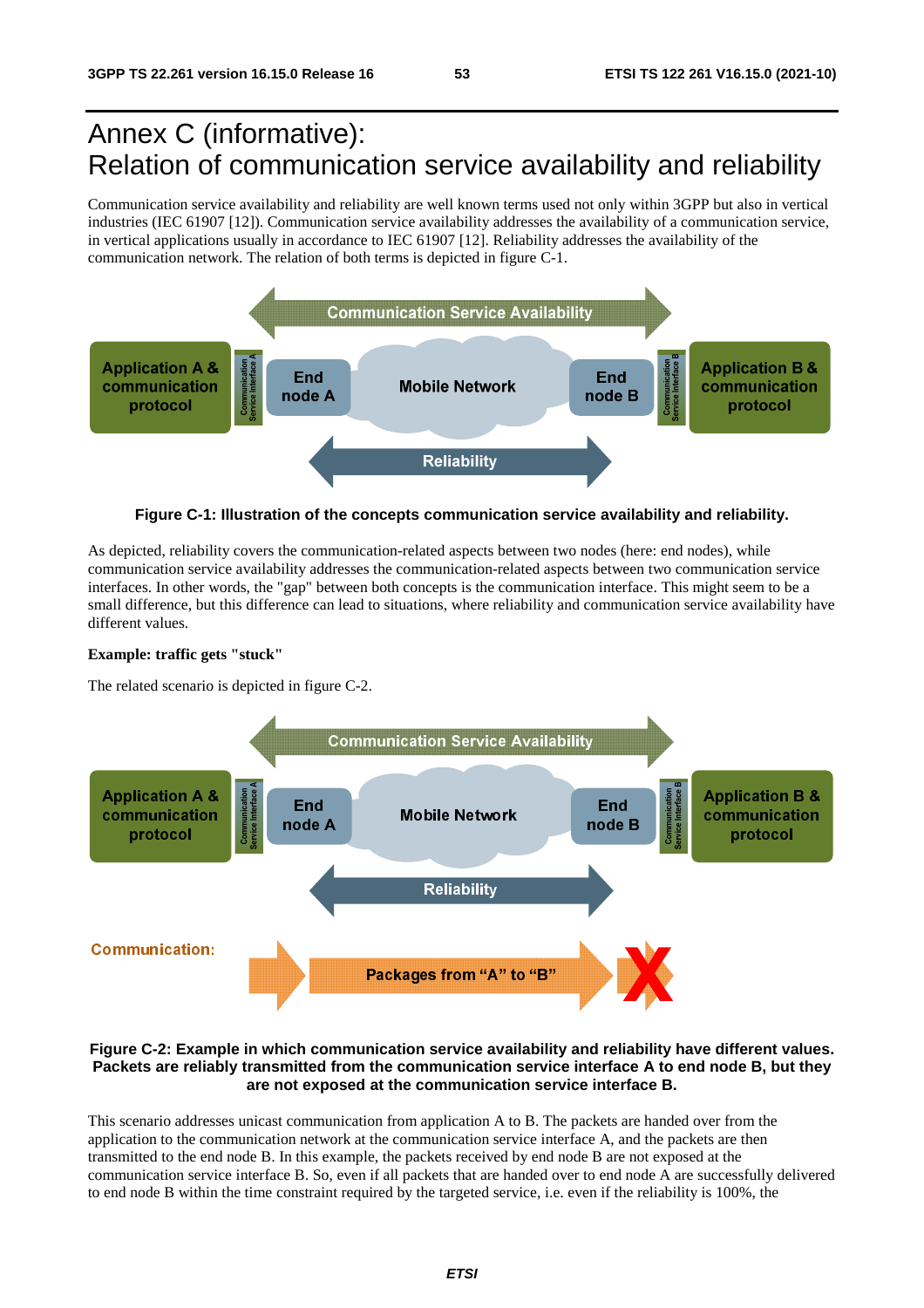# Annex C (informative): Relation of communication service availability and reliability

Communication service availability and reliability are well known terms used not only within 3GPP but also in vertical industries (IEC 61907 [12]). Communication service availability addresses the availability of a communication service, in vertical applications usually in accordance to IEC 61907 [12]. Reliability addresses the availability of the communication network. The relation of both terms is depicted in figure C-1.



**Figure C-1: Illustration of the concepts communication service availability and reliability.** 

As depicted, reliability covers the communication-related aspects between two nodes (here: end nodes), while communication service availability addresses the communication-related aspects between two communication service interfaces. In other words, the "gap" between both concepts is the communication interface. This might seem to be a small difference, but this difference can lead to situations, where reliability and communication service availability have different values.

#### **Example: traffic gets "stuck"**

The related scenario is depicted in figure C-2.



#### **Figure C-2: Example in which communication service availability and reliability have different values. Packets are reliably transmitted from the communication service interface A to end node B, but they are not exposed at the communication service interface B.**

This scenario addresses unicast communication from application A to B. The packets are handed over from the application to the communication network at the communication service interface A, and the packets are then transmitted to the end node B. In this example, the packets received by end node B are not exposed at the communication service interface B. So, even if all packets that are handed over to end node A are successfully delivered to end node B within the time constraint required by the targeted service, i.e. even if the reliability is 100%, the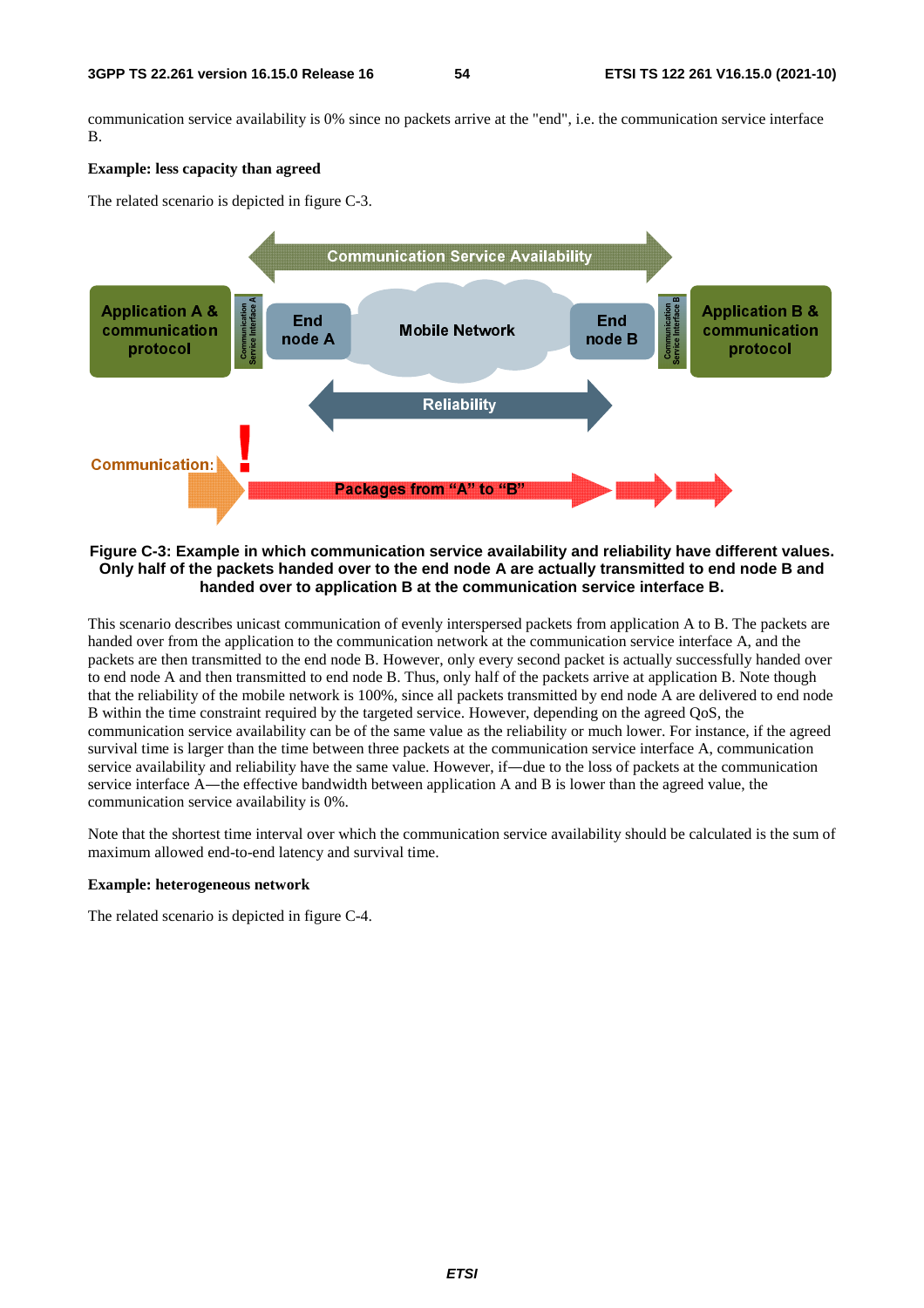communication service availability is 0% since no packets arrive at the "end", i.e. the communication service interface B.

#### **Example: less capacity than agreed**

The related scenario is depicted in figure C-3.



#### **Figure C-3: Example in which communication service availability and reliability have different values. Only half of the packets handed over to the end node A are actually transmitted to end node B and handed over to application B at the communication service interface B.**

This scenario describes unicast communication of evenly interspersed packets from application A to B. The packets are handed over from the application to the communication network at the communication service interface A, and the packets are then transmitted to the end node B. However, only every second packet is actually successfully handed over to end node A and then transmitted to end node B. Thus, only half of the packets arrive at application B. Note though that the reliability of the mobile network is 100%, since all packets transmitted by end node A are delivered to end node B within the time constraint required by the targeted service. However, depending on the agreed QoS, the communication service availability can be of the same value as the reliability or much lower. For instance, if the agreed survival time is larger than the time between three packets at the communication service interface A, communication service availability and reliability have the same value. However, if―due to the loss of packets at the communication service interface A—the effective bandwidth between application A and B is lower than the agreed value, the communication service availability is 0%.

Note that the shortest time interval over which the communication service availability should be calculated is the sum of maximum allowed end-to-end latency and survival time.

#### **Example: heterogeneous network**

The related scenario is depicted in figure C-4.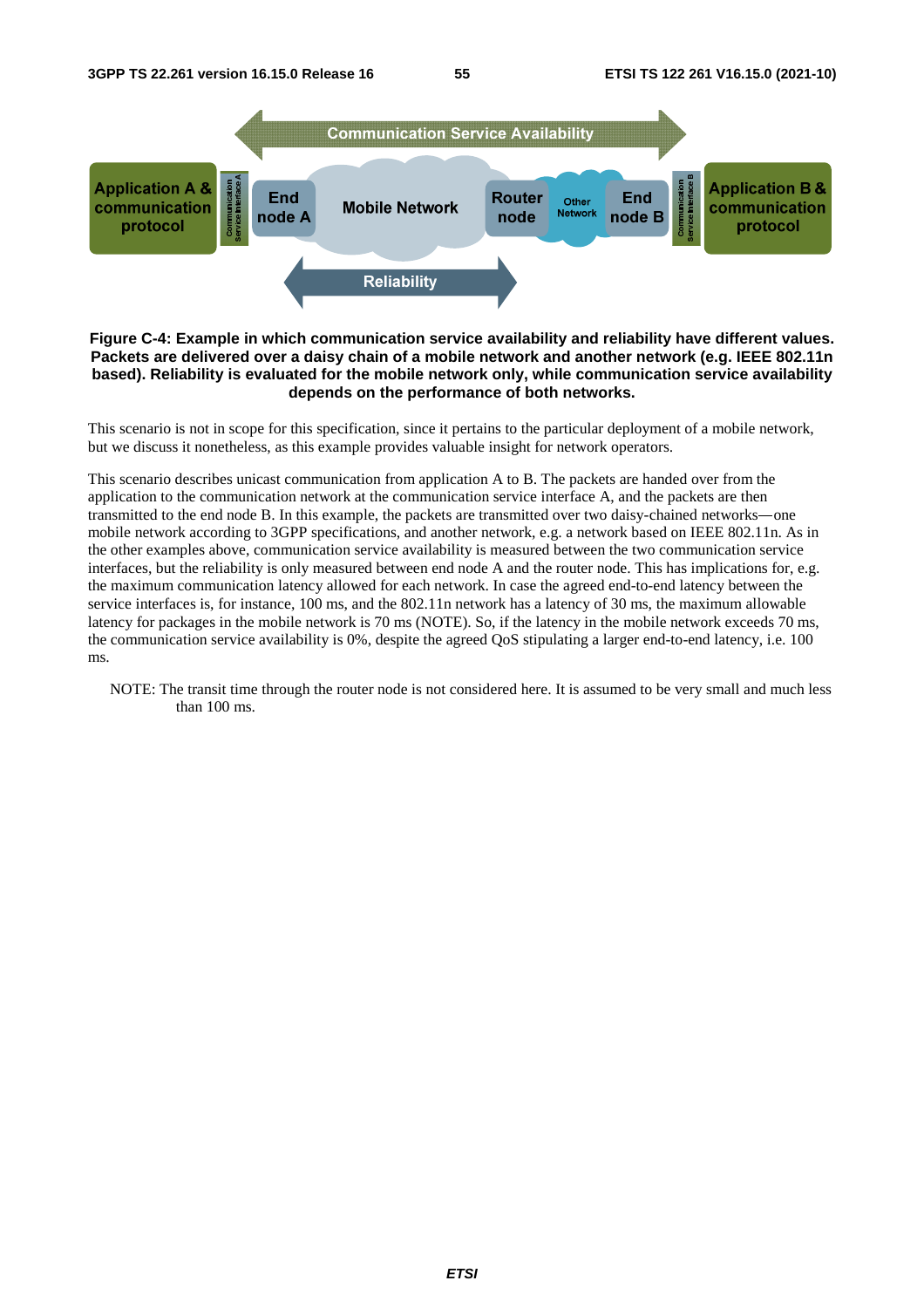

#### **Figure C-4: Example in which communication service availability and reliability have different values. Packets are delivered over a daisy chain of a mobile network and another network (e.g. IEEE 802.11n based). Reliability is evaluated for the mobile network only, while communication service availability depends on the performance of both networks.**

This scenario is not in scope for this specification, since it pertains to the particular deployment of a mobile network, but we discuss it nonetheless, as this example provides valuable insight for network operators.

This scenario describes unicast communication from application A to B. The packets are handed over from the application to the communication network at the communication service interface A, and the packets are then transmitted to the end node B. In this example, the packets are transmitted over two daisy-chained networks―one mobile network according to 3GPP specifications, and another network, e.g. a network based on IEEE 802.11n. As in the other examples above, communication service availability is measured between the two communication service interfaces, but the reliability is only measured between end node A and the router node. This has implications for, e.g. the maximum communication latency allowed for each network. In case the agreed end-to-end latency between the service interfaces is, for instance, 100 ms, and the 802.11n network has a latency of 30 ms, the maximum allowable latency for packages in the mobile network is 70 ms (NOTE). So, if the latency in the mobile network exceeds 70 ms, the communication service availability is 0%, despite the agreed QoS stipulating a larger end-to-end latency, i.e. 100 ms.

NOTE: The transit time through the router node is not considered here. It is assumed to be very small and much less than 100 ms.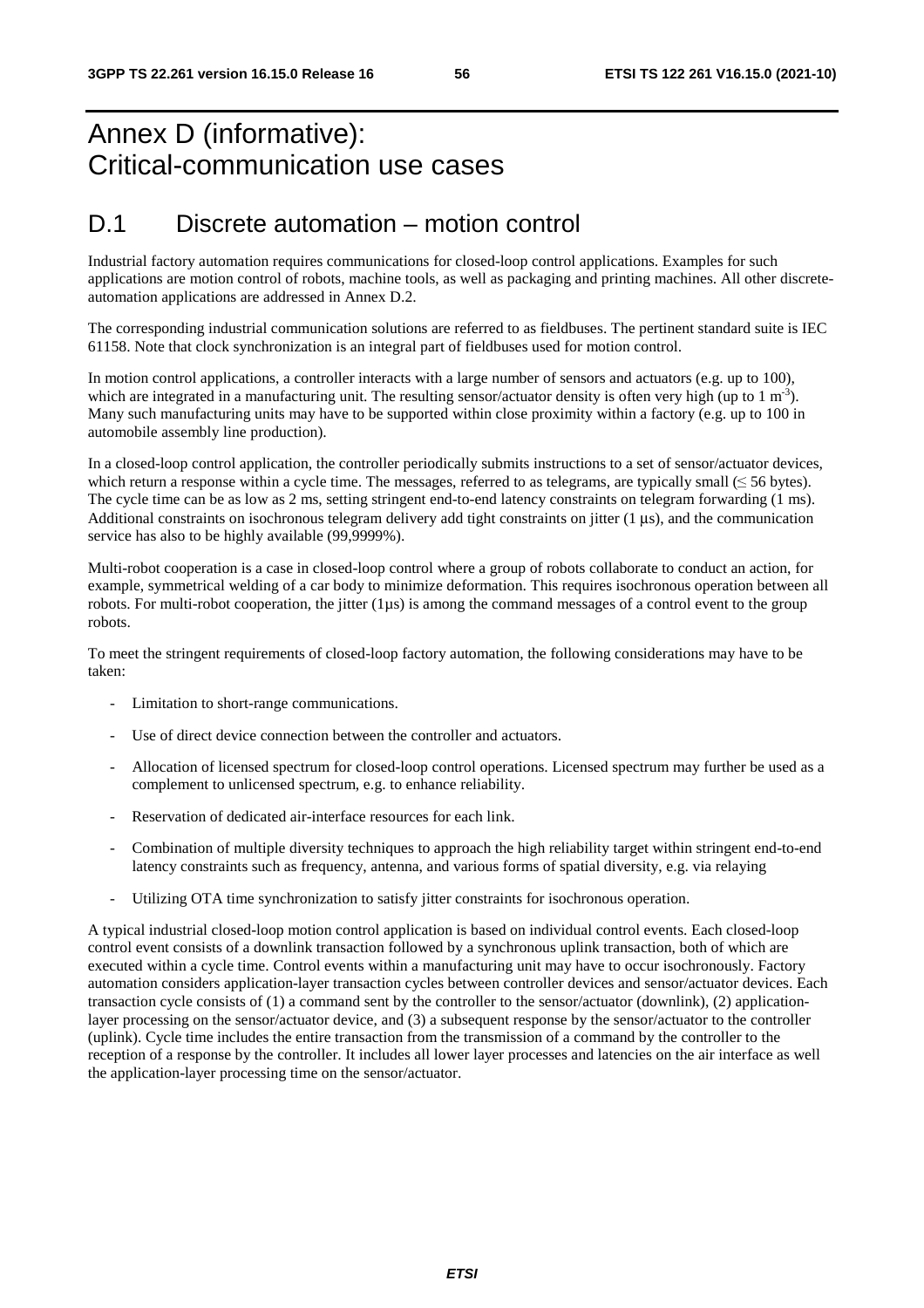# Annex D (informative): Critical-communication use cases

# D.1 Discrete automation – motion control

Industrial factory automation requires communications for closed-loop control applications. Examples for such applications are motion control of robots, machine tools, as well as packaging and printing machines. All other discreteautomation applications are addressed in Annex D.2.

The corresponding industrial communication solutions are referred to as fieldbuses. The pertinent standard suite is IEC 61158. Note that clock synchronization is an integral part of fieldbuses used for motion control.

In motion control applications, a controller interacts with a large number of sensors and actuators (e.g. up to 100), which are integrated in a manufacturing unit. The resulting sensor/actuator density is often very high (up to 1 m<sup>-3</sup>). Many such manufacturing units may have to be supported within close proximity within a factory (e.g. up to 100 in automobile assembly line production).

In a closed-loop control application, the controller periodically submits instructions to a set of sensor/actuator devices, which return a response within a cycle time. The messages, referred to as telegrams, are typically small  $(\leq 56$  bytes). The cycle time can be as low as 2 ms, setting stringent end-to-end latency constraints on telegram forwarding (1 ms). Additional constraints on isochronous telegram delivery add tight constraints on jitter  $(1 \mu s)$ , and the communication service has also to be highly available (99,9999%).

Multi-robot cooperation is a case in closed-loop control where a group of robots collaborate to conduct an action, for example, symmetrical welding of a car body to minimize deformation. This requires isochronous operation between all robots. For multi-robot cooperation, the jitter  $(1\mu s)$  is among the command messages of a control event to the group robots.

To meet the stringent requirements of closed-loop factory automation, the following considerations may have to be taken:

- Limitation to short-range communications.
- Use of direct device connection between the controller and actuators.
- Allocation of licensed spectrum for closed-loop control operations. Licensed spectrum may further be used as a complement to unlicensed spectrum, e.g. to enhance reliability.
- Reservation of dedicated air-interface resources for each link.
- Combination of multiple diversity techniques to approach the high reliability target within stringent end-to-end latency constraints such as frequency, antenna, and various forms of spatial diversity, e.g. via relaying
- Utilizing OTA time synchronization to satisfy jitter constraints for isochronous operation.

A typical industrial closed-loop motion control application is based on individual control events. Each closed-loop control event consists of a downlink transaction followed by a synchronous uplink transaction, both of which are executed within a cycle time. Control events within a manufacturing unit may have to occur isochronously. Factory automation considers application-layer transaction cycles between controller devices and sensor/actuator devices. Each transaction cycle consists of (1) a command sent by the controller to the sensor/actuator (downlink), (2) applicationlayer processing on the sensor/actuator device, and (3) a subsequent response by the sensor/actuator to the controller (uplink). Cycle time includes the entire transaction from the transmission of a command by the controller to the reception of a response by the controller. It includes all lower layer processes and latencies on the air interface as well the application-layer processing time on the sensor/actuator.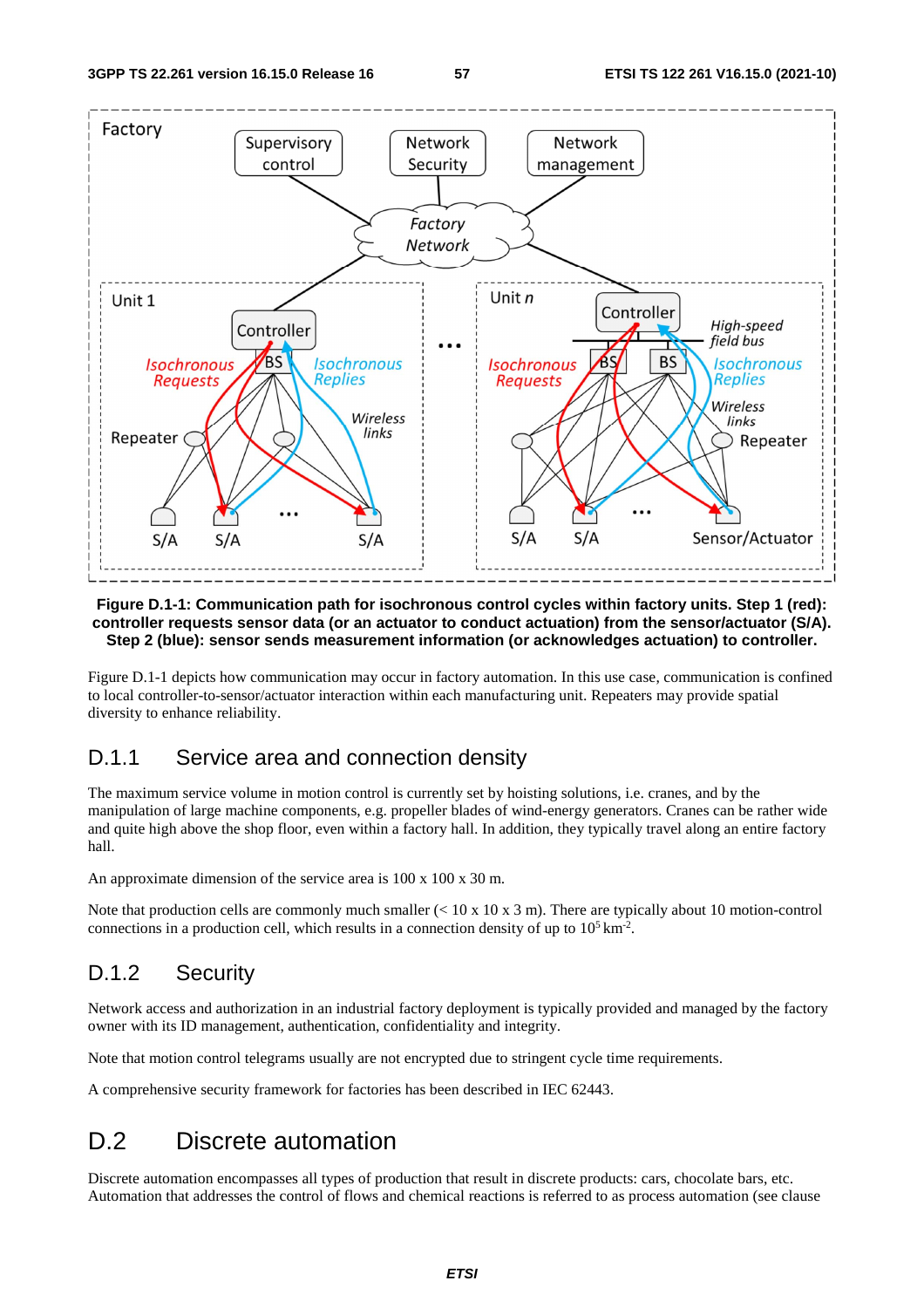

#### **Figure D.1-1: Communication path for isochronous control cycles within factory units. Step 1 (red): controller requests sensor data (or an actuator to conduct actuation) from the sensor/actuator (S/A). Step 2 (blue): sensor sends measurement information (or acknowledges actuation) to controller.**

Figure D.1-1 depicts how communication may occur in factory automation. In this use case, communication is confined to local controller-to-sensor/actuator interaction within each manufacturing unit. Repeaters may provide spatial diversity to enhance reliability.

### D.1.1 Service area and connection density

The maximum service volume in motion control is currently set by hoisting solutions, i.e. cranes, and by the manipulation of large machine components, e.g. propeller blades of wind-energy generators. Cranes can be rather wide and quite high above the shop floor, even within a factory hall. In addition, they typically travel along an entire factory hall.

An approximate dimension of the service area is 100 x 100 x 30 m.

Note that production cells are commonly much smaller  $(< 10 \times 10 \times 3 \text{ m})$ . There are typically about 10 motion-control connections in a production cell, which results in a connection density of up to  $10^5 \text{ km}^2$ .

# D.1.2 Security

Network access and authorization in an industrial factory deployment is typically provided and managed by the factory owner with its ID management, authentication, confidentiality and integrity.

Note that motion control telegrams usually are not encrypted due to stringent cycle time requirements.

A comprehensive security framework for factories has been described in IEC 62443.

# D.2 Discrete automation

Discrete automation encompasses all types of production that result in discrete products: cars, chocolate bars, etc. Automation that addresses the control of flows and chemical reactions is referred to as process automation (see clause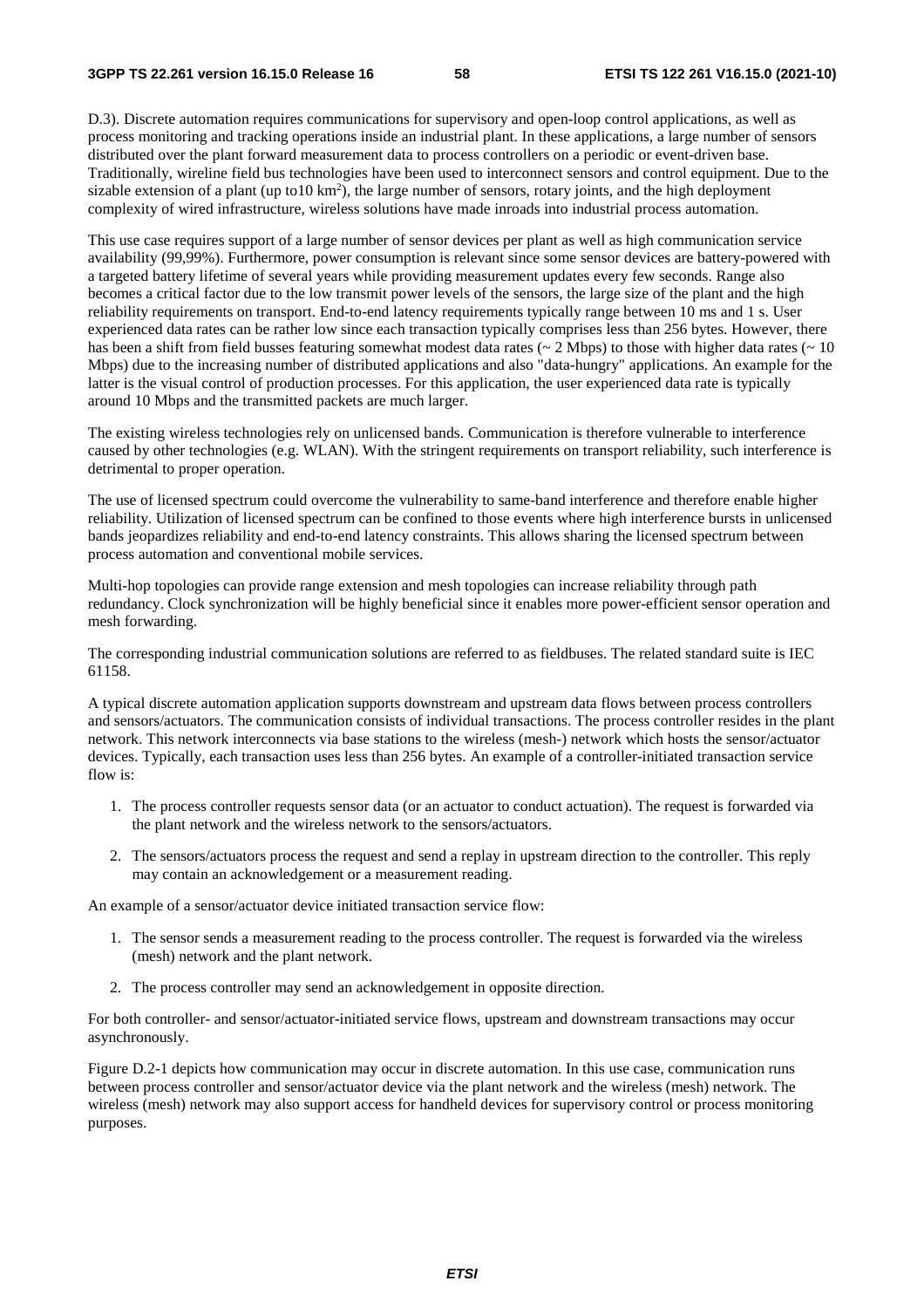D.3). Discrete automation requires communications for supervisory and open-loop control applications, as well as process monitoring and tracking operations inside an industrial plant. In these applications, a large number of sensors distributed over the plant forward measurement data to process controllers on a periodic or event-driven base. Traditionally, wireline field bus technologies have been used to interconnect sensors and control equipment. Due to the sizable extension of a plant (up to10  $km<sup>2</sup>$ ), the large number of sensors, rotary joints, and the high deployment complexity of wired infrastructure, wireless solutions have made inroads into industrial process automation.

This use case requires support of a large number of sensor devices per plant as well as high communication service availability (99,99%). Furthermore, power consumption is relevant since some sensor devices are battery-powered with a targeted battery lifetime of several years while providing measurement updates every few seconds. Range also becomes a critical factor due to the low transmit power levels of the sensors, the large size of the plant and the high reliability requirements on transport. End-to-end latency requirements typically range between 10 ms and 1 s. User experienced data rates can be rather low since each transaction typically comprises less than 256 bytes. However, there has been a shift from field busses featuring somewhat modest data rates ( $\sim 2$  Mbps) to those with higher data rates ( $\sim 10$ Mbps) due to the increasing number of distributed applications and also "data-hungry" applications. An example for the latter is the visual control of production processes. For this application, the user experienced data rate is typically around 10 Mbps and the transmitted packets are much larger.

The existing wireless technologies rely on unlicensed bands. Communication is therefore vulnerable to interference caused by other technologies (e.g. WLAN). With the stringent requirements on transport reliability, such interference is detrimental to proper operation.

The use of licensed spectrum could overcome the vulnerability to same-band interference and therefore enable higher reliability. Utilization of licensed spectrum can be confined to those events where high interference bursts in unlicensed bands jeopardizes reliability and end-to-end latency constraints. This allows sharing the licensed spectrum between process automation and conventional mobile services.

Multi-hop topologies can provide range extension and mesh topologies can increase reliability through path redundancy. Clock synchronization will be highly beneficial since it enables more power-efficient sensor operation and mesh forwarding.

The corresponding industrial communication solutions are referred to as fieldbuses. The related standard suite is IEC 61158.

A typical discrete automation application supports downstream and upstream data flows between process controllers and sensors/actuators. The communication consists of individual transactions. The process controller resides in the plant network. This network interconnects via base stations to the wireless (mesh-) network which hosts the sensor/actuator devices. Typically, each transaction uses less than 256 bytes. An example of a controller-initiated transaction service flow is:

- 1. The process controller requests sensor data (or an actuator to conduct actuation). The request is forwarded via the plant network and the wireless network to the sensors/actuators.
- 2. The sensors/actuators process the request and send a replay in upstream direction to the controller. This reply may contain an acknowledgement or a measurement reading.

An example of a sensor/actuator device initiated transaction service flow:

- 1. The sensor sends a measurement reading to the process controller. The request is forwarded via the wireless (mesh) network and the plant network.
- 2. The process controller may send an acknowledgement in opposite direction.

For both controller- and sensor/actuator-initiated service flows, upstream and downstream transactions may occur asynchronously.

Figure D.2-1 depicts how communication may occur in discrete automation. In this use case, communication runs between process controller and sensor/actuator device via the plant network and the wireless (mesh) network. The wireless (mesh) network may also support access for handheld devices for supervisory control or process monitoring purposes.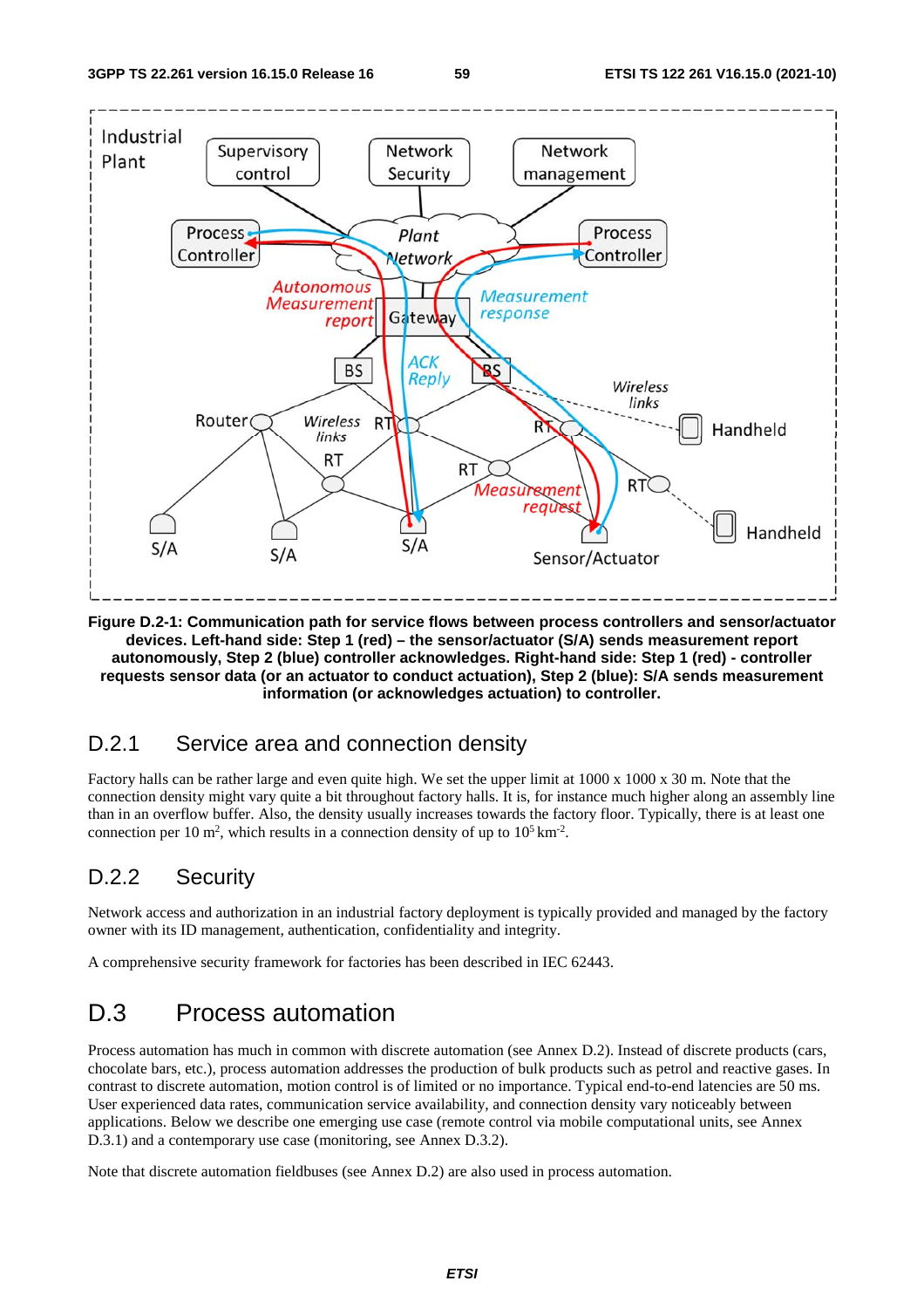

**Figure D.2-1: Communication path for service flows between process controllers and sensor/actuator devices. Left-hand side: Step 1 (red) – the sensor/actuator (S/A) sends measurement report autonomously, Step 2 (blue) controller acknowledges. Right-hand side: Step 1 (red) - controller requests sensor data (or an actuator to conduct actuation), Step 2 (blue): S/A sends measurement information (or acknowledges actuation) to controller.** 

### D.2.1 Service area and connection density

Factory halls can be rather large and even quite high. We set the upper limit at 1000 x 1000 x 30 m. Note that the connection density might vary quite a bit throughout factory halls. It is, for instance much higher along an assembly line than in an overflow buffer. Also, the density usually increases towards the factory floor. Typically, there is at least one connection per 10 m<sup>2</sup>, which results in a connection density of up to  $10^5 \text{ km}^2$ .

### D.2.2 Security

Network access and authorization in an industrial factory deployment is typically provided and managed by the factory owner with its ID management, authentication, confidentiality and integrity.

A comprehensive security framework for factories has been described in IEC 62443.

# D.3 Process automation

Process automation has much in common with discrete automation (see Annex D.2). Instead of discrete products (cars, chocolate bars, etc.), process automation addresses the production of bulk products such as petrol and reactive gases. In contrast to discrete automation, motion control is of limited or no importance. Typical end-to-end latencies are 50 ms. User experienced data rates, communication service availability, and connection density vary noticeably between applications. Below we describe one emerging use case (remote control via mobile computational units, see Annex D.3.1) and a contemporary use case (monitoring, see Annex D.3.2).

Note that discrete automation fieldbuses (see Annex D.2) are also used in process automation.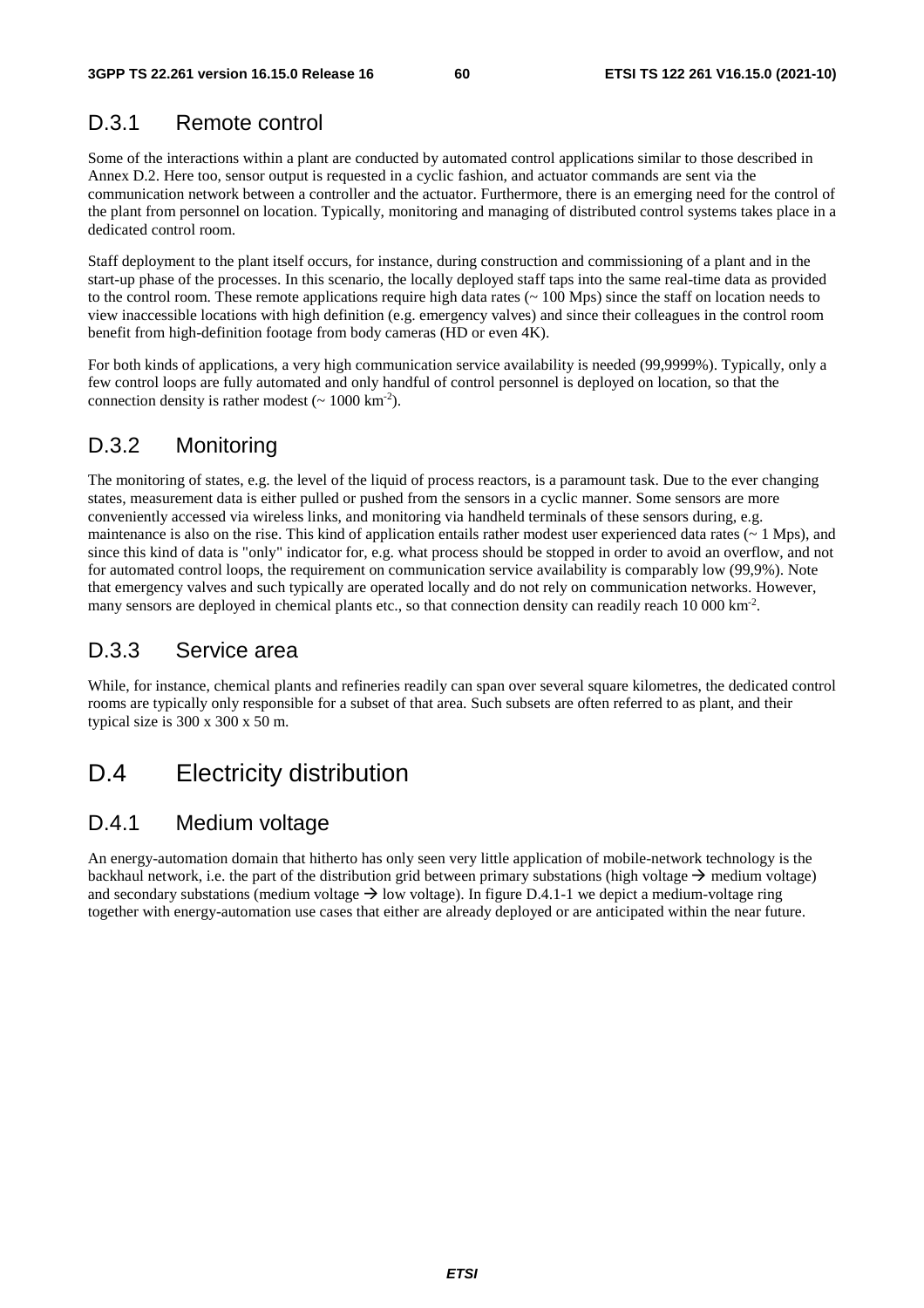### D.3.1 Remote control

Some of the interactions within a plant are conducted by automated control applications similar to those described in Annex D.2. Here too, sensor output is requested in a cyclic fashion, and actuator commands are sent via the communication network between a controller and the actuator. Furthermore, there is an emerging need for the control of the plant from personnel on location. Typically, monitoring and managing of distributed control systems takes place in a dedicated control room.

Staff deployment to the plant itself occurs, for instance, during construction and commissioning of a plant and in the start-up phase of the processes. In this scenario, the locally deployed staff taps into the same real-time data as provided to the control room. These remote applications require high data rates (~ 100 Mps) since the staff on location needs to view inaccessible locations with high definition (e.g. emergency valves) and since their colleagues in the control room benefit from high-definition footage from body cameras (HD or even 4K).

For both kinds of applications, a very high communication service availability is needed (99,9999%). Typically, only a few control loops are fully automated and only handful of control personnel is deployed on location, so that the connection density is rather modest  $({\sim 1000 \text{ km}^{-2}})$ .

## D.3.2 Monitoring

The monitoring of states, e.g. the level of the liquid of process reactors, is a paramount task. Due to the ever changing states, measurement data is either pulled or pushed from the sensors in a cyclic manner. Some sensors are more conveniently accessed via wireless links, and monitoring via handheld terminals of these sensors during, e.g. maintenance is also on the rise. This kind of application entails rather modest user experienced data rates  $(~ 1 \text{ Mps})$ , and since this kind of data is "only" indicator for, e.g. what process should be stopped in order to avoid an overflow, and not for automated control loops, the requirement on communication service availability is comparably low (99,9%). Note that emergency valves and such typically are operated locally and do not rely on communication networks. However, many sensors are deployed in chemical plants etc., so that connection density can readily reach 10 000 km<sup>-2</sup>.

### D.3.3 Service area

While, for instance, chemical plants and refineries readily can span over several square kilometres, the dedicated control rooms are typically only responsible for a subset of that area. Such subsets are often referred to as plant, and their typical size is 300 x 300 x 50 m.

# D.4 Electricity distribution

### D.4.1 Medium voltage

An energy-automation domain that hitherto has only seen very little application of mobile-network technology is the backhaul network, i.e. the part of the distribution grid between primary substations (high voltage  $\rightarrow$  medium voltage) and secondary substations (medium voltage  $\rightarrow$  low voltage). In figure D.4.1-1 we depict a medium-voltage ring together with energy-automation use cases that either are already deployed or are anticipated within the near future.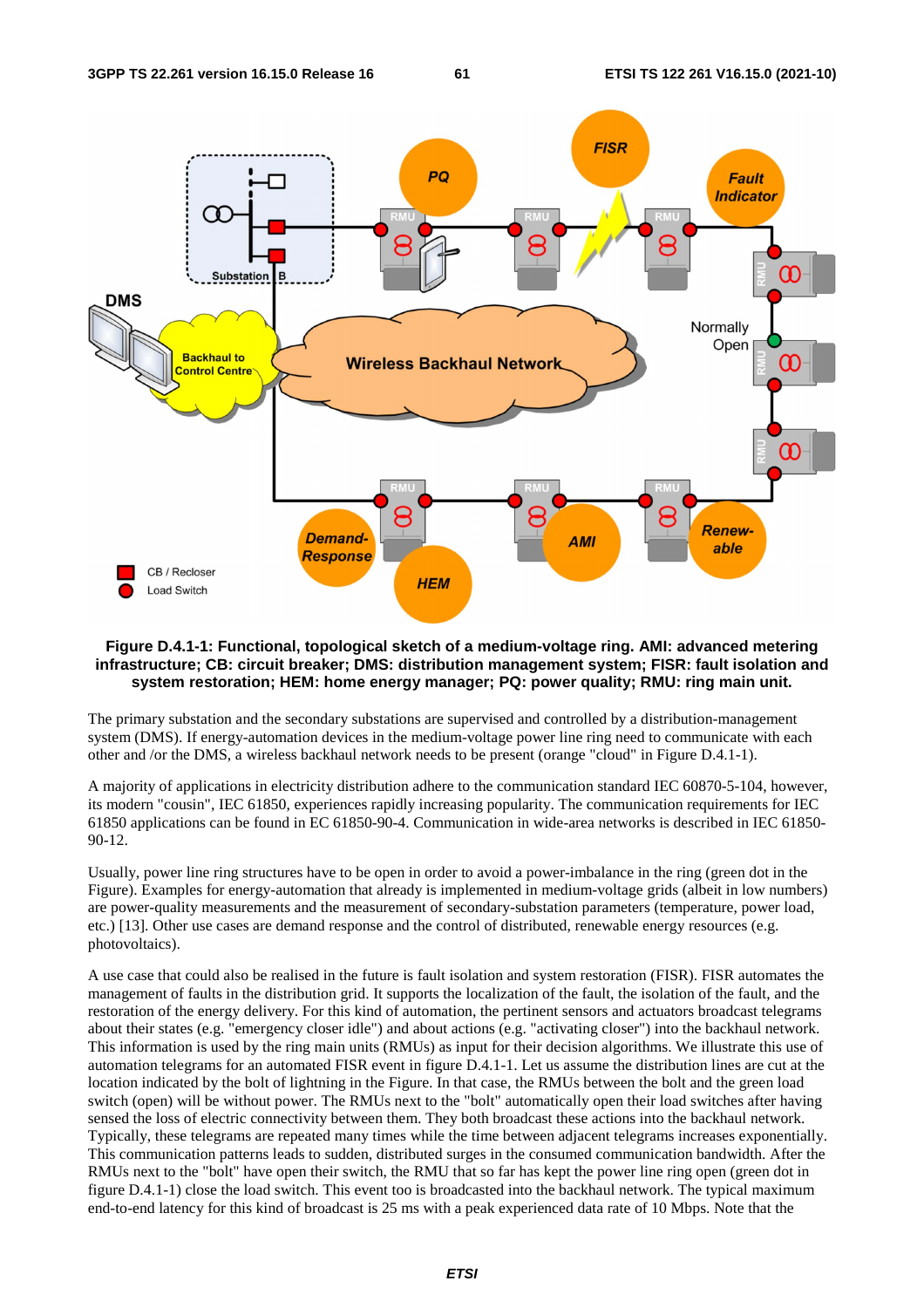

#### **Figure D.4.1-1: Functional, topological sketch of a medium-voltage ring. AMI: advanced metering infrastructure; CB: circuit breaker; DMS: distribution management system; FISR: fault isolation and system restoration; HEM: home energy manager; PQ: power quality; RMU: ring main unit.**

The primary substation and the secondary substations are supervised and controlled by a distribution-management system (DMS). If energy-automation devices in the medium-voltage power line ring need to communicate with each other and /or the DMS, a wireless backhaul network needs to be present (orange "cloud" in Figure D.4.1-1).

A majority of applications in electricity distribution adhere to the communication standard IEC 60870-5-104, however, its modern "cousin", IEC 61850, experiences rapidly increasing popularity. The communication requirements for IEC 61850 applications can be found in EC 61850-90-4. Communication in wide-area networks is described in IEC 61850- 90-12.

Usually, power line ring structures have to be open in order to avoid a power-imbalance in the ring (green dot in the Figure). Examples for energy-automation that already is implemented in medium-voltage grids (albeit in low numbers) are power-quality measurements and the measurement of secondary-substation parameters (temperature, power load, etc.) [13]. Other use cases are demand response and the control of distributed, renewable energy resources (e.g. photovoltaics).

A use case that could also be realised in the future is fault isolation and system restoration (FISR). FISR automates the management of faults in the distribution grid. It supports the localization of the fault, the isolation of the fault, and the restoration of the energy delivery. For this kind of automation, the pertinent sensors and actuators broadcast telegrams about their states (e.g. "emergency closer idle") and about actions (e.g. "activating closer") into the backhaul network. This information is used by the ring main units (RMUs) as input for their decision algorithms. We illustrate this use of automation telegrams for an automated FISR event in figure D.4.1-1. Let us assume the distribution lines are cut at the location indicated by the bolt of lightning in the Figure. In that case, the RMUs between the bolt and the green load switch (open) will be without power. The RMUs next to the "bolt" automatically open their load switches after having sensed the loss of electric connectivity between them. They both broadcast these actions into the backhaul network. Typically, these telegrams are repeated many times while the time between adjacent telegrams increases exponentially. This communication patterns leads to sudden, distributed surges in the consumed communication bandwidth. After the RMUs next to the "bolt" have open their switch, the RMU that so far has kept the power line ring open (green dot in figure D.4.1-1) close the load switch. This event too is broadcasted into the backhaul network. The typical maximum end-to-end latency for this kind of broadcast is 25 ms with a peak experienced data rate of 10 Mbps. Note that the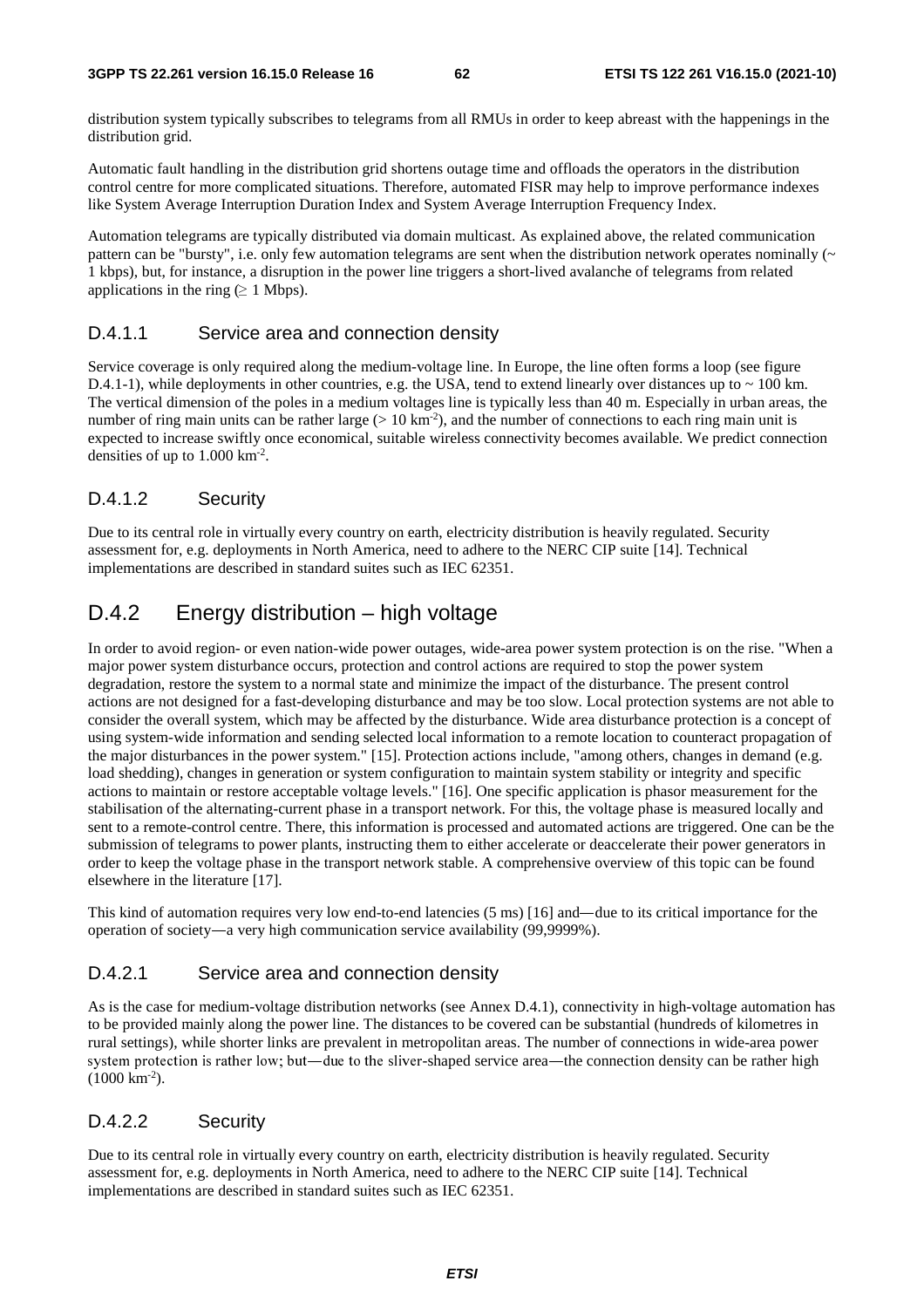distribution system typically subscribes to telegrams from all RMUs in order to keep abreast with the happenings in the distribution grid.

Automatic fault handling in the distribution grid shortens outage time and offloads the operators in the distribution control centre for more complicated situations. Therefore, automated FISR may help to improve performance indexes like System Average Interruption Duration Index and System Average Interruption Frequency Index.

Automation telegrams are typically distributed via domain multicast. As explained above, the related communication pattern can be "bursty", i.e. only few automation telegrams are sent when the distribution network operates nominally  $(\sim$ 1 kbps), but, for instance, a disruption in the power line triggers a short-lived avalanche of telegrams from related applications in the ring ( $\geq 1$  Mbps).

### D.4.1.1 Service area and connection density

Service coverage is only required along the medium-voltage line. In Europe, the line often forms a loop (see figure D.4.1-1), while deployments in other countries, e.g. the USA, tend to extend linearly over distances up to  $\sim$  100 km. The vertical dimension of the poles in a medium voltages line is typically less than 40 m. Especially in urban areas, the number of ring main units can be rather large ( $> 10 \text{ km}^2$ ), and the number of connections to each ring main unit is expected to increase swiftly once economical, suitable wireless connectivity becomes available. We predict connection densities of up to  $1.000 \mathrm{km}^2$ .

### D.4.1.2 Security

Due to its central role in virtually every country on earth, electricity distribution is heavily regulated. Security assessment for, e.g. deployments in North America, need to adhere to the NERC CIP suite [14]. Technical implementations are described in standard suites such as IEC 62351.

### D.4.2 Energy distribution – high voltage

In order to avoid region- or even nation-wide power outages, wide-area power system protection is on the rise. "When a major power system disturbance occurs, protection and control actions are required to stop the power system degradation, restore the system to a normal state and minimize the impact of the disturbance. The present control actions are not designed for a fast-developing disturbance and may be too slow. Local protection systems are not able to consider the overall system, which may be affected by the disturbance. Wide area disturbance protection is a concept of using system-wide information and sending selected local information to a remote location to counteract propagation of the major disturbances in the power system." [15]. Protection actions include, "among others, changes in demand (e.g. load shedding), changes in generation or system configuration to maintain system stability or integrity and specific actions to maintain or restore acceptable voltage levels." [16]. One specific application is phasor measurement for the stabilisation of the alternating-current phase in a transport network. For this, the voltage phase is measured locally and sent to a remote-control centre. There, this information is processed and automated actions are triggered. One can be the submission of telegrams to power plants, instructing them to either accelerate or deaccelerate their power generators in order to keep the voltage phase in the transport network stable. A comprehensive overview of this topic can be found elsewhere in the literature [17].

This kind of automation requires very low end-to-end latencies (5 ms) [16] and—due to its critical importance for the operation of society―a very high communication service availability (99,9999%).

### D.4.2.1 Service area and connection density

As is the case for medium-voltage distribution networks (see Annex D.4.1), connectivity in high-voltage automation has to be provided mainly along the power line. The distances to be covered can be substantial (hundreds of kilometres in rural settings), while shorter links are prevalent in metropolitan areas. The number of connections in wide-area power system protection is rather low; but—due to the sliver-shaped service area—the connection density can be rather high (1000 km<sup>-2</sup>).<br>(1000 km<sup>-2</sup>).<br>D.4.2.2 Security  $(1000 \text{ km}^{-2})$ .

### D.4.2.2 Security

Due to its central role in virtually every country on earth, electricity distribution is heavily regulated. Security assessment for, e.g. deployments in North America, need to adhere to the NERC CIP suite [14]. Technical implementations are described in standard suites such as IEC 62351.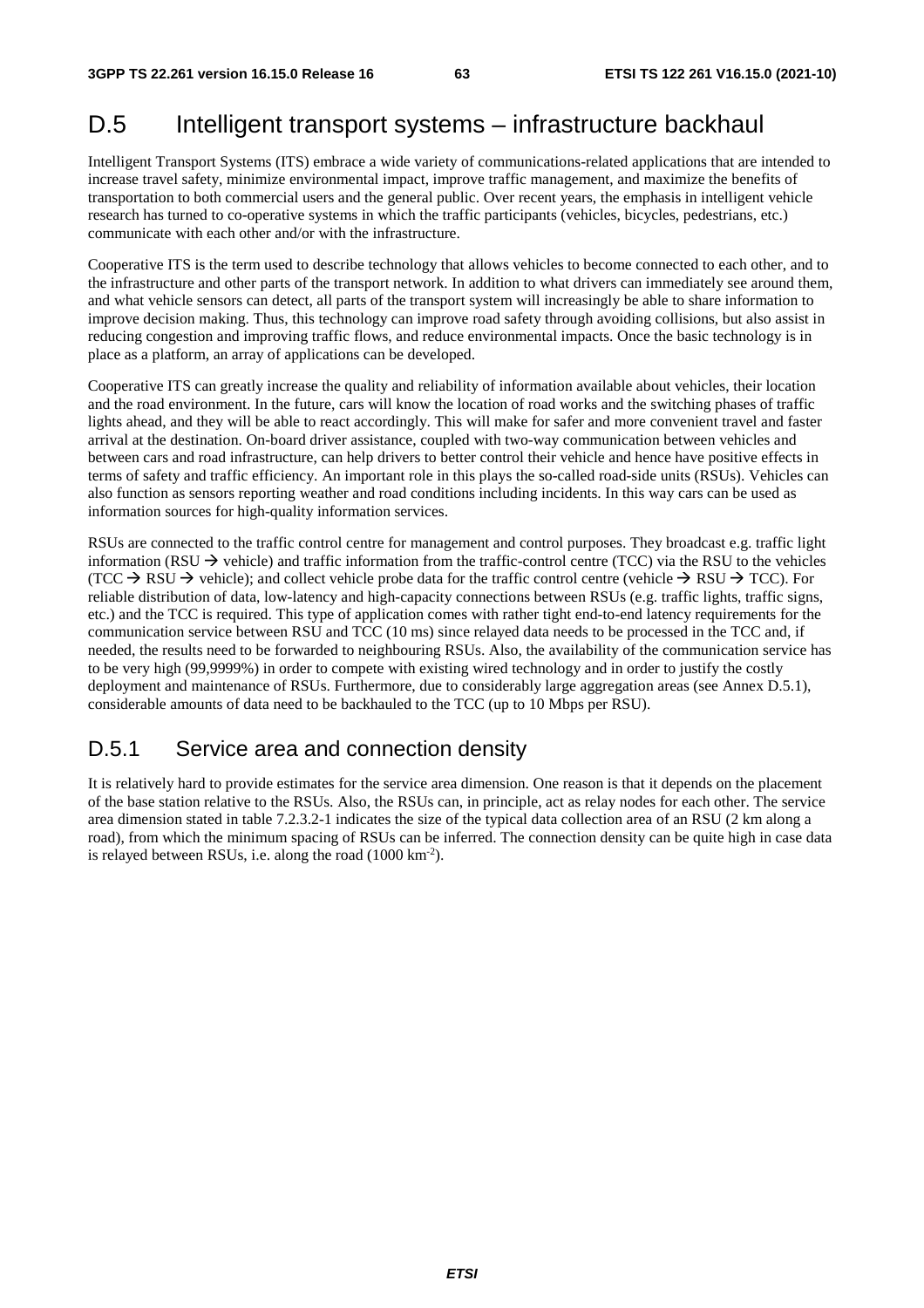# D.5 Intelligent transport systems – infrastructure backhaul

Intelligent Transport Systems (ITS) embrace a wide variety of communications-related applications that are intended to increase travel safety, minimize environmental impact, improve traffic management, and maximize the benefits of transportation to both commercial users and the general public. Over recent years, the emphasis in intelligent vehicle research has turned to co-operative systems in which the traffic participants (vehicles, bicycles, pedestrians, etc.) communicate with each other and/or with the infrastructure.

Cooperative ITS is the term used to describe technology that allows vehicles to become connected to each other, and to the infrastructure and other parts of the transport network. In addition to what drivers can immediately see around them, and what vehicle sensors can detect, all parts of the transport system will increasingly be able to share information to improve decision making. Thus, this technology can improve road safety through avoiding collisions, but also assist in reducing congestion and improving traffic flows, and reduce environmental impacts. Once the basic technology is in place as a platform, an array of applications can be developed.

Cooperative ITS can greatly increase the quality and reliability of information available about vehicles, their location and the road environment. In the future, cars will know the location of road works and the switching phases of traffic lights ahead, and they will be able to react accordingly. This will make for safer and more convenient travel and faster arrival at the destination. On-board driver assistance, coupled with two-way communication between vehicles and between cars and road infrastructure, can help drivers to better control their vehicle and hence have positive effects in terms of safety and traffic efficiency. An important role in this plays the so-called road-side units (RSUs). Vehicles can also function as sensors reporting weather and road conditions including incidents. In this way cars can be used as information sources for high-quality information services.

RSUs are connected to the traffic control centre for management and control purposes. They broadcast e.g. traffic light information (RSU  $\rightarrow$  vehicle) and traffic information from the traffic-control centre (TCC) via the RSU to the vehicles (TCC  $\rightarrow$  RSU  $\rightarrow$  vehicle); and collect vehicle probe data for the traffic control centre (vehicle  $\rightarrow$  RSU  $\rightarrow$  TCC). For reliable distribution of data, low-latency and high-capacity connections between RSUs (e.g. traffic lights, traffic signs, etc.) and the TCC is required. This type of application comes with rather tight end-to-end latency requirements for the communication service between RSU and TCC (10 ms) since relayed data needs to be processed in the TCC and, if needed, the results need to be forwarded to neighbouring RSUs. Also, the availability of the communication service has to be very high (99,9999%) in order to compete with existing wired technology and in order to justify the costly deployment and maintenance of RSUs. Furthermore, due to considerably large aggregation areas (see Annex D.5.1), considerable amounts of data need to be backhauled to the TCC (up to 10 Mbps per RSU).

# D.5.1 Service area and connection density

It is relatively hard to provide estimates for the service area dimension. One reason is that it depends on the placement of the base station relative to the RSUs. Also, the RSUs can, in principle, act as relay nodes for each other. The service area dimension stated in table 7.2.3.2-1 indicates the size of the typical data collection area of an RSU (2 km along a road), from which the minimum spacing of RSUs can be inferred. The connection density can be quite high in case data is relayed between RSUs, i.e. along the road (1000 km-2).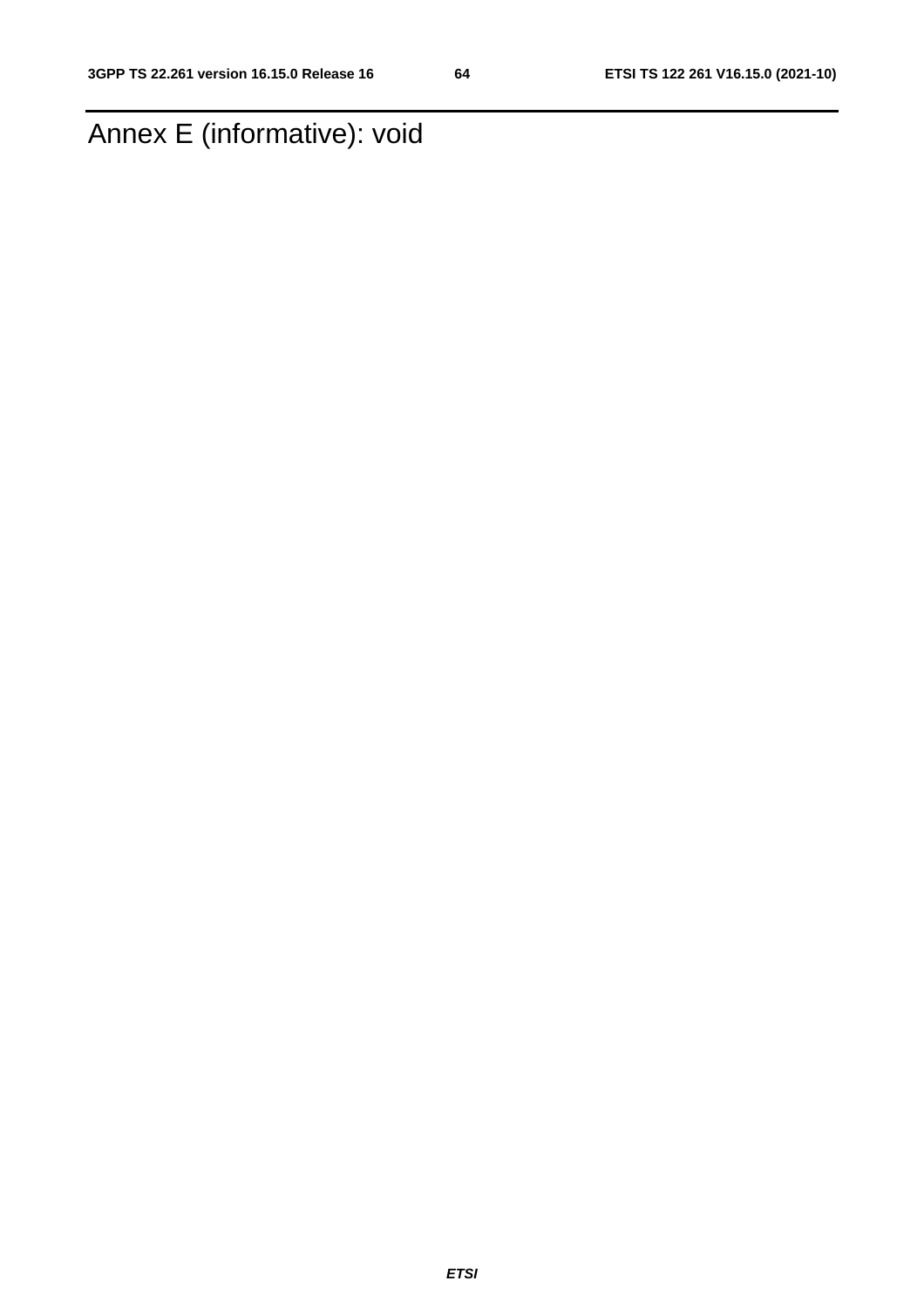# Annex E (informative): void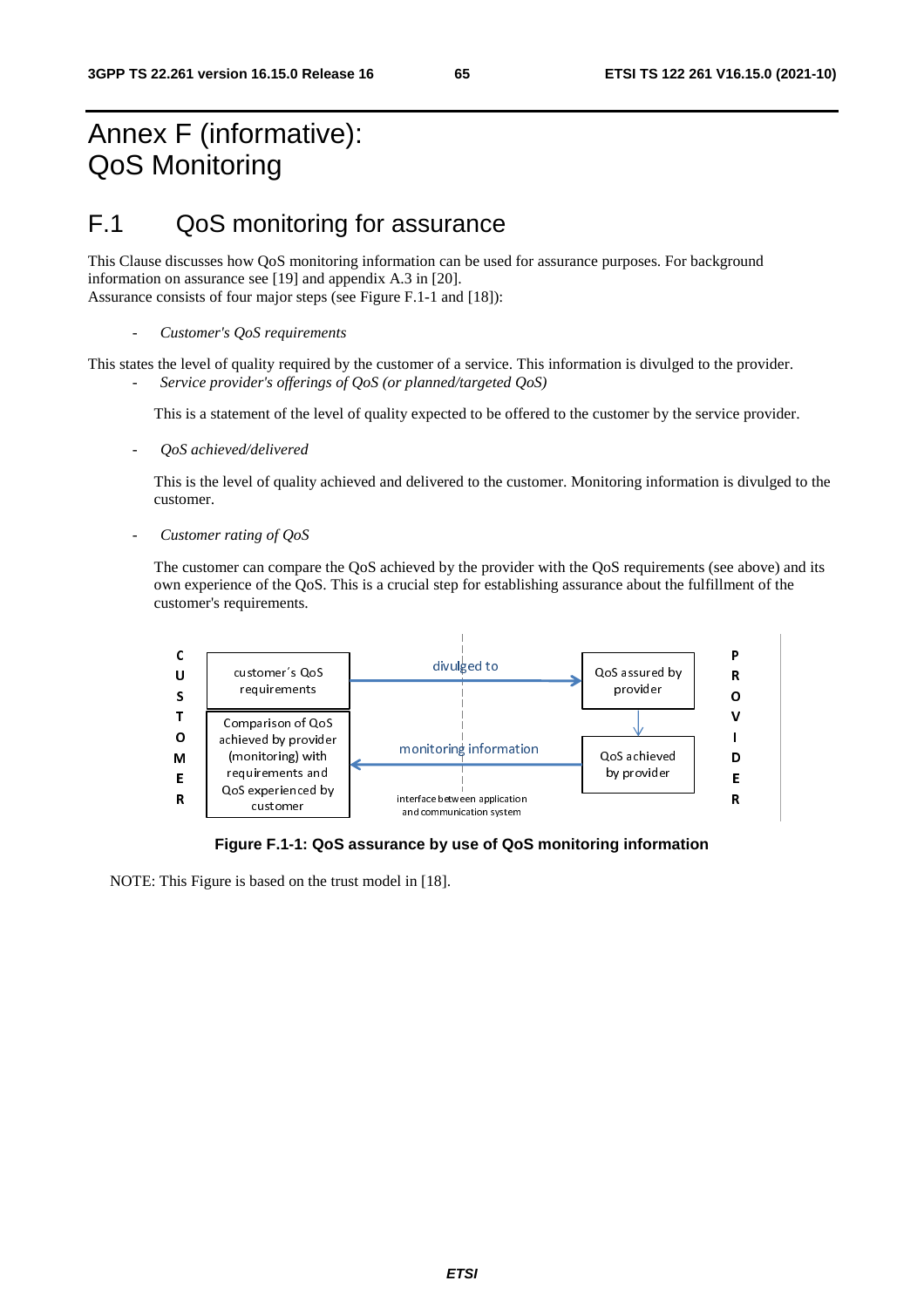# Annex F (informative): QoS Monitoring

# F.1 QoS monitoring for assurance

This Clause discusses how QoS monitoring information can be used for assurance purposes. For background information on assurance see [19] and appendix A.3 in [20]. Assurance consists of four major steps (see Figure F.1-1 and [18]):

This states the level of quality required by the customer of a service. This information is divulged to the provider. - *Service provider's offerings of QoS (or planned/targeted QoS)* 

This is a statement of the level of quality expected to be offered to the customer by the service provider.

- *QoS achieved/delivered* 

This is the level of quality achieved and delivered to the customer. Monitoring information is divulged to the customer.

- *Customer rating of QoS* 

The customer can compare the QoS achieved by the provider with the QoS requirements (see above) and its own experience of the QoS. This is a crucial step for establishing assurance about the fulfillment of the customer's requirements.



**Figure F.1-1: QoS assurance by use of QoS monitoring information** 

NOTE: This Figure is based on the trust model in [18].

<sup>-</sup> *Customer's QoS requirements*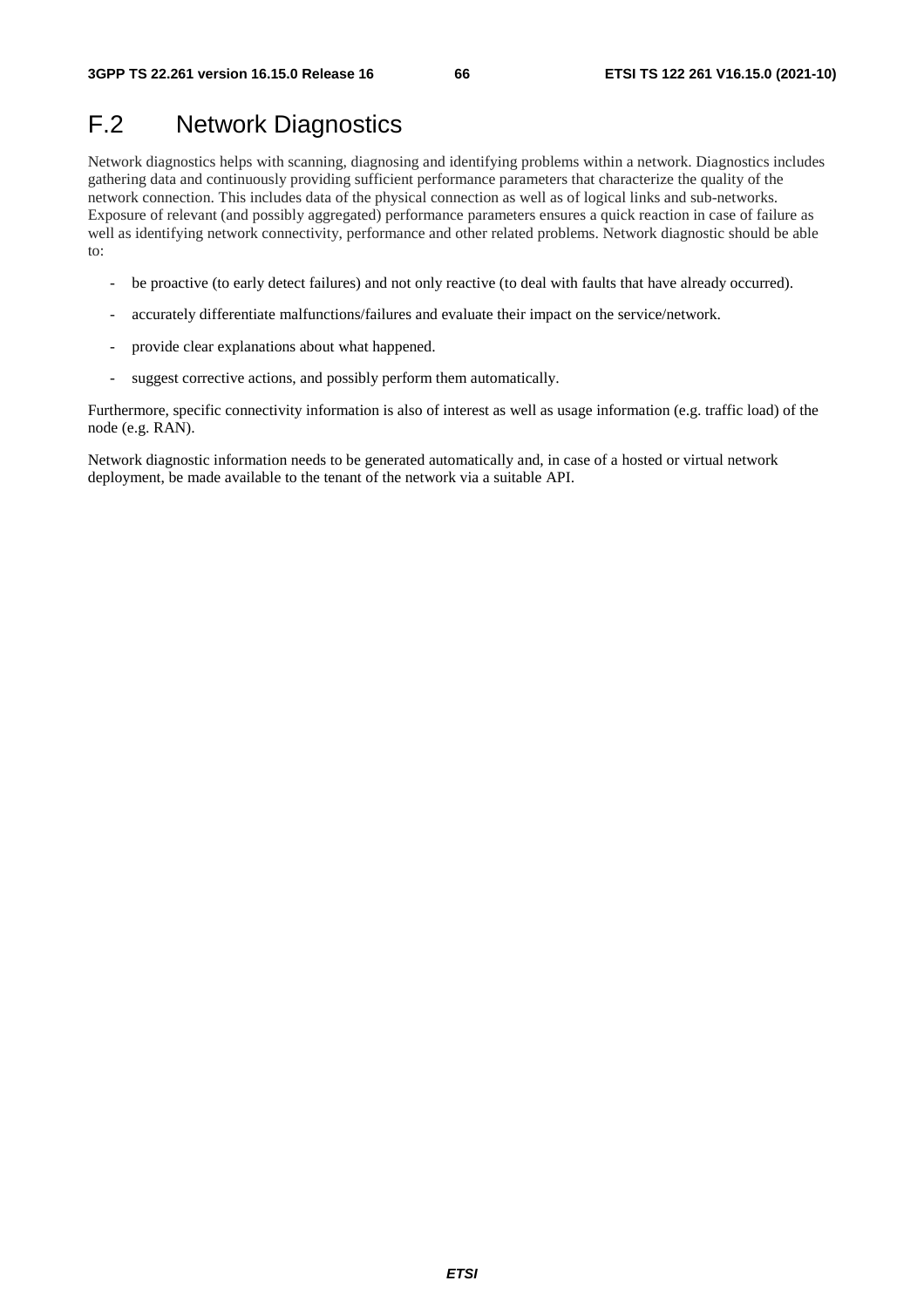# F.2 Network Diagnostics

Network diagnostics helps with scanning, diagnosing and identifying problems within a network. Diagnostics includes gathering data and continuously providing sufficient performance parameters that characterize the quality of the network connection. This includes data of the physical connection as well as of logical links and sub-networks. Exposure of relevant (and possibly aggregated) performance parameters ensures a quick reaction in case of failure as well as identifying network connectivity, performance and other related problems. Network diagnostic should be able to:

- be proactive (to early detect failures) and not only reactive (to deal with faults that have already occurred).
- accurately differentiate malfunctions/failures and evaluate their impact on the service/network.
- provide clear explanations about what happened.
- suggest corrective actions, and possibly perform them automatically.

Furthermore, specific connectivity information is also of interest as well as usage information (e.g. traffic load) of the node (e.g. RAN).

Network diagnostic information needs to be generated automatically and, in case of a hosted or virtual network deployment, be made available to the tenant of the network via a suitable API.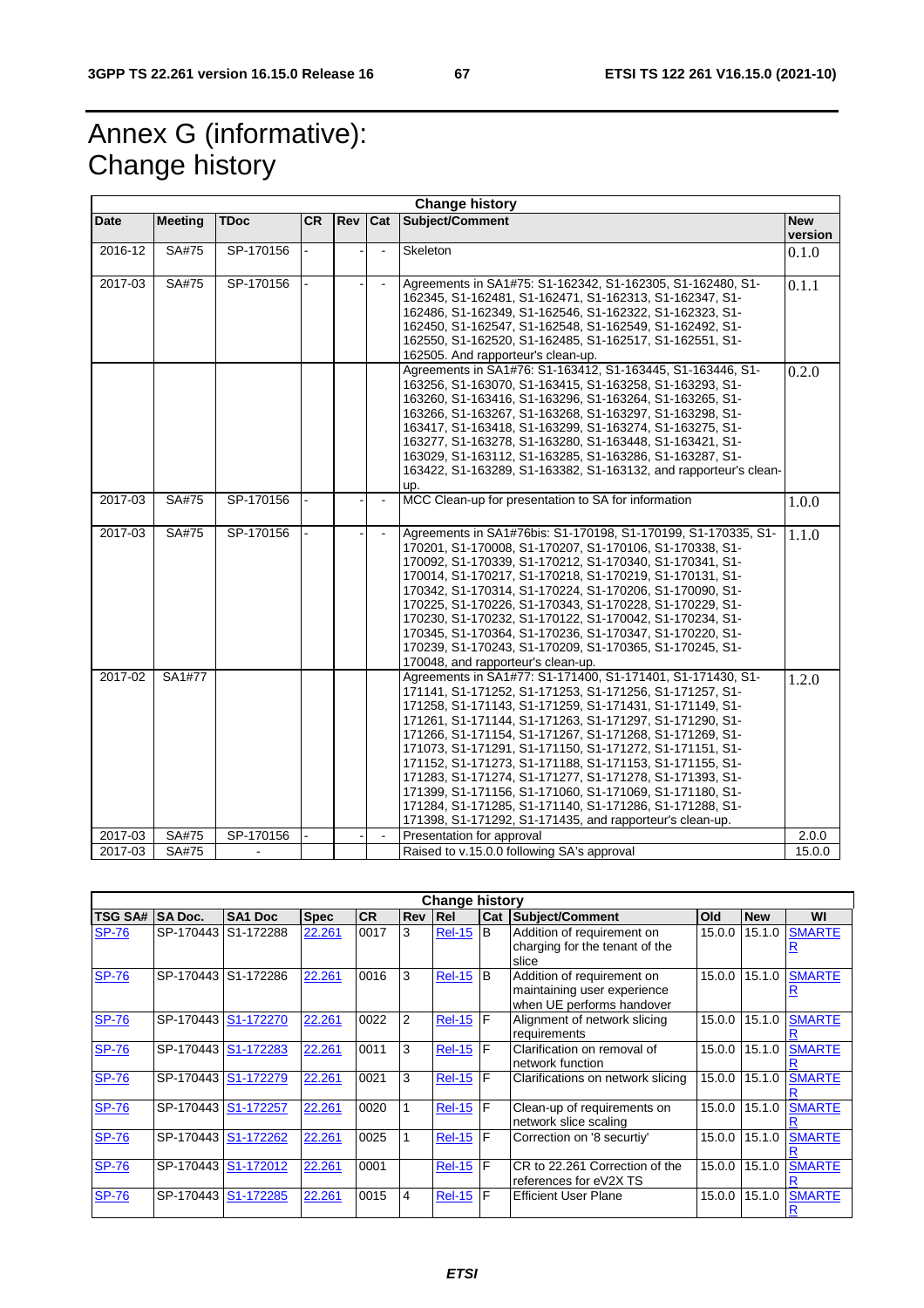# Annex G (informative): Change history

|             |                |             |           |     |                | <b>Change history</b>                                                                                                                                                                                                                                                                                                                                                                                                                                                                                                                                                                                                                                                     |                       |
|-------------|----------------|-------------|-----------|-----|----------------|---------------------------------------------------------------------------------------------------------------------------------------------------------------------------------------------------------------------------------------------------------------------------------------------------------------------------------------------------------------------------------------------------------------------------------------------------------------------------------------------------------------------------------------------------------------------------------------------------------------------------------------------------------------------------|-----------------------|
| Date        | <b>Meeting</b> | <b>TDoc</b> | <b>CR</b> | Rev | Cat            | Subject/Comment                                                                                                                                                                                                                                                                                                                                                                                                                                                                                                                                                                                                                                                           | <b>New</b><br>version |
| 2016-12     | SA#75          | SP-170156   |           |     | $\blacksquare$ | Skeleton                                                                                                                                                                                                                                                                                                                                                                                                                                                                                                                                                                                                                                                                  | 0.1.0                 |
| 2017-03     | <b>SA#75</b>   | SP-170156   |           |     | $\blacksquare$ | Agreements in SA1#75: S1-162342, S1-162305, S1-162480, S1-<br>162345, S1-162481, S1-162471, S1-162313, S1-162347, S1-<br>162486, S1-162349, S1-162546, S1-162322, S1-162323, S1-<br>162450, S1-162547, S1-162548, S1-162549, S1-162492, S1-<br>162550, S1-162520, S1-162485, S1-162517, S1-162551, S1-<br>162505. And rapporteur's clean-up.                                                                                                                                                                                                                                                                                                                              | 0.1.1                 |
|             |                |             |           |     |                | Agreements in SA1#76: S1-163412, S1-163445, S1-163446, S1-<br>163256, S1-163070, S1-163415, S1-163258, S1-163293, S1-<br>163260, S1-163416, S1-163296, S1-163264, S1-163265, S1-<br>163266, S1-163267, S1-163268, S1-163297, S1-163298, S1-<br>163417, S1-163418, S1-163299, S1-163274, S1-163275, S1-<br>163277, S1-163278, S1-163280, S1-163448, S1-163421, S1-<br>163029, S1-163112, S1-163285, S1-163286, S1-163287, S1-<br>163422, S1-163289, S1-163382, S1-163132, and rapporteur's clean-<br>up.                                                                                                                                                                   | 0.2.0                 |
| 2017-03     | SA#75          | SP-170156   |           |     | $\blacksquare$ | MCC Clean-up for presentation to SA for information                                                                                                                                                                                                                                                                                                                                                                                                                                                                                                                                                                                                                       | 1.0.0                 |
| 2017-03     | <b>SA#75</b>   | SP-170156   |           |     |                | Agreements in SA1#76bis: S1-170198, S1-170199, S1-170335, S1-<br>170201, S1-170008, S1-170207, S1-170106, S1-170338, S1-<br>170092, S1-170339, S1-170212, S1-170340, S1-170341, S1-<br>170014, S1-170217, S1-170218, S1-170219, S1-170131, S1-<br>170342, S1-170314, S1-170224, S1-170206, S1-170090, S1-<br>170225, S1-170226, S1-170343, S1-170228, S1-170229, S1-<br>170230, S1-170232, S1-170122, S1-170042, S1-170234, S1-<br>170345, S1-170364, S1-170236, S1-170347, S1-170220, S1-<br>170239, S1-170243, S1-170209, S1-170365, S1-170245, S1-<br>170048, and rapporteur's clean-up.                                                                               | 1.1.0                 |
| 2017-02     | SA1#77         |             |           |     |                | Agreements in SA1#77: S1-171400, S1-171401, S1-171430, S1-<br>171141, S1-171252, S1-171253, S1-171256, S1-171257, S1-<br>171258, S1-171143, S1-171259, S1-171431, S1-171149, S1-<br>171261, S1-171144, S1-171263, S1-171297, S1-171290, S1-<br>171266, S1-171154, S1-171267, S1-171268, S1-171269, S1-<br>171073, S1-171291, S1-171150, S1-171272, S1-171151, S1-<br>171152, S1-171273, S1-171188, S1-171153, S1-171155, S1-<br>171283, S1-171274, S1-171277, S1-171278, S1-171393, S1-<br>171399, S1-171156, S1-171060, S1-171069, S1-171180, S1-<br>171284, S1-171285, S1-171140, S1-171286, S1-171288, S1-<br>171398, S1-171292, S1-171435, and rapporteur's clean-up. | 1.2.0                 |
| $2017 - 03$ | SA#75          | SP-170156   |           |     | $\blacksquare$ | Presentation for approval                                                                                                                                                                                                                                                                                                                                                                                                                                                                                                                                                                                                                                                 | 2.0.0                 |
| 2017-03     | SA#75          |             |           |     |                | Raised to v.15.0.0 following SA's approval                                                                                                                                                                                                                                                                                                                                                                                                                                                                                                                                                                                                                                | 15.0.0                |

|                | <b>Change history</b> |                     |             |           |                |                 |            |                                                                                        |        |            |               |  |  |  |
|----------------|-----------------------|---------------------|-------------|-----------|----------------|-----------------|------------|----------------------------------------------------------------------------------------|--------|------------|---------------|--|--|--|
| <b>TSG SA#</b> | <b>SA Doc.</b>        | SA <sub>1</sub> Doc | <b>Spec</b> | <b>CR</b> | <b>Rev Rel</b> |                 | <b>Cat</b> | Subject/Comment                                                                        | Old    | <b>New</b> | WI            |  |  |  |
| <b>SP-76</b>   | SP-170443 S1-172288   |                     | 22.261      | 0017      | 3              | <b>Rel-15</b>   | B          | Addition of requirement on<br>charging for the tenant of the<br>slice                  | 15.0.0 | 15.1.0     | <b>SMARTE</b> |  |  |  |
| <b>SP-76</b>   | SP-170443 S1-172286   |                     | 22.261      | 0016      | 3              | <b>Rel-15</b>   | l B        | Addition of requirement on<br>maintaining user experience<br>when UE performs handover | 15.0.0 | 15.1.0     | <b>SMARTE</b> |  |  |  |
| <b>SP-76</b>   | SP-170443 S1-172270   |                     | 22.261      | 0022      | 2              | <b>Rel-15 F</b> |            | Alignment of network slicing<br>requirements                                           | 15.0.0 | 15.1.0     | <b>SMARTE</b> |  |  |  |
| <b>SP-76</b>   | SP-170443             | S1-172283           | 22.261      | 0011      | 3              | <b>Rel-15</b>   | F          | Clarification on removal of<br>network function                                        | 15.0.0 | 15.1.0     | <b>SMARTE</b> |  |  |  |
| <b>SP-76</b>   | SP-170443 S1-172279   |                     | 22.261      | 0021      | 3              | <b>Rel-15 F</b> |            | Clarifications on network slicing                                                      | 15.0.0 | 15.1.0     | <b>SMARTE</b> |  |  |  |
| <b>SP-76</b>   | SP-170443             | S1-172257           | 22.261      | 0020      |                | <b>Rel-15 F</b> |            | Clean-up of requirements on<br>network slice scaling                                   | 15.0.0 | 15.1.0     | <b>SMARTE</b> |  |  |  |
| <b>SP-76</b>   | SP-170443             | S1-172262           | 22.261      | 0025      |                | <b>Rel-15</b>   | F          | Correction on '8 securtiy'                                                             | 15.0.0 | 15.1.0     | <b>SMARTE</b> |  |  |  |
| <b>SP-76</b>   | SP-170443 S1-172012   |                     | 22.261      | 0001      |                | $Rel-15$        | F          | CR to 22.261 Correction of the<br>references for eV2X TS                               | 15.0.0 | 15.1.0     | <b>SMARTE</b> |  |  |  |
| <b>SP-76</b>   | SP-170443             | S1-172285           | 22.261      | 0015      | 4              | $Rel-15$ $F$    |            | <b>Efficient User Plane</b>                                                            | 15.0.0 | 15.1.0     | <b>SMARTE</b> |  |  |  |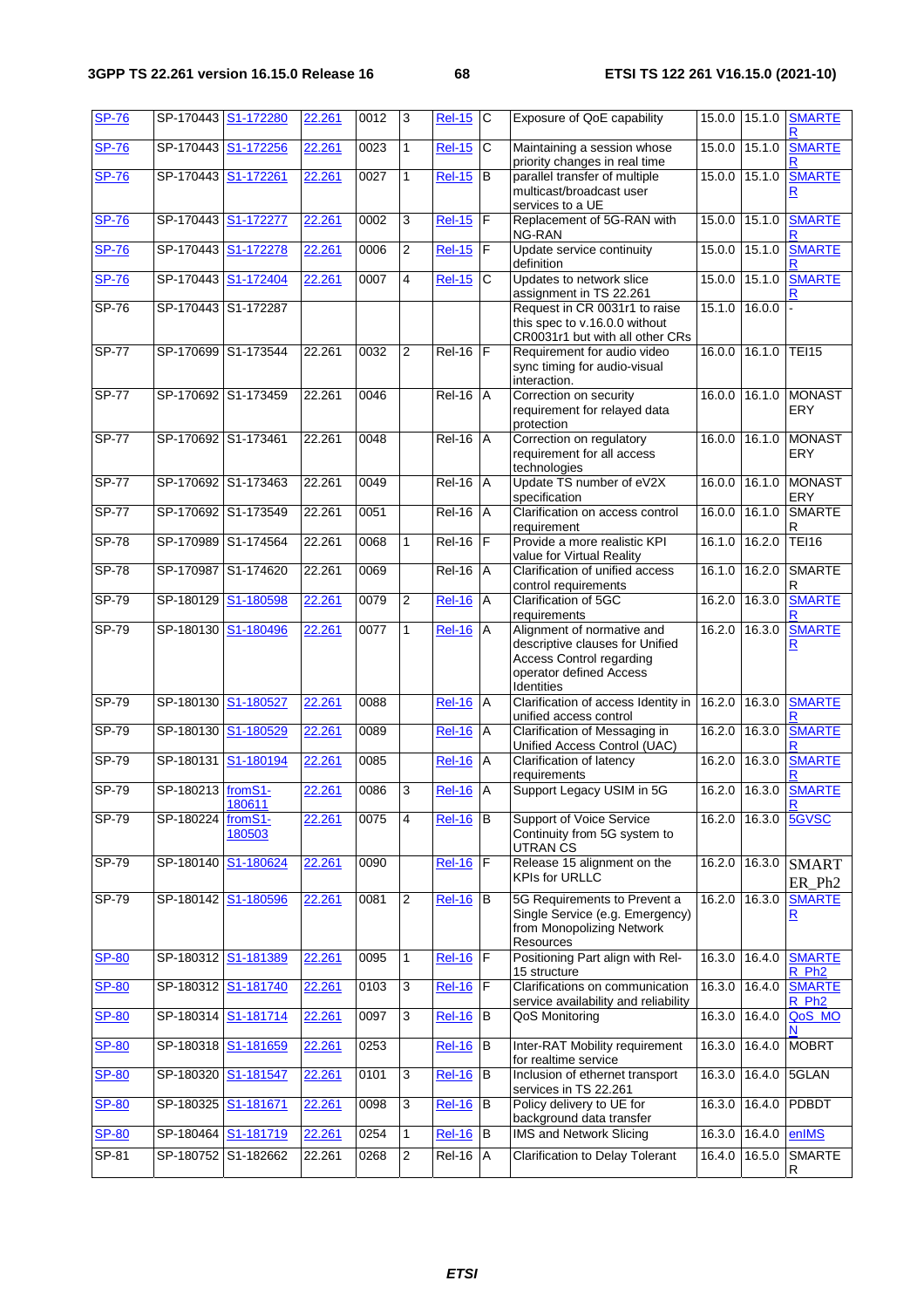| <b>SP-76</b> |                     | SP-170443 S1-172280 | 22.261 | 0012 | 3              | <b>Rel-15</b> | $\mathsf{C}$   | Exposure of QoE capability                                                                                                         | 15.0.0 15.1.0   |        | <b>SMARTE</b>                            |
|--------------|---------------------|---------------------|--------|------|----------------|---------------|----------------|------------------------------------------------------------------------------------------------------------------------------------|-----------------|--------|------------------------------------------|
| <b>SP-76</b> |                     | SP-170443 S1-172256 | 22.261 | 0023 | $\mathbf{1}$   | <b>Rel-15</b> | C              | Maintaining a session whose<br>priority changes in real time                                                                       | 15.0.0          | 15.1.0 | <b>SMARTE</b>                            |
| <b>SP-76</b> | SP-170443 S1-172261 |                     | 22.261 | 0027 | 1              | <b>Rel-15</b> | B              | parallel transfer of multiple<br>multicast/broadcast user<br>services to a UE                                                      | 15.0.0 15.1.0   |        | <b>SMARTE</b><br>R                       |
| <b>SP-76</b> |                     | SP-170443 S1-172277 | 22.261 | 0002 | 3              | <b>Rel-15</b> | F              | Replacement of 5G-RAN with<br>NG-RAN                                                                                               | $15.0.0$ 15.1.0 |        | <b>SMARTE</b>                            |
| <b>SP-76</b> |                     | SP-170443 S1-172278 | 22.261 | 0006 | 2              | <b>Rel-15</b> | $\mathsf F$    | Update service continuity<br>definition                                                                                            | 15.0.0          | 15.1.0 | <b>SMARTE</b>                            |
| <b>SP-76</b> | SP-170443           | S1-172404           | 22.261 | 0007 | 4              | <b>Rel-15</b> | C              | Updates to network slice<br>assignment in TS 22.261                                                                                | 15.0.0          | 15.1.0 | <b>SMARTE</b>                            |
| $SP-76$      |                     | SP-170443 S1-172287 |        |      |                |               |                | Request in CR 0031r1 to raise<br>this spec to v.16.0.0 without<br>CR0031r1 but with all other CRs                                  | 15.1.0          | 16.0.0 |                                          |
| <b>SP-77</b> |                     | SP-170699 S1-173544 | 22.261 | 0032 | $\overline{2}$ | Rel-16        | E              | Requirement for audio video<br>sync timing for audio-visual<br>interaction.                                                        | 16.0.0          | 16.1.0 | <b>TEI15</b>                             |
| $SP-77$      |                     | SP-170692 S1-173459 | 22.261 | 0046 |                | <b>Rel-16</b> | $\overline{A}$ | Correction on security<br>requirement for relayed data<br>protection                                                               | 16.0.0 16.1.0   |        | <b>MONAST</b><br><b>ERY</b>              |
| <b>SP-77</b> | SP-170692 S1-173461 |                     | 22.261 | 0048 |                | <b>Rel-16</b> | $\overline{A}$ | Correction on regulatory<br>requirement for all access<br>technologies                                                             | 16.0.0          | 16.1.0 | <b>MONAST</b><br><b>ERY</b>              |
| $SP-77$      |                     | SP-170692 S1-173463 | 22.261 | 0049 |                | Rel-16        | A              | Update TS number of eV2X<br>specification                                                                                          | 16.0.0          | 16.1.0 | <b>MONAST</b><br>ERY                     |
| $SP-77$      |                     | SP-170692 S1-173549 | 22.261 | 0051 |                | $Rel-16$      | A              | Clarification on access control<br>requirement                                                                                     | 16.0.0          | 16.1.0 | <b>SMARTE</b><br>R                       |
| <b>SP-78</b> | SP-170989           | S1-174564           | 22.261 | 0068 | $\mathbf{1}$   | Rel-16        | E              | Provide a more realistic KPI<br>value for Virtual Reality                                                                          | 16.1.0          | 16.2.0 | <b>TEI16</b>                             |
| $SP-78$      | SP-170987           | S1-174620           | 22.261 | 0069 |                | Rel-16        | A              | Clarification of unified access<br>control requirements                                                                            | 16.1.0          | 16.2.0 | <b>SMARTE</b><br>R                       |
| $SP-79$      | SP-180129           | S1-180598           | 22.261 | 0079 | $\overline{2}$ | <b>Rel-16</b> | Α              | Clarification of 5GC<br>requirements                                                                                               | 16.2.0          | 16.3.0 | <b>SMARTE</b>                            |
| $SP-79$      |                     | SP-180130 S1-180496 | 22.261 | 0077 | $\mathbf{1}$   | $ReI-16$      | A              | Alignment of normative and<br>descriptive clauses for Unified<br>Access Control regarding<br>operator defined Access<br>Identities | 16.2.0          | 16.3.0 | <b>SMARTE</b><br>$\overline{\mathsf{R}}$ |
| SP-79        | SP-180130           | S1-180527           | 22.261 | 0088 |                | <b>Rel-16</b> | A              | Clarification of access Identity in<br>unified access control                                                                      | 16.2.0          | 16.3.0 | <b>SMARTE</b><br>R                       |
| SP-79        | SP-180130           | S1-180529           | 22.261 | 0089 |                | <b>Rel-16</b> | A              | Clarification of Messaging in<br>Unified Access Control (UAC)                                                                      | 16.2.0          | 16.3.0 | <b>SMARTE</b>                            |
| SP-79        | SP-180131           | S1-180194           | 22.261 | 0085 |                | <b>Rel-16</b> | A              | Clarification of latency<br>requirements                                                                                           | 16.2.0          | 16.3.0 | <b>SMARTE</b>                            |
| $SP-79$      | SP-180213 fromS1-   | 180611              | 22.261 | 0086 | 3              | <b>Rel-16</b> | A              | Support Legacy USIM in 5G                                                                                                          | 16.2.0 16.3.0   |        | <b>SMARTE</b>                            |
| SP-79        | SP-180224           | fromS1-<br>180503   | 22.261 | 0075 | $\overline{4}$ | <b>Rel-16</b> | B              | Support of Voice Service<br>Continuity from 5G system to<br><b>UTRAN CS</b>                                                        | 16.2.0          | 16.3.0 | 5GVSC                                    |
| SP-79        | SP-180140           | S1-180624           | 22.261 | 0090 |                | $Rel-16$      | E              | Release 15 alignment on the<br>KPIs for URLLC                                                                                      | 16.2.0          | 16.3.0 | <b>SMART</b><br>ER_Ph <sub>2</sub>       |
| SP-79        |                     | SP-180142 S1-180596 | 22.261 | 0081 | 2              | <b>Rel-16</b> | B              | 5G Requirements to Prevent a<br>Single Service (e.g. Emergency)<br>from Monopolizing Network<br>Resources                          | 16.2.0 16.3.0   |        | <b>SMARTE</b><br>$\overline{\mathbf{R}}$ |
| <b>SP-80</b> |                     | SP-180312 S1-181389 | 22.261 | 0095 | $\mathbf{1}$   | <b>Rel-16</b> | F              | Positioning Part align with Rel-<br>15 structure                                                                                   | 16.3.0 16.4.0   |        | <b>SMARTE</b><br>R_Ph <sub>2</sub>       |
| <b>SP-80</b> |                     | SP-180312 S1-181740 | 22.261 | 0103 | 3              | $Rel-16$      | F              | Clarifications on communication<br>service availability and reliability                                                            | 16.3.0          | 16.4.0 | <b>SMARTE</b><br>R Ph <sub>2</sub>       |
| <b>SP-80</b> | SP-180314           | S1-181714           | 22.261 | 0097 | 3              | <b>Rel-16</b> | B              | QoS Monitoring                                                                                                                     | 16.3.0          | 16.4.0 | QoS_MO                                   |
| <b>SP-80</b> | SP-180318           | S1-181659           | 22.261 | 0253 |                | <b>Rel-16</b> | B              | Inter-RAT Mobility requirement<br>for realtime service                                                                             | 16.3.0 16.4.0   |        | <b>MOBRT</b>                             |
| <b>SP-80</b> | SP-180320           | S1-181547           | 22.261 | 0101 | $\overline{3}$ | <b>Rel-16</b> | B              | Inclusion of ethernet transport<br>services in TS 22.261                                                                           | 16.3.0          | 16.4.0 | 5GLAN                                    |
| <b>SP-80</b> |                     | SP-180325 S1-181671 | 22.261 | 0098 | $\overline{3}$ | <b>Rel-16</b> | B              | Policy delivery to UE for<br>background data transfer                                                                              | 16.3.0 16.4.0   |        | PDBDT                                    |
| <b>SP-80</b> |                     | SP-180464 S1-181719 | 22.261 | 0254 | 1              | <b>Rel-16</b> | B              | <b>IMS and Network Slicing</b>                                                                                                     | 16.3.0 16.4.0   |        | enIMS                                    |
| SP-81        |                     | SP-180752 S1-182662 | 22.261 | 0268 | $\overline{2}$ | Rel-16        | A              | <b>Clarification to Delay Tolerant</b>                                                                                             | 16.4.0 16.5.0   |        | <b>SMARTE</b><br>R                       |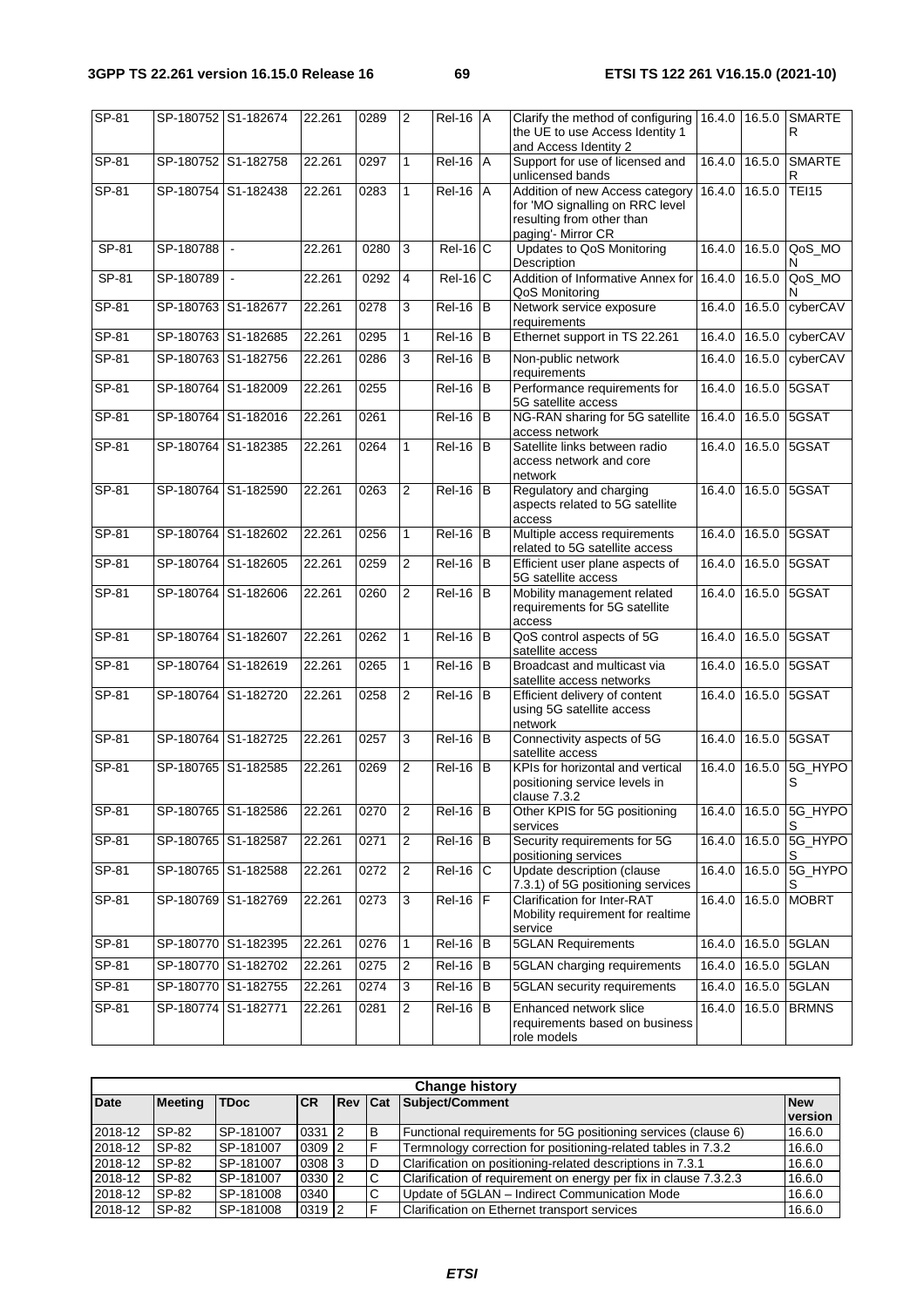| $SP-81$ | SP-180752 S1-182674 |                             | 22.261 | 0289 | $\overline{2}$          | $ReI-16$ $A$ | Clarify the method of configuring                                                 | 16.4.0 |        | 16.5.0 SMARTE              |
|---------|---------------------|-----------------------------|--------|------|-------------------------|--------------|-----------------------------------------------------------------------------------|--------|--------|----------------------------|
|         |                     |                             |        |      |                         |              | the UE to use Access Identity 1<br>and Access Identity 2                          |        |        | R                          |
| SP-81   | SP-180752 S1-182758 |                             | 22.261 | 0297 | 1                       | $Rel-16$ $A$ | Support for use of licensed and<br>unlicensed bands                               | 16.4.0 | 16.5.0 | <b>SMARTE</b><br>R         |
| SP-81   | SP-180754 S1-182438 |                             | 22.261 | 0283 | 1                       | $ReI-16$ $A$ | Addition of new Access category<br>for 'MO signalling on RRC level                | 16.4.0 | 16.5.0 | <b>TEI15</b>               |
|         |                     |                             |        |      |                         |              | resulting from other than<br>paging'- Mirror CR                                   |        |        |                            |
| SP-81   | SP-180788           | $\mathcal{L}_{\mathcal{A}}$ | 22.261 | 0280 | 3                       | $Rel-16$ C   | Updates to QoS Monitoring<br>Description                                          | 16.4.0 |        | 16.5.0 QoS_MO<br>N         |
| SP-81   | SP-180789           | $\sim$                      | 22.261 | 0292 | $\overline{4}$          | $Rel-16$ C   | Addition of Informative Annex for<br>QoS Monitoring                               | 16.4.0 | 16.5.0 | QoS_MO<br>N                |
| SP-81   | SP-180763 S1-182677 |                             | 22.261 | 0278 | 3                       | $Rel-16$ B   | Network service exposure<br>requirements                                          | 16.4.0 | 16.5.0 | cyberCAV                   |
| $SP-81$ | SP-180763 S1-182685 |                             | 22.261 | 0295 | 1                       | $Rel-16$ B   | Ethernet support in TS 22.261                                                     | 16.4.0 | 16.5.0 | cyberCAV                   |
| SP-81   | SP-180763 S1-182756 |                             | 22.261 | 0286 | 3                       | $ReI-16$ B   | Non-public network<br>requirements                                                | 16.4.0 | 16.5.0 | cyberCAV                   |
| SP-81   | SP-180764 S1-182009 |                             | 22.261 | 0255 |                         | $Rel-16$ B   | Performance requirements for<br>5G satellite access                               | 16.4.0 | 16.5.0 | 5GSAT                      |
| $SP-81$ | SP-180764 S1-182016 |                             | 22.261 | 0261 |                         | $ReI-16$ B   | NG-RAN sharing for 5G satellite<br>access network                                 | 16.4.0 | 16.5.0 | 5GSAT                      |
| SP-81   | SP-180764 S1-182385 |                             | 22.261 | 0264 | 1                       | $Rel-16$ B   | Satellite links between radio<br>access network and core<br>network               | 16.4.0 | 16.5.0 | 5GSAT                      |
| SP-81   | SP-180764 S1-182590 |                             | 22.261 | 0263 | 2                       | $Rel-16$ B   | Regulatory and charging<br>aspects related to 5G satellite<br>access              | 16.4.0 |        | 16.5.0 5GSAT               |
| SP-81   | SP-180764 S1-182602 |                             | 22.261 | 0256 | 1                       | $Rel-16$ B   | Multiple access requirements<br>related to 5G satellite access                    | 16.4.0 |        | 16.5.0 5GSAT               |
| $SP-81$ | SP-180764 S1-182605 |                             | 22.261 | 0259 | 2                       | $Rel-16$ B   | Efficient user plane aspects of<br>5G satellite access                            | 16.4.0 |        | 16.5.0 5GSAT               |
| SP-81   | SP-180764 S1-182606 |                             | 22.261 | 0260 | 2                       | $Rel-16$ B   | Mobility management related<br>requirements for 5G satellite<br>access            | 16.4.0 | 16.5.0 | 5GSAT                      |
| SP-81   | SP-180764 S1-182607 |                             | 22.261 | 0262 | $\mathbf{1}$            | $Rel-16$ B   | QoS control aspects of 5G<br>satellite access                                     | 16.4.0 |        | 16.5.0 5GSAT               |
| SP-81   | SP-180764 S1-182619 |                             | 22.261 | 0265 | 1                       | $Rel-16$ B   | Broadcast and multicast via<br>satellite access networks                          | 16.4.0 | 16.5.0 | 5GSAT                      |
| SP-81   | SP-180764 S1-182720 |                             | 22.261 | 0258 | $\overline{2}$          | $Rel-16$ B   | Efficient delivery of content<br>using 5G satellite access<br>network             | 16.4.0 |        | 16.5.0 5GSAT               |
| $SP-81$ | SP-180764 S1-182725 |                             | 22.261 | 0257 | 3                       | $Rel-16$ $B$ | Connectivity aspects of 5G<br>satellite access                                    | 16.4.0 |        | 16.5.0 5GSAT               |
| SP-81   | SP-180765 S1-182585 |                             | 22.261 | 0269 | $\overline{2}$          | $ReI-16$ B   | KPIs for horizontal and vertical<br>positioning service levels in<br>clause 7.3.2 | 16.4.0 |        | 16.5.0 5G_HYPO<br>S        |
| SP-81   | SP-180765 S1-182586 |                             | 22.261 | 0270 | 2                       | $Rel-16$ B   | Other KPIS for 5G positioning<br>services                                         |        |        | 16.4.0 16.5.0 5G_HYPO<br>S |
| $SP-81$ | SP-180765 S1-182587 |                             | 22.261 | 0271 | $\overline{2}$          | $Rel-16$ B   | Security requirements for 5G<br>positioning services                              | 16.4.0 |        | 16.5.0 5G_HYPO<br>S        |
| SP-81   | SP-180765 S1-182588 |                             | 22.261 | 0272 | $\overline{\mathbf{c}}$ | $Rel-16$ C   | Update description (clause<br>7.3.1) of 5G positioning services                   | 16.4.0 |        | 16.5.0 5G_HYPO<br>S        |
| SP-81   | SP-180769 S1-182769 |                             | 22.261 | 0273 | 3                       | $Rel-16$     | Clarification for Inter-RAT<br>Mobility requirement for realtime<br>service       | 16.4.0 |        | 16.5.0 MOBRT               |
| $SP-81$ | SP-180770 S1-182395 |                             | 22.261 | 0276 | $\mathbf{1}$            | $Rel-16$ B   | <b>5GLAN</b> Requirements                                                         | 16.4.0 |        | 16.5.0 5GLAN               |
| SP-81   | SP-180770 S1-182702 |                             | 22.261 | 0275 | 2                       | $Rel-16$ B   | 5GLAN charging requirements                                                       | 16.4.0 |        | 16.5.0 5GLAN               |
| SP-81   | SP-180770 S1-182755 |                             | 22.261 | 0274 | 3                       | $Rel-16$ B   | 5GLAN security requirements                                                       | 16.4.0 | 16.5.0 | 5GLAN                      |
| SP-81   | SP-180774 S1-182771 |                             | 22.261 | 0281 | $\overline{2}$          | $Rel-16$ B   | Enhanced network slice<br>requirements based on business<br>role models           | 16.4.0 | 16.5.0 | <b>BRMNS</b>               |

|             | <b>Change history</b> |             |            |                |   |                                                                  |                       |  |  |  |  |  |  |  |
|-------------|-----------------------|-------------|------------|----------------|---|------------------------------------------------------------------|-----------------------|--|--|--|--|--|--|--|
| <b>Date</b> | <b>Meeting</b>        | <b>TDoc</b> | <b>ICR</b> | <b>Rev Cat</b> |   | Subject/Comment                                                  | <b>New</b><br>version |  |  |  |  |  |  |  |
| 2018-12     | SP-82                 | SP-181007   | 0331 2     |                | B | Functional requirements for 5G positioning services (clause 6)   | 16.6.0                |  |  |  |  |  |  |  |
| 2018-12     | SP-82                 | SP-181007   | 0309 2     |                | Е | Termnology correction for positioning-related tables in 7.3.2    | 16.6.0                |  |  |  |  |  |  |  |
| 2018-12     | SP-82                 | SP-181007   | 0308 3     |                | D | Clarification on positioning-related descriptions in 7.3.1       | 16.6.0                |  |  |  |  |  |  |  |
| 2018-12     | SP-82                 | SP-181007   | 0330 2     |                | C | Clarification of requirement on energy per fix in clause 7.3.2.3 | 16.6.0                |  |  |  |  |  |  |  |
| 2018-12     | SP-82                 | SP-181008   | 0340       |                | C | Update of 5GLAN - Indirect Communication Mode                    | 16.6.0                |  |  |  |  |  |  |  |
| 2018-12     | SP-82                 | SP-181008   | 0319 2     |                | E | Clarification on Ethernet transport services                     | 16.6.0                |  |  |  |  |  |  |  |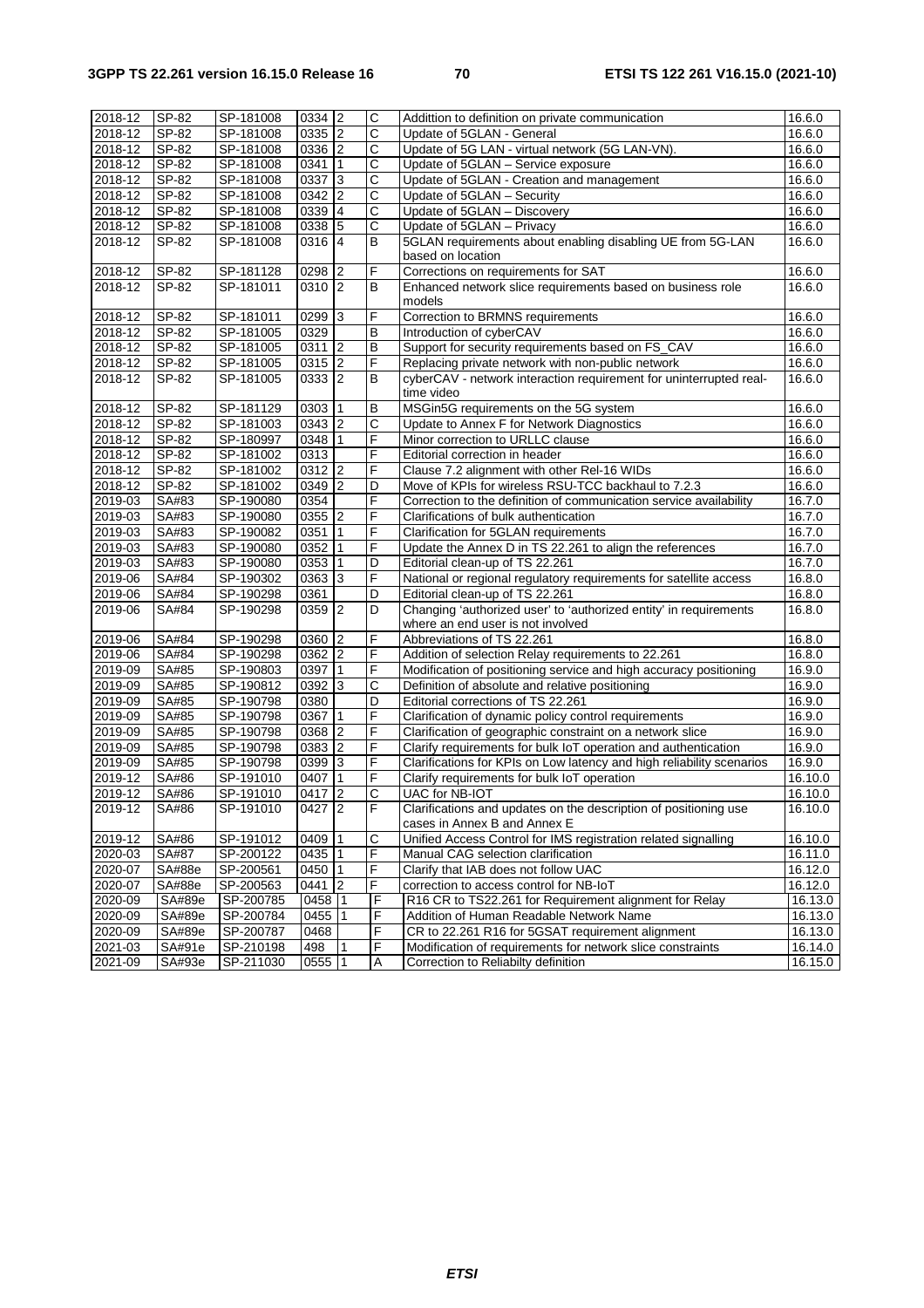| 2018-12 | SP-82  | SP-181008              | 0334 2         |                  | C                     | Addittion to definition on private communication                                                     | 16.6.0           |
|---------|--------|------------------------|----------------|------------------|-----------------------|------------------------------------------------------------------------------------------------------|------------------|
| 2018-12 | SP-82  | SP-181008              | 0335 2         |                  | $\overline{\text{c}}$ | Update of 5GLAN - General                                                                            | 16.6.0           |
| 2018-12 | SP-82  | SP-181008              | 0336 2         |                  | $\mathsf C$           | Update of 5G LAN - virtual network (5G LAN-VN).                                                      | 16.6.0           |
| 2018-12 | SP-82  | SP-181008              | 0341           | 1                | C                     | Update of 5GLAN - Service exposure                                                                   | 16.6.0           |
| 2018-12 | SP-82  | SP-181008              | 0337 3         |                  | C                     | Update of 5GLAN - Creation and management                                                            | 16.6.0           |
| 2018-12 | SP-82  | SP-181008              | 0342           | $\boldsymbol{2}$ | C                     | Update of 5GLAN - Security                                                                           | 16.6.0           |
| 2018-12 | SP-82  | SP-181008              | 0339 4         |                  | $\mathsf C$           | Update of 5GLAN - Discovery                                                                          | 16.6.0           |
| 2018-12 | SP-82  | SP-181008              | 0338 5         |                  | $\mathsf{C}$          | Update of 5GLAN - Privacy                                                                            | 16.6.0           |
| 2018-12 | SP-82  | SP-181008              | 0316 4         |                  | B                     | 5GLAN requirements about enabling disabling UE from 5G-LAN<br>based on location                      | 16.6.0           |
| 2018-12 | SP-82  | SP-181128              | 0298           | $\sqrt{2}$       | F                     | Corrections on requirements for SAT                                                                  | 16.6.0           |
| 2018-12 | SP-82  | SP-181011              | $0310$   2     |                  | B                     | Enhanced network slice requirements based on business role<br>models                                 | 16.6.0           |
| 2018-12 | SP-82  | SP-181011              | 0299           | 3                | F                     | Correction to BRMNS requirements                                                                     | 16.6.0           |
| 2018-12 | SP-82  | SP-181005              | 0329           |                  | B                     | Introduction of cyberCAV                                                                             | 16.6.0           |
| 2018-12 | SP-82  | SP-181005              | $0311$   2     |                  | $\sf B$               | Support for security requirements based on FS_CAV                                                    | 16.6.0           |
| 2018-12 | SP-82  | SP-181005              | 0315 2         |                  | F                     | Replacing private network with non-public network                                                    | 16.6.0           |
| 2018-12 | SP-82  | SP-181005              | $0333$   2     |                  | B                     | cyberCAV - network interaction requirement for uninterrupted real-<br>time video                     | 16.6.0           |
| 2018-12 | SP-82  | SP-181129              | 0303 1         |                  | В                     | MSGin5G requirements on the 5G system                                                                | 16.6.0           |
| 2018-12 | SP-82  | SP-181003              | $0343$ 2       |                  | C                     | Update to Annex F for Network Diagnostics                                                            | 16.6.0           |
| 2018-12 | SP-82  | SP-180997              | 0348           | 1                | F                     | Minor correction to URLLC clause                                                                     | 16.6.0           |
| 2018-12 | SP-82  | SP-181002              | 0313           |                  | F                     | Editorial correction in header                                                                       | 16.6.0           |
| 2018-12 | SP-82  | SP-181002              | $0312$ 2       |                  | F                     | Clause 7.2 alignment with other Rel-16 WIDs                                                          | 16.6.0           |
| 2018-12 | SP-82  | SP-181002              | 0349 2         |                  | D                     | Move of KPIs for wireless RSU-TCC backhaul to 7.2.3                                                  | 16.6.0           |
| 2019-03 | SA#83  | SP-190080              | 0354           |                  | F                     | Correction to the definition of communication service availability                                   | 16.7.0           |
| 2019-03 | SA#83  | SP-190080              | 0355 2         |                  | F                     | Clarifications of bulk authentication                                                                | 16.7.0           |
| 2019-03 | SA#83  | SP-190082              | 0351           | 1                | F                     | Clarification for 5GLAN requirements                                                                 | 16.7.0           |
| 2019-03 | SA#83  | SP-190080              | 0352           | $\mathbf{1}$     | F                     | Update the Annex D in TS 22.261 to align the references                                              | 16.7.0           |
| 2019-03 | SA#83  | SP-190080              | 0353           | 1                | D                     | Editorial clean-up of TS 22.261                                                                      | 16.7.0           |
| 2019-06 | SA#84  | SP-190302              | 0363 3         |                  | F                     |                                                                                                      | 16.8.0           |
|         |        |                        |                |                  | D                     | National or regional regulatory requirements for satellite access                                    |                  |
| 2019-06 | SA#84  | SP-190298<br>SP-190298 | 0361<br>0359 2 |                  | D                     | Editorial clean-up of TS 22.261<br>Changing 'authorized user' to 'authorized entity' in requirements | 16.8.0<br>16.8.0 |
| 2019-06 | SA#84  |                        |                |                  |                       | where an end user is not involved                                                                    |                  |
| 2019-06 | SA#84  | SP-190298              | 0360 2         |                  | F                     | Abbreviations of TS 22.261                                                                           | 16.8.0           |
| 2019-06 | SA#84  | SP-190298              | 0362 2         |                  | F                     | Addition of selection Relay requirements to 22.261                                                   | 16.8.0           |
| 2019-09 | SA#85  | SP-190803              | 0397           | 1                | F                     | Modification of positioning service and high accuracy positioning                                    | 16.9.0           |
| 2019-09 | SA#85  | SP-190812              | 0392           | 3                | $\mathsf C$           | Definition of absolute and relative positioning                                                      | 16.9.0           |
| 2019-09 | SA#85  | SP-190798              | 0380           |                  | D                     | Editorial corrections of TS 22.261                                                                   | 16.9.0           |
| 2019-09 | SA#85  | SP-190798              | 0367           | 1                | F                     | Clarification of dynamic policy control requirements                                                 | 16.9.0           |
| 2019-09 | SA#85  | SP-190798              | 0368 2         |                  | F                     | Clarification of geographic constraint on a network slice                                            | 16.9.0           |
| 2019-09 | SA#85  | SP-190798              | 0383 2         |                  | F                     | Clarify requirements for bulk IoT operation and authentication                                       | 16.9.0           |
| 2019-09 | SA#85  | SP-190798              | 0399 3         |                  | F                     | Clarifications for KPIs on Low latency and high reliability scenarios                                | 16.9.0           |
| 2019-12 | SA#86  | SP-191010              | 0407           | $\mathbf{1}$     | F                     | Clarify requirements for bulk IoT operation                                                          | 16.10.0          |
| 2019-12 | SA#86  | SP-191010              | $0417$ 2       |                  | $\overline{c}$        | UAC for NB-IOT                                                                                       | 16.10.0          |
| 2019-12 | SA#86  | SP-191010              | 0427   2       |                  | F                     | Clarifications and updates on the description of positioning use<br>cases in Annex B and Annex E     | 16.10.0          |
| 2019-12 | SA#86  | SP-191012              | 0409           | 1                | C                     | Unified Access Control for IMS registration related signalling                                       | 16.10.0          |
| 2020-03 | SA#87  | SP-200122              | 0435 1         |                  | F                     | Manual CAG selection clarification                                                                   | 16.11.0          |
| 2020-07 | SA#88e | SP-200561              | 0450           | 1                | F                     | Clarify that IAB does not follow UAC                                                                 | 16.12.0          |
| 2020-07 | SA#88e | SP-200563              | $0441$ 2       |                  | F                     | correction to access control for NB-IoT                                                              | 16.12.0          |
| 2020-09 | SA#89e | SP-200785              | 0458 1         |                  | F                     | R16 CR to TS22.261 for Requirement alignment for Relay                                               | 16.13.0          |
| 2020-09 | SA#89e | SP-200784              | 0455           | $\overline{1}$   | F                     | Addition of Human Readable Network Name                                                              | 16.13.0          |
| 2020-09 | SA#89e | SP-200787              | 0468           |                  | F                     | CR to 22.261 R16 for 5GSAT requirement alignment                                                     | 16.13.0          |
| 2021-03 | SA#91e | SP-210198              | 498            | 1                | F                     | Modification of requirements for network slice constraints                                           | 16.14.0          |
| 2021-09 | SA#93e | SP-211030              | $0555$   1     |                  | A                     | Correction to Reliabilty definition                                                                  | 16.15.0          |